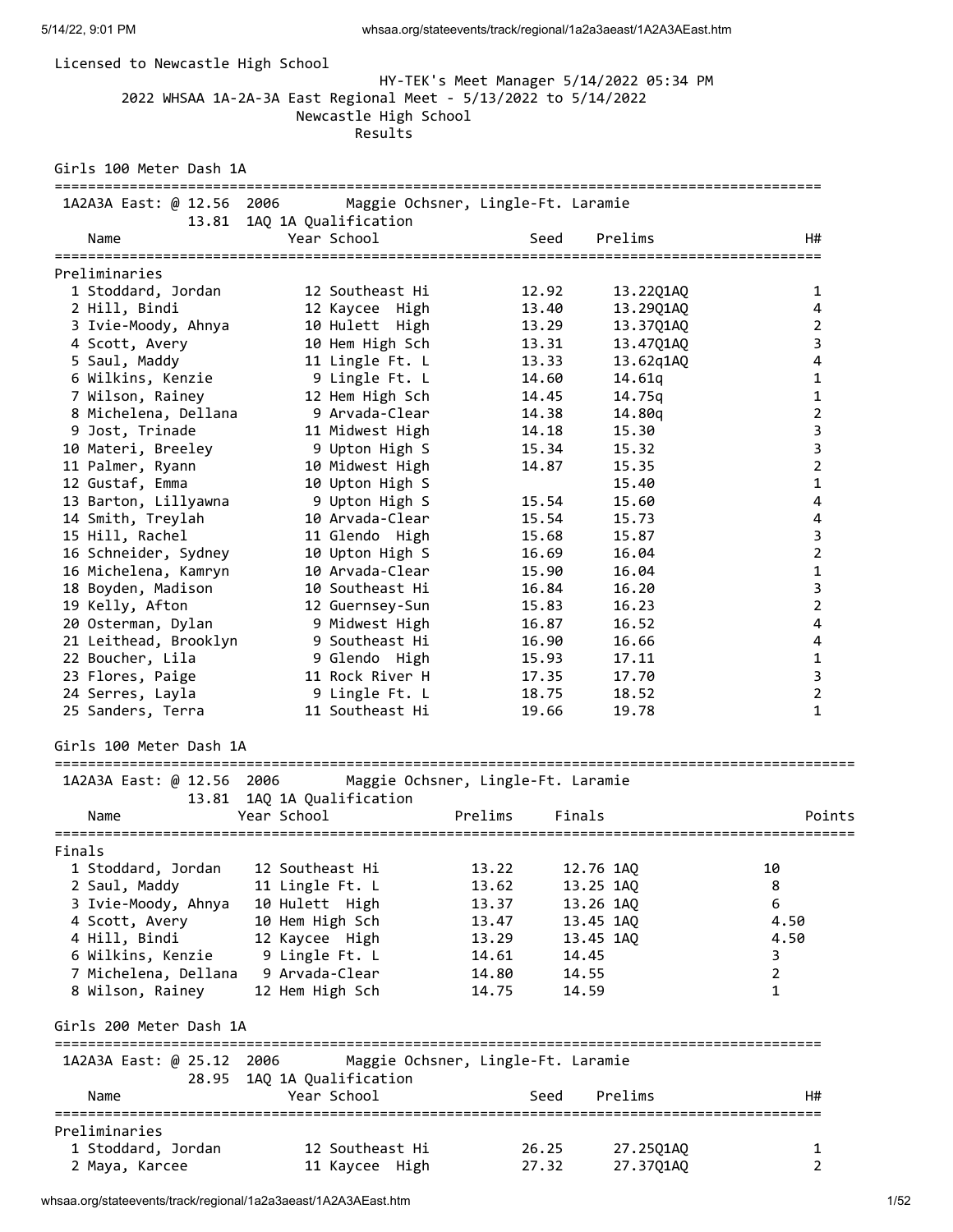| Licensed to Newcastle High School                             | 2022 WHSAA 1A-2A-3A East Regional Meet - 5/13/2022 to 5/14/2022<br>Newcastle High School<br>Results | HY-TEK's Meet Manager 5/14/2022 05:34 PM |                        |                               |
|---------------------------------------------------------------|-----------------------------------------------------------------------------------------------------|------------------------------------------|------------------------|-------------------------------|
| Girls 100 Meter Dash 1A                                       |                                                                                                     |                                          |                        |                               |
| 1A2A3A East: @ 12.56 2006                                     |                                                                                                     | Maggie Ochsner, Lingle-Ft. Laramie       |                        |                               |
| 13.81                                                         | 1AQ 1A Qualification                                                                                |                                          |                        |                               |
| Name                                                          | Year School                                                                                         | Seed                                     | Prelims                | H#                            |
| Preliminaries                                                 |                                                                                                     |                                          |                        |                               |
| 1 Stoddard, Jordan                                            | 12 Southeast Hi                                                                                     | 12.92                                    | 13.22Q1AQ              | 1                             |
| 2 Hill, Bindi                                                 | 12 Kaycee High                                                                                      | 13.40                                    | 13.29Q1AQ              | 4                             |
| 3 Ivie-Moody, Ahnya                                           | 10 Hulett High                                                                                      | 13.29                                    | 13.37Q1AQ              | 2                             |
| 4 Scott, Avery                                                | 10 Hem High Sch                                                                                     | 13.31                                    | 13.47Q1AQ              | 3                             |
| 5 Saul, Maddy                                                 | 11 Lingle Ft. L                                                                                     | 13.33                                    | 13.62q1AQ              | $\overline{4}$                |
| 6 Wilkins, Kenzie                                             | 9 Lingle Ft. L                                                                                      | 14.60                                    | 14.61q                 | 1                             |
| 7 Wilson, Rainey<br>8 Michelena, Dellana                      | 12 Hem High Sch<br>9 Arvada-Clear                                                                   | 14.45<br>14.38                           | 14.75g                 | $\mathbf 1$<br>$\overline{2}$ |
| 9 Jost, Trinade                                               | 11 Midwest High                                                                                     | 14.18                                    | 14.80q<br>15.30        | 3                             |
| 10 Materi, Breeley                                            | 9 Upton High S                                                                                      | 15.34                                    | 15.32                  | 3                             |
| 11 Palmer, Ryann                                              | 10 Midwest High                                                                                     | 14.87                                    | 15.35                  | $\overline{2}$                |
| 12 Gustaf, Emma                                               | 10 Upton High S                                                                                     |                                          | 15.40                  | $\mathbf{1}$                  |
| 13 Barton, Lillyawna                                          | 9 Upton High S                                                                                      | 15.54                                    | 15.60                  | $\overline{4}$                |
| 14 Smith, Treylah                                             | 10 Arvada-Clear                                                                                     | 15.54                                    | 15.73                  | $\overline{\mathbf{4}}$       |
| 15 Hill, Rachel                                               | 11 Glendo High                                                                                      | 15.68                                    | 15.87                  | 3                             |
| 16 Schneider, Sydney                                          | 10 Upton High S                                                                                     | 16.69                                    | 16.04                  | $\overline{2}$                |
| 16 Michelena, Kamryn                                          | 10 Arvada-Clear                                                                                     | 15.90                                    | 16.04                  | 1                             |
| 18 Boyden, Madison                                            | 10 Southeast Hi                                                                                     | 16.84                                    | 16.20                  | 3                             |
| 19 Kelly, Afton                                               | 12 Guernsey-Sun                                                                                     | 15.83                                    | 16.23                  | $\overline{2}$                |
| 20 Osterman, Dylan                                            | 9 Midwest High                                                                                      | 16.87                                    | 16.52                  | 4                             |
| 21 Leithead, Brooklyn                                         | 9 Southeast Hi<br>9 Glendo High                                                                     | 16.90<br>15.93                           | 16.66<br>17.11         | 4<br>$\mathbf{1}$             |
| 22 Boucher, Lila<br>23 Flores, Paige                          | 11 Rock River H                                                                                     | 17.35                                    | 17.70                  | $\mathsf{3}$                  |
| 24 Serres, Layla                                              | 9 Lingle Ft. L                                                                                      | 18.75                                    | 18.52                  | $\overline{2}$                |
| 25 Sanders, Terra                                             | 11 Southeast Hi                                                                                     | 19.66                                    | 19.78                  | 1                             |
| Girls 100 Meter Dash 1A                                       |                                                                                                     |                                          |                        |                               |
| ===========================<br>1A2A3A East: @ 12.56 2006      |                                                                                                     | Maggie Ochsner, Lingle-Ft. Laramie       |                        |                               |
| Name                                                          | 13.81 1AQ 1A Qualification<br>Year School                                                           | Prelims<br>Finals                        |                        | Points                        |
|                                                               |                                                                                                     |                                          |                        |                               |
| Finals                                                        |                                                                                                     |                                          |                        |                               |
| 1 Stoddard, Jordan                                            | 12 Southeast Hi                                                                                     | 13.22                                    | 12.76 1AQ              | 10                            |
| 2 Saul, Maddy                                                 | 11 Lingle Ft. L                                                                                     | 13.62                                    | 13.25 1AQ              | 8                             |
| 3 Ivie-Moody, Ahnya 10 Hulett High<br>4 Scott, Avery          |                                                                                                     | 13.37                                    | 13.26 1AQ              | 6<br>4.50                     |
| 4 Hill, Bindi                                                 | 10 Hem High Sch<br>12 Kaycee High                                                                   | 13.47<br>13.29                           | 13.45 1AQ<br>13.45 1AQ | 4.50                          |
| 6 Wilkins, Kenzie                                             | 9 Lingle Ft. L                                                                                      | 14.45<br>14.61                           |                        | 3                             |
| 7 Michelena, Dellana                                          | 9 Arvada-Clear                                                                                      | 14.55<br>14.80                           |                        | $\overline{2}$                |
| 8 Wilson, Rainey                                              | 12 Hem High Sch                                                                                     | 14.59<br>14.75                           |                        | 1                             |
| Girls 200 Meter Dash 1A                                       |                                                                                                     |                                          |                        |                               |
| ============================<br>1A2A3A East: @ 25.12<br>28.95 | 2006<br>1AQ 1A Qualification                                                                        | Maggie Ochsner, Lingle-Ft. Laramie       |                        |                               |
| Name                                                          | Year School                                                                                         | Seed                                     | Prelims                | H#                            |
| Preliminaries                                                 |                                                                                                     |                                          |                        |                               |
| 1 Stoddard, Jordan                                            | 12 Southeast Hi                                                                                     | 26.25                                    | 27.25Q1AQ              | 1                             |
| 2 Maya, Karcee                                                | 11 Kaycee High                                                                                      | 27.32                                    | 27.37Q1AQ              | 2                             |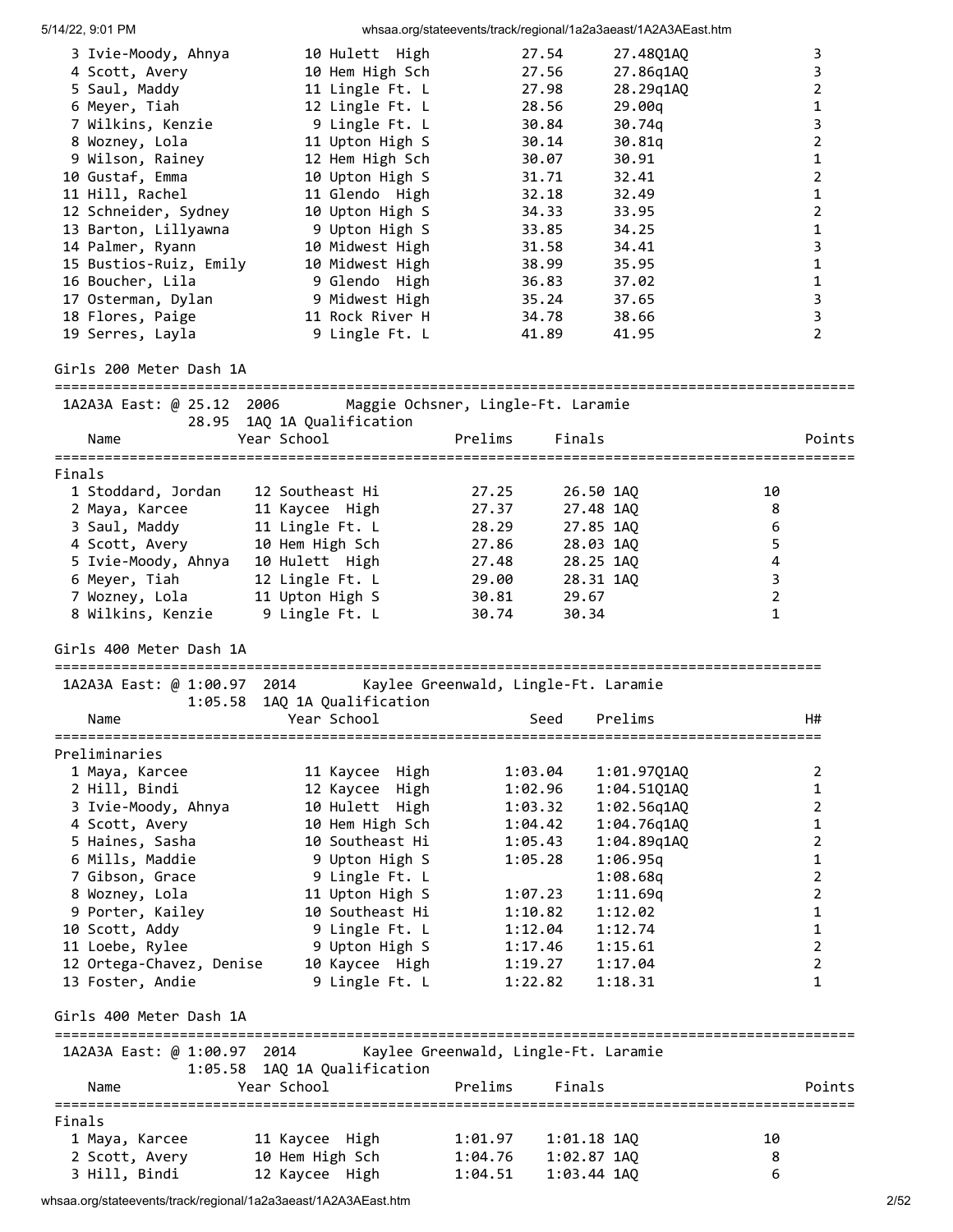| 3 Ivie-Moody, Ahnya                                            | 10 Hulett High                                                   | 27.54             | 27.48Q1AQ               |                | 3                   |
|----------------------------------------------------------------|------------------------------------------------------------------|-------------------|-------------------------|----------------|---------------------|
| 4 Scott, Avery                                                 | 10 Hem High Sch                                                  | 27.56             | 27.86q1AQ               |                | $\mathsf{3}$        |
| 5 Saul, Maddy                                                  | 11 Lingle Ft. L                                                  | 27.98             | 28.29q1AQ               |                | $\overline{2}$      |
| 6 Meyer, Tiah                                                  | 12 Lingle Ft. L                                                  | 28.56             | 29.00q                  |                | $\mathbf 1$         |
| 7 Wilkins, Kenzie                                              | 9 Lingle Ft. L                                                   | 30.84             | 30.74q                  |                | 3                   |
| 8 Wozney, Lola                                                 | 11 Upton High S                                                  | 30.14             | 30.81q                  |                | $\overline{2}$      |
| 9 Wilson, Rainey                                               | 12 Hem High Sch                                                  | 30.07             | 30.91                   |                | $\mathbf{1}$        |
| 10 Gustaf, Emma                                                | 10 Upton High S                                                  | 31.71             | 32.41                   |                | $\overline{2}$      |
| 11 Hill, Rachel                                                | 11 Glendo High                                                   | 32.18             | 32.49                   |                | $\mathbf{1}$        |
| 12 Schneider, Sydney                                           | 10 Upton High S                                                  | 34.33             | 33.95                   |                | $\overline{2}$      |
| 13 Barton, Lillyawna                                           | 9 Upton High S                                                   | 33.85             | 34.25                   |                | $\mathbf 1$         |
| 14 Palmer, Ryann                                               | 10 Midwest High                                                  | 31.58             | 34.41                   |                | 3                   |
|                                                                | 15 Bustios-Ruiz, Emily 10 Midwest High                           | 38.99             | 35.95                   |                | 1                   |
| 16 Boucher, Lila                                               | 9 Glendo High                                                    | 36.83             | 37.02                   |                | $\mathbf{1}$        |
| 17 Osterman, Dylan                                             | 9 Midwest High                                                   | 35.24             | 37.65                   |                | 3<br>$\overline{3}$ |
| 18 Flores, Paige<br>19 Serres, Layla                           | 11 Rock River H<br>9 Lingle Ft. L                                | 34.78<br>41.89    | 38.66<br>41.95          |                | $\overline{2}$      |
|                                                                |                                                                  |                   |                         |                |                     |
| Girls 200 Meter Dash 1A                                        |                                                                  |                   |                         |                |                     |
|                                                                | 1A2A3A East: @ 25.12 2006 Maggie Ochsner, Lingle-Ft. Laramie     |                   |                         |                |                     |
|                                                                | 28.95 1AQ 1A Qualification                                       |                   |                         |                |                     |
| Name                                                           | Year School                                                      | Finals<br>Prelims |                         |                | Points              |
|                                                                |                                                                  |                   |                         |                |                     |
| Finals                                                         |                                                                  |                   |                         |                |                     |
| 1 Stoddard, Jordan 12 Southeast Hi                             |                                                                  | 27.25             | 26.50 1AQ               | 10             |                     |
| 2 Maya, Karcee 11 Kaycee High<br>3 Saul, Maddy 11 Lingle Ft. L |                                                                  | 27.37             | 27.48 1AQ               | 8              |                     |
|                                                                |                                                                  | 28.29             | 27.85 1AQ               | 6              |                     |
| 4 Scott, Avery 10 Hem High Sch                                 |                                                                  | 27.86             | 28.03 1AQ               | 5              |                     |
| 5 Ivie-Moody, Ahnya 10 Hulett High                             |                                                                  | 27.48             | 28.25 1AQ               | 4              |                     |
| 6 Meyer, Tiah 12 Lingle Ft. L                                  |                                                                  | 29.00             | 28.31 1AQ               | 3              |                     |
| 7 Wozney, Lola                                                 | 11 Upton High S                                                  | 30.81<br>29.67    |                         | $\overline{2}$ |                     |
| 8 Wilkins, Kenzie 9 Lingle Ft. L                               |                                                                  | 30.74<br>30.34    |                         | $\mathbf{1}$   |                     |
| Girls 400 Meter Dash 1A                                        |                                                                  |                   |                         |                |                     |
|                                                                | 1A2A3A East: @ 1:00.97 2014 Kaylee Greenwald, Lingle-Ft. Laramie |                   |                         |                |                     |
|                                                                | 1:05.58 1AQ 1A Qualification                                     |                   |                         |                |                     |
| Name                                                           | Year School                                                      | Seed              | Prelims                 |                | H#                  |
| Preliminaries                                                  |                                                                  |                   | ======================= |                |                     |
| 1 Maya, Karcee                                                 | 11 Kaycee High                                                   | 1:03.04           | 1:01.97Q1AQ             |                | 2                   |
| 2 Hill, Bindi                                                  | 12 Kaycee High                                                   | 1:02.96           | 1:04.5101A0             |                | $\mathbf{1}$        |
| 3 Ivie-Moody, Ahnya                                            | 10 Hulett High                                                   | 1:03.32           | 1:02.56q1AQ             |                | $\overline{2}$      |
| 4 Scott, Avery                                                 | 10 Hem High Sch                                                  | 1:04.42           | 1:04.76q1AQ             |                | 1                   |
| 5 Haines, Sasha                                                | 10 Southeast Hi                                                  | 1:05.43           | 1:04.89q1AQ             |                | $\overline{2}$      |
| 6 Mills, Maddie                                                | 9 Upton High S                                                   | 1:05.28           | 1:06.95q                |                | $\mathbf{1}$        |
| 7 Gibson, Grace                                                | 9 Lingle Ft. L                                                   |                   | 1:08.68q                |                | $\overline{2}$      |
| 8 Wozney, Lola                                                 | 11 Upton High S                                                  | 1:07.23           | 1:11.69q                |                | $\mathbf 2$         |
| 9 Porter, Kailey                                               | 10 Southeast Hi                                                  | 1:10.82           | 1:12.02                 |                | $\mathbf{1}$        |
| 10 Scott, Addy                                                 | 9 Lingle Ft. L                                                   | 1:12.04           | 1:12.74                 |                | $\mathbf 1$         |
| 11 Loebe, Rylee                                                | 9 Upton High S                                                   | 1:17.46           | 1:15.61                 |                | $\overline{2}$      |
| 12 Ortega-Chavez, Denise                                       | 10 Kaycee High                                                   | 1:19.27           | 1:17.04                 |                | $\overline{2}$      |
| 13 Foster, Andie                                               | 9 Lingle Ft. L                                                   | 1:22.82           | 1:18.31                 |                | 1                   |
| Girls 400 Meter Dash 1A                                        |                                                                  |                   |                         |                |                     |
| ================================                               |                                                                  |                   |                         |                |                     |
|                                                                | 1A2A3A East: @ 1:00.97 2014 Kaylee Greenwald, Lingle-Ft. Laramie |                   |                         |                |                     |
|                                                                | 1:05.58 1AQ 1A Qualification                                     |                   |                         |                |                     |
| Name                                                           | Year School                                                      | Prelims<br>Finals |                         |                | Points              |
| Finals                                                         |                                                                  |                   |                         |                |                     |
| 1 Maya, Karcee                                                 | 11 Kaycee High                                                   | 1:01.97           | $1:01.18$ $1AQ$         | 10             |                     |
| 2 Scott, Avery                                                 | 10 Hem High Sch                                                  | 1:04.76           | $1:02.87$ 1AQ           | 8              |                     |
| 3 Hill, Bindi                                                  | 12 Kaycee High                                                   | 1:04.51           | 1:03.44 1AQ             | 6              |                     |

whsaa.org/stateevents/track/regional/1a2a3aeast/1A2A3AEast.htm 2006 2007 2008 2009 2009 2009 2009 2009 2009 20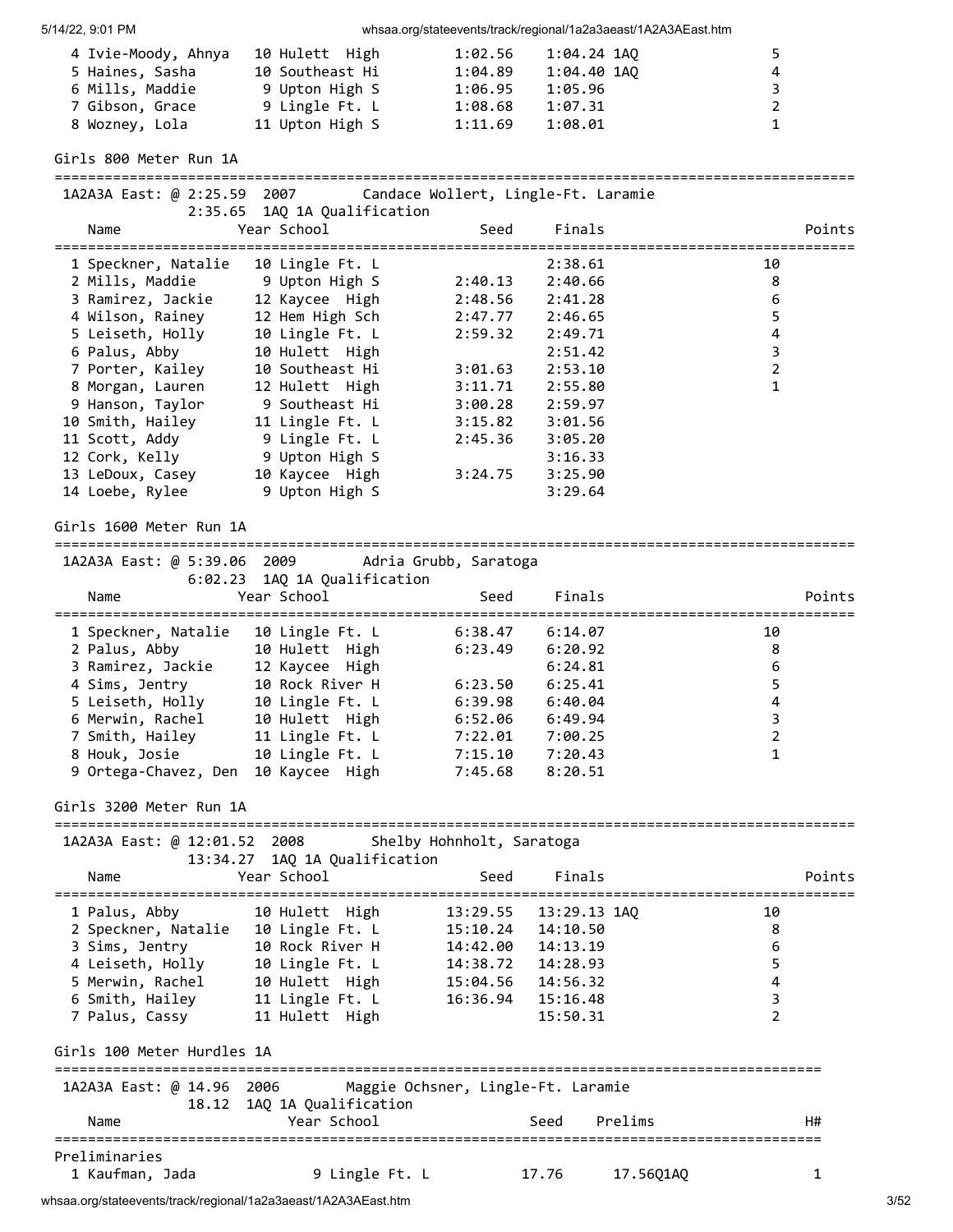| 4 Ivie-Moody, Ahnya | 10 Hulett High  | 1:02.56 | 1:04.24 1AO | 5.           |
|---------------------|-----------------|---------|-------------|--------------|
| 5 Haines, Sasha     | 10 Southeast Hi | 1:04.89 | 1:04.40 1AO | 4            |
| 6 Mills, Maddie     | 9 Upton High S  | 1:06.95 | 1:05.96     | 3.           |
| 7 Gibson, Grace     | 9 Lingle Ft. L  | 1:08.68 | 1:07.31     | 2            |
| 8 Wozney, Lola      | 11 Upton High S | 1:11.69 | 1:08.01     | $\mathbf{1}$ |

## Girls 800 Meter Run 1A ================================================================================================ 1A2A3A East: @ 2:25.59 2007 Candace Wollert, Lingle-Ft. Laramie 2:35.65 1AQ 1A Qualification Name **Seed** Finals Points Points ================================================================================================ 1 Speckner, Natalie 10 Lingle Ft. L 2:38.61 10 2 Mills, Maddie 9 Upton High S 2:40.13 2:40.66 8 3 Ramirez, Jackie 12 Kaycee High 2:48.56 2:41.28 6 4 Wilson, Rainey 12 Hem High Sch 2:47.77 2:46.65 5 5 Leiseth, Holly 10 Lingle Ft. L 2:59.32 2:49.71 4 6 Palus, Abby 10 Hulett High 2:51.42 3 7 Porter, Kailey 10 Southeast Hi 3:01.63 2:53.10 2 8 Morgan, Lauren 12 Hulett High 3:11.71 2:55.80 1 9 Hanson, Taylor 9 Southeast Hi 3:00.28 2:59.97 10 Smith, Hailey 11 Lingle Ft. L 3:15.82 3:01.56 11 Scott, Addy 9 Lingle Ft. L 2:45.36 3:05.20 12 Cork, Kelly 9 Upton High S 3:16.33 13 LeDoux, Casey 10 Kaycee High 3:24.75 3:25.90 13 LeDoux, Casey 10 Kaycee High 3:24.75 3:25.90<br>14 Loebe, Rylee 9 Upton High S 3:29.64

### Girls 1600 Meter Run 1A

================================================================================================ 1A2A3A East: @ 5:39.06 2009 Adria Grubb, Saratoga

|                      | INLAYA LUJU, W J.JJ.OU LUUJ – AUIILU UIUDU, JUIULULU<br>6:02.23 1AQ 1A Qualification |         |         |        |
|----------------------|--------------------------------------------------------------------------------------|---------|---------|--------|
| Name                 | Year School                                                                          | Seed    | Finals  | Points |
| 1 Speckner, Natalie  | 10 Lingle Ft. L                                                                      | 6:38.47 | 6:14.07 | 10     |
| 2 Palus, Abby        | 10 Hulett High                                                                       | 6:23.49 | 6:20.92 | 8      |
| 3 Ramirez, Jackie    | 12 Kaycee High                                                                       |         | 6:24.81 | 6      |
| 4 Sims, Jentry       | 10 Rock River H                                                                      | 6:23.50 | 6:25.41 | 5      |
| 5 Leiseth, Holly     | 10 Lingle Ft. L                                                                      | 6:39.98 | 6:40.04 | 4      |
| 6 Merwin, Rachel     | 10 Hulett High                                                                       | 6:52.06 | 6:49.94 | 3      |
| 7 Smith, Hailey      | 11 Lingle Ft. L                                                                      | 7:22.01 | 7:00.25 |        |
| 8 Houk, Josie        | 10 Lingle Ft. L                                                                      | 7:15.10 | 7:20.43 |        |
| 9 Ortega-Chavez, Den | 10 Kaycee High                                                                       | 7:45.68 | 8:20.51 |        |

================================================================================================

#### Girls 3200 Meter Run 1A

|                                  | 1A2A3A East: @ 12:01.52 2008 Shelby Hohnholt, Saratoga<br>13:34.27 1AQ 1A Qualification                      |                     |                           |                |
|----------------------------------|--------------------------------------------------------------------------------------------------------------|---------------------|---------------------------|----------------|
| Name                             | Year School                                                                                                  | Seed                | Finals                    | Points         |
| 1 Palus, Abby 10 Hulett High     |                                                                                                              |                     | 13:29.55   13:29.13   1AO | 10             |
| 2 Speckner, Natalie              | 10 Lingle Ft. L                                                                                              | 15:10.24  14:10.50  |                           | 8              |
|                                  | 3 Sims, Jentry 10 Rock River H                                                                               | 14:42.00 14:13.19   |                           | 6              |
| 4 Leiseth, Holly 10 Lingle Ft. L |                                                                                                              |                     |                           | 5              |
|                                  | 5 Merwin, Rachel 10 Hulett High 15:04.56 14:56.32                                                            |                     |                           | 4              |
| 6 Smith, Hailey 11 Lingle Ft. L  |                                                                                                              | 16:36.94   15:16.48 |                           | 3              |
| 7 Palus, Cassy 11 Hulett High    |                                                                                                              |                     | 15:50.31                  | $\mathfrak{p}$ |
| Girls 100 Meter Hurdles 1A       |                                                                                                              |                     |                           |                |
|                                  | ==============<br>1A2A3A East: @ 14.96 2006 Maggie Ochsner, Lingle-Ft. Laramie<br>18.12 1AQ 1A Qualification |                     |                           |                |
| Name                             | Year School                                                                                                  |                     | Prelims<br>Seed           | H#             |
| Preliminaries                    |                                                                                                              |                     |                           |                |
| 1 Kaufman, Jada                  | 9 Lingle Ft. L                                                                                               |                     | 17.76<br>17.5601AO        | 1              |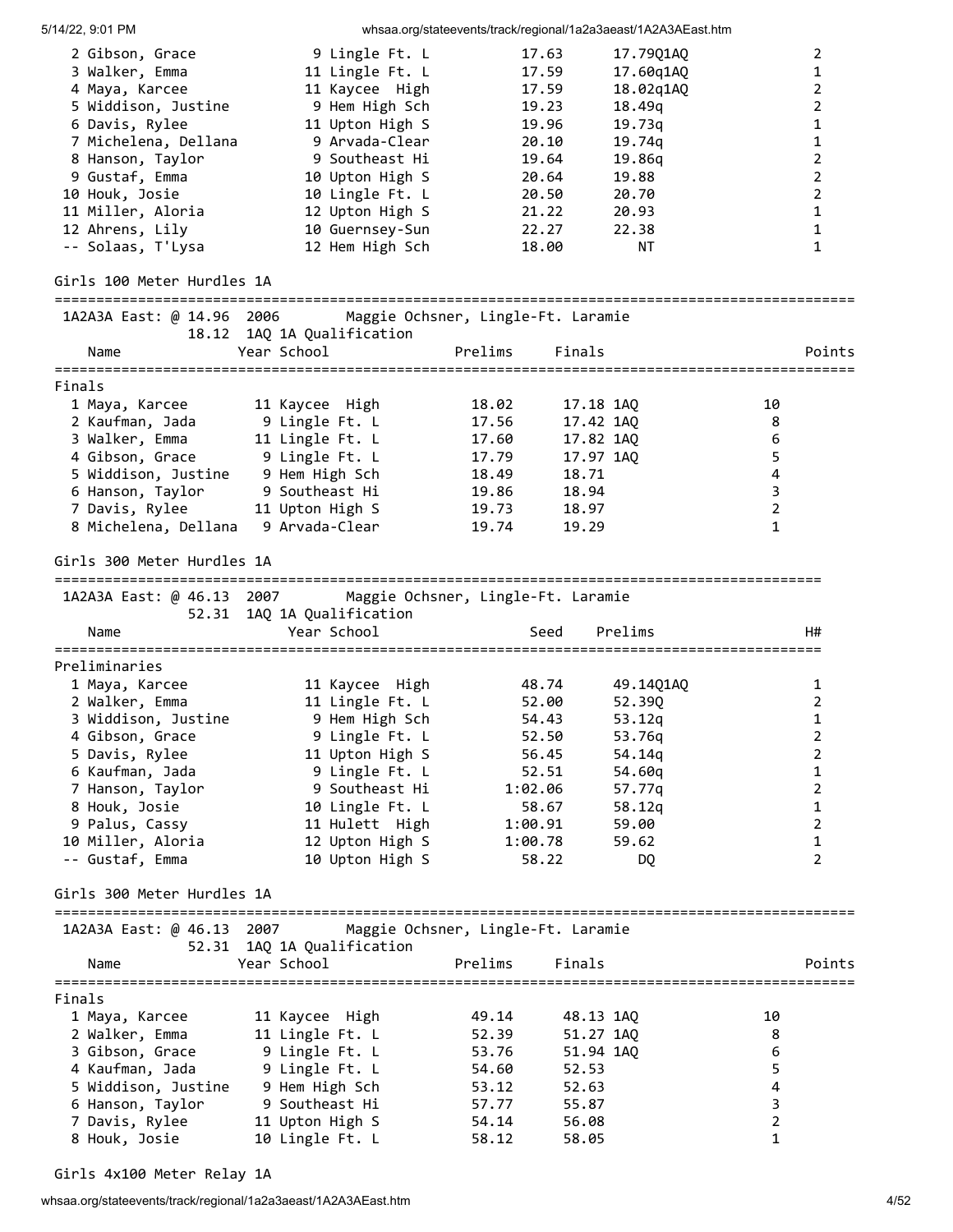5/14/22, 9:01 PM whsaa.org/stateevents/track/regional/1a2a3aeast/1A2A3AEast.htm 2 Gibson, Grace 9 Lingle Ft. L 17.63 17.79Q1AQ 2 3 Walker, Emma 11 Lingle Ft. L 17.59 17.60q1AQ 1 4 Maya, Karcee 11 Kaycee High 17.59 18.02q1AQ 2 5 Widdison, Justine 9 Hem High Sch 19.23 18.49q 2 6 Davis, Rylee 11 Upton High S 19.96 19.73q 1 7 Michelena, Dellana 9 Arvada-Clear 20.10 19.74q 1 8 Hanson, Taylor 9 Southeast Hi 19.64 19.86q 2 9 Gustaf, Emma 10 Upton High S 20.64 19.88 2 10 Houk, Josie 10 Lingle Ft. L 20.50 20.70 2 11 Miller, Aloria 12 Upton High S 21.22 20.93 1 12 Ahrens, Lily 10 Guernsey-Sun 22.27 22.38 1 -- Solaas, T'Lysa 12 Hem High Sch 18.00 NT 1 Girls 100 Meter Hurdles 1A ================================================================================================ 1A2A3A East: @ 14.96 2006 Maggie Ochsner, Lingle-Ft. Laramie 18.12 1AQ 1A Qualification Name Year School Prelims Finals Points ================================================================================================ Finals 1 Maya, Karcee 11 Kaycee High 18.02 17.18 1AQ 10 2 Kaufman, Jada 9 Lingle Ft. L 17.56 17.42 1AQ 8 3 Walker, Emma 11 Lingle Ft. L 17.60 17.82 1AQ 6 4 Gibson, Grace 9 Lingle Ft. L 17.79 17.97 1AQ 5 5 Widdison, Justine 9 Hem High Sch 18.49 18.71 4 6 Hanson, Taylor 9 Southeast Hi 19.86 18.94 3 7 Davis, Rylee 11 Upton High S 19.73 18.97 2 8 Michelena, Dellana 9 Arvada-Clear 19.74 19.29 1 Girls 300 Meter Hurdles 1A ============================================================================================ 1A2A3A East: @ 46.13 2007 Maggie Ochsner, Lingle-Ft. Laramie 52.31 1AQ 1A Qualification Name Year School Seed Prelims H# ============================================================================================ Preliminaries 1 Maya, Karcee 11 Kaycee High 48.74 49.14Q1AQ 1 2 Walker, Emma 11 Lingle Ft. L 52.00 52.39Q 2 3 Widdison, Justine 9 Hem High Sch 54.43 53.12q 1 4 Gibson, Grace 9 Lingle Ft. L 52.50 53.76q 2 5 Davis, Rylee 11 Upton High S 56.45 54.14q 2 6 Kaufman, Jada 9 Lingle Ft. L 52.51 54.60q 1 7 Hanson, Taylor 9 Southeast Hi 1:02.06 57.77q 2 8 Houk, Josie 10 Lingle Ft. L 58.67 58.12q 1 9 Palus, Cassy 11 Hulett High 1:00.91 59.00 2 10 Miller, Aloria 12 Upton High S 1:00.78 59.62 1 -- Gustaf, Emma 10 Upton High S 58.22 DQ 2 Girls 300 Meter Hurdles 1A ================================================================================================ 1A2A3A East: @ 46.13 2007 Maggie Ochsner, Lingle-Ft. Laramie 52.31 1AQ 1A Qualification Name Year School Prelims Finals Points ================================================================================================ Finals 1 Maya, Karcee 11 Kaycee High 49.14 48.13 1AQ 10 2 Walker, Emma 11 Lingle Ft. L 52.39 51.27 1AQ 8 3 Gibson, Grace 9 Lingle Ft. L 53.76 51.94 1AQ 6 4 Kaufman, Jada 9 Lingle Ft. L 54.60 52.53 5 5 Widdison, Justine 9 Hem High Sch 53.12 52.63 4 6 Hanson, Taylor 9 Southeast Hi 57.77 55.87 3 7 Davis, Rylee 11 Upton High S 54.14 56.08 2 8 Houk, Josie 10 Lingle Ft. L 58.12 58.05 1 1

Girls 4x100 Meter Relay 1A

whsaa.org/stateevents/track/regional/1a2a3aeast/1A2A3AEast.htm 4/52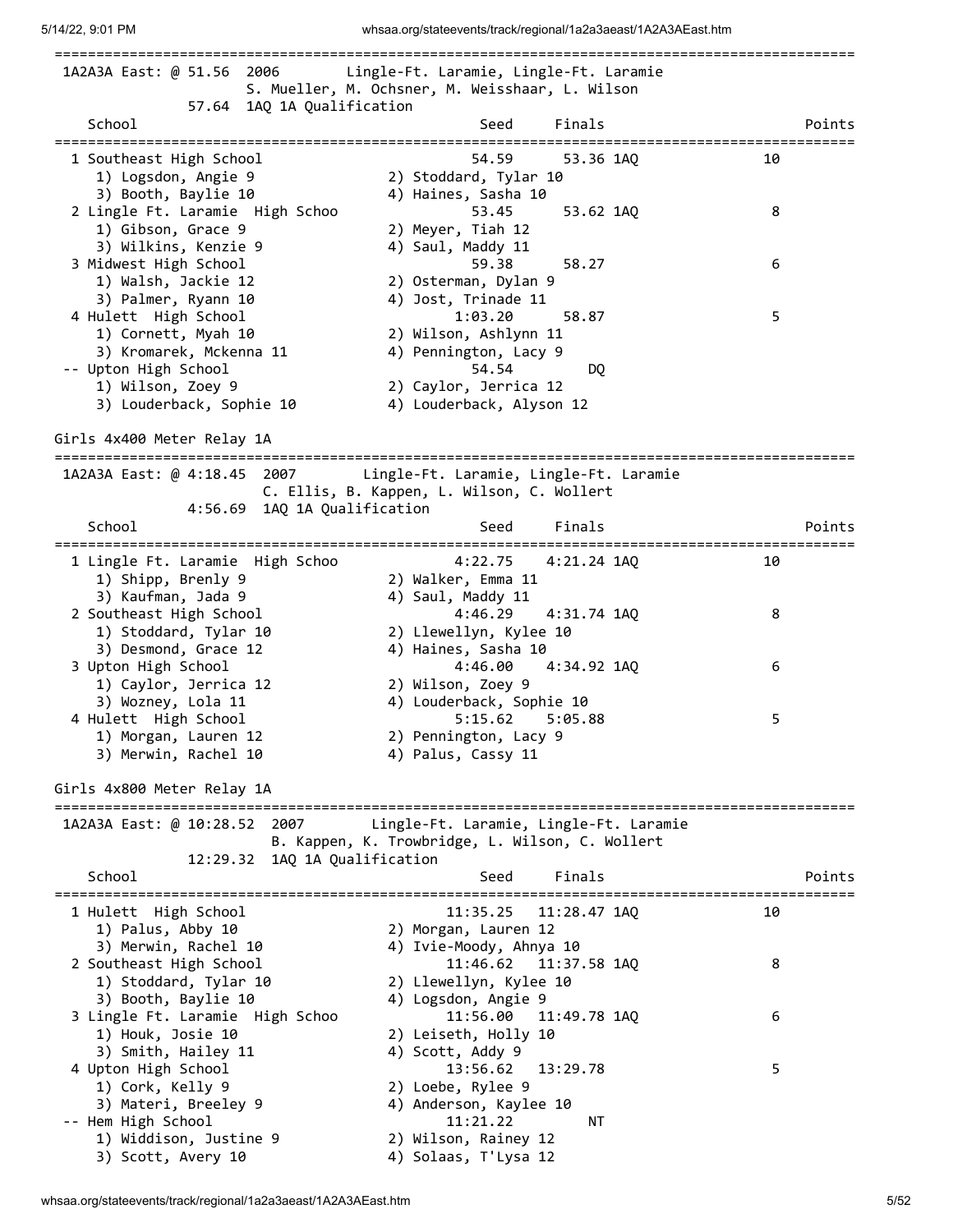| 1A2A3A East: @ 51.56<br>2006                                        | Lingle-Ft. Laramie, Lingle-Ft. Laramie<br>S. Mueller, M. Ochsner, M. Weisshaar, L. Wilson |    |        |
|---------------------------------------------------------------------|-------------------------------------------------------------------------------------------|----|--------|
| 57.64 1AQ 1A Qualification<br>School                                | Finals<br>Seed                                                                            |    | Points |
|                                                                     |                                                                                           |    |        |
| 1 Southeast High School<br>1) Logsdon, Angie 9                      | 54.59<br>53.36 1AQ<br>2) Stoddard, Tylar 10                                               | 10 |        |
| 3) Booth, Baylie 10                                                 | 4) Haines, Sasha 10                                                                       |    |        |
| 2 Lingle Ft. Laramie High Schoo                                     | 53.45<br>53.62 1AQ                                                                        | 8  |        |
| 1) Gibson, Grace 9                                                  | 2) Meyer, Tiah 12                                                                         |    |        |
| 3) Wilkins, Kenzie 9                                                | 4) Saul, Maddy 11                                                                         |    |        |
| 3 Midwest High School                                               | 59.38<br>58.27                                                                            | 6  |        |
| 1) Walsh, Jackie 12                                                 | 2) Osterman, Dylan 9                                                                      |    |        |
| 3) Palmer, Ryann 10                                                 | 4) Jost, Trinade 11                                                                       |    |        |
| 4 Hulett High School                                                | 1:03.20<br>58.87                                                                          | 5  |        |
| 1) Cornett, Myah 10                                                 | 2) Wilson, Ashlynn 11                                                                     |    |        |
| 3) Kromarek, Mckenna 11<br>-- Upton High School                     | 4) Pennington, Lacy 9<br>54.54                                                            |    |        |
| 1) Wilson, Zoey 9                                                   | DQ<br>2) Caylor, Jerrica 12                                                               |    |        |
| 3) Louderback, Sophie 10                                            | 4) Louderback, Alyson 12                                                                  |    |        |
|                                                                     |                                                                                           |    |        |
| Girls 4x400 Meter Relay 1A<br>===========================           |                                                                                           |    |        |
| 1A2A3A East: @ 4:18.45 2007                                         | Lingle-Ft. Laramie, Lingle-Ft. Laramie                                                    |    |        |
|                                                                     | C. Ellis, B. Kappen, L. Wilson, C. Wollert                                                |    |        |
| 1AQ 1A Qualification<br>4:56.69                                     |                                                                                           |    |        |
| School<br>======================================                    | Finals<br>Seed                                                                            |    | Points |
| 1 Lingle Ft. Laramie High Schoo                                     | 4:22.75<br>4:21.24 1AQ                                                                    | 10 |        |
| 1) Shipp, Brenly 9                                                  | 2) Walker, Emma 11                                                                        |    |        |
| 3) Kaufman, Jada 9                                                  | 4) Saul, Maddy 11                                                                         |    |        |
| 2 Southeast High School                                             | 4:46.29<br>4:31.74 1AQ                                                                    | 8  |        |
| 1) Stoddard, Tylar 10                                               | 2) Llewellyn, Kylee 10                                                                    |    |        |
| 3) Desmond, Grace 12                                                | 4) Haines, Sasha 10                                                                       |    |        |
| 3 Upton High School                                                 | 4:46.00<br>4:34.92 1AQ                                                                    | 6  |        |
| 1) Caylor, Jerrica 12                                               | 2) Wilson, Zoey 9                                                                         |    |        |
| 3) Wozney, Lola 11                                                  | 4) Louderback, Sophie 10                                                                  |    |        |
| 4 Hulett High School                                                | 5:15.62<br>5:05.88                                                                        | 5  |        |
| 1) Morgan, Lauren 12<br>3) Merwin, Rachel 10                        | 2) Pennington, Lacy 9<br>4) Palus, Cassy 11                                               |    |        |
|                                                                     |                                                                                           |    |        |
| Girls 4x800 Meter Relay 1A<br>===================================== | -------------------------------------                                                     |    |        |
| 1A2A3A East: @ 10:28.52 2007                                        | Lingle-Ft. Laramie, Lingle-Ft. Laramie                                                    |    |        |
|                                                                     | B. Kappen, K. Trowbridge, L. Wilson, C. Wollert                                           |    |        |
| 12:29.32 1AQ 1A Qualification                                       |                                                                                           |    |        |
| School                                                              | Seed<br>Finals                                                                            |    | Points |
| 1 Hulett High School                                                | 11:35.25<br>11:28.47 1AQ                                                                  | 10 |        |
| 1) Palus, Abby 10                                                   | 2) Morgan, Lauren 12                                                                      |    |        |
| 3) Merwin, Rachel 10                                                | 4) Ivie-Moody, Ahnya 10                                                                   |    |        |
| 2 Southeast High School                                             | 11:46.62<br>11:37.58 1AQ                                                                  | 8  |        |
| 1) Stoddard, Tylar 10                                               | 2) Llewellyn, Kylee 10                                                                    |    |        |
| 3) Booth, Baylie 10                                                 | 4) Logsdon, Angie 9                                                                       |    |        |
| 3 Lingle Ft. Laramie High Schoo                                     | 11:56.00<br>11:49.78 1AQ                                                                  | 6  |        |
| 1) Houk, Josie 10                                                   | 2) Leiseth, Holly 10                                                                      |    |        |
| 3) Smith, Hailey 11<br>4 Upton High School                          | 4) Scott, Addy 9<br>13:56.62<br>13:29.78                                                  | 5  |        |
| 1) Cork, Kelly 9                                                    | 2) Loebe, Rylee 9                                                                         |    |        |
| 3) Materi, Breeley 9                                                | 4) Anderson, Kaylee 10                                                                    |    |        |
| -- Hem High School                                                  | 11:21.22<br>ΝT                                                                            |    |        |
| 1) Widdison, Justine 9                                              | 2) Wilson, Rainey 12                                                                      |    |        |
| 3) Scott, Avery 10                                                  | 4) Solaas, T'Lysa 12                                                                      |    |        |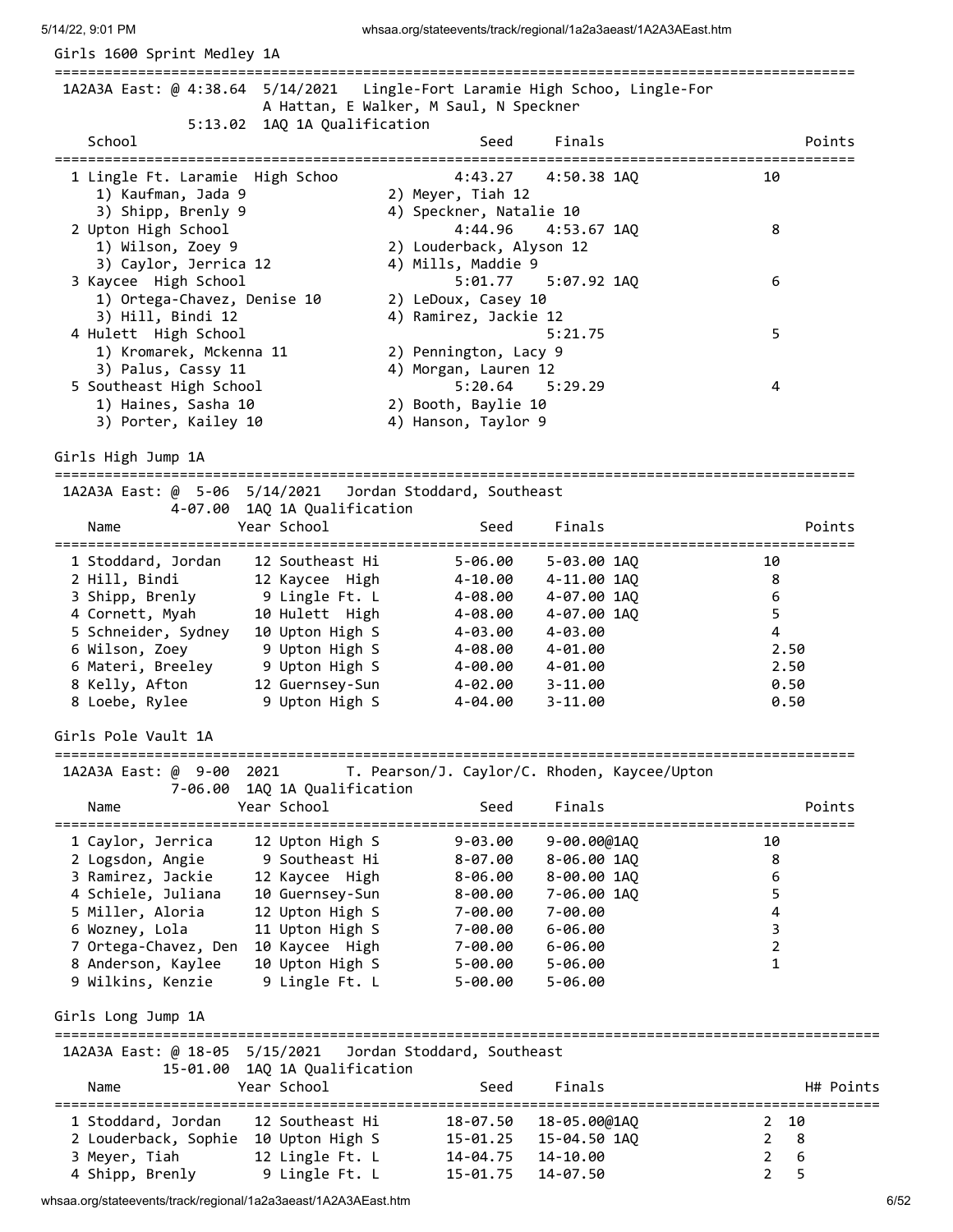| 5:13.02 1AQ 1A Qualification<br>School<br>Seed<br>Finals<br>Points<br>=================================<br>1 Lingle Ft. Laramie High Schoo<br>4:43.27<br>4:50.38 1AQ<br>10<br>1) Kaufman, Jada 9<br>2) Meyer, Tiah 12<br>3) Shipp, Brenly 9<br>4) Speckner, Natalie 10<br>2 Upton High School<br>4:44.96<br>$4:53.67$ 1AQ<br>8<br>1) Wilson, Zoey 9<br>2) Louderback, Alyson 12<br>3) Caylor, Jerrica 12<br>4) Mills, Maddie 9<br>3 Kaycee High School<br>5:01.77<br>5:07.92 1AQ<br>6<br>1) Ortega-Chavez, Denise 10<br>2) LeDoux, Casey 10<br>3) Hill, Bindi 12<br>4) Ramirez, Jackie 12<br>5<br>4 Hulett High School<br>5:21.75<br>1) Kromarek, Mckenna 11<br>2) Pennington, Lacy 9<br>3) Palus, Cassy 11<br>4) Morgan, Lauren 12<br>5 Southeast High School<br>5:20.64<br>5:29.29<br>4<br>1) Haines, Sasha 10<br>2) Booth, Baylie 10<br>3) Porter, Kailey 10<br>4) Hanson, Taylor 9<br>1A2A3A East: @ 5-06 5/14/2021 Jordan Stoddard, Southeast<br>4-07.00 1AQ 1A Qualification<br>Year School<br>Seed<br>Finals<br>Points<br>Name<br>=================================<br>1 Stoddard, Jordan<br>12 Southeast Hi<br>$5 - 06.00$<br>5-03.00 1AQ<br>10<br>2 Hill, Bindi<br>12 Kaycee High<br>4-11.00 1AQ<br>8<br>4-10.00<br>3 Shipp, Brenly<br>9 Lingle Ft. L<br>6<br>4-07.00 1AQ<br>4-08.00<br>5<br>4 Cornett, Myah<br>10 Hulett High<br>4-07.00 1AQ<br>4-08.00<br>5 Schneider, Sydney<br>4<br>10 Upton High S<br>4-03.00<br>4-03.00<br>6 Wilson, Zoey<br>9 Upton High S<br>4-08.00<br>$4 - 01.00$<br>2.50<br>9 Upton High S<br>6 Materi, Breeley<br>4-00.00<br>4-01.00<br>2.50<br>8 Kelly, Afton<br>12 Guernsey-Sun<br>0.50<br>4-02.00<br>3-11.00<br>8 Loebe, Rylee<br>9 Upton High S<br>4-04.00<br>0.50<br>$3 - 11.00$<br>T. Pearson/J. Caylor/C. Rhoden, Kaycee/Upton<br>1A2A3A East: @ 9-00 2021<br>7-06.00 1AQ 1A Qualification<br>Finals<br>Year School<br>Seed<br>Points<br>Name<br>12 Upton High S<br>$9 - 03.00$<br>9-00.00@1AQ<br>1 Caylor, Jerrica<br>10<br>9 Southeast Hi<br>2 Logsdon, Angie<br>$8 - 07.00$<br>8-06.00 1AQ<br>8<br>3 Ramirez, Jackie<br>6<br>12 Kaycee High<br>8-00.00 1AQ<br>$8 - 06.00$<br>4 Schiele, Juliana<br>5<br>10 Guernsey-Sun<br>7-06.00 1AQ<br>$8 - 00.00$<br>5 Miller, Aloria<br>4<br>12 Upton High S<br>7-00.00<br>7-00.00<br>3<br>6 Wozney, Lola<br>11 Upton High S<br>7-00.00<br>$6 - 06.00$<br>$\overline{2}$<br>7 Ortega-Chavez, Den<br>10 Kaycee High<br>7-00.00<br>$6 - 06.00$<br>10 Upton High S<br>8 Anderson, Kaylee<br>$\mathbf{1}$<br>5-00.00<br>$5 - 06.00$<br>9 Lingle Ft. L<br>9 Wilkins, Kenzie<br>$5 - 00.00$<br>$5 - 06.00$<br>==================================<br>1A2A3A East: @ 18-05 5/15/2021<br>Jordan Stoddard, Southeast<br>15-01.00 1AQ 1A Qualification<br>Finals<br>Year School<br>Seed<br>Name<br>12 Southeast Hi<br>18-07.50<br>2, 10<br>1 Stoddard, Jordan<br>18-05.00@1AQ<br>8<br>2 Louderback, Sophie 10 Upton High S<br>15-04.50 1AQ<br>$\overline{2}$<br>15-01.25<br>6<br>3 Meyer, Tiah<br>12 Lingle Ft. L<br>14-10.00<br>$\overline{2}$<br>14-04.75 | 1A2A3A East: @ 4:38.64 5/14/2021         | A Hattan, E Walker, M Saul, N Speckner |          | Lingle-Fort Laramie High Schoo, Lingle-For |                     |
|--------------------------------------------------------------------------------------------------------------------------------------------------------------------------------------------------------------------------------------------------------------------------------------------------------------------------------------------------------------------------------------------------------------------------------------------------------------------------------------------------------------------------------------------------------------------------------------------------------------------------------------------------------------------------------------------------------------------------------------------------------------------------------------------------------------------------------------------------------------------------------------------------------------------------------------------------------------------------------------------------------------------------------------------------------------------------------------------------------------------------------------------------------------------------------------------------------------------------------------------------------------------------------------------------------------------------------------------------------------------------------------------------------------------------------------------------------------------------------------------------------------------------------------------------------------------------------------------------------------------------------------------------------------------------------------------------------------------------------------------------------------------------------------------------------------------------------------------------------------------------------------------------------------------------------------------------------------------------------------------------------------------------------------------------------------------------------------------------------------------------------------------------------------------------------------------------------------------------------------------------------------------------------------------------------------------------------------------------------------------------------------------------------------------------------------------------------------------------------------------------------------------------------------------------------------------------------------------------------------------------------------------------------------------------------------------------------------------------------------------------------------------------------------------------------------------------------------------------------------------------------------------------------------------------------------------------------------------------------------------------------------------------------------|------------------------------------------|----------------------------------------|----------|--------------------------------------------|---------------------|
|                                                                                                                                                                                                                                                                                                                                                                                                                                                                                                                                                                                                                                                                                                                                                                                                                                                                                                                                                                                                                                                                                                                                                                                                                                                                                                                                                                                                                                                                                                                                                                                                                                                                                                                                                                                                                                                                                                                                                                                                                                                                                                                                                                                                                                                                                                                                                                                                                                                                                                                                                                                                                                                                                                                                                                                                                                                                                                                                                                                                                                      |                                          |                                        |          |                                            |                     |
|                                                                                                                                                                                                                                                                                                                                                                                                                                                                                                                                                                                                                                                                                                                                                                                                                                                                                                                                                                                                                                                                                                                                                                                                                                                                                                                                                                                                                                                                                                                                                                                                                                                                                                                                                                                                                                                                                                                                                                                                                                                                                                                                                                                                                                                                                                                                                                                                                                                                                                                                                                                                                                                                                                                                                                                                                                                                                                                                                                                                                                      |                                          |                                        |          |                                            |                     |
|                                                                                                                                                                                                                                                                                                                                                                                                                                                                                                                                                                                                                                                                                                                                                                                                                                                                                                                                                                                                                                                                                                                                                                                                                                                                                                                                                                                                                                                                                                                                                                                                                                                                                                                                                                                                                                                                                                                                                                                                                                                                                                                                                                                                                                                                                                                                                                                                                                                                                                                                                                                                                                                                                                                                                                                                                                                                                                                                                                                                                                      |                                          |                                        |          |                                            |                     |
|                                                                                                                                                                                                                                                                                                                                                                                                                                                                                                                                                                                                                                                                                                                                                                                                                                                                                                                                                                                                                                                                                                                                                                                                                                                                                                                                                                                                                                                                                                                                                                                                                                                                                                                                                                                                                                                                                                                                                                                                                                                                                                                                                                                                                                                                                                                                                                                                                                                                                                                                                                                                                                                                                                                                                                                                                                                                                                                                                                                                                                      |                                          |                                        |          |                                            |                     |
|                                                                                                                                                                                                                                                                                                                                                                                                                                                                                                                                                                                                                                                                                                                                                                                                                                                                                                                                                                                                                                                                                                                                                                                                                                                                                                                                                                                                                                                                                                                                                                                                                                                                                                                                                                                                                                                                                                                                                                                                                                                                                                                                                                                                                                                                                                                                                                                                                                                                                                                                                                                                                                                                                                                                                                                                                                                                                                                                                                                                                                      |                                          |                                        |          |                                            |                     |
|                                                                                                                                                                                                                                                                                                                                                                                                                                                                                                                                                                                                                                                                                                                                                                                                                                                                                                                                                                                                                                                                                                                                                                                                                                                                                                                                                                                                                                                                                                                                                                                                                                                                                                                                                                                                                                                                                                                                                                                                                                                                                                                                                                                                                                                                                                                                                                                                                                                                                                                                                                                                                                                                                                                                                                                                                                                                                                                                                                                                                                      |                                          |                                        |          |                                            |                     |
|                                                                                                                                                                                                                                                                                                                                                                                                                                                                                                                                                                                                                                                                                                                                                                                                                                                                                                                                                                                                                                                                                                                                                                                                                                                                                                                                                                                                                                                                                                                                                                                                                                                                                                                                                                                                                                                                                                                                                                                                                                                                                                                                                                                                                                                                                                                                                                                                                                                                                                                                                                                                                                                                                                                                                                                                                                                                                                                                                                                                                                      |                                          |                                        |          |                                            |                     |
|                                                                                                                                                                                                                                                                                                                                                                                                                                                                                                                                                                                                                                                                                                                                                                                                                                                                                                                                                                                                                                                                                                                                                                                                                                                                                                                                                                                                                                                                                                                                                                                                                                                                                                                                                                                                                                                                                                                                                                                                                                                                                                                                                                                                                                                                                                                                                                                                                                                                                                                                                                                                                                                                                                                                                                                                                                                                                                                                                                                                                                      | Girls High Jump 1A                       |                                        |          |                                            |                     |
|                                                                                                                                                                                                                                                                                                                                                                                                                                                                                                                                                                                                                                                                                                                                                                                                                                                                                                                                                                                                                                                                                                                                                                                                                                                                                                                                                                                                                                                                                                                                                                                                                                                                                                                                                                                                                                                                                                                                                                                                                                                                                                                                                                                                                                                                                                                                                                                                                                                                                                                                                                                                                                                                                                                                                                                                                                                                                                                                                                                                                                      |                                          |                                        |          |                                            |                     |
|                                                                                                                                                                                                                                                                                                                                                                                                                                                                                                                                                                                                                                                                                                                                                                                                                                                                                                                                                                                                                                                                                                                                                                                                                                                                                                                                                                                                                                                                                                                                                                                                                                                                                                                                                                                                                                                                                                                                                                                                                                                                                                                                                                                                                                                                                                                                                                                                                                                                                                                                                                                                                                                                                                                                                                                                                                                                                                                                                                                                                                      |                                          |                                        |          |                                            |                     |
|                                                                                                                                                                                                                                                                                                                                                                                                                                                                                                                                                                                                                                                                                                                                                                                                                                                                                                                                                                                                                                                                                                                                                                                                                                                                                                                                                                                                                                                                                                                                                                                                                                                                                                                                                                                                                                                                                                                                                                                                                                                                                                                                                                                                                                                                                                                                                                                                                                                                                                                                                                                                                                                                                                                                                                                                                                                                                                                                                                                                                                      |                                          |                                        |          |                                            |                     |
|                                                                                                                                                                                                                                                                                                                                                                                                                                                                                                                                                                                                                                                                                                                                                                                                                                                                                                                                                                                                                                                                                                                                                                                                                                                                                                                                                                                                                                                                                                                                                                                                                                                                                                                                                                                                                                                                                                                                                                                                                                                                                                                                                                                                                                                                                                                                                                                                                                                                                                                                                                                                                                                                                                                                                                                                                                                                                                                                                                                                                                      |                                          |                                        |          |                                            |                     |
|                                                                                                                                                                                                                                                                                                                                                                                                                                                                                                                                                                                                                                                                                                                                                                                                                                                                                                                                                                                                                                                                                                                                                                                                                                                                                                                                                                                                                                                                                                                                                                                                                                                                                                                                                                                                                                                                                                                                                                                                                                                                                                                                                                                                                                                                                                                                                                                                                                                                                                                                                                                                                                                                                                                                                                                                                                                                                                                                                                                                                                      |                                          |                                        |          |                                            |                     |
|                                                                                                                                                                                                                                                                                                                                                                                                                                                                                                                                                                                                                                                                                                                                                                                                                                                                                                                                                                                                                                                                                                                                                                                                                                                                                                                                                                                                                                                                                                                                                                                                                                                                                                                                                                                                                                                                                                                                                                                                                                                                                                                                                                                                                                                                                                                                                                                                                                                                                                                                                                                                                                                                                                                                                                                                                                                                                                                                                                                                                                      |                                          |                                        |          |                                            |                     |
|                                                                                                                                                                                                                                                                                                                                                                                                                                                                                                                                                                                                                                                                                                                                                                                                                                                                                                                                                                                                                                                                                                                                                                                                                                                                                                                                                                                                                                                                                                                                                                                                                                                                                                                                                                                                                                                                                                                                                                                                                                                                                                                                                                                                                                                                                                                                                                                                                                                                                                                                                                                                                                                                                                                                                                                                                                                                                                                                                                                                                                      |                                          |                                        |          |                                            |                     |
|                                                                                                                                                                                                                                                                                                                                                                                                                                                                                                                                                                                                                                                                                                                                                                                                                                                                                                                                                                                                                                                                                                                                                                                                                                                                                                                                                                                                                                                                                                                                                                                                                                                                                                                                                                                                                                                                                                                                                                                                                                                                                                                                                                                                                                                                                                                                                                                                                                                                                                                                                                                                                                                                                                                                                                                                                                                                                                                                                                                                                                      |                                          |                                        |          |                                            |                     |
|                                                                                                                                                                                                                                                                                                                                                                                                                                                                                                                                                                                                                                                                                                                                                                                                                                                                                                                                                                                                                                                                                                                                                                                                                                                                                                                                                                                                                                                                                                                                                                                                                                                                                                                                                                                                                                                                                                                                                                                                                                                                                                                                                                                                                                                                                                                                                                                                                                                                                                                                                                                                                                                                                                                                                                                                                                                                                                                                                                                                                                      |                                          |                                        |          |                                            |                     |
|                                                                                                                                                                                                                                                                                                                                                                                                                                                                                                                                                                                                                                                                                                                                                                                                                                                                                                                                                                                                                                                                                                                                                                                                                                                                                                                                                                                                                                                                                                                                                                                                                                                                                                                                                                                                                                                                                                                                                                                                                                                                                                                                                                                                                                                                                                                                                                                                                                                                                                                                                                                                                                                                                                                                                                                                                                                                                                                                                                                                                                      |                                          |                                        |          |                                            |                     |
|                                                                                                                                                                                                                                                                                                                                                                                                                                                                                                                                                                                                                                                                                                                                                                                                                                                                                                                                                                                                                                                                                                                                                                                                                                                                                                                                                                                                                                                                                                                                                                                                                                                                                                                                                                                                                                                                                                                                                                                                                                                                                                                                                                                                                                                                                                                                                                                                                                                                                                                                                                                                                                                                                                                                                                                                                                                                                                                                                                                                                                      | Girls Pole Vault 1A<br>================= |                                        |          |                                            |                     |
|                                                                                                                                                                                                                                                                                                                                                                                                                                                                                                                                                                                                                                                                                                                                                                                                                                                                                                                                                                                                                                                                                                                                                                                                                                                                                                                                                                                                                                                                                                                                                                                                                                                                                                                                                                                                                                                                                                                                                                                                                                                                                                                                                                                                                                                                                                                                                                                                                                                                                                                                                                                                                                                                                                                                                                                                                                                                                                                                                                                                                                      |                                          |                                        |          |                                            |                     |
|                                                                                                                                                                                                                                                                                                                                                                                                                                                                                                                                                                                                                                                                                                                                                                                                                                                                                                                                                                                                                                                                                                                                                                                                                                                                                                                                                                                                                                                                                                                                                                                                                                                                                                                                                                                                                                                                                                                                                                                                                                                                                                                                                                                                                                                                                                                                                                                                                                                                                                                                                                                                                                                                                                                                                                                                                                                                                                                                                                                                                                      |                                          |                                        |          |                                            |                     |
|                                                                                                                                                                                                                                                                                                                                                                                                                                                                                                                                                                                                                                                                                                                                                                                                                                                                                                                                                                                                                                                                                                                                                                                                                                                                                                                                                                                                                                                                                                                                                                                                                                                                                                                                                                                                                                                                                                                                                                                                                                                                                                                                                                                                                                                                                                                                                                                                                                                                                                                                                                                                                                                                                                                                                                                                                                                                                                                                                                                                                                      |                                          |                                        |          |                                            |                     |
|                                                                                                                                                                                                                                                                                                                                                                                                                                                                                                                                                                                                                                                                                                                                                                                                                                                                                                                                                                                                                                                                                                                                                                                                                                                                                                                                                                                                                                                                                                                                                                                                                                                                                                                                                                                                                                                                                                                                                                                                                                                                                                                                                                                                                                                                                                                                                                                                                                                                                                                                                                                                                                                                                                                                                                                                                                                                                                                                                                                                                                      |                                          |                                        |          |                                            |                     |
|                                                                                                                                                                                                                                                                                                                                                                                                                                                                                                                                                                                                                                                                                                                                                                                                                                                                                                                                                                                                                                                                                                                                                                                                                                                                                                                                                                                                                                                                                                                                                                                                                                                                                                                                                                                                                                                                                                                                                                                                                                                                                                                                                                                                                                                                                                                                                                                                                                                                                                                                                                                                                                                                                                                                                                                                                                                                                                                                                                                                                                      |                                          |                                        |          |                                            |                     |
|                                                                                                                                                                                                                                                                                                                                                                                                                                                                                                                                                                                                                                                                                                                                                                                                                                                                                                                                                                                                                                                                                                                                                                                                                                                                                                                                                                                                                                                                                                                                                                                                                                                                                                                                                                                                                                                                                                                                                                                                                                                                                                                                                                                                                                                                                                                                                                                                                                                                                                                                                                                                                                                                                                                                                                                                                                                                                                                                                                                                                                      |                                          |                                        |          |                                            |                     |
|                                                                                                                                                                                                                                                                                                                                                                                                                                                                                                                                                                                                                                                                                                                                                                                                                                                                                                                                                                                                                                                                                                                                                                                                                                                                                                                                                                                                                                                                                                                                                                                                                                                                                                                                                                                                                                                                                                                                                                                                                                                                                                                                                                                                                                                                                                                                                                                                                                                                                                                                                                                                                                                                                                                                                                                                                                                                                                                                                                                                                                      |                                          |                                        |          |                                            |                     |
|                                                                                                                                                                                                                                                                                                                                                                                                                                                                                                                                                                                                                                                                                                                                                                                                                                                                                                                                                                                                                                                                                                                                                                                                                                                                                                                                                                                                                                                                                                                                                                                                                                                                                                                                                                                                                                                                                                                                                                                                                                                                                                                                                                                                                                                                                                                                                                                                                                                                                                                                                                                                                                                                                                                                                                                                                                                                                                                                                                                                                                      |                                          |                                        |          |                                            |                     |
|                                                                                                                                                                                                                                                                                                                                                                                                                                                                                                                                                                                                                                                                                                                                                                                                                                                                                                                                                                                                                                                                                                                                                                                                                                                                                                                                                                                                                                                                                                                                                                                                                                                                                                                                                                                                                                                                                                                                                                                                                                                                                                                                                                                                                                                                                                                                                                                                                                                                                                                                                                                                                                                                                                                                                                                                                                                                                                                                                                                                                                      |                                          |                                        |          |                                            |                     |
|                                                                                                                                                                                                                                                                                                                                                                                                                                                                                                                                                                                                                                                                                                                                                                                                                                                                                                                                                                                                                                                                                                                                                                                                                                                                                                                                                                                                                                                                                                                                                                                                                                                                                                                                                                                                                                                                                                                                                                                                                                                                                                                                                                                                                                                                                                                                                                                                                                                                                                                                                                                                                                                                                                                                                                                                                                                                                                                                                                                                                                      |                                          |                                        |          |                                            |                     |
|                                                                                                                                                                                                                                                                                                                                                                                                                                                                                                                                                                                                                                                                                                                                                                                                                                                                                                                                                                                                                                                                                                                                                                                                                                                                                                                                                                                                                                                                                                                                                                                                                                                                                                                                                                                                                                                                                                                                                                                                                                                                                                                                                                                                                                                                                                                                                                                                                                                                                                                                                                                                                                                                                                                                                                                                                                                                                                                                                                                                                                      | Girls Long Jump 1A                       |                                        |          |                                            |                     |
|                                                                                                                                                                                                                                                                                                                                                                                                                                                                                                                                                                                                                                                                                                                                                                                                                                                                                                                                                                                                                                                                                                                                                                                                                                                                                                                                                                                                                                                                                                                                                                                                                                                                                                                                                                                                                                                                                                                                                                                                                                                                                                                                                                                                                                                                                                                                                                                                                                                                                                                                                                                                                                                                                                                                                                                                                                                                                                                                                                                                                                      |                                          |                                        |          |                                            |                     |
|                                                                                                                                                                                                                                                                                                                                                                                                                                                                                                                                                                                                                                                                                                                                                                                                                                                                                                                                                                                                                                                                                                                                                                                                                                                                                                                                                                                                                                                                                                                                                                                                                                                                                                                                                                                                                                                                                                                                                                                                                                                                                                                                                                                                                                                                                                                                                                                                                                                                                                                                                                                                                                                                                                                                                                                                                                                                                                                                                                                                                                      |                                          |                                        |          |                                            | H# Points           |
|                                                                                                                                                                                                                                                                                                                                                                                                                                                                                                                                                                                                                                                                                                                                                                                                                                                                                                                                                                                                                                                                                                                                                                                                                                                                                                                                                                                                                                                                                                                                                                                                                                                                                                                                                                                                                                                                                                                                                                                                                                                                                                                                                                                                                                                                                                                                                                                                                                                                                                                                                                                                                                                                                                                                                                                                                                                                                                                                                                                                                                      |                                          |                                        |          |                                            |                     |
|                                                                                                                                                                                                                                                                                                                                                                                                                                                                                                                                                                                                                                                                                                                                                                                                                                                                                                                                                                                                                                                                                                                                                                                                                                                                                                                                                                                                                                                                                                                                                                                                                                                                                                                                                                                                                                                                                                                                                                                                                                                                                                                                                                                                                                                                                                                                                                                                                                                                                                                                                                                                                                                                                                                                                                                                                                                                                                                                                                                                                                      |                                          |                                        |          |                                            |                     |
|                                                                                                                                                                                                                                                                                                                                                                                                                                                                                                                                                                                                                                                                                                                                                                                                                                                                                                                                                                                                                                                                                                                                                                                                                                                                                                                                                                                                                                                                                                                                                                                                                                                                                                                                                                                                                                                                                                                                                                                                                                                                                                                                                                                                                                                                                                                                                                                                                                                                                                                                                                                                                                                                                                                                                                                                                                                                                                                                                                                                                                      | 4 Shipp, Brenly                          | 9 Lingle Ft. L                         | 15-01.75 | 14-07.50                                   | 5<br>$\overline{2}$ |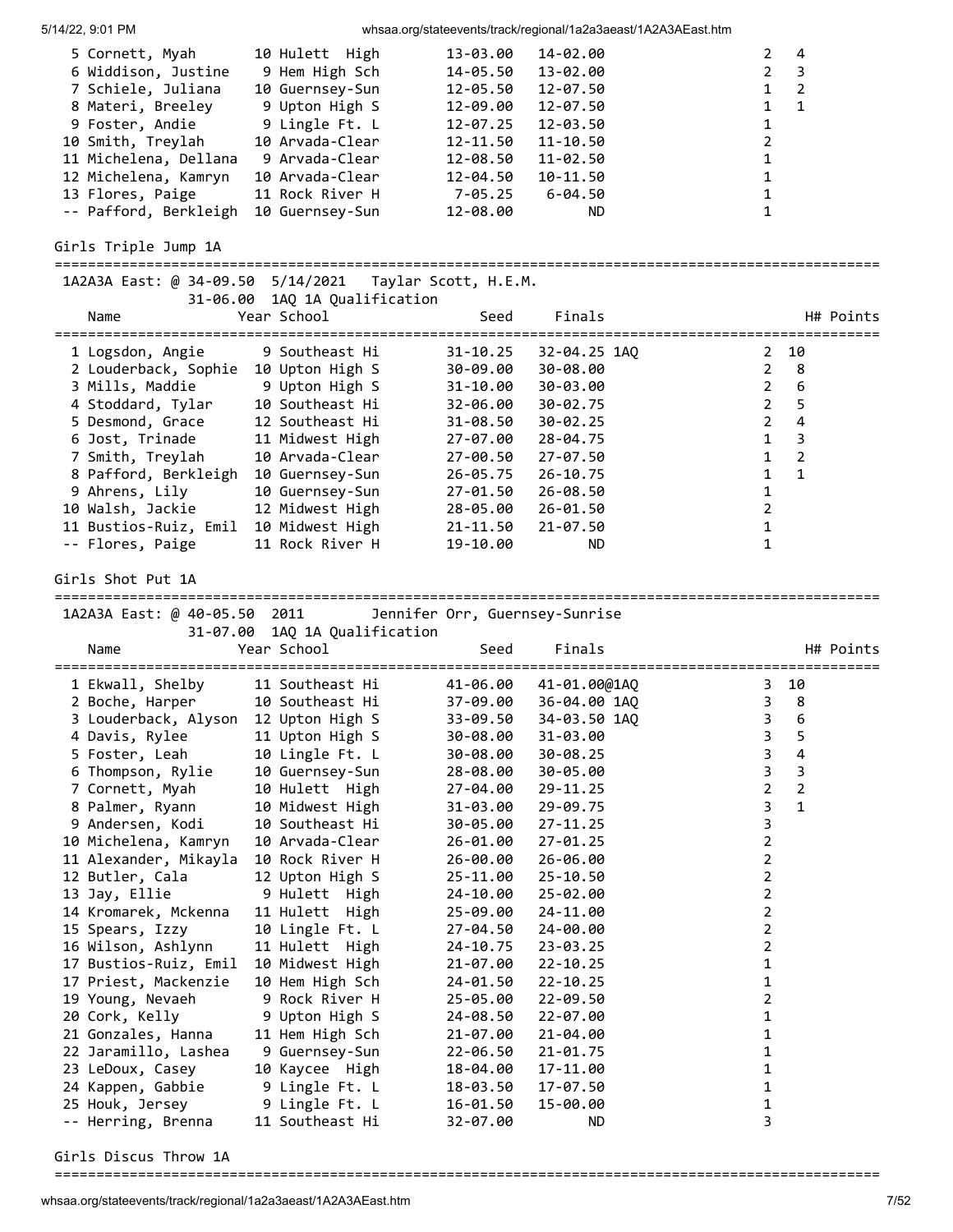| 5/14/22, 9:01 PM |  |
|------------------|--|

whsaa.org/stateevents/track/regional/1a2a3aeast/1A2A3AEast.htm

| 5 Cornett, Myah<br>6 Widdison, Justine<br>7 Schiele, Juliana<br>8 Materi, Breeley<br>9 Foster, Andie<br>10 Smith, Treylah<br>11 Michelena, Dellana<br>12 Michelena, Kamryn<br>13 Flores, Paige<br>-- Pafford, Berkleigh                                                                                                                                                                                                                                                                                                                                     | 10 Hulett High<br>9 Hem High Sch<br>10 Guernsey-Sun<br>9 Upton High S<br>9 Lingle Ft. L<br>10 Arvada-Clear<br>9 Arvada-Clear<br>10 Arvada-Clear<br>11 Rock River H<br>10 Guernsey-Sun                                                                                                                                                                                                                                                                                                           | 13-03.00<br>14-05.50<br>12-05.50<br>12-09.00<br>12-07.25<br>12-11.50<br>12-08.50<br>12-04.50<br>$7 - 05.25$<br>12-08.00                                                                                                                                                                                                      | 14-02.00<br>13-02.00<br>12-07.50<br>12-07.50<br>12-03.50<br>$11 - 10.50$<br>11-02.50<br>10-11.50<br>$6 - 04.50$<br>ND.                                                                                                                                                                                                                              | 2<br>4<br>$\overline{\mathbf{3}}$<br>2<br>$\overline{2}$<br>$\mathbf{1}$<br>$\mathbf{1}$<br>$\mathbf{1}$<br>1<br>2<br>1<br>1<br>1<br>1                                                                                                                       |
|-------------------------------------------------------------------------------------------------------------------------------------------------------------------------------------------------------------------------------------------------------------------------------------------------------------------------------------------------------------------------------------------------------------------------------------------------------------------------------------------------------------------------------------------------------------|-------------------------------------------------------------------------------------------------------------------------------------------------------------------------------------------------------------------------------------------------------------------------------------------------------------------------------------------------------------------------------------------------------------------------------------------------------------------------------------------------|------------------------------------------------------------------------------------------------------------------------------------------------------------------------------------------------------------------------------------------------------------------------------------------------------------------------------|-----------------------------------------------------------------------------------------------------------------------------------------------------------------------------------------------------------------------------------------------------------------------------------------------------------------------------------------------------|--------------------------------------------------------------------------------------------------------------------------------------------------------------------------------------------------------------------------------------------------------------|
| Girls Triple Jump 1A                                                                                                                                                                                                                                                                                                                                                                                                                                                                                                                                        |                                                                                                                                                                                                                                                                                                                                                                                                                                                                                                 |                                                                                                                                                                                                                                                                                                                              |                                                                                                                                                                                                                                                                                                                                                     |                                                                                                                                                                                                                                                              |
| 1A2A3A East: @ 34-09.50 5/14/2021                                                                                                                                                                                                                                                                                                                                                                                                                                                                                                                           | 31-06.00 1AQ 1A Qualification                                                                                                                                                                                                                                                                                                                                                                                                                                                                   | Taylar Scott, H.E.M.                                                                                                                                                                                                                                                                                                         |                                                                                                                                                                                                                                                                                                                                                     |                                                                                                                                                                                                                                                              |
| Name                                                                                                                                                                                                                                                                                                                                                                                                                                                                                                                                                        | Year School                                                                                                                                                                                                                                                                                                                                                                                                                                                                                     | Seed                                                                                                                                                                                                                                                                                                                         | Finals                                                                                                                                                                                                                                                                                                                                              | H# Points                                                                                                                                                                                                                                                    |
| 1 Logsdon, Angie<br>2 Louderback, Sophie 10 Upton High S<br>3 Mills, Maddie<br>4 Stoddard, Tylar<br>5 Desmond, Grace<br>6 Jost, Trinade<br>7 Smith, Treylah<br>8 Pafford, Berkleigh<br>9 Ahrens, Lily<br>10 Walsh, Jackie<br>11 Bustios-Ruiz, Emil<br>-- Flores, Paige<br>Girls Shot Put 1A                                                                                                                                                                                                                                                                 | 9 Southeast Hi<br>9 Upton High S<br>10 Southeast Hi<br>12 Southeast Hi<br>11 Midwest High<br>10 Arvada-Clear<br>10 Guernsey-Sun<br>10 Guernsey-Sun<br>12 Midwest High<br>10 Midwest High<br>11 Rock River H                                                                                                                                                                                                                                                                                     | $31 - 10.25$<br>30-09.00<br>$31 - 10.00$<br>32-06.00<br>31-08.50<br>27-07.00<br>27-00.50<br>26-05.75<br>27-01.50<br>28-05.00<br>21-11.50<br>19-10.00                                                                                                                                                                         | 32-04.25 1AO<br>30-08.00<br>30-03.00<br>30-02.75<br>30-02.25<br>28-04.75<br>$27 - 07.50$<br>$26 - 10.75$<br>26-08.50<br>26-01.50<br>$21 - 07.50$<br>ND.                                                                                                                                                                                             | 10<br>$\mathbf{2}$<br>8<br>$\overline{2}$<br>6<br>$2^{\circ}$<br>$\overline{2}$<br>5<br>4<br>$\overline{2}$<br>3<br>$\mathbf{1}$<br>$\overline{2}$<br>$\mathbf{1}$<br>1<br>1<br>1<br>$\overline{2}$<br>$\mathbf{1}$<br>$\mathbf{1}$                          |
| 1A2A3A East: @ 40-05.50 2011                                                                                                                                                                                                                                                                                                                                                                                                                                                                                                                                |                                                                                                                                                                                                                                                                                                                                                                                                                                                                                                 | Jennifer Orr, Guernsey-Sunrise                                                                                                                                                                                                                                                                                               |                                                                                                                                                                                                                                                                                                                                                     |                                                                                                                                                                                                                                                              |
| Name                                                                                                                                                                                                                                                                                                                                                                                                                                                                                                                                                        | 31-07.00 1AQ 1A Qualification<br>Year School                                                                                                                                                                                                                                                                                                                                                                                                                                                    | Seed                                                                                                                                                                                                                                                                                                                         | Finals                                                                                                                                                                                                                                                                                                                                              | H# Points                                                                                                                                                                                                                                                    |
| 1 Ekwall, Shelby<br>2 Boche, Harper<br>3 Louderback, Alyson<br>4 Davis, Rylee<br>5 Foster, Leah<br>6 Thompson, Rylie<br>7 Cornett, Myah<br>8 Palmer, Ryann<br>9 Andersen, Kodi<br>10 Michelena, Kamryn<br>11 Alexander, Mikayla<br>12 Butler, Cala<br>13 Jay, Ellie<br>14 Kromarek, Mckenna<br>15 Spears, Izzy<br>16 Wilson, Ashlynn<br>17 Bustios-Ruiz, Emil<br>17 Priest, Mackenzie<br>19 Young, Nevaeh<br>20 Cork, Kelly<br>21 Gonzales, Hanna<br>22 Jaramillo, Lashea<br>23 LeDoux, Casey<br>24 Kappen, Gabbie<br>25 Houk, Jersey<br>-- Herring, Brenna | 11 Southeast Hi<br>10 Southeast Hi<br>12 Upton High S<br>11 Upton High S<br>10 Lingle Ft. L<br>10 Guernsey-Sun<br>10 Hulett High<br>10 Midwest High<br>10 Southeast Hi<br>10 Arvada-Clear<br>10 Rock River H<br>12 Upton High S<br>9 Hulett High<br>11 Hulett High<br>10 Lingle Ft. L<br>11 Hulett High<br>10 Midwest High<br>10 Hem High Sch<br>9 Rock River H<br>9 Upton High S<br>11 Hem High Sch<br>9 Guernsey-Sun<br>10 Kaycee High<br>9 Lingle Ft. L<br>9 Lingle Ft. L<br>11 Southeast Hi | 41-06.00<br>37-09.00<br>33-09.50<br>30-08.00<br>30-08.00<br>28-08.00<br>27-04.00<br>31-03.00<br>30-05.00<br>26-01.00<br>26-00.00<br>25-11.00<br>24-10.00<br>25-09.00<br>27-04.50<br>24-10.75<br>$21 - 07.00$<br>24-01.50<br>25-05.00<br>24-08.50<br>21-07.00<br>$22 - 06.50$<br>18-04.00<br>18-03.50<br>16-01.50<br>32-07.00 | 41-01.00@1AQ<br>36-04.00 1AQ<br>34-03.50 1AQ<br>31-03.00<br>30-08.25<br>30-05.00<br>29-11.25<br>29-09.75<br>$27 - 11.25$<br>$27 - 01.25$<br>26-06.00<br>$25 - 10.50$<br>25-02.00<br>24-11.00<br>24-00.00<br>$23 - 03.25$<br>$22 - 10.25$<br>$22 - 10.25$<br>22-09.50<br>22-07.00<br>21-04.00<br>21-01.75<br>17-11.00<br>17-07.50<br>15-00.00<br>ND. | 10<br>3<br>3 <sup>7</sup><br>8<br>$\overline{\mathbf{3}}$<br>6<br>$\overline{3}$<br>5<br>3<br>4<br>3<br>3<br>$\overline{2}$<br>2<br>$\mathbf{1}$<br>3<br>3<br>2<br>2<br>2<br>2<br>2<br>$\overline{2}$<br>2<br>1<br>1<br>2<br>1<br>1<br>1<br>1<br>1<br>1<br>3 |

Girls Discus Throw 1A

===================================================================================================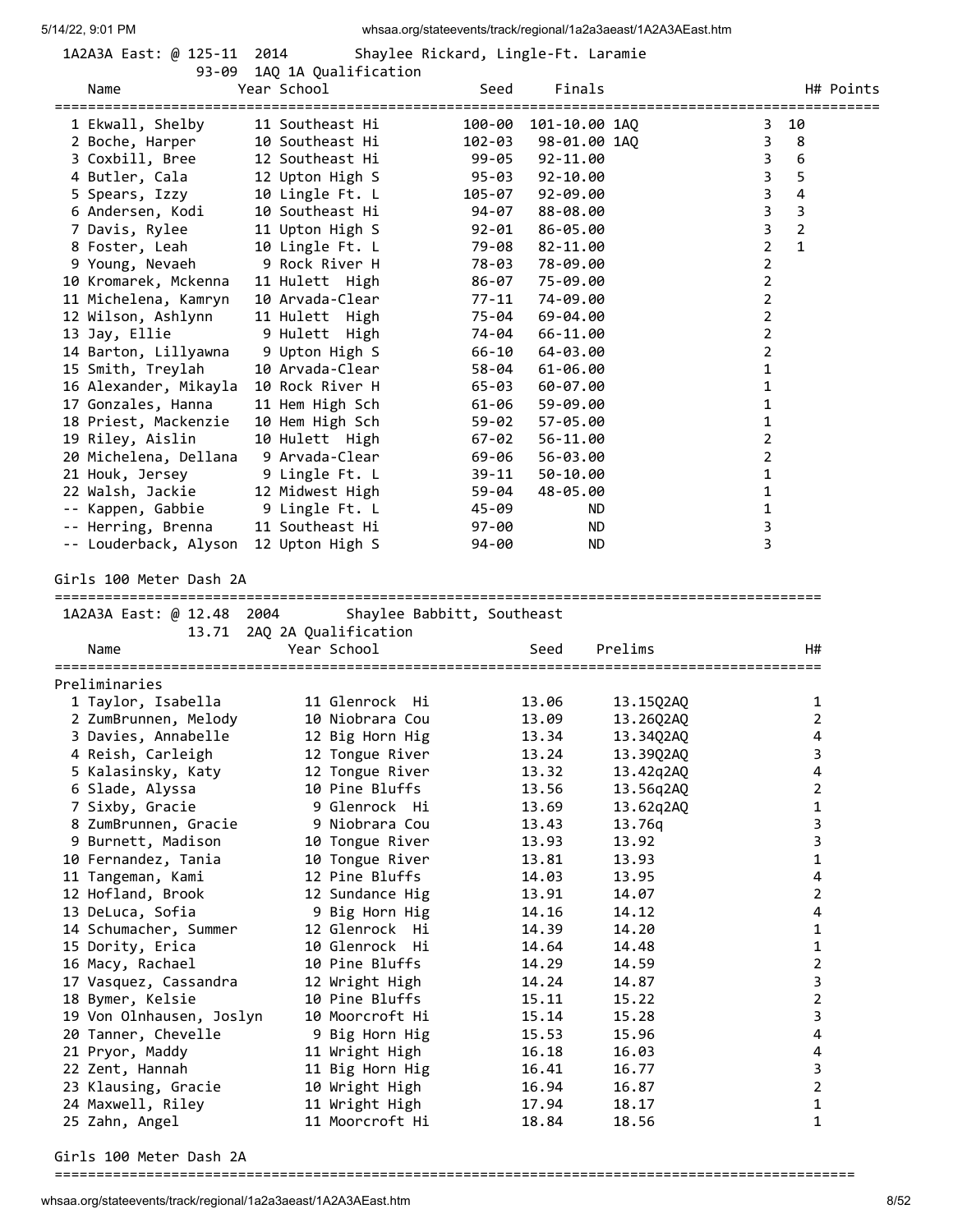| 1A2A3A East: @ 125 |  |    |
|--------------------|--|----|
|                    |  | ۵R |

1-11 2014 Shaylee Rickard, Lingle-Ft. Laramie

|                                     | 93-09 1AQ 1A Qualification        |        |                      |                |                |                     |           |
|-------------------------------------|-----------------------------------|--------|----------------------|----------------|----------------|---------------------|-----------|
| Name                                | Year School                       | Seed   | Finals               |                |                |                     | H# Points |
| =========================           |                                   |        |                      |                |                |                     |           |
| 1 Ekwall, Shelby                    | 11 Southeast Hi                   |        | 100-00 101-10.00 1AQ |                | 3              | 10                  |           |
| 2 Boche, Harper                     | 10 Southeast Hi                   | 102-03 | 98-01.00 1AQ         |                | 3              | 8                   |           |
| 3 Coxbill, Bree                     | 12 Southeast Hi                   | 99-05  | 92-11.00             |                | 3              | 6                   |           |
| 4 Butler, Cala                      | 12 Upton High S                   | 95-03  | 92-10.00             |                | 3              | 5                   |           |
| 5 Spears, Izzy                      | 10 Lingle Ft. L                   | 105-07 | $92 - 09.00$         |                | 3              | 4                   |           |
| 6 Andersen, Kodi                    | 10 Southeast Hi                   | 94-07  | 88-08.00             |                | 3              | 3                   |           |
| 7 Davis, Rylee                      | 11 Upton High S                   | 92-01  | 86-05.00             |                | 3              | $\overline{2}$      |           |
| 8 Foster, Leah                      | 10 Lingle Ft. L                   | 79-08  | 82-11.00             |                | $\overline{2}$ | 1                   |           |
| 9 Young, Nevaeh                     | 9 Rock River H                    | 78-03  | 78-09.00             |                | 2              |                     |           |
| 10 Kromarek, Mckenna                | 11 Hulett High                    | 86-07  | 75-09.00             |                | $\overline{2}$ |                     |           |
| 11 Michelena, Kamryn                | 10 Arvada-Clear                   | 77-11  | 74-09.00             |                | 2              |                     |           |
| 12 Wilson, Ashlynn                  | 11 Hulett High                    | 75-04  | 69-04.00             |                | 2              |                     |           |
| 13 Jay, Ellie                       | 9 Hulett High                     | 74-04  | 66-11.00             |                | 2              |                     |           |
| 14 Barton, Lillyawna                | 9 Upton High S                    | 66-10  | 64-03.00             |                | $\overline{2}$ |                     |           |
| 15 Smith, Treylah                   | 10 Arvada-Clear                   | 58-04  | $61 - 06.00$         |                | 1              |                     |           |
| 16 Alexander, Mikayla               | 10 Rock River H                   | 65-03  | 60-07.00             |                | 1              |                     |           |
| 17 Gonzales, Hanna                  | 11 Hem High Sch                   | 61-06  | 59-09.00             |                | 1              |                     |           |
| 18 Priest, Mackenzie                | 10 Hem High Sch                   | 59-02  | 57-05.00             |                | 1              |                     |           |
| 19 Riley, Aislin                    | 10 Hulett High                    | 67-02  | 56-11.00             |                | 2              |                     |           |
| 20 Michelena, Dellana               | 9 Arvada-Clear                    | 69-06  | 56-03.00             |                | 2              |                     |           |
| 21 Houk, Jersey                     | 9 Lingle Ft. L                    | 39-11  | 50-10.00             |                | 1              |                     |           |
| 22 Walsh, Jackie                    | 12 Midwest High                   | 59-04  | 48-05.00             |                | 1              |                     |           |
| -- Kappen, Gabbie                   | 9 Lingle Ft. L                    | 45-09  | ND.                  |                | 1              |                     |           |
| -- Herring, Brenna                  | 11 Southeast Hi                   | 97-00  | ND                   |                | 3              |                     |           |
| -- Louderback, Alyson               | 12 Upton High S                   | 94-00  | ND.                  |                | 3              |                     |           |
|                                     |                                   |        |                      |                |                |                     |           |
| Girls 100 Meter Dash 2A             |                                   |        |                      |                |                |                     |           |
|                                     |                                   |        |                      |                |                |                     |           |
|                                     |                                   |        |                      |                |                |                     |           |
| 1A2A3A East: @ 12.48 2004           | Shaylee Babbitt, Southeast        |        |                      |                |                |                     |           |
| 13.71                               | 2AQ 2A Qualification              |        |                      |                |                |                     |           |
| Name                                | Year School                       |        | Seed                 | Prelims        |                | H#                  |           |
| Preliminaries                       |                                   |        |                      |                |                |                     |           |
|                                     |                                   |        |                      |                |                |                     |           |
| 1 Taylor, Isabella                  | 11 Glenrock Hi<br>10 Niobrara Cou |        | 13.06<br>13.09       | 13.15Q2AQ      |                | 1<br>$\overline{2}$ |           |
| 2 ZumBrunnen, Melody                |                                   |        | 13.34                | 13.26Q2AQ      |                | 4                   |           |
| 3 Davies, Annabelle                 | 12 Big Horn Hig                   |        |                      | 13.34Q2AQ      |                | 3                   |           |
| 4 Reish, Carleigh                   | 12 Tongue River                   |        | 13.24                | 13.39Q2AQ      |                |                     |           |
| 5 Kalasinsky, Katy                  | 12 Tongue River                   |        | 13.32                | 13.42q2AQ      |                | 4                   |           |
| 6 Slade, Alyssa                     | 10 Pine Bluffs                    |        | 13.56                | 13.56q2AQ      |                | 2                   |           |
| 7 Sixby, Gracie                     | 9 Glenrock Hi                     |        | 13.69                | 13.62q2AQ      |                | $\mathbf{1}$        |           |
| 8 ZumBrunnen, Gracie                | 9 Niobrara Cou                    |        | 13.43                | 13.76q         |                | 3                   |           |
| 9 Burnett, Madison                  | 10 Tongue River                   |        | 13.93                | 13.92          |                | 3                   |           |
| 10 Fernandez, Tania                 | 10 Tongue River                   |        | 13.81                | 13.93          |                | $\mathbf{1}$        |           |
| 11 Tangeman, Kami                   | 12 Pine Bluffs                    |        | 14.03                | 13.95          |                | 4                   |           |
| 12 Hofland, Brook                   | 12 Sundance Hig                   |        | 13.91                | 14.07          |                | 2<br>4              |           |
| 13 DeLuca, Sofia                    | 9 Big Horn Hig                    |        | 14.16                | 14.12          |                |                     |           |
| 14 Schumacher, Summer               | 12 Glenrock Hi                    |        | 14.39                | 14.20          |                | 1                   |           |
| 15 Dority, Erica                    | 10 Glenrock Hi                    |        | 14.64                | 14.48          |                | 1                   |           |
| 16 Macy, Rachael                    | 10 Pine Bluffs                    |        | 14.29<br>14.24       | 14.59<br>14.87 |                | 2                   |           |
| 17 Vasquez, Cassandra               | 12 Wright High<br>10 Pine Bluffs  |        | 15.11                | 15.22          |                | 3                   |           |
| 18 Bymer, Kelsie                    |                                   |        |                      |                |                | $\overline{2}$      |           |
| 19 Von Olnhausen, Joslyn            | 10 Moorcroft Hi                   |        | 15.14                | 15.28          |                | 3<br>4              |           |
| 20 Tanner, Chevelle                 | 9 Big Horn Hig                    |        | 15.53                | 15.96          |                | 4                   |           |
| 21 Pryor, Maddy                     | 11 Wright High                    |        | 16.18                | 16.03          |                |                     |           |
| 22 Zent, Hannah                     | 11 Big Horn Hig                   |        | 16.41<br>16.94       | 16.77<br>16.87 |                | 3<br>$\overline{2}$ |           |
| 23 Klausing, Gracie                 | 10 Wright High                    |        | 17.94                | 18.17          |                | 1                   |           |
| 24 Maxwell, Riley<br>25 Zahn, Angel | 11 Wright High<br>11 Moorcroft Hi |        | 18.84                | 18.56          |                | 1                   |           |

Girls 100 Meter Dash 2A

================================================================================================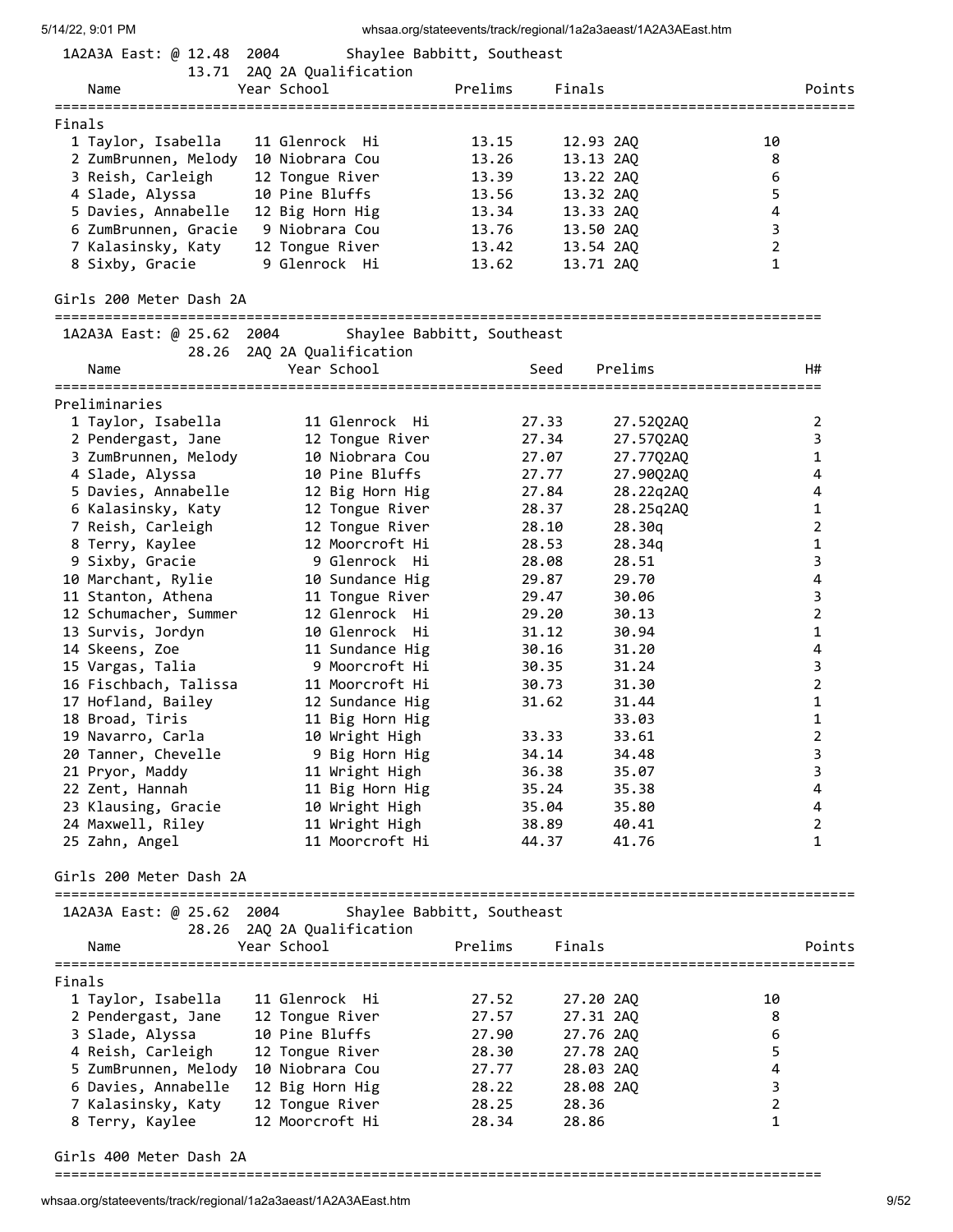| 5/14/22, 9:01 PM                           |                                                          |         |           | whsaa.org/stateevents/track/regional/1a2a3aeast/1A2A3AEast.htm |                |                |
|--------------------------------------------|----------------------------------------------------------|---------|-----------|----------------------------------------------------------------|----------------|----------------|
| 1A2A3A East: @ 12.48 2004                  | Shaylee Babbitt, Southeast                               |         |           |                                                                |                |                |
|                                            | 13.71 2AQ 2A Qualification                               |         |           |                                                                |                |                |
| Name                                       | Year School                                              | Prelims | Finals    |                                                                |                | Points         |
|                                            |                                                          |         |           |                                                                |                |                |
| Finals                                     | 11 Glenrock Hi                                           | 13.15   | 12.93 2AQ |                                                                | 10             |                |
| 1 Taylor, Isabella<br>2 ZumBrunnen, Melody | 10 Niobrara Cou                                          | 13.26   | 13.13 2AQ |                                                                | 8              |                |
| 3 Reish, Carleigh                          | 12 Tongue River                                          | 13.39   | 13.22 2AQ |                                                                | 6              |                |
| 4 Slade, Alyssa                            | 10 Pine Bluffs                                           | 13.56   | 13.32 2AQ |                                                                | 5              |                |
| 5 Davies, Annabelle                        | 12 Big Horn Hig                                          | 13.34   | 13.33 2AQ |                                                                | 4              |                |
| 6 ZumBrunnen, Gracie                       | 9 Niobrara Cou                                           | 13.76   | 13.50 2AO |                                                                | 3              |                |
| 7 Kalasinsky, Katy                         | 12 Tongue River                                          | 13.42   | 13.54 2AQ |                                                                | $\overline{2}$ |                |
| 8 Sixby, Gracie                            | 9 Glenrock Hi                                            | 13.62   | 13.71 2AQ |                                                                | 1              |                |
|                                            |                                                          |         |           |                                                                |                |                |
| Girls 200 Meter Dash 2A                    |                                                          |         |           |                                                                |                |                |
| 1A2A3A East: @ 25.62 2004                  | Shaylee Babbitt, Southeast                               |         |           |                                                                |                |                |
|                                            | 28.26 2AQ 2A Qualification                               |         |           |                                                                |                |                |
| Name                                       | Year School                                              |         | Seed      | Prelims                                                        |                | H#             |
|                                            |                                                          |         |           |                                                                |                |                |
| Preliminaries                              |                                                          |         |           |                                                                |                |                |
| 1 Taylor, Isabella                         | 11 Glenrock Hi                                           |         | 27.33     | 27.52Q2AQ                                                      |                | 2              |
| 2 Pendergast, Jane                         | 12 Tongue River                                          |         | 27.34     | 27.57Q2AQ                                                      |                | 3              |
| 3 ZumBrunnen, Melody                       | 10 Niobrara Cou                                          |         | 27.07     | 27.77Q2AQ                                                      |                | $\mathbf{1}$   |
| 4 Slade, Alyssa                            | 10 Pine Bluffs                                           |         | 27.77     | 27.90Q2AQ                                                      |                | 4              |
| 5 Davies, Annabelle                        | 12 Big Horn Hig                                          |         | 27.84     | 28.22q2AQ                                                      |                | 4              |
| 6 Kalasinsky, Katy                         | 12 Tongue River                                          |         | 28.37     | 28.25q2AQ                                                      |                | 1              |
| 7 Reish, Carleigh                          | 12 Tongue River                                          |         | 28.10     | 28.30q                                                         |                | 2              |
| 8 Terry, Kaylee                            | 12 Moorcroft Hi                                          |         | 28.53     | 28.34q                                                         |                | 1              |
| 9 Sixby, Gracie                            | 9 Glenrock Hi                                            |         | 28.08     | 28.51                                                          |                | 3              |
| 10 Marchant, Rylie                         | 10 Sundance Hig                                          |         | 29.87     | 29.70                                                          |                | 4              |
| 11 Stanton, Athena                         | 11 Tongue River                                          |         | 29.47     | 30.06                                                          |                | 3              |
| 12 Schumacher, Summer                      | 12 Glenrock Hi                                           |         | 29.20     | 30.13                                                          |                | $\overline{2}$ |
| 13 Survis, Jordyn                          | 10 Glenrock Hi                                           |         | 31.12     | 30.94                                                          |                | 1              |
| 14 Skeens, Zoe                             | 11 Sundance Hig                                          |         | 30.16     | 31.20                                                          |                | 4              |
| 15 Vargas, Talia                           | 9 Moorcroft Hi                                           |         | 30.35     | 31.24                                                          |                | 3              |
| 16 Fischbach, Talissa                      | 11 Moorcroft Hi                                          |         | 30.73     | 31.30                                                          |                | $\overline{2}$ |
| 17 Hofland, Bailey                         | 12 Sundance Hig                                          |         | 31.62     | 31.44                                                          |                | 1              |
| 18 Broad, Tiris                            | 11 Big Horn Hig                                          |         |           | 33.03                                                          |                | $\mathbf 1$    |
| 19 Navarro, Carla                          | 10 Wright High                                           |         | 33.33     | 33.61                                                          |                | 2              |
| 20 Tanner, Chevelle                        | 9 Big Horn Hig                                           |         | 34.14     | 34.48                                                          |                | 3              |
| 21 Pryor, Maddy                            | 11 Wright High                                           |         | 36.38     | 35.07                                                          |                | 3              |
| 22 Zent, Hannah                            | 11 Big Horn Hig                                          |         | 35.24     | 35.38                                                          |                | 4              |
| 23 Klausing, Gracie                        | 10 Wright High                                           |         | 35.04     | 35.80                                                          |                | 4              |
| 24 Maxwell, Riley                          | 11 Wright High                                           |         | 38.89     | 40.41                                                          |                | $\overline{2}$ |
| 25 Zahn, Angel                             | 11 Moorcroft Hi                                          |         | 44.37     | 41.76                                                          |                | 1              |
| Girls 200 Meter Dash 2A                    |                                                          |         |           |                                                                |                |                |
|                                            |                                                          |         |           |                                                                |                |                |
| 1A2A3A East: @ 25.62 2004                  | Shaylee Babbitt, Southeast<br>28.26 2AQ 2A Qualification |         |           |                                                                |                |                |
| Name                                       | Year School                                              | Prelims | Finals    |                                                                |                | Points         |
|                                            |                                                          |         |           |                                                                |                |                |
| Finals                                     |                                                          |         |           |                                                                |                |                |
| 1 Taylor, Isabella                         | 11 Glenrock Hi                                           | 27.52   | 27.20 2AQ |                                                                | 10             |                |
| 2 Pendergast, Jane                         | 12 Tongue River                                          | 27.57   | 27.31 2AQ |                                                                | 8              |                |
| 3 Slade, Alyssa                            | 10 Pine Bluffs                                           | 27.90   | 27.76 2AQ |                                                                | 6              |                |
| 4 Reish, Carleigh                          | 12 Tongue River                                          | 28.30   | 27.78 2AQ |                                                                | 5              |                |
| 5 ZumBrunnen, Melody                       | 10 Niobrara Cou                                          | 27.77   | 28.03 2AQ |                                                                | 4              |                |
| 6 Davies, Annabelle                        | 12 Big Horn Hig                                          | 28.22   | 28.08 2AQ |                                                                | 3              |                |
| 7 Kalasinsky, Katy                         | 12 Tongue River                                          | 28.25   | 28.36     |                                                                | $\overline{2}$ |                |
| 8 Terry, Kaylee                            | 12 Moorcroft Hi                                          | 28.34   | 28.86     |                                                                | 1              |                |
|                                            |                                                          |         |           |                                                                |                |                |

Girls 400 Meter Dash 2A

============================================================================================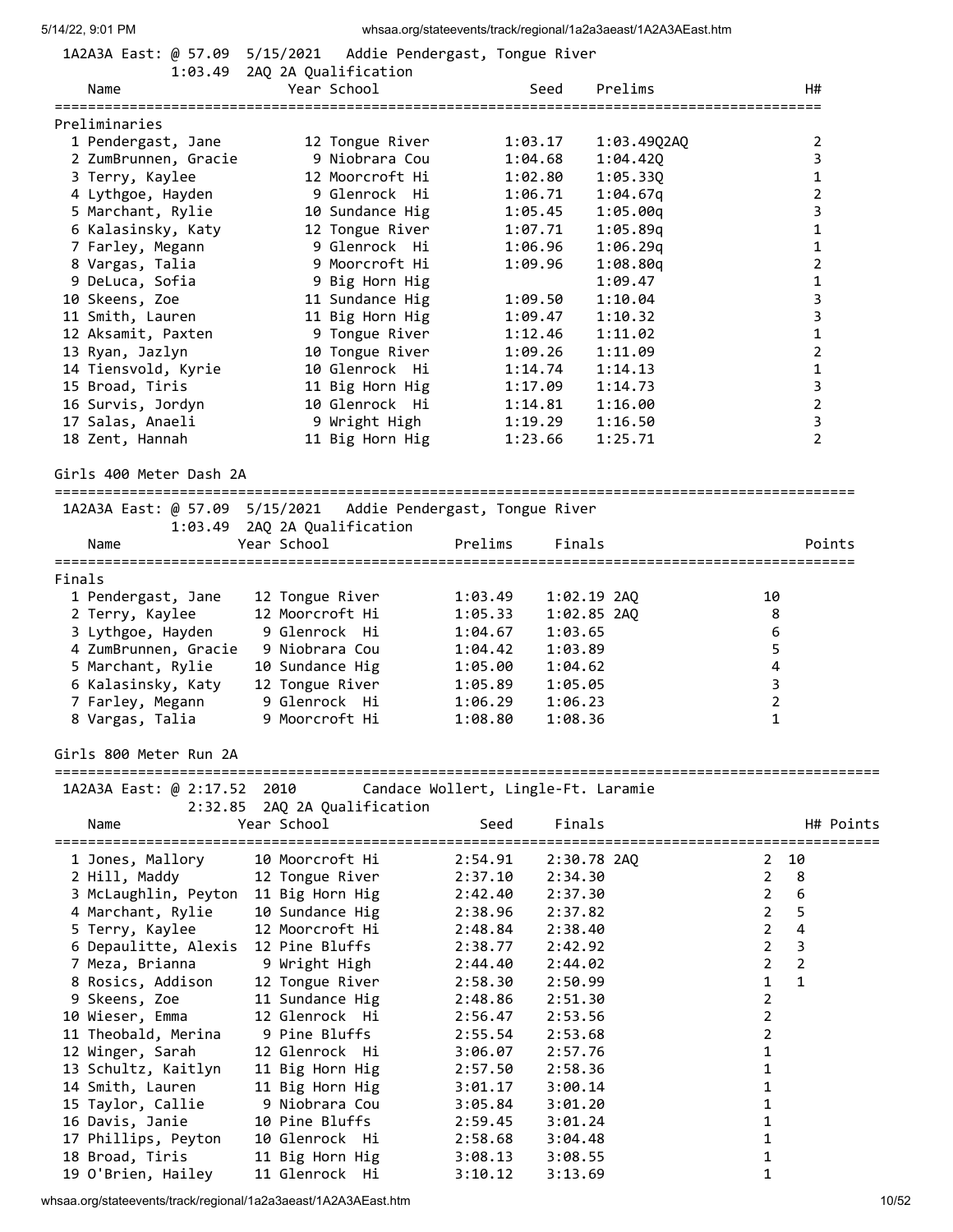| 1A2A3A East: @ 57.09                5/15/2021                Addie Pendergast, Tongue River |                                             |                      |                                     |               |                                   |                      |                |
|---------------------------------------------------------------------------------------------|---------------------------------------------|----------------------|-------------------------------------|---------------|-----------------------------------|----------------------|----------------|
|                                                                                             | 1:03.49 2AQ 2A Qualification                | Year School          |                                     |               |                                   |                      |                |
| Name<br>===============                                                                     |                                             | =================    |                                     | Seed          | Prelims                           | ==================== | H#             |
| Preliminaries                                                                               |                                             |                      |                                     |               |                                   |                      |                |
| 1 Pendergast, Jane                                                                          |                                             | 12 Tongue River      |                                     | 1:03.17       | 1:03.49Q2AQ                       |                      | 2              |
| 2 ZumBrunnen, Gracie                                                                        |                                             | 9 Niobrara Cou       |                                     | 1:04.68       | 1:04.420                          |                      | 3              |
| 3 Terry, Kaylee                                                                             |                                             | 12 Moorcroft Hi      |                                     | 1:02.80       | 1:05.330                          |                      | $\mathbf{1}$   |
| 4 Lythgoe, Hayden                                                                           |                                             | 9 Glenrock  Hi       |                                     | 1:06.71       | 1:04.67q                          |                      | $\overline{2}$ |
| 5 Marchant, Rylie                                                                           |                                             | 10 Sundance Hig      |                                     | 1:05.45       | 1:05.00q                          |                      | 3              |
| 6 Kalasinsky, Katy                                                                          |                                             | 12 Tongue River      |                                     | 1:07.71       | 1:05.89q                          |                      | 1              |
| 7 Farley, Megann                                                                            |                                             | 9 Glenrock Hi        |                                     | 1:06.96       | 1:06.29q                          |                      | $\mathbf{1}$   |
| 8 Vargas, Talia                                                                             |                                             | 9 Moorcroft Hi       |                                     | 1:09.96       | 1:08.80q                          |                      | 2              |
| 9 DeLuca, Sofia                                                                             |                                             | 9 Big Horn Hig       |                                     |               | 1:09.47                           |                      | $\mathbf{1}$   |
| 10 Skeens, Zoe                                                                              |                                             | 11 Sundance Hig      |                                     | 1:09.50       | 1:10.04                           |                      | 3              |
| 11 Smith, Lauren                                                                            |                                             | 11 Big Horn Hig      |                                     | 1:09.47       | 1:10.32                           |                      | $\overline{3}$ |
| 12 Aksamit, Paxten                                                                          |                                             | 9 Tongue River       |                                     | 1:12.46       | 1:11.02                           |                      | 1              |
| 13 Ryan, Jazlyn                                                                             |                                             | 10 Tongue River      |                                     | 1:09.26       | 1:11.09                           |                      | $\overline{2}$ |
| 14 Tiensvold, Kyrie                                                                         |                                             | 10 Glenrock Hi       |                                     | 1:14.74       | 1:14.13                           |                      | 1              |
| 15 Broad, Tiris                                                                             |                                             | 11 Big Horn Hig      |                                     | 1:17.09       | 1:14.73                           |                      | 3              |
| 16 Survis, Jordyn                                                                           |                                             | 10 Glenrock Hi       |                                     | 1:14.81       | 1:16.00                           |                      | $\overline{2}$ |
| 17 Salas, Anaeli                                                                            |                                             | 9 Wright High        |                                     | 1:19.29       | 1:16.50                           |                      | 3              |
| 18 Zent, Hannah                                                                             |                                             | 11 Big Horn Hig      |                                     | 1:23.66       | 1:25.71                           |                      | $\overline{2}$ |
| Girls 400 Meter Dash 2A                                                                     |                                             |                      |                                     |               |                                   |                      |                |
|                                                                                             |                                             |                      |                                     |               |                                   |                      |                |
| Name                                                                                        | 1:03.49 2AQ 2A Qualification<br>Year School |                      | Prelims                             | Finals        |                                   |                      | Points         |
|                                                                                             |                                             |                      |                                     |               |                                   |                      |                |
| Finals                                                                                      |                                             |                      |                                     |               |                                   |                      |                |
| 1 Pendergast, Jane                                                                          | 12 Tongue River                             |                      | 1:03.49                             | 1:02.19 2AQ   |                                   | 10                   |                |
| 2 Terry, Kaylee                                                                             | 12 Moorcroft Hi                             |                      | 1:05.33                             | $1:02.85$ 2AQ |                                   | 8                    |                |
| 3 Lythgoe, Hayden                                                                           | 9 Glenrock  Hi                              |                      | 1:04.67                             | 1:03.65       |                                   | 6                    |                |
| 4 ZumBrunnen, Gracie                                                                        | 9 Niobrara Cou                              |                      | 1:04.42                             | 1:03.89       |                                   | 5                    |                |
| 5 Marchant, Rylie                                                                           | 10 Sundance Hig                             |                      | 1:05.00                             | 1:04.62       |                                   | 4                    |                |
| 6 Kalasinsky, Katy                                                                          | 12 Tongue River                             |                      | 1:05.89                             | 1:05.05       |                                   | 3                    |                |
| 7 Farley, Megann                                                                            | 9 Glenrock Hi                               |                      | 1:06.29                             | 1:06.23       |                                   | $\overline{2}$       |                |
| 8 Vargas, Talia                                                                             | 9 Moorcroft Hi                              |                      | 1:08.80                             | 1:08.36       |                                   | $\mathbf{1}$         |                |
| Girls 800 Meter Run 2A                                                                      |                                             |                      |                                     |               |                                   |                      |                |
|                                                                                             |                                             |                      |                                     |               |                                   |                      |                |
| 1A2A3A East: @ 2:17.52 2010                                                                 |                                             |                      | Candace Wollert, Lingle-Ft. Laramie |               |                                   |                      |                |
| Name                                                                                        | 2:32.85<br>Year School                      | 2AQ 2A Qualification | Seed                                | Finals        |                                   |                      | H# Points      |
| ========================                                                                    |                                             |                      |                                     |               | --------------------------------- |                      |                |
| 1 Jones, Mallory                                                                            | 10 Moorcroft Hi                             |                      | 2:54.91                             | 2:30.78 2AQ   |                                   | 2                    | 10             |
| 2 Hill, Maddy                                                                               | 12 Tongue River                             |                      | 2:37.10                             | 2:34.30       |                                   | $\overline{2}$       | 8              |
| 3 McLaughlin, Peyton                                                                        | 11 Big Horn Hig                             |                      | 2:42.40                             | 2:37.30       |                                   | $\overline{2}$       | 6              |
| 4 Marchant, Rylie                                                                           | 10 Sundance Hig                             |                      | 2:38.96                             | 2:37.82       |                                   | 2                    | 5              |
| 5 Terry, Kaylee                                                                             | 12 Moorcroft Hi                             |                      | 2:48.84                             | 2:38.40       |                                   | $\overline{2}$       | 4              |
| 6 Depaulitte, Alexis                                                                        | 12 Pine Bluffs                              |                      | 2:38.77                             | 2:42.92       |                                   | $\overline{2}$       | 3              |
| 7 Meza, Brianna                                                                             | 9 Wright High                               |                      | 2:44.40                             | 2:44.02       |                                   | 2                    | $\overline{2}$ |
| 8 Rosics, Addison                                                                           | 12 Tongue River                             |                      | 2:58.30                             | 2:50.99       |                                   | 1                    | 1              |
| 9 Skeens, Zoe                                                                               | 11 Sundance Hig                             |                      | 2:48.86                             | 2:51.30       |                                   | 2                    |                |
| 10 Wieser, Emma                                                                             | 12 Glenrock Hi                              |                      | 2:56.47                             | 2:53.56       |                                   | $\overline{2}$       |                |
| 11 Theobald, Merina                                                                         | 9 Pine Bluffs                               |                      | 2:55.54                             | 2:53.68       |                                   | 2                    |                |
| 12 Winger, Sarah                                                                            | 12 Glenrock Hi                              |                      | 3:06.07                             | 2:57.76       |                                   | 1                    |                |
| 13 Schultz, Kaitlyn                                                                         | 11 Big Horn Hig                             |                      | 2:57.50                             | 2:58.36       |                                   | 1                    |                |
| 14 Smith, Lauren                                                                            | 11 Big Horn Hig                             |                      | 3:01.17                             | 3:00.14       |                                   | 1                    |                |
| 15 Taylor, Callie                                                                           | 9 Niobrara Cou                              |                      | 3:05.84                             | 3:01.20       |                                   | 1                    |                |
| 16 Davis, Janie                                                                             | 10 Pine Bluffs                              |                      | 2:59.45                             | 3:01.24       |                                   | 1                    |                |
| 17 Phillips, Peyton                                                                         | 10 Glenrock Hi                              |                      | 2:58.68                             | 3:04.48       |                                   | 1                    |                |
| 18 Broad, Tiris                                                                             | 11 Big Horn Hig                             |                      | 3:08.13                             | 3:08.55       |                                   | 1                    |                |
| 19 O'Brien, Hailey                                                                          | 11 Glenrock Hi                              |                      | 3:10.12                             | 3:13.69       |                                   | 1                    |                |

whsaa.org/stateevents/track/regional/1a2a3aeast/1A2A3AEast.htm 10/52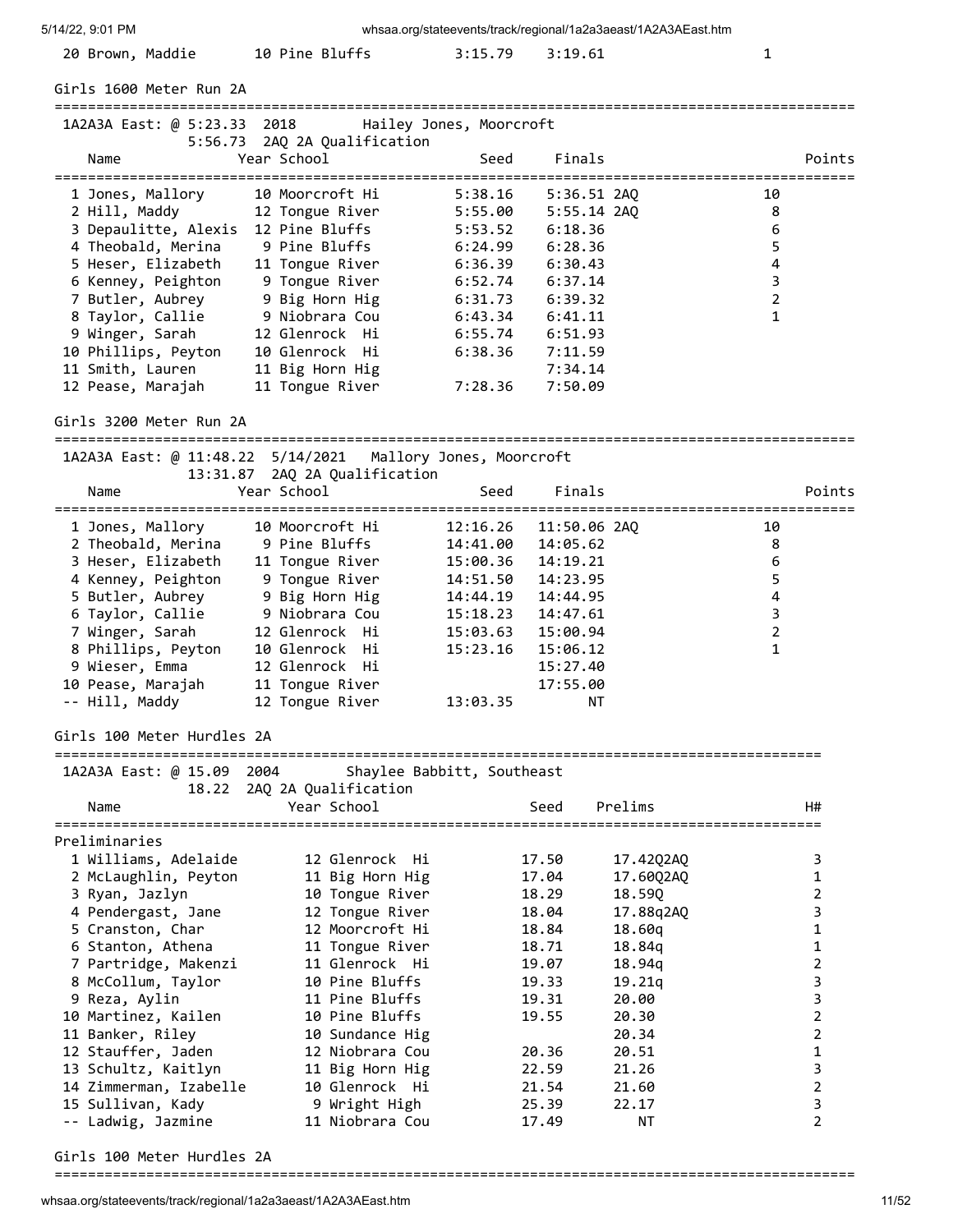| 5/14/22, 9:01 PM                                             |                                             |                            |               | whsaa.org/stateevents/track/regional/1a2a3aeast/1A2A3AEast.htm |                  |                |
|--------------------------------------------------------------|---------------------------------------------|----------------------------|---------------|----------------------------------------------------------------|------------------|----------------|
| 20 Brown, Maddie                                             | 10 Pine Bluffs                              | 3:15.79                    | 3:19.61       |                                                                | 1                |                |
| Girls 1600 Meter Run 2A                                      |                                             |                            |               |                                                                |                  |                |
| 1A2A3A East: @ 5:23.33 2018                                  |                                             | Hailey Jones, Moorcroft    |               |                                                                |                  |                |
| Name<br>=================================                    | 5:56.73 2AQ 2A Qualification<br>Year School | Seed                       | Finals        |                                                                |                  | Points         |
| 1 Jones, Mallory                                             | ===============<br>10 Moorcroft Hi          | ==============<br>5:38.16  | 5:36.51 2AQ   | ==========================                                     | 10               |                |
| 2 Hill, Maddy                                                | 12 Tongue River                             | 5:55.00                    | $5:55.14$ 2AQ |                                                                | 8                |                |
| 3 Depaulitte, Alexis                                         | 12 Pine Bluffs                              | 5:53.52                    | 6:18.36       |                                                                | 6                |                |
| 4 Theobald, Merina                                           | 9 Pine Bluffs                               | 6:24.99                    | 6:28.36       |                                                                | 5                |                |
| 5 Heser, Elizabeth                                           | 11 Tongue River                             | 6:36.39                    | 6:30.43       |                                                                | $\pmb{4}$        |                |
| 6 Kenney, Peighton                                           | 9 Tongue River                              | 6:52.74                    | 6:37.14       |                                                                | $\mathsf 3$      |                |
| 7 Butler, Aubrey                                             | 9 Big Horn Hig                              | 6:31.73                    | 6:39.32       |                                                                | $\mathbf 2$      |                |
| 8 Taylor, Callie                                             | 9 Niobrara Cou                              | 6:43.34                    | 6:41.11       |                                                                | $\mathbf{1}$     |                |
| 9 Winger, Sarah                                              | 12 Glenrock Hi                              | 6:55.74                    | 6:51.93       |                                                                |                  |                |
| 10 Phillips, Peyton                                          | 10 Glenrock Hi                              | 6:38.36                    | 7:11.59       |                                                                |                  |                |
| 11 Smith, Lauren                                             | 11 Big Horn Hig                             |                            | 7:34.14       |                                                                |                  |                |
| 12 Pease, Marajah                                            | 11 Tongue River                             | 7:28.36                    | 7:50.09       |                                                                |                  |                |
| Girls 3200 Meter Run 2A                                      |                                             |                            |               |                                                                |                  |                |
| 1A2A3A East: @ 11:48.22  5/14/2021  Mallory Jones, Moorcroft |                                             |                            |               |                                                                |                  |                |
|                                                              | 13:31.87 2AQ 2A Qualification               |                            |               |                                                                |                  |                |
| Name                                                         | Year School                                 | Seed                       | Finals        |                                                                |                  | Points         |
| 1 Jones, Mallory                                             | 10 Moorcroft Hi                             | 12:16.26                   | 11:50.06 2AQ  |                                                                | 10               |                |
| 2 Theobald, Merina                                           | 9 Pine Bluffs                               | 14:41.00                   | 14:05.62      |                                                                | 8                |                |
| 3 Heser, Elizabeth                                           | 11 Tongue River                             | 15:00.36                   | 14:19.21      |                                                                | $\boldsymbol{6}$ |                |
| 4 Kenney, Peighton                                           | 9 Tongue River                              | 14:51.50                   | 14:23.95      |                                                                | 5                |                |
| 5 Butler, Aubrey                                             | 9 Big Horn Hig                              | 14:44.19                   | 14:44.95      |                                                                | 4                |                |
| 6 Taylor, Callie                                             | 9 Niobrara Cou                              | 15:18.23                   | 14:47.61      |                                                                | 3                |                |
| 7 Winger, Sarah                                              | 12 Glenrock Hi                              | 15:03.63                   | 15:00.94      |                                                                | $\overline{2}$   |                |
| 8 Phillips, Peyton                                           | 10 Glenrock Hi                              | 15:23.16                   | 15:06.12      |                                                                | $\mathbf{1}$     |                |
| 9 Wieser, Emma                                               | 12 Glenrock Hi                              |                            | 15:27.40      |                                                                |                  |                |
| 10 Pease, Marajah                                            | 11 Tongue River                             |                            | 17:55.00      |                                                                |                  |                |
| -- Hill, Maddy                                               | 12 Tongue River                             | 13:03.35                   | ΝT            |                                                                |                  |                |
| Girls 100 Meter Hurdles 2A                                   |                                             |                            |               |                                                                |                  |                |
| 1A2A3A East: @ 15.09 2004                                    |                                             | Shaylee Babbitt, Southeast |               |                                                                |                  |                |
|                                                              | 18.22 2AQ 2A Qualification                  |                            |               |                                                                |                  |                |
| Name                                                         | Year School                                 |                            | Seed          | Prelims                                                        |                  | H#             |
| Preliminaries                                                |                                             |                            |               |                                                                |                  |                |
| 1 Williams, Adelaide                                         | 12 Glenrock Hi                              |                            | 17.50         |                                                                |                  | 3              |
| 2 McLaughlin, Peyton                                         | 11 Big Horn Hig                             |                            | 17.04         | 17.42Q2AQ<br>17.60Q2AQ                                         |                  | 1              |
| 3 Ryan, Jazlyn                                               | 10 Tongue River                             |                            | 18.29         | 18.59Q                                                         |                  | 2              |
| 4 Pendergast, Jane                                           | 12 Tongue River                             |                            | 18.04         | 17.88q2AQ                                                      |                  | 3              |
| 5 Cranston, Char                                             | 12 Moorcroft Hi                             |                            | 18.84         | 18.60q                                                         |                  | 1              |
| 6 Stanton, Athena                                            | 11 Tongue River                             |                            | 18.71         | 18.84q                                                         |                  | 1              |
| 7 Partridge, Makenzi                                         | 11 Glenrock Hi                              |                            | 19.07         | 18.94q                                                         |                  | 2              |
| 8 McCollum, Taylor                                           | 10 Pine Bluffs                              |                            | 19.33         | 19.21q                                                         |                  | 3              |
| 9 Reza, Aylin                                                | 11 Pine Bluffs                              |                            | 19.31         | 20.00                                                          |                  | 3              |
| 10 Martinez, Kailen                                          | 10 Pine Bluffs                              |                            | 19.55         | 20.30                                                          |                  | 2              |
| 11 Banker, Riley                                             | 10 Sundance Hig                             |                            |               | 20.34                                                          |                  | 2              |
| 12 Stauffer, Jaden                                           | 12 Niobrara Cou                             |                            | 20.36         | 20.51                                                          |                  | 1              |
| 13 Schultz, Kaitlyn                                          | 11 Big Horn Hig                             |                            | 22.59         | 21.26                                                          |                  | 3              |
| 14 Zimmerman, Izabelle                                       | 10 Glenrock Hi                              |                            | 21.54         | 21.60                                                          |                  | $\overline{2}$ |
| 15 Sullivan, Kady                                            | 9 Wright High                               |                            | 25.39         | 22.17                                                          |                  | 3              |
| -- Ladwig, Jazmine                                           | 11 Niobrara Cou                             |                            | 17.49         | <b>NT</b>                                                      |                  | $\overline{2}$ |
| Girls 100 Meter Hurdles 2A                                   |                                             |                            |               |                                                                |                  |                |

================================================================================================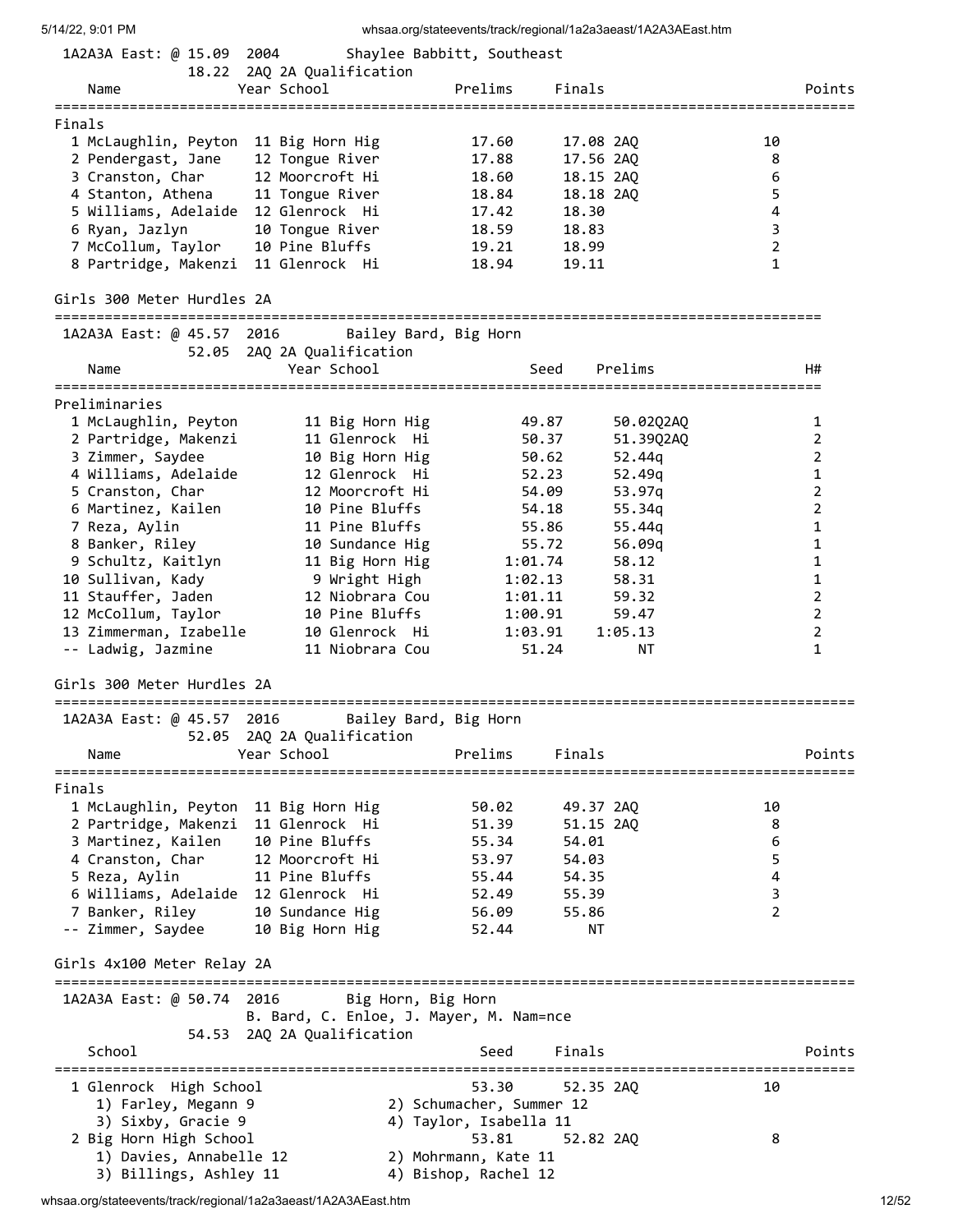| 5/14/22, 9:01 PM                                          |                                                               | whsaa.org/stateevents/track/regional/1a2a3aeast/1A2A3AEast.htm |                                |
|-----------------------------------------------------------|---------------------------------------------------------------|----------------------------------------------------------------|--------------------------------|
| 1A2A3A East: @ 15.09 2004                                 |                                                               | Shaylee Babbitt, Southeast                                     |                                |
| Name                                                      | 18.22 2AQ 2A Qualification<br>Year School                     | Prelims<br>Finals                                              | Points                         |
| Finals                                                    |                                                               |                                                                |                                |
| 1 McLaughlin, Peyton 11 Big Horn Hig                      |                                                               | 17.08 2AQ<br>17.60                                             | 10                             |
| 2 Pendergast, Jane                                        | 12 Tongue River                                               | 17.88<br>17.56 2AQ                                             | 8                              |
| 3 Cranston, Char                                          | 12 Moorcroft Hi                                               | 18.60<br>18.15 2AQ                                             | 6                              |
| 4 Stanton, Athena                                         | 11 Tongue River                                               | 18.18 2AQ<br>18.84                                             | 5                              |
|                                                           |                                                               |                                                                |                                |
| 5 Williams, Adelaide 12 Glenrock Hi                       |                                                               | 18.30<br>17.42                                                 | $\overline{\mathbf{4}}$        |
| 6 Ryan, Jazlyn                                            | 10 Tongue River                                               | 18.83<br>18.59                                                 | 3                              |
| 7 McCollum, Taylor<br>8 Partridge, Makenzi 11 Glenrock Hi | 10 Pine Bluffs                                                | 18.99<br>19.21<br>18.94<br>19.11                               | $\overline{2}$<br>$\mathbf{1}$ |
| Girls 300 Meter Hurdles 2A                                |                                                               |                                                                |                                |
| 1A2A3A East: @ 45.57 2016                                 |                                                               | Bailey Bard, Big Horn                                          |                                |
|                                                           | 52.05 2AQ 2A Qualification                                    |                                                                |                                |
| Name                                                      | Year School                                                   | Seed<br>Prelims                                                | H#                             |
| Preliminaries                                             |                                                               |                                                                |                                |
| 1 McLaughlin, Peyton                                      | 11 Big Horn Hig                                               | 49.87<br>50.02Q2AQ                                             | 1                              |
| 2 Partridge, Makenzi                                      | 11 Glenrock Hi                                                | 50.37<br>51.39Q2AQ                                             | $\overline{2}$                 |
| 3 Zimmer, Saydee                                          | 10 Big Horn Hig                                               | 50.62<br>52.44g                                                | $\overline{2}$                 |
| 4 Williams, Adelaide                                      | 12 Glenrock Hi                                                | 52.23<br>52.49q                                                | $\mathbf{1}$                   |
|                                                           | 12 Moorcroft Hi                                               |                                                                | $\overline{2}$                 |
| 5 Cranston, Char                                          |                                                               | 54.09<br>53.97q                                                |                                |
| 6 Martinez, Kailen                                        | 10 Pine Bluffs                                                | 54.18<br>55.34q                                                | $\overline{2}$                 |
| 7 Reza, Aylin                                             | 11 Pine Bluffs                                                | 55.86<br>55.44q                                                | 1                              |
| 8 Banker, Riley                                           | 10 Sundance Hig                                               | 55.72<br>56.09q                                                | 1                              |
| 9 Schultz, Kaitlyn                                        | 11 Big Horn Hig                                               | 1:01.74<br>58.12                                               | $\mathbf{1}$                   |
| 10 Sullivan, Kady                                         | 9 Wright High                                                 | 1:02.13<br>58.31                                               | $\mathbf{1}$                   |
| 11 Stauffer, Jaden                                        | 12 Niobrara Cou                                               | 1:01.11<br>59.32                                               | $\overline{2}$                 |
| 12 McCollum, Taylor                                       | 10 Pine Bluffs                                                | 1:00.91<br>59.47                                               | $\overline{2}$                 |
| 13 Zimmerman, Izabelle                                    | 10 Glenrock Hi                                                | 1:03.91<br>1:05.13                                             | $\overline{2}$                 |
| -- Ladwig, Jazmine                                        | 11 Niobrara Cou                                               | 51.24<br>ΝT                                                    | $\mathbf{1}$                   |
| Girls 300 Meter Hurdles 2A                                |                                                               |                                                                |                                |
| ================<br>1A2A3A East: @ 45.57 2016             | 52.05 2AQ 2A Qualification                                    | Bailey Bard, Big Horn                                          |                                |
| Name                                                      | Year School                                                   | Prelims<br>Finals                                              | Points                         |
|                                                           | ==========                                                    |                                                                |                                |
| Finals                                                    |                                                               |                                                                |                                |
| 1 McLaughlin, Peyton 11 Big Horn Hig                      |                                                               | 50.02<br>49.37 2AQ                                             | 10                             |
| 2 Partridge, Makenzi 11 Glenrock Hi                       |                                                               | 51.39<br>51.15 2AQ                                             | 8                              |
| 3 Martinez, Kailen                                        | 10 Pine Bluffs                                                | 54.01<br>55.34                                                 | 6                              |
| 4 Cranston, Char                                          | 12 Moorcroft Hi                                               | 53.97<br>54.03                                                 | 5                              |
| 5 Reza, Aylin                                             | 11 Pine Bluffs                                                | 55.44<br>54.35                                                 | 4                              |
| 6 Williams, Adelaide 12 Glenrock Hi                       |                                                               | 52.49<br>55.39                                                 | 3                              |
| 7 Banker, Riley                                           | 10 Sundance Hig                                               | 56.09<br>55.86                                                 | $\overline{2}$                 |
| -- Zimmer, Saydee                                         | 10 Big Horn Hig                                               | 52.44<br>NΤ                                                    |                                |
| Girls 4x100 Meter Relay 2A                                |                                                               |                                                                |                                |
| 1A2A3A East: @ 50.74 2016                                 | Big Horn, Big Horn<br>B. Bard, C. Enloe, J. Mayer, M. Nam=nce |                                                                |                                |
|                                                           | 54.53 2AQ 2A Qualification                                    |                                                                |                                |
| School                                                    |                                                               | Finals<br>Seed                                                 | Points                         |
| 1 Glenrock High School                                    |                                                               | 53.30<br>52.35 2AQ                                             | 10                             |
| 1) Farley, Megann 9                                       |                                                               | 2) Schumacher, Summer 12                                       |                                |
| 3) Sixby, Gracie 9                                        |                                                               | 4) Taylor, Isabella 11                                         |                                |
| 2 Big Horn High School                                    |                                                               | 53.81<br>52.82 2AQ                                             | 8                              |
| 1) Davies, Annabelle 12                                   |                                                               | 2) Mohrmann, Kate 11                                           |                                |
| 3) Billings, Ashley 11                                    |                                                               | 4) Bishop, Rachel 12                                           |                                |

whsaa.org/stateevents/track/regional/1a2a3aeast/1A2A3AEast.htm 12/52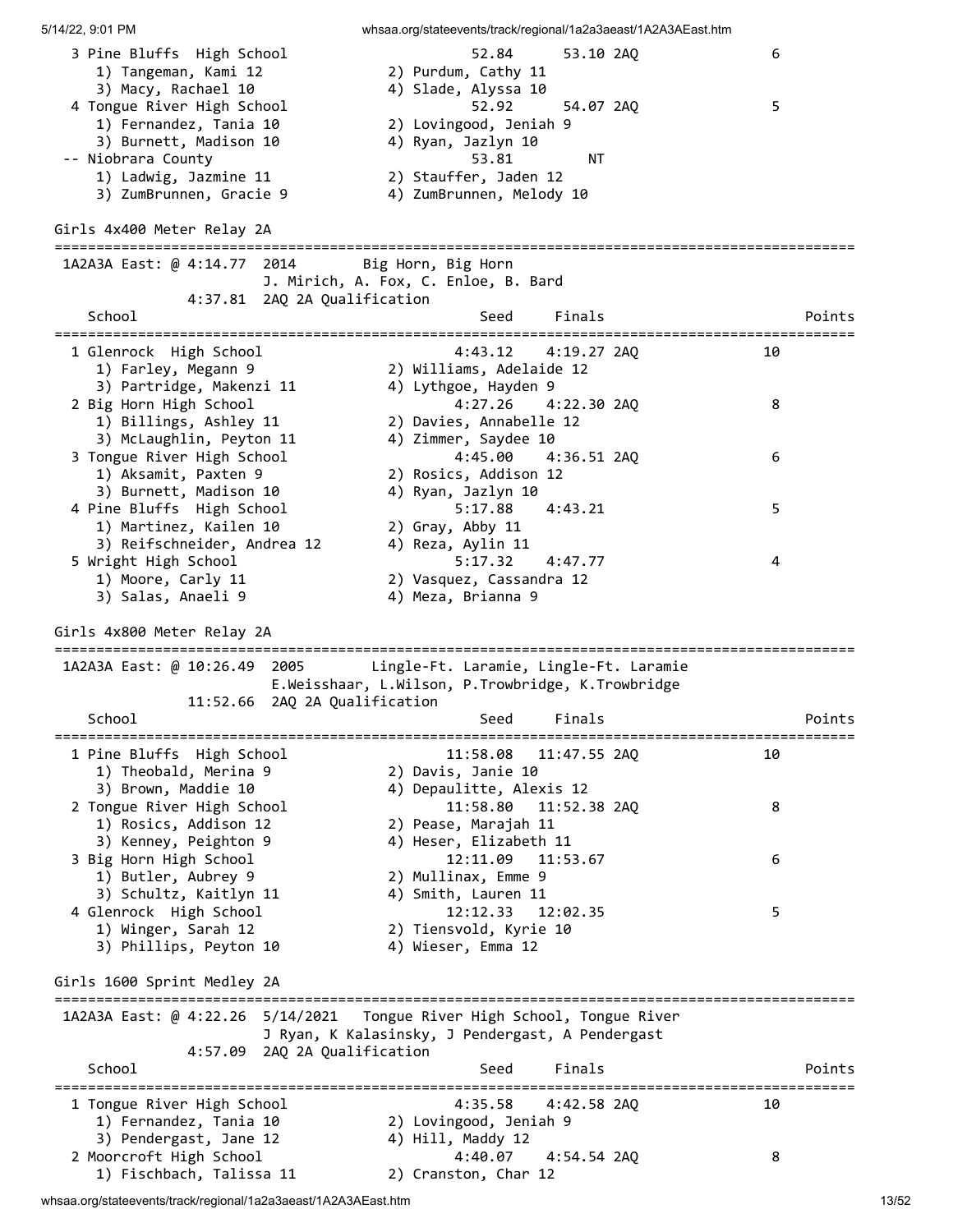5/14/22, 9:01 PM whsaa.org/stateevents/track/regional/1a2a3aeast/1A2A3AEast.htm 3 Pine Bluffs High School 52.84 53.10 2AQ 6 1) Tangeman, Kami 12 3) Macy, Rachael 10 4) Slade, Alyssa 10 4 Tongue River High School 52.92 54.07 2AQ 5 1) Fernandez, Tania 10 2) Lovingood, Jeniah 9 3) Burnett, Madison 10 4) Ryan, Jazlyn 10 -- Niobrara County 53.81 NT 1) Ladwig, Jazmine 11 2) Stauffer, Jaden 12 3) ZumBrunnen, Gracie 9 4) ZumBrunnen, Melody 10 Girls 4x400 Meter Relay 2A ================================================================================================ 1A2A3A East: @ 4:14.77 2014 Big Horn, Big Horn J. Mirich, A. Fox, C. Enloe, B. Bard 4:37.81 2AQ 2A Qualification School School Seed Finals Points Points ================================================================================================ 1 Glenrock High School 4:43.12 4:19.27 2AQ 10 1) Farley, Megann 9 2) Williams, Adelaide 12 3) Partridge, Makenzi 11 4) Lythgoe, Hayden 9 2 Big Horn High School 4:27.26 4:22.30 2AQ 8 1) Billings, Ashley 11 2) Davies, Annabelle 12 3) McLaughlin, Peyton 11 4) Zimmer, Saydee 10 3 Tongue River High School 4:45.00 4:36.51 2AQ 6 1) Aksamit, Paxten 9 2) Rosics, Addison 12 3) Burnett, Madison 10 4) Ryan, Jazlyn 10 4 Pine Bluffs High School 5:17.88 4:43.21 5 1) Martinez, Kailen 10 2) Gray, Abby 11 3) Reifschneider, Andrea 12 4) Reza, Aylin 11 5 Wright High School 5:17.32 4:47.77 4 1) Moore, Carly 11 2) Vasquez, Cassandra 12 3) Salas, Anaeli 9 4) Meza, Brianna 9 Girls 4x800 Meter Relay 2A ================================================================================================ 1A2A3A East: @ 10:26.49 2005 Lingle-Ft. Laramie, Lingle-Ft. Laramie E.Weisshaar, L.Wilson, P.Trowbridge, K.Trowbridge 11:52.66 2AQ 2A Qualification School School Seed Finals Points Points ================================================================================================ 1 Pine Bluffs High School 11:58.08 11:47.55 2AQ 10 1) Theobald, Merina 9 2) Davis, Janie 10 3) Brown, Maddie 10 4) Depaulitte, Alexis 12 2 Tongue River High School 11:58.80 11:52.38 2AQ 8 1) Rosics, Addison 12 2) Pease, Marajah 11 3) Kenney, Peighton 9 4) Heser, Elizabeth 11 3 Big Horn High School 12:11.09 11:53.67 6 1) Butler, Aubrey 9 2) Mullinax, Emme 9 3) Schultz, Kaitlyn 11  $\hskip10mm$  4) Smith, Lauren 11 4 Glenrock High School 12:12.33 12:02.35 5 1) Winger, Sarah 12 2) Tiensvold, Kyrie 10 3) Phillips, Peyton 10 4) Wieser, Emma 12 Girls 1600 Sprint Medley 2A ================================================================================================ 1A2A3A East: @ 4:22.26 5/14/2021 Tongue River High School, Tongue River J Ryan, K Kalasinsky, J Pendergast, A Pendergast 4:57.09 2AQ 2A Qualification School School Seed Finals Points Points ================================================================================================ 1 Tongue River High School 4:35.58 4:42.58 2AQ 10 1) Fernandez, Tania 10 2) Lovingood, Jeniah 9 3) Pendergast, Jane 12 4) Hill, Maddy 12 2 Moorcroft High School 4:40.07 4:54.54 2AQ 8 1) Fischbach, Talissa 11 2) Cranston, Char 12

whsaa.org/stateevents/track/regional/1a2a3aeast/1A2A3AEast.htm 13/52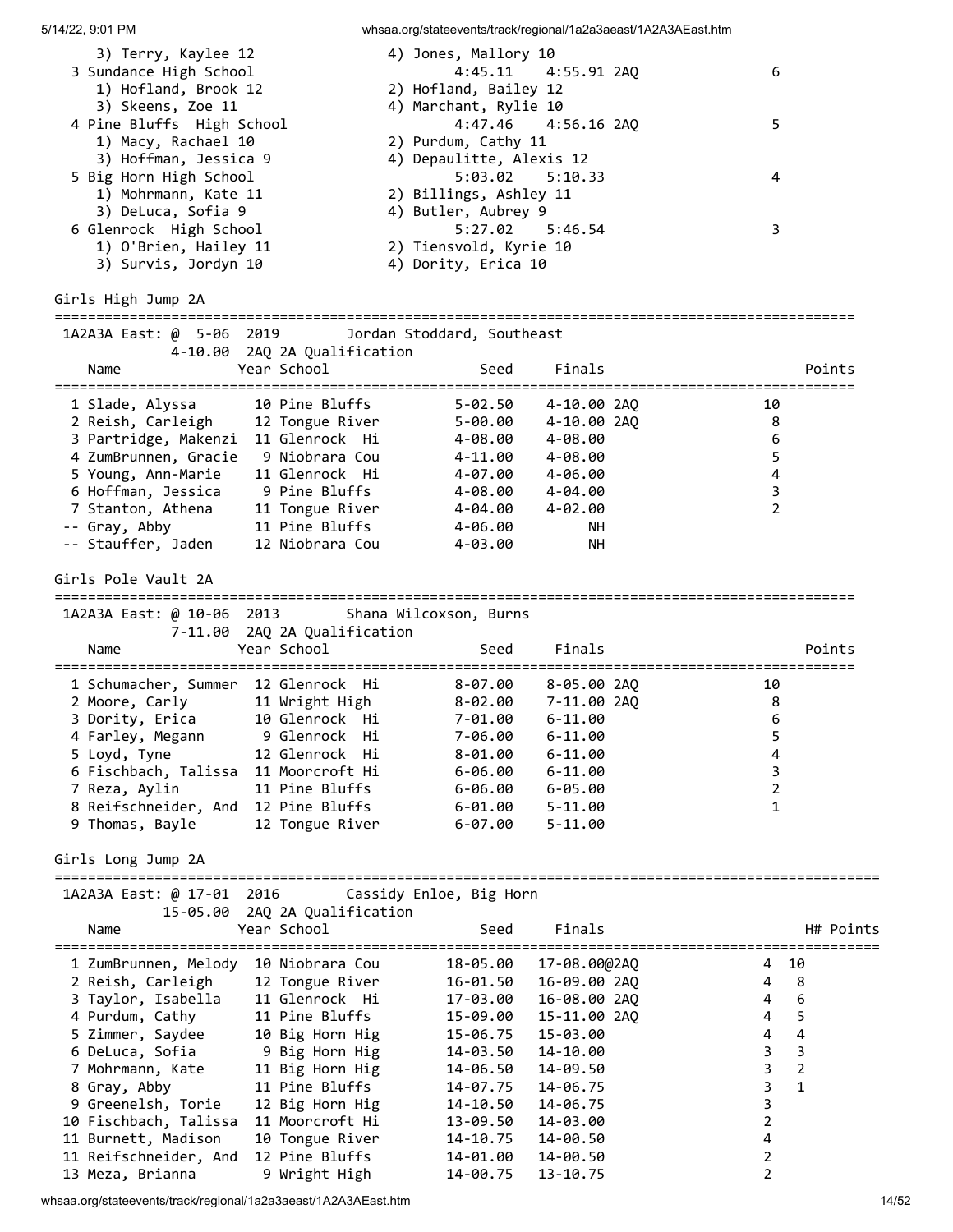| 5/14/22, 9:01 PM                           |                               | whsaa.org/stateevents/track/regional/1a2a3aeast/1A2A3AEast.htm |              |                |                |
|--------------------------------------------|-------------------------------|----------------------------------------------------------------|--------------|----------------|----------------|
| 3) Terry, Kaylee 12                        |                               | 4) Jones, Mallory 10                                           |              |                |                |
| 3 Sundance High School                     |                               | 4:45.11                                                        | 4:55.91 2AQ  |                | 6              |
| 1) Hofland, Brook 12                       |                               | 2) Hofland, Bailey 12                                          |              |                |                |
| 3) Skeens, Zoe 11                          |                               | 4) Marchant, Rylie 10                                          |              |                |                |
| 4 Pine Bluffs High School                  |                               | 4:47.46                                                        | 4:56.16 2AQ  |                | 5              |
| 1) Macy, Rachael 10                        |                               | 2) Purdum, Cathy 11                                            |              |                |                |
| 3) Hoffman, Jessica 9                      |                               | 4) Depaulitte, Alexis 12                                       |              |                |                |
| 5 Big Horn High School                     |                               | $5:03.02$ $5:10.33$                                            |              |                | 4              |
| 1) Mohrmann, Kate 11<br>3) DeLuca, Sofia 9 |                               | 2) Billings, Ashley 11<br>4) Butler, Aubrey 9                  |              |                |                |
| 6 Glenrock High School                     |                               | 5:27.02                                                        | 5:46.54      |                | 3              |
| 1) O'Brien, Hailey 11                      |                               | 2) Tiensvold, Kyrie 10                                         |              |                |                |
| 3) Survis, Jordyn 10                       |                               | 4) Dority, Erica 10                                            |              |                |                |
|                                            |                               |                                                                |              |                |                |
| Girls High Jump 2A                         |                               |                                                                |              |                |                |
|                                            |                               |                                                                |              |                |                |
| 1A2A3A East: @ 5-06 2019                   |                               | Jordan Stoddard, Southeast                                     |              |                |                |
|                                            | 4-10.00 2AQ 2A Qualification  |                                                                |              |                |                |
| Name                                       | Year School                   | Seed                                                           | Finals       |                | Points         |
| 1 Slade, Alyssa                            | 10 Pine Bluffs                | $5 - 02.50$                                                    | 4-10.00 2AQ  | 10             |                |
| 2 Reish, Carleigh 12 Tongue River          |                               | 5-00.00                                                        | 4-10.00 2AO  |                | 8              |
| 3 Partridge, Makenzi 11 Glenrock Hi        |                               | 4-08.00                                                        | 4-08.00      |                | 6              |
| 4 ZumBrunnen, Gracie 9 Niobrara Cou        |                               | 4-11.00 4-08.00                                                |              |                | 5              |
| 5 Young, Ann-Marie                         | 11 Glenrock Hi                | 4-07.00 4-06.00                                                |              |                | 4              |
| 6 Hoffman, Jessica 9 Pine Bluffs           |                               | 4-08.00 4-04.00                                                |              |                | 3              |
| 7 Stanton, Athena 11 Tongue River          |                               | 4-04.00 4-02.00                                                |              |                | 2              |
| -- Gray, Abby                              | 11 Pine Bluffs                | 4-06.00                                                        | <b>NH</b>    |                |                |
| -- Stauffer, Jaden                         | 12 Niobrara Cou               | 4-03.00                                                        | NН           |                |                |
|                                            |                               |                                                                |              |                |                |
| Girls Pole Vault 2A                        |                               |                                                                |              |                |                |
|                                            |                               |                                                                |              |                |                |
| 1A2A3A East: @ 10-06 2013                  |                               | Shana Wilcoxson, Burns                                         |              |                |                |
|                                            | 7-11.00 2AQ 2A Qualification  |                                                                |              |                |                |
| Name                                       | Year School                   | Seed                                                           | Finals       |                | Points         |
| 1 Schumacher, Summer 12 Glenrock Hi        |                               | $8 - 07.00$                                                    | 8-05.00 2AQ  | 10             |                |
| 2 Moore, Carly 11 Wright High              |                               | 8-02.00                                                        | 7-11.00 2AQ  |                | 8              |
| 3 Dority, Erica 10 Glenrock Hi             |                               | 7-01.00 6-11.00                                                |              |                | $\sqrt{6}$     |
| 4 Farley, Megann                           | 9 Glenrock Hi                 | 7-06.00                                                        | $6 - 11.00$  |                | 5              |
| 5 Loyd, Tyne                               | 12 Glenrock Hi                | $8 - 01.00$                                                    | $6 - 11.00$  |                | 4              |
| 6 Fischbach, Talissa 11 Moorcroft Hi       |                               | $6 - 06.00$                                                    | $6 - 11.00$  |                | 3              |
| 7 Reza, Aylin                              | 11 Pine Bluffs                | $6 - 06.00$                                                    | $6 - 05.00$  |                | $\overline{2}$ |
| 8 Reifschneider, And 12 Pine Bluffs        |                               | $6 - 01.00$                                                    | $5 - 11.00$  |                | 1              |
| 9 Thomas, Bayle                            | 12 Tongue River               | $6 - 07.00$                                                    | $5 - 11.00$  |                |                |
|                                            |                               |                                                                |              |                |                |
| Girls Long Jump 2A                         |                               |                                                                |              |                |                |
|                                            |                               |                                                                |              |                |                |
| 1A2A3A East: @ 17-01 2016                  | 15-05.00 2AQ 2A Qualification | Cassidy Enloe, Big Horn                                        |              |                |                |
| Name                                       | Year School                   | Seed                                                           | Finals       |                | H# Points      |
|                                            |                               |                                                                |              |                |                |
| 1 ZumBrunnen, Melody 10 Niobrara Cou       |                               | 18-05.00                                                       | 17-08.00@2AQ | 4              | 10             |
| 2 Reish, Carleigh                          | 12 Tongue River               | 16-01.50                                                       | 16-09.00 2AQ | 4              | 8              |
| 3 Taylor, Isabella                         | 11 Glenrock Hi                | 17-03.00                                                       | 16-08.00 2AQ | 4              | 6              |
| 4 Purdum, Cathy                            | 11 Pine Bluffs                | 15-09.00                                                       | 15-11.00 2AQ | 4              | 5              |
| 5 Zimmer, Saydee                           | 10 Big Horn Hig               | 15-06.75                                                       | 15-03.00     | 4              | 4              |
| 6 DeLuca, Sofia                            | 9 Big Horn Hig                | 14-03.50                                                       | 14-10.00     | 3              | 3              |
| 7 Mohrmann, Kate                           | 11 Big Horn Hig               | 14-06.50                                                       | 14-09.50     | 3              | $\overline{2}$ |
| 8 Gray, Abby                               | 11 Pine Bluffs                | 14-07.75                                                       | 14-06.75     | 3              | $\mathbf{1}$   |
| 9 Greenelsh, Torie                         | 12 Big Horn Hig               | 14-10.50                                                       | 14-06.75     | 3              |                |
| 10 Fischbach, Talissa                      | 11 Moorcroft Hi               | 13-09.50                                                       | 14-03.00     | $\overline{2}$ |                |
| 11 Burnett, Madison                        | 10 Tongue River               | 14-10.75                                                       | 14-00.50     | 4              |                |
| 11 Reifschneider, And                      | 12 Pine Bluffs                | 14-01.00                                                       | 14-00.50     | 2              |                |
| 13 Meza, Brianna                           | 9 Wright High                 | 14-00.75                                                       | 13-10.75     | $\overline{2}$ |                |

whsaa.org/stateevents/track/regional/1a2a3aeast/1A2A3AEast.htm 14/52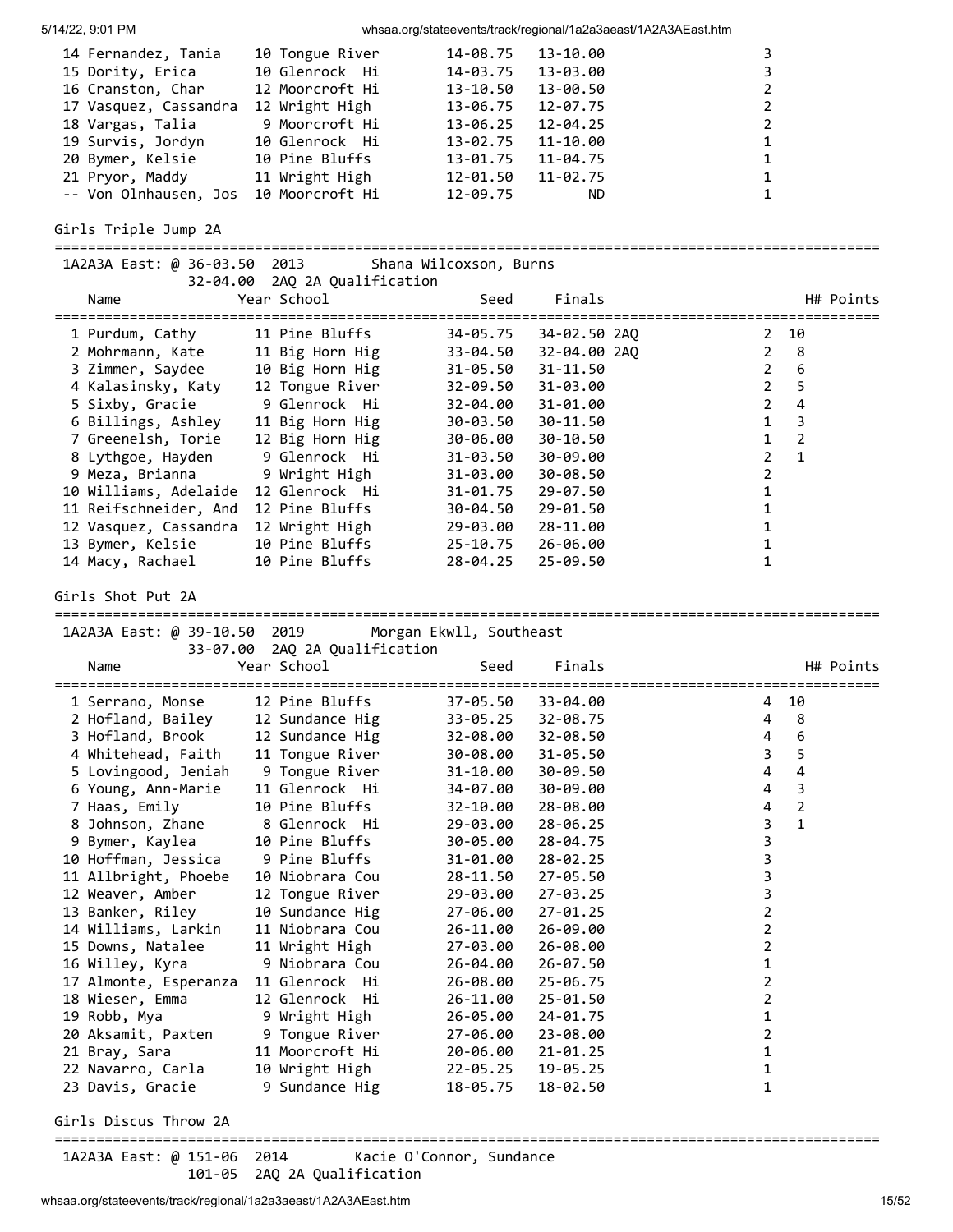| 14 Fernandez, Tania                   | 10 Tongue River | 14-08.75 | 13-10.00     |                |
|---------------------------------------|-----------------|----------|--------------|----------------|
| 15 Dority, Erica                      | 10 Glenrock Hi  | 14-03.75 | 13-03.00     |                |
| 16 Cranston, Char                     | 12 Moorcroft Hi | 13-10.50 | 13-00.50     | $\overline{2}$ |
| 17 Vasquez, Cassandra                 | 12 Wright High  | 13-06.75 | 12-07.75     | $\overline{2}$ |
| 18 Vargas, Talia                      | 9 Moorcroft Hi  | 13-06.25 | $12 - 04.25$ | $\overline{2}$ |
| 19 Survis, Jordyn                     | 10 Glenrock Hi  | 13-02.75 | 11-10.00     | 1              |
| 20 Bymer, Kelsie                      | 10 Pine Bluffs  | 13-01.75 | $11 - 04.75$ | 1              |
| 21 Pryor, Maddy                       | 11 Wright High  | 12-01.50 | $11 - 02.75$ | 1              |
| -- Von Olnhausen, Jos 10 Moorcroft Hi |                 | 12-09.75 | ND.          |                |

Girls Triple Jump 2A

| 1A2A3A East: @ 36-03.50<br>32-04.00   | 2013<br>2AQ 2A Qualification  | Shana Wilcoxson, Burns   |              |                                |
|---------------------------------------|-------------------------------|--------------------------|--------------|--------------------------------|
| Name                                  | Year School                   | Seed                     | Finals       | H# Points                      |
| 1 Purdum, Cathy                       | 11 Pine Bluffs                | 34-05.75                 | 34-02.50 2AQ | 10<br>$\overline{2}$           |
| 2 Mohrmann, Kate                      | 11 Big Horn Hig               | 33-04.50                 | 32-04.00 2AQ | $\overline{2}$<br>8            |
| 3 Zimmer, Saydee                      | 10 Big Horn Hig               | $31 - 05.50$             | 31-11.50     | $\overline{2}$<br>6            |
| 4 Kalasinsky, Katy                    | 12 Tongue River               | $32 - 09.50$             | 31-03.00     | 5<br>$\overline{2}$            |
| 5 Sixby, Gracie                       | 9 Glenrock Hi                 | 32-04.00                 | 31-01.00     | 4<br>$\overline{2}$            |
| 6 Billings, Ashley                    | 11 Big Horn Hig               | 30-03.50                 | 30-11.50     | 3<br>$\mathbf{1}$              |
| 7 Greenelsh, Torie                    | 12 Big Horn Hig               | 30-06.00                 | 30-10.50     | $\overline{2}$<br>1            |
| 8 Lythgoe, Hayden                     | 9 Glenrock Hi                 | $31 - 03.50$             | 30-09.00     | $\overline{2}$<br>$\mathbf{1}$ |
| 9 Meza, Brianna                       | 9 Wright High                 | 31-03.00                 | 30-08.50     | $\overline{2}$                 |
| 10 Williams, Adelaide                 | 12 Glenrock Hi                | 31-01.75                 | 29-07.50     | 1                              |
| 11 Reifschneider, And                 | 12 Pine Bluffs                | 30-04.50                 | 29-01.50     | 1                              |
| 12 Vasquez, Cassandra                 | 12 Wright High                | 29-03.00                 | 28-11.00     | 1                              |
| 13 Bymer, Kelsie                      | 10 Pine Bluffs                | $25 - 10.75$             | 26-06.00     | 1                              |
| 14 Macy, Rachael                      | 10 Pine Bluffs                | 28-04.25                 | $25 - 09.50$ | 1                              |
| Girls Shot Put 2A                     |                               |                          |              |                                |
| 1A2A3A East: @ 39-10.50 2019          |                               | Morgan Ekwll, Southeast  |              |                                |
|                                       | 33-07.00 2AQ 2A Qualification |                          |              |                                |
| Name                                  | Year School                   | Seed                     | Finals       | H# Points                      |
| -----------------<br>1 Serrano, Monse | -------<br>12 Pine Bluffs     | 37-05.50                 | 33-04.00     | 10<br>4                        |
| 2 Hofland, Bailey                     | 12 Sundance Hig               | $33 - 05.25$             | 32-08.75     | 8<br>4                         |
| 3 Hofland, Brook                      | 12 Sundance Hig               | 32-08.00                 | 32-08.50     | 6<br>4                         |
| 4 Whitehead, Faith                    | 11 Tongue River               | 30-08.00                 | $31 - 05.50$ | 5<br>3                         |
| 5 Lovingood, Jeniah                   | 9 Tongue River                | 31-10.00                 | 30-09.50     | 4<br>4                         |
| 6 Young, Ann-Marie                    | 11 Glenrock Hi                | 34-07.00                 | 30-09.00     | 3<br>4                         |
| 7 Haas, Emily                         | 10 Pine Bluffs                | 32-10.00                 | 28-08.00     | $\overline{2}$<br>4            |
| 8 Johnson, Zhane                      | 8 Glenrock Hi                 | 29-03.00                 | $28 - 06.25$ | $\mathbf{1}$<br>3              |
| 9 Bymer, Kaylea                       | 10 Pine Bluffs                | 30-05.00                 | 28-04.75     | 3                              |
| 10 Hoffman, Jessica                   | 9 Pine Bluffs                 | 31-01.00                 | $28 - 02.25$ | 3                              |
| 11 Allbright, Phoebe                  | 10 Niobrara Cou               | 28-11.50                 | $27 - 05.50$ | 3                              |
| 12 Weaver, Amber                      | 12 Tongue River               | 29-03.00                 | $27 - 03.25$ | 3                              |
| 13 Banker, Riley                      | 10 Sundance Hig               | 27-06.00                 | $27 - 01.25$ | $\overline{\mathbf{c}}$        |
| 14 Williams, Larkin                   | 11 Niobrara Cou               | 26-11.00                 | 26-09.00     | $\overline{2}$                 |
| 15 Downs, Natalee                     | 11 Wright High                | 27-03.00                 | 26-08.00     | 2                              |
| 16 Willey, Kyra                       | 9 Niobrara Cou                | 26-04.00                 | $26 - 07.50$ | 1                              |
| 17 Almonte, Esperanza                 | 11 Glenrock Hi                | 26-08.00                 | $25 - 06.75$ | 2                              |
| 18 Wieser, Emma                       | 12 Glenrock Hi                | 26-11.00                 | 25-01.50     | 2                              |
| 19 Robb, Mya                          | 9 Wright High                 | 26-05.00                 | 24-01.75     | 1                              |
| 20 Aksamit, Paxten                    | 9 Tongue River                | 27-06.00                 | 23-08.00     | 2                              |
| 21 Bray, Sara                         | 11 Moorcroft Hi               | 20-06.00                 | $21 - 01.25$ | 1                              |
| 22 Navarro, Carla                     | 10 Wright High                | 22-05.25                 | 19-05.25     | 1                              |
| 23 Davis, Gracie                      | 9 Sundance Hig                | 18-05.75                 | 18-02.50     | 1                              |
| Girls Discus Throw 2A                 |                               |                          |              |                                |
| 1A2A3A East: @ 151-06 2014            |                               | Kacie O'Connor, Sundance |              |                                |

whsaa.org/stateevents/track/regional/1a2a3aeast/1A2A3AEast.htm 15/52

101-05 2AQ 2A Qualification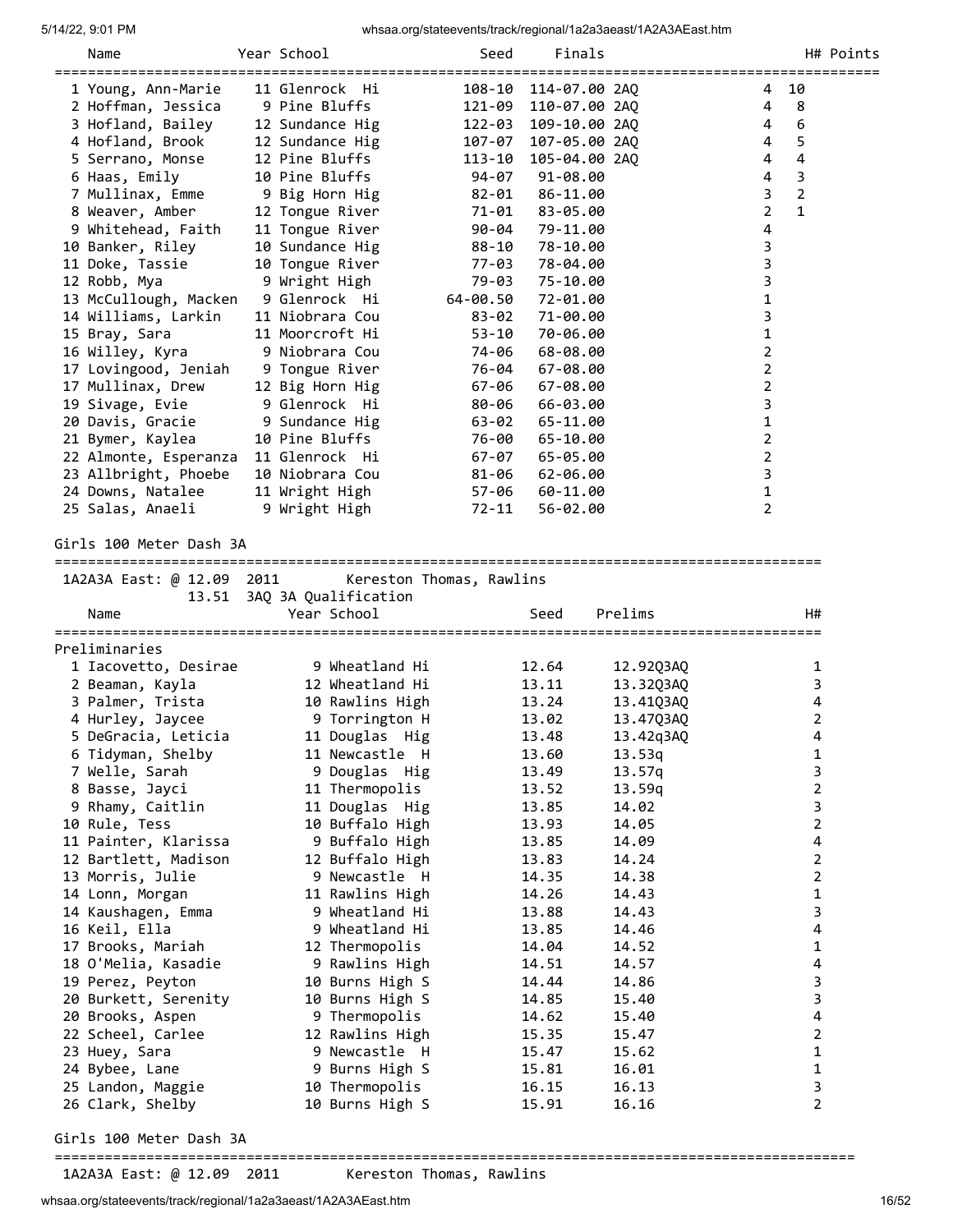|                         | Name                                    | Year School                        | Seed                     | Finals               |                  |                |                | H# Points |
|-------------------------|-----------------------------------------|------------------------------------|--------------------------|----------------------|------------------|----------------|----------------|-----------|
|                         | 1 Young, Ann-Marie                      | 11 Glenrock Hi                     |                          | 108-10 114-07.00 2AO |                  | 4              | 10             |           |
|                         | 2 Hoffman, Jessica                      | 9 Pine Bluffs                      |                          | 121-09 110-07.00 2AQ |                  | 4              | 8              |           |
|                         | 3 Hofland, Bailey                       | 12 Sundance Hig                    |                          | 122-03 109-10.00 2AQ |                  | 4              | 6              |           |
|                         | 4 Hofland, Brook                        | 12 Sundance Hig                    |                          | 107-07 107-05.00 2AQ |                  | 4              | 5              |           |
|                         | 5 Serrano, Monse                        | 12 Pine Bluffs                     | 113-10                   | 105-04.00 2AQ        |                  | 4              | 4              |           |
|                         | 6 Haas, Emily                           | 10 Pine Bluffs                     | 94-07                    | 91-08.00             |                  | 4              | 3              |           |
|                         | 7 Mullinax, Emme                        | 9 Big Horn Hig                     | 82-01                    | 86-11.00             |                  | 3              | $\overline{2}$ |           |
|                         | 8 Weaver, Amber                         | 12 Tongue River                    | 71-01                    | 83-05.00             |                  | 2              | $\mathbf{1}$   |           |
|                         | 9 Whitehead, Faith                      | 11 Tongue River                    | 90-04                    | 79-11.00             |                  | 4              |                |           |
|                         | 10 Banker, Riley                        | 10 Sundance Hig                    | 88-10                    | 78-10.00             |                  | 3              |                |           |
|                         | 11 Doke, Tassie                         | 10 Tongue River                    | 77-03                    | 78-04.00             |                  | 3              |                |           |
|                         | 12 Robb, Mya                            | 9 Wright High                      | 79-03                    | 75-10.00             |                  | 3              |                |           |
|                         | 13 McCullough, Macken                   | 9 Glenrock Hi                      | 64-00.50                 | 72-01.00             |                  | 1              |                |           |
|                         | 14 Williams, Larkin                     | 11 Niobrara Cou<br>11 Moorcroft Hi | $83 - 02$                | 71-00.00             |                  | 3              |                |           |
|                         | 15 Bray, Sara                           | 9 Niobrara Cou                     | 53-10                    | 70-06.00<br>68-08.00 |                  | 1              |                |           |
|                         | 16 Willey, Kyra<br>17 Lovingood, Jeniah | 9 Tongue River                     | 74-06<br>76-04           | $67 - 08.00$         |                  | 2<br>2         |                |           |
|                         | 17 Mullinax, Drew                       | 12 Big Horn Hig                    | 67-06                    | $67 - 08.00$         |                  | $\overline{2}$ |                |           |
|                         | 19 Sivage, Evie                         | 9 Glenrock Hi                      | 80-06                    | 66-03.00             |                  | 3              |                |           |
|                         | 20 Davis, Gracie                        | 9 Sundance Hig                     | 63-02                    | 65-11.00             |                  | 1              |                |           |
|                         | 21 Bymer, Kaylea                        | 10 Pine Bluffs                     | 76-00                    | 65-10.00             |                  | 2              |                |           |
|                         | 22 Almonte, Esperanza                   | 11 Glenrock Hi                     | 67-07                    | 65-05.00             |                  | 2              |                |           |
|                         | 23 Allbright, Phoebe                    | 10 Niobrara Cou                    | 81-06                    | 62-06.00             |                  | 3              |                |           |
|                         | 24 Downs, Natalee                       | 11 Wright High                     | 57-06                    | 60-11.00             |                  | 1              |                |           |
|                         | 25 Salas, Anaeli                        | 9 Wright High                      | 72-11                    | 56-02.00             |                  | 2              |                |           |
|                         | 1A2A3A East: @ 12.09 2011<br>13.51      | 3AQ 3A Qualification               | Kereston Thomas, Rawlins |                      |                  |                |                |           |
|                         | Name                                    | Year School                        |                          | Seed                 | Prelims          |                | H#             |           |
|                         | Preliminaries                           |                                    |                          |                      |                  |                |                |           |
|                         | 1 Iacovetto, Desirae                    | 9 Wheatland Hi                     |                          | 12.64                | 12.92Q3AQ        |                | 1              |           |
|                         | 2 Beaman, Kayla                         | 12 Wheatland Hi                    |                          | 13.11                | 13.32Q3AQ        |                | 3              |           |
|                         | 3 Palmer, Trista                        | 10 Rawlins High                    |                          | 13.24                | 13.41Q3AQ        |                | 4              |           |
|                         | 4 Hurley, Jaycee                        | 9 Torrington H                     |                          | 13.02                | 13.47Q3AQ        |                | 2              |           |
|                         | 5 DeGracia, Leticia                     | 11 Douglas Hig                     |                          | 13.48                | 13.42q3AQ        |                | 4              |           |
|                         | 6 Tidyman, Shelby<br>7 Welle, Sarah     | 11 Newcastle H<br>9 Douglas Hig    |                          | 13.60<br>13.49       | 13.53q           |                | 1<br>3         |           |
|                         | 8 Basse, Jayci                          | 11 Thermopolis                     |                          | 13.52                | 13.57q<br>13.59q |                | 2              |           |
|                         | 9 Rhamy, Caitlin                        | 11 Douglas Hig                     |                          | 13.85                | 14.02            |                | 3              |           |
|                         | 10 Rule, Tess                           | 10 Buffalo High                    |                          | 13.93                | 14.05            |                | $\overline{2}$ |           |
|                         | 11 Painter, Klarissa                    | 9 Buffalo High                     |                          | 13.85                | 14.09            |                | 4              |           |
|                         | 12 Bartlett, Madison                    | 12 Buffalo High                    |                          | 13.83                | 14.24            |                | 2              |           |
|                         | 13 Morris, Julie                        | 9 Newcastle H                      |                          | 14.35                | 14.38            |                | 2              |           |
|                         | 14 Lonn, Morgan                         | 11 Rawlins High                    |                          | 14.26                | 14.43            |                | $\mathbf{1}$   |           |
|                         | 14 Kaushagen, Emma                      | 9 Wheatland Hi                     |                          | 13.88                | 14.43            |                | 3              |           |
|                         | 16 Keil, Ella                           | 9 Wheatland Hi                     |                          | 13.85                | 14.46            |                | 4              |           |
|                         | 17 Brooks, Mariah                       | 12 Thermopolis                     |                          | 14.04                | 14.52            |                | 1              |           |
|                         | 18 O'Melia, Kasadie                     | 9 Rawlins High                     |                          | 14.51                | 14.57            |                | 4              |           |
|                         | 19 Perez, Peyton                        | 10 Burns High S                    |                          | 14.44                | 14.86            |                | 3              |           |
|                         | 20 Burkett, Serenity                    | 10 Burns High S                    |                          | 14.85                | 15.40            |                | 3              |           |
|                         | 20 Brooks, Aspen                        | 9 Thermopolis                      |                          | 14.62                | 15.40            |                | 4              |           |
|                         | 22 Scheel, Carlee                       | 12 Rawlins High                    |                          | 15.35                | 15.47            |                | 2              |           |
|                         | 23 Huey, Sara                           | 9 Newcastle H                      |                          | 15.47                | 15.62            |                | 1              |           |
|                         | 24 Bybee, Lane                          | 9 Burns High S                     |                          | 15.81                | 16.01            |                | $\mathbf{1}$   |           |
|                         | 25 Landon, Maggie                       | 10 Thermopolis                     |                          | 16.15                | 16.13            |                | 3              |           |
|                         | 26 Clark, Shelby                        | 10 Burns High S                    |                          | 15.91                | 16.16            |                | $\overline{2}$ |           |
| Girls 100 Meter Dash 3A |                                         |                                    |                          |                      |                  |                |                |           |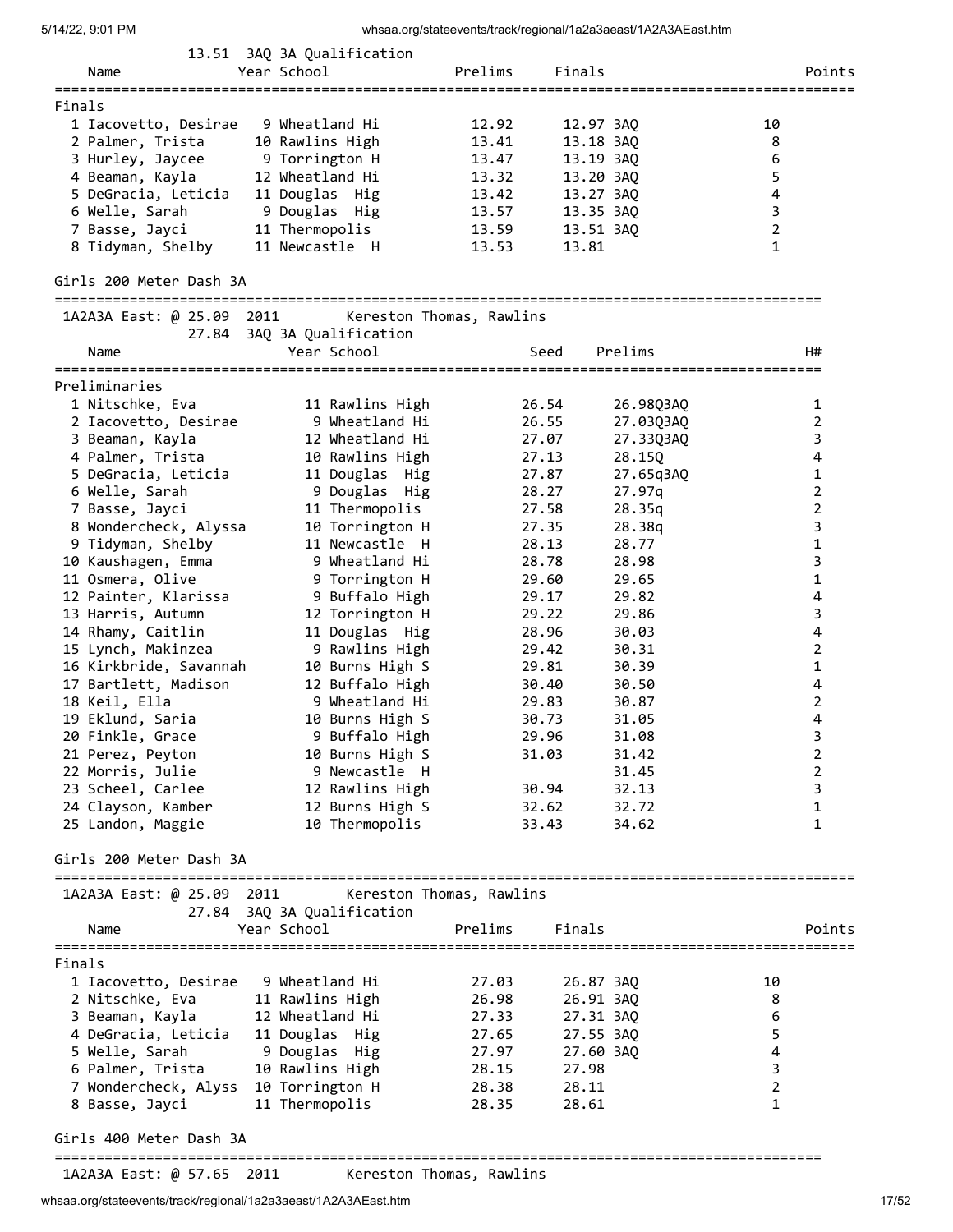| Name                                 | 13.51 3AQ 3A Qualification<br>Year School | Prelims                  | Finals    |                        |                | Points                  |
|--------------------------------------|-------------------------------------------|--------------------------|-----------|------------------------|----------------|-------------------------|
|                                      |                                           |                          |           |                        |                |                         |
| Finals                               |                                           |                          |           |                        |                |                         |
| 1 Iacovetto, Desirae                 | 9 Wheatland Hi                            | 12.92                    | 12.97 3AQ |                        | 10             |                         |
| 2 Palmer, Trista                     | 10 Rawlins High                           | 13.41                    | 13.18 3AQ |                        | 8              |                         |
| 3 Hurley, Jaycee                     | 9 Torrington H                            | 13.47                    | 13.19 3AQ |                        | 6              |                         |
| 4 Beaman, Kayla                      | 12 Wheatland Hi                           | 13.32                    | 13.20 3AQ |                        | 5              |                         |
| 5 DeGracia, Leticia                  | 11 Douglas Hig                            | 13.42                    | 13.27 3AQ |                        | 4<br>3         |                         |
| 6 Welle, Sarah                       | 9 Douglas Hig                             | 13.57                    | 13.35 3AQ |                        | $\overline{2}$ |                         |
| 7 Basse, Jayci                       | 11 Thermopolis<br>11 Newcastle H          | 13.59                    | 13.51 3AQ |                        | $\mathbf{1}$   |                         |
| 8 Tidyman, Shelby                    |                                           | 13.53                    | 13.81     |                        |                |                         |
| Girls 200 Meter Dash 3A              |                                           |                          |           |                        |                |                         |
| 1A2A3A East: @ 25.09 2011            |                                           | Kereston Thomas, Rawlins |           |                        |                |                         |
|                                      | 27.84 3AQ 3A Qualification                |                          |           |                        |                |                         |
| Name                                 | Year School                               |                          | Seed      | Prelims                |                | H#                      |
| Preliminaries                        |                                           |                          |           |                        |                |                         |
| 1 Nitschke, Eva                      | 11 Rawlins High                           |                          | 26.54     |                        |                | 1                       |
| 2 Iacovetto, Desirae                 | 9 Wheatland Hi                            |                          | 26.55     | 26.98Q3AQ<br>27.03Q3AQ |                | $\overline{2}$          |
| 3 Beaman, Kayla                      | 12 Wheatland Hi                           |                          | 27.07     | 27.33Q3AQ              |                | 3                       |
| 4 Palmer, Trista                     | 10 Rawlins High                           |                          | 27.13     | 28.150                 |                | 4                       |
| 5 DeGracia, Leticia                  | 11 Douglas Hig                            |                          | 27.87     | 27.65q3AQ              |                | 1                       |
| 6 Welle, Sarah                       | 9 Douglas Hig                             |                          | 28.27     | 27.97q                 |                | $\overline{2}$          |
| 7 Basse, Jayci                       | 11 Thermopolis                            |                          | 27.58     | 28.35q                 |                | $\overline{2}$          |
| 8 Wondercheck, Alyssa                | 10 Torrington H                           |                          | 27.35     | 28.38q                 |                | 3                       |
| 9 Tidyman, Shelby                    | 11 Newcastle H                            |                          | 28.13     | 28.77                  |                | $\mathbf 1$             |
| 10 Kaushagen, Emma                   | 9 Wheatland Hi                            |                          | 28.78     | 28.98                  |                | 3                       |
| 11 Osmera, Olive                     | 9 Torrington H                            |                          | 29.60     | 29.65                  |                | 1                       |
| 12 Painter, Klarissa                 | 9 Buffalo High                            |                          | 29.17     | 29.82                  |                | 4                       |
| 13 Harris, Autumn                    | 12 Torrington H                           |                          | 29.22     | 29.86                  |                | 3                       |
| 14 Rhamy, Caitlin                    | 11 Douglas Hig                            |                          | 28.96     | 30.03                  |                | $\overline{\mathbf{4}}$ |
| 15 Lynch, Makinzea                   | 9 Rawlins High                            |                          | 29.42     | 30.31                  |                | $\overline{2}$          |
| 16 Kirkbride, Savannah               | 10 Burns High S                           |                          | 29.81     | 30.39                  |                | $\mathbf{1}$            |
| 17 Bartlett, Madison                 | 12 Buffalo High                           |                          | 30.40     | 30.50                  |                | 4                       |
| 18 Keil, Ella                        | 9 Wheatland Hi                            |                          | 29.83     | 30.87                  |                | $\overline{2}$          |
| 19 Eklund, Saria                     | 10 Burns High S                           |                          | 30.73     | 31.05                  |                | 4                       |
| 20 Finkle, Grace                     | 9 Buffalo High                            |                          | 29.96     | 31.08                  |                | 3                       |
| 21 Perez, Peyton                     | 10 Burns High S                           |                          | 31.03     | 31.42                  |                | 2                       |
| 22 Morris, Julie                     | 9 Newcastle H                             |                          |           | 31.45                  |                | 2                       |
| 23 Scheel, Carlee                    | 12 Rawlins High                           |                          | 30.94     | 32.13                  |                | 3                       |
| 24 Clayson, Kamber                   | 12 Burns High S                           |                          | 32.62     | 32.72                  |                | $\mathbf{1}$            |
| 25 Landon, Maggie                    | 10 Thermopolis                            |                          | 33.43     | 34.62                  |                | 1                       |
| Girls 200 Meter Dash 3A              |                                           |                          |           |                        |                |                         |
|                                      |                                           |                          |           |                        |                |                         |
| 1A2A3A East: @ 25.09 2011            |                                           | Kereston Thomas, Rawlins |           |                        |                |                         |
|                                      | 27.84 3AQ 3A Qualification                |                          |           |                        |                |                         |
| Name                                 | Year School                               | Prelims                  | Finals    |                        |                | Points                  |
| Finals                               |                                           |                          |           |                        |                |                         |
| 1 Iacovetto, Desirae                 | 9 Wheatland Hi                            | 27.03                    | 26.87 3AQ |                        | 10             |                         |
| 2 Nitschke, Eva                      | 11 Rawlins High                           | 26.98                    | 26.91 3AQ |                        | 8              |                         |
| 3 Beaman, Kayla                      | 12 Wheatland Hi                           | 27.33                    | 27.31 3AQ |                        | 6              |                         |
| 4 DeGracia, Leticia                  | 11 Douglas Hig                            | 27.65                    | 27.55 3AQ |                        | 5              |                         |
| 5 Welle, Sarah                       | 9 Douglas Hig                             | 27.97                    | 27.60 3AQ |                        | 4              |                         |
| 6 Palmer, Trista                     | 10 Rawlins High                           | 28.15                    | 27.98     |                        | $\mathsf{3}$   |                         |
| 7 Wondercheck, Alyss 10 Torrington H |                                           | 28.38                    | 28.11     |                        | $\overline{2}$ |                         |
| 8 Basse, Jayci                       | 11 Thermopolis                            | 28.35                    | 28.61     |                        | $\mathbf{1}$   |                         |
| Girls 400 Meter Dash 3A              |                                           |                          |           |                        |                |                         |
|                                      |                                           |                          |           |                        |                |                         |

whsaa.org/stateevents/track/regional/1a2a3aeast/1A2A3AEast.htm 17/52

1A2A3A East: @ 57.65 2011 Kereston Thomas, Rawlins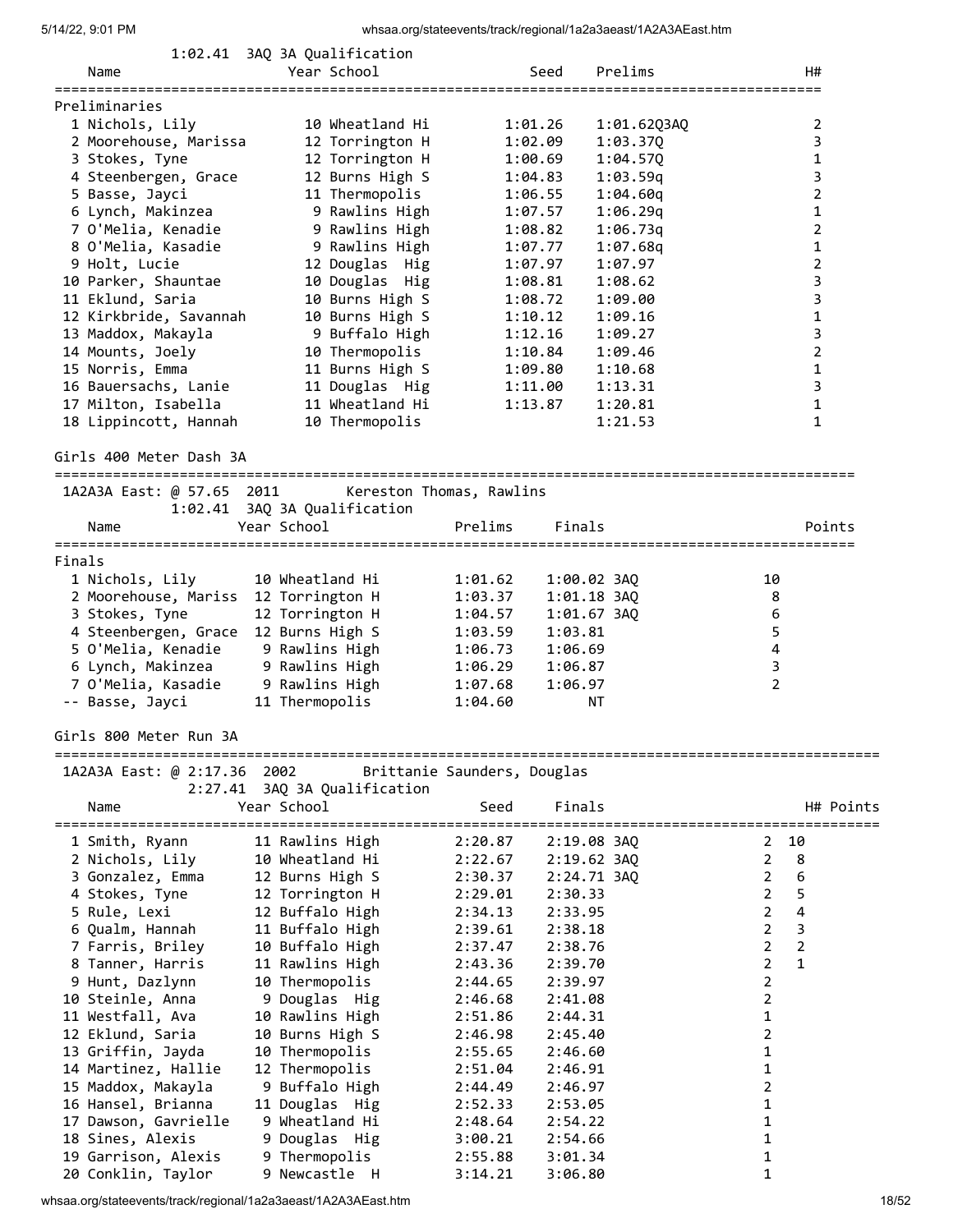|                                      | 1:02.41 3AQ 3A Qualification |                             |             |                                       |
|--------------------------------------|------------------------------|-----------------------------|-------------|---------------------------------------|
| Name                                 | Year School                  | Seed                        | Prelims     | H#                                    |
|                                      |                              |                             |             | ==========================            |
| Preliminaries                        |                              |                             |             |                                       |
| 1 Nichols, Lily                      | 10 Wheatland Hi              | 1:01.26                     | 1:01.62Q3AQ | 2                                     |
| 2 Moorehouse, Marissa                | 12 Torrington H              | 1:02.09                     | 1:03.370    | 3                                     |
| 3 Stokes, Tyne                       | 12 Torrington H              | 1:00.69                     | 1:04.57Q    | 1                                     |
| 4 Steenbergen, Grace                 | 12 Burns High S              | 1:04.83                     | 1:03.59q    | 3                                     |
| 5 Basse, Jayci                       | 11 Thermopolis               | 1:06.55                     | 1:04.60q    | 2                                     |
| 6 Lynch, Makinzea                    | 9 Rawlins High               | 1:07.57                     | 1:06.29q    | 1                                     |
| 7 O'Melia, Kenadie                   | 9 Rawlins High               | 1:08.82                     | 1:06.73q    | 2                                     |
| 8 O'Melia, Kasadie                   | 9 Rawlins High               | 1:07.77                     | 1:07.68q    | 1                                     |
| 9 Holt, Lucie                        | 12 Douglas Hig               | 1:07.97                     | 1:07.97     | 2                                     |
| 10 Parker, Shauntae                  | 10 Douglas Hig               | 1:08.81                     | 1:08.62     | 3                                     |
| 11 Eklund, Saria                     | 10 Burns High S              | 1:08.72                     | 1:09.00     | 3                                     |
| 12 Kirkbride, Savannah               | 10 Burns High S              | 1:10.12                     | 1:09.16     | $\mathbf 1$                           |
| 13 Maddox, Makayla                   | 9 Buffalo High               | 1:12.16                     | 1:09.27     | 3                                     |
|                                      | 10 Thermopolis               |                             |             | $\overline{2}$                        |
| 14 Mounts, Joely                     |                              | 1:10.84                     | 1:09.46     |                                       |
| 15 Norris, Emma                      | 11 Burns High S              | 1:09.80                     | 1:10.68     | 1                                     |
| 16 Bauersachs, Lanie                 | 11 Douglas Hig               | 1:11.00                     | 1:13.31     | 3                                     |
| 17 Milton, Isabella                  | 11 Wheatland Hi              | 1:13.87                     | 1:20.81     | 1                                     |
| 18 Lippincott, Hannah                | 10 Thermopolis               |                             | 1:21.53     | 1                                     |
|                                      |                              |                             |             |                                       |
| Girls 400 Meter Dash 3A              |                              |                             |             |                                       |
| 1A2A3A East: @ 57.65 2011            |                              |                             |             |                                       |
|                                      |                              | Kereston Thomas, Rawlins    |             |                                       |
|                                      | 1:02.41 3AQ 3A Qualification |                             |             |                                       |
| Name                                 | Year School                  | Prelims                     | Finals      | Points                                |
|                                      |                              |                             |             |                                       |
| Finals                               |                              |                             |             |                                       |
| 1 Nichols, Lily                      | 10 Wheatland Hi              | 1:01.62                     | 1:00.02 3AQ | 10                                    |
| 2 Moorehouse, Mariss 12 Torrington H |                              | 1:03.37                     | 1:01.18 3AQ | 8                                     |
| 3 Stokes, Tyne                       | 12 Torrington H              | 1:04.57                     | 1:01.67 3AQ | 6                                     |
| 4 Steenbergen, Grace                 | 12 Burns High S              | 1:03.59                     | 1:03.81     | 5                                     |
| 5 O'Melia, Kenadie                   | 9 Rawlins High               | 1:06.73                     | 1:06.69     | 4                                     |
| 6 Lynch, Makinzea                    | 9 Rawlins High               | 1:06.29                     | 1:06.87     | 3                                     |
| 7 O'Melia, Kasadie                   | 9 Rawlins High               | 1:07.68                     | 1:06.97     | $\overline{2}$                        |
| -- Basse, Jayci                      | 11 Thermopolis               | 1:04.60                     | ΝT          |                                       |
|                                      |                              |                             |             |                                       |
| Girls 800 Meter Run 3A               |                              |                             |             |                                       |
|                                      |                              |                             |             |                                       |
| 1A2A3A East: @ 2:17.36 2002          |                              | Brittanie Saunders, Douglas |             |                                       |
| 2:27.41                              | 3AQ 3A Qualification         |                             |             |                                       |
| Name                                 | Year School                  | Seed                        | Finals      | H# Points                             |
|                                      |                              | =============               |             | ------------------------------------- |
| 1 Smith, Ryann                       | 11 Rawlins High              | 2:20.87                     | 2:19.08 3AQ | 10<br>2                               |
| 2 Nichols, Lily                      | 10 Wheatland Hi              | 2:22.67                     | 2:19.62 3AQ | $\overline{2}$<br>8                   |
| 3 Gonzalez, Emma                     | 12 Burns High S              | 2:30.37                     | 2:24.71 3AQ | 6<br>$\overline{2}$                   |
| 4 Stokes, Tyne                       | 12 Torrington H              | 2:29.01                     | 2:30.33     | 5<br>$\overline{2}$                   |
| 5 Rule, Lexi                         | 12 Buffalo High              | 2:34.13                     | 2:33.95     | 4<br>$\overline{2}$                   |
| 6 Qualm, Hannah                      | 11 Buffalo High              | 2:39.61                     | 2:38.18     | 3<br>$\overline{2}$                   |
| 7 Farris, Briley                     | 10 Buffalo High              | 2:37.47                     | 2:38.76     | $\overline{2}$<br>$\overline{2}$      |
| 8 Tanner, Harris                     | 11 Rawlins High              | 2:43.36                     | 2:39.70     | 2<br>$\mathbf{1}$                     |
| 9 Hunt, Dazlynn                      | 10 Thermopolis               | 2:44.65                     | 2:39.97     | 2                                     |
| 10 Steinle, Anna                     | 9 Douglas Hig                | 2:46.68                     | 2:41.08     | 2                                     |
| 11 Westfall, Ava                     | 10 Rawlins High              | 2:51.86                     | 2:44.31     | 1                                     |
| 12 Eklund, Saria                     | 10 Burns High S              | 2:46.98                     | 2:45.40     | 2                                     |
| 13 Griffin, Jayda                    | 10 Thermopolis               | 2:55.65                     | 2:46.60     | 1                                     |
|                                      |                              |                             |             |                                       |
| 14 Martinez, Hallie                  | 12 Thermopolis               | 2:51.04                     | 2:46.91     | 1                                     |
| 15 Maddox, Makayla                   | 9 Buffalo High               | 2:44.49                     | 2:46.97     | 2                                     |
| 16 Hansel, Brianna                   | 11 Douglas Hig               | 2:52.33                     | 2:53.05     | 1                                     |
| 17 Dawson, Gavrielle                 | 9 Wheatland Hi               | 2:48.64                     | 2:54.22     | 1                                     |
| 18 Sines, Alexis                     | 9 Douglas Hig                | 3:00.21                     | 2:54.66     | 1                                     |
| 19 Garrison, Alexis                  | 9 Thermopolis                | 2:55.88                     | 3:01.34     | 1                                     |
| 20 Conklin, Taylor                   | 9 Newcastle H                | 3:14.21                     | 3:06.80     | 1                                     |

whsaa.org/stateevents/track/regional/1a2a3aeast/1A2A3AEast.htm 18/52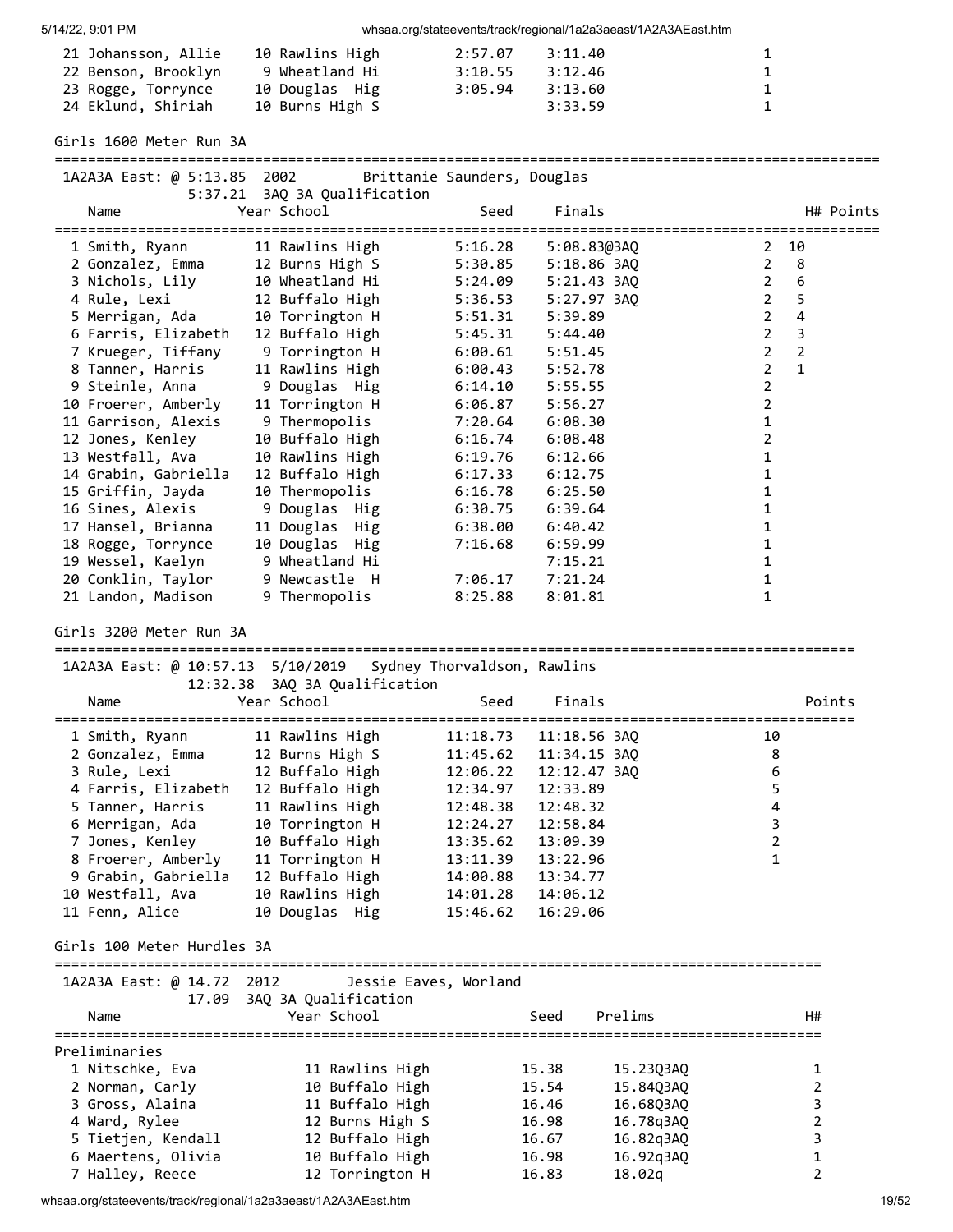| 21 Johansson, Allie | 10 Rawlins High | 2:57.07 | 3:11.40 | $\mathbf{1}$ |
|---------------------|-----------------|---------|---------|--------------|
| 22 Benson, Brooklyn | 9 Wheatland Hi  | 3:10.55 | 3:12.46 | $\mathbf{1}$ |
| 23 Rogge, Torrynce  | 10 Douglas Hig  | 3:05.94 | 3:13.60 | $\mathbf{1}$ |
| 24 Eklund, Shiriah  | 10 Burns High S |         | 3:33.59 | $\mathbf{1}$ |

Girls 1600 Meter Run 3A

=================================================================================================== 1A2A3A East: @ 5:13.85 2002 Brittanie Saunders, Douglas 5:37.21 3AQ 3A Qualification Name Year School Seed Finals H# Points =================================================================================================== 1 Smith, Ryann 11 Rawlins High 5:16.28 5:08.83@3AQ 2 10 2 Gonzalez, Emma 12 Burns High S 5:30.85 5:18.86 3AQ 2 8 3 Nichols, Lily 10 Wheatland Hi 5:24.09 5:21.43 3AQ 2 6 4 Rule, Lexi 12 Buffalo High 5:36.53 5:27.97 3AQ 2 5 5 Merrigan, Ada 10 Torrington H 5:51.31 5:39.89 2 4 6 Farris, Elizabeth 12 Buffalo High 5:45.31 5:44.40 2 3

| J MICHUIS, LIIV      | TA MILEATIQUA UT | <b>J.Z4.VJ</b> | J.ZI.4J JAV |   | v              |
|----------------------|------------------|----------------|-------------|---|----------------|
| 4 Rule, Lexi         | 12 Buffalo High  | 5:36.53        | 5:27.97 3AO |   | 5              |
| 5 Merrigan, Ada      | 10 Torrington H  | 5:51.31        | 5:39.89     |   | 4              |
| 6 Farris, Elizabeth  | 12 Buffalo High  | 5:45.31        | 5:44.40     | 2 | 3              |
| 7 Krueger, Tiffany   | 9 Torrington H   | 6:00.61        | 5:51.45     | 2 | $\overline{2}$ |
| 8 Tanner, Harris     | 11 Rawlins High  | 6:00.43        | 5:52.78     |   | $\mathbf{1}$   |
| 9 Steinle, Anna      | 9 Douglas Hig    | 6:14.10        | 5:55.55     |   |                |
| 10 Froerer, Amberly  | 11 Torrington H  | 6:06.87        | 5:56.27     |   |                |
| 11 Garrison, Alexis  | 9 Thermopolis    | 7:20.64        | 6:08.30     |   |                |
| 12 Jones, Kenley     | 10 Buffalo High  | 6:16.74        | 6:08.48     |   |                |
| 13 Westfall, Ava     | 10 Rawlins High  | 6:19.76        | 6:12.66     |   |                |
| 14 Grabin, Gabriella | 12 Buffalo High  | 6:17.33        | 6:12.75     |   |                |
| 15 Griffin, Jayda    | 10 Thermopolis   | 6:16.78        | 6:25.50     |   |                |
| 16 Sines, Alexis     | 9 Douglas Hig    | 6:30.75        | 6:39.64     |   |                |
| 17 Hansel, Brianna   | 11 Douglas Hig   | 6:38.00        | 6:40.42     |   |                |
| 18 Rogge, Torrynce   | 10 Douglas Hig   | 7:16.68        | 6:59.99     |   |                |
| 19 Wessel, Kaelyn    | 9 Wheatland Hi   |                | 7:15.21     |   |                |
| 20 Conklin, Taylor   | 9 Newcastle H    | 7:06.17        | 7:21.24     |   |                |
| 21 Landon, Madison   | 9 Thermopolis    | 8:25.88        | 8:01.81     |   |                |
|                      |                  |                |             |   |                |

Girls 3200 Meter Run 3A

================================================================================================ 1A2A3A East: @ 10:57.13 5/10/2019 Sydney Thorvaldson, Rawlins

| Name                | 12:32.38 3AQ 3A Qualification<br>Year School | Seed     | Finals       | Points |
|---------------------|----------------------------------------------|----------|--------------|--------|
|                     |                                              |          |              |        |
| 1 Smith, Ryann      | 11 Rawlins High                              | 11:18.73 | 11:18.56 3AO | 10     |
| 2 Gonzalez, Emma    | 12 Burns High S                              | 11:45.62 | 11:34.15 3AO | 8      |
| 3 Rule, Lexi        | 12 Buffalo High                              | 12:06.22 | 12:12.47 3AO | 6      |
| 4 Farris, Elizabeth | 12 Buffalo High                              | 12:34.97 | 12:33.89     | 5.     |
| 5 Tanner, Harris    | 11 Rawlins High                              | 12:48.38 | 12:48.32     | 4      |
| 6 Merrigan, Ada     | 10 Torrington H                              | 12:24.27 | 12:58.84     | 3      |
| 7 Jones, Kenley     | 10 Buffalo High                              | 13:35.62 | 13:09.39     | 2      |
| 8 Froerer, Amberly  | 11 Torrington H                              | 13:11.39 | 13:22.96     |        |
| 9 Grabin, Gabriella | 12 Buffalo High                              | 14:00.88 | 13:34.77     |        |
| 10 Westfall, Ava    | 10 Rawlins High                              | 14:01.28 | 14:06.12     |        |
| 11 Fenn, Alice      | 10 Douglas Hig                               | 15:46.62 | 16:29.06     |        |

Girls 100 Meter Hurdles 3A

| ិក<br>, ו | ורוגו |  |
|-----------|-------|--|

| IAZAJA Edst. W 14.7Z ZUIZ | JESSIE LAVES, MUNICHU<br>17.09 3AO 3A Oualification |       |           |    |
|---------------------------|-----------------------------------------------------|-------|-----------|----|
| Name                      | Year School                                         | Seed  | Prelims   | H# |
| Preliminaries             |                                                     |       |           |    |
| 1 Nitschke, Eva           | 11 Rawlins High                                     | 15.38 | 15,2303A0 |    |
| 2 Norman, Carly           | 10 Buffalo High                                     | 15.54 | 15,8403A0 |    |
| 3 Gross, Alaina           | 11 Buffalo High                                     | 16.46 | 16.6803A0 |    |
| 4 Ward, Rylee             | 12 Burns High S                                     | 16.98 | 16.78g3A0 |    |
| 5 Tietjen, Kendall        | 12 Buffalo High                                     | 16.67 | 16.82q3AQ |    |
| 6 Maertens, Olivia        | 10 Buffalo High                                     | 16.98 | 16.92g3A0 |    |
| 7 Halley, Reece           | 12 Torrington H                                     | 16.83 | 18.02g    |    |

whsaa.org/stateevents/track/regional/1a2a3aeast/1A2A3AEast.htm 19/52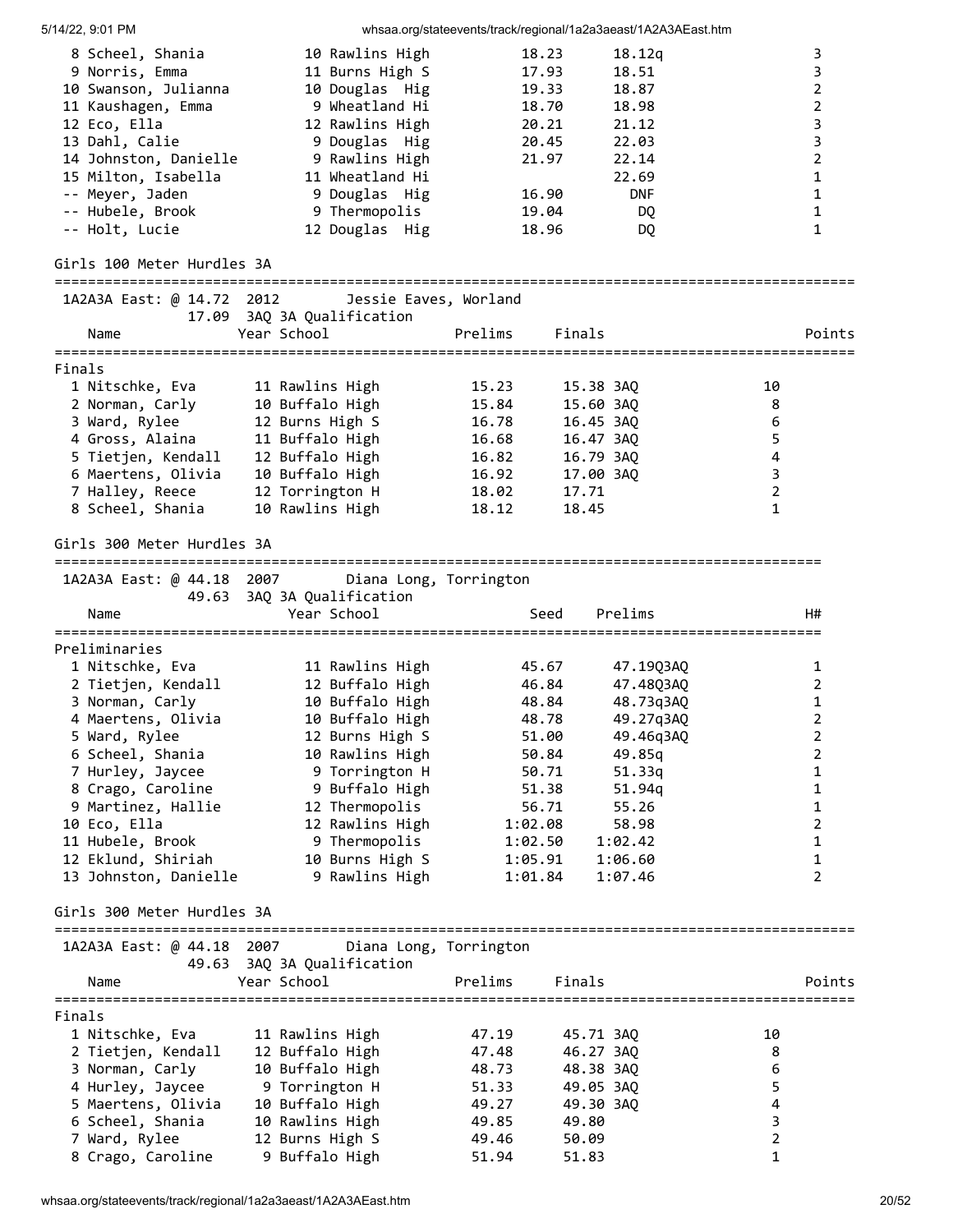| $14/ZZ$ , $9.01$ FW        |                            | wiisaa.org/stateeverits/track/regional/Tazabaeast/TAZAbAEast.ntm |                         |
|----------------------------|----------------------------|------------------------------------------------------------------|-------------------------|
| 8 Scheel, Shania           | 10 Rawlins High            | 18.23<br>18.12q                                                  | 3                       |
| 9 Norris, Emma             | 11 Burns High S            | 17.93<br>18.51                                                   | 3                       |
| 10 Swanson, Julianna       | 10 Douglas Hig             | 19.33<br>18.87                                                   | $\overline{2}$          |
| 11 Kaushagen, Emma         | 9 Wheatland Hi             | 18.70<br>18.98                                                   | $\mathbf 2$             |
| 12 Eco, Ella               | 12 Rawlins High            | 21.12                                                            | $\overline{3}$          |
|                            |                            | 20.21                                                            |                         |
| 13 Dahl, Calie             | 9 Douglas Hig              | 20.45<br>22.03                                                   | $\mathsf 3$             |
| 14 Johnston, Danielle      | 9 Rawlins High             | 21.97<br>22.14                                                   | $\overline{2}$          |
| 15 Milton, Isabella        | 11 Wheatland Hi            | 22.69                                                            | 1                       |
| -- Meyer, Jaden            | 9 Douglas Hig              | 16.90<br><b>DNF</b>                                              | $\mathbf{1}$            |
| -- Hubele, Brook           | 9 Thermopolis              | 19.04<br>DQ.                                                     | $\mathbf{1}$            |
| -- Holt, Lucie             | 12 Douglas Hig             | DQ<br>18.96                                                      | 1                       |
| Girls 100 Meter Hurdles 3A |                            |                                                                  |                         |
| 1A2A3A East: @ 14.72 2012  |                            | Jessie Eaves, Worland                                            |                         |
|                            | 17.09 3AQ 3A Qualification |                                                                  |                         |
| Name                       | Year School                | Prelims<br>Finals                                                | Points                  |
|                            |                            |                                                                  |                         |
| Finals                     |                            |                                                                  |                         |
| 1 Nitschke, Eva            | 11 Rawlins High            | 15.23<br>15.38 3AQ                                               | 10                      |
| 2 Norman, Carly            | 10 Buffalo High            | 15.84<br>15.60 3AQ                                               | 8                       |
| 3 Ward, Rylee              | 12 Burns High S            | 16.78<br>16.45 3AQ                                               | 6                       |
|                            |                            |                                                                  |                         |
| 4 Gross, Alaina            | 11 Buffalo High            | 16.68<br>16.47 3AQ                                               | 5                       |
| 5 Tietjen, Kendall         | 12 Buffalo High            | 16.79 3AQ<br>16.82                                               | 4                       |
| 6 Maertens, Olivia         | 10 Buffalo High            | 16.92<br>17.00 3AO                                               | 3                       |
| 7 Halley, Reece            | 12 Torrington H            | 17.71<br>18.02                                                   | $\overline{2}$          |
| 8 Scheel, Shania           | 10 Rawlins High            | 18.45<br>18.12                                                   | $\mathbf{1}$            |
| Girls 300 Meter Hurdles 3A |                            |                                                                  |                         |
| 1A2A3A East: @ 44.18 2007  |                            | Diana Long, Torrington                                           |                         |
| 49.63                      | 3AQ 3A Qualification       |                                                                  |                         |
| Name                       | Year School                | Seed<br>Prelims                                                  | H#                      |
|                            |                            |                                                                  |                         |
| Preliminaries              |                            |                                                                  |                         |
| 1 Nitschke, Eva            | 11 Rawlins High            | 45.67<br>47.19Q3AQ                                               | 1                       |
|                            |                            |                                                                  |                         |
| 2 Tietjen, Kendall         | 12 Buffalo High            | 46.84<br>47.48Q3AQ                                               | $\overline{2}$          |
| 3 Norman, Carly            | 10 Buffalo High            | 48.84<br>48.73q3AQ                                               | $\mathbf{1}$            |
| 4 Maertens, Olivia         | 10 Buffalo High            | 48.78<br>49.27q3AQ                                               | $\overline{2}$          |
| 5 Ward, Rylee              | 12 Burns High S            | 51.00<br>49.46q3AQ                                               | 2                       |
| 6 Scheel, Shania           | 10 Rawlins High            | 50.84<br>49.85q                                                  | 2                       |
| 7 Hurley, Jaycee           | 9 Torrington H             | 50.71<br>51.33q                                                  | 1                       |
| 8 Crago, Caroline          | 9 Buffalo High             | 51.38<br>51.94q                                                  | $\mathbf{1}$            |
| 9 Martinez, Hallie         | 12 Thermopolis             | 56.71<br>55.26                                                   | $\mathbf{1}$            |
| 10 Eco, Ella               | 12 Rawlins High            | 1:02.08<br>58.98                                                 | $\overline{2}$          |
| 11 Hubele, Brook           | 9 Thermopolis              |                                                                  | $\mathbf{1}$            |
|                            |                            | 1:02.50<br>1:02.42                                               |                         |
| 12 Eklund, Shiriah         | 10 Burns High S            | 1:05.91<br>1:06.60                                               | $\mathbf{1}$            |
| 13 Johnston, Danielle      | 9 Rawlins High             | 1:01.84<br>1:07.46                                               | $\overline{2}$          |
| Girls 300 Meter Hurdles 3A |                            |                                                                  |                         |
| 1A2A3A East: @ 44.18 2007  |                            | Diana Long, Torrington                                           |                         |
|                            | 49.63 3AQ 3A Qualification |                                                                  |                         |
|                            |                            |                                                                  |                         |
| Name                       | Year School                | Prelims<br>Finals                                                | Points                  |
|                            |                            |                                                                  |                         |
| Finals                     |                            |                                                                  |                         |
| 1 Nitschke, Eva            | 11 Rawlins High            | 47.19<br>45.71 3AQ                                               | 10                      |
| 2 Tietjen, Kendall         | 12 Buffalo High            | 47.48<br>46.27 3AQ                                               | 8                       |
| 3 Norman, Carly            | 10 Buffalo High            | 48.73<br>48.38 3AQ                                               | 6                       |
| 4 Hurley, Jaycee           | 9 Torrington H             | 51.33<br>49.05 3AQ                                               | 5                       |
| 5 Maertens, Olivia         | 10 Buffalo High            | 49.27<br>49.30 3AQ                                               | $\overline{\mathbf{4}}$ |
| 6 Scheel, Shania           | 10 Rawlins High            | 49.85<br>49.80                                                   | 3                       |
| 7 Ward, Rylee              | 12 Burns High S            | 49.46<br>50.09                                                   | $\overline{2}$          |
|                            |                            |                                                                  | 1                       |
| 8 Crago, Caroline          | 9 Buffalo High             | 51.94<br>51.83                                                   |                         |

whsaa.org/stateevents/track/regional/1a2a3aeast/1A2A3AEast.htm 20052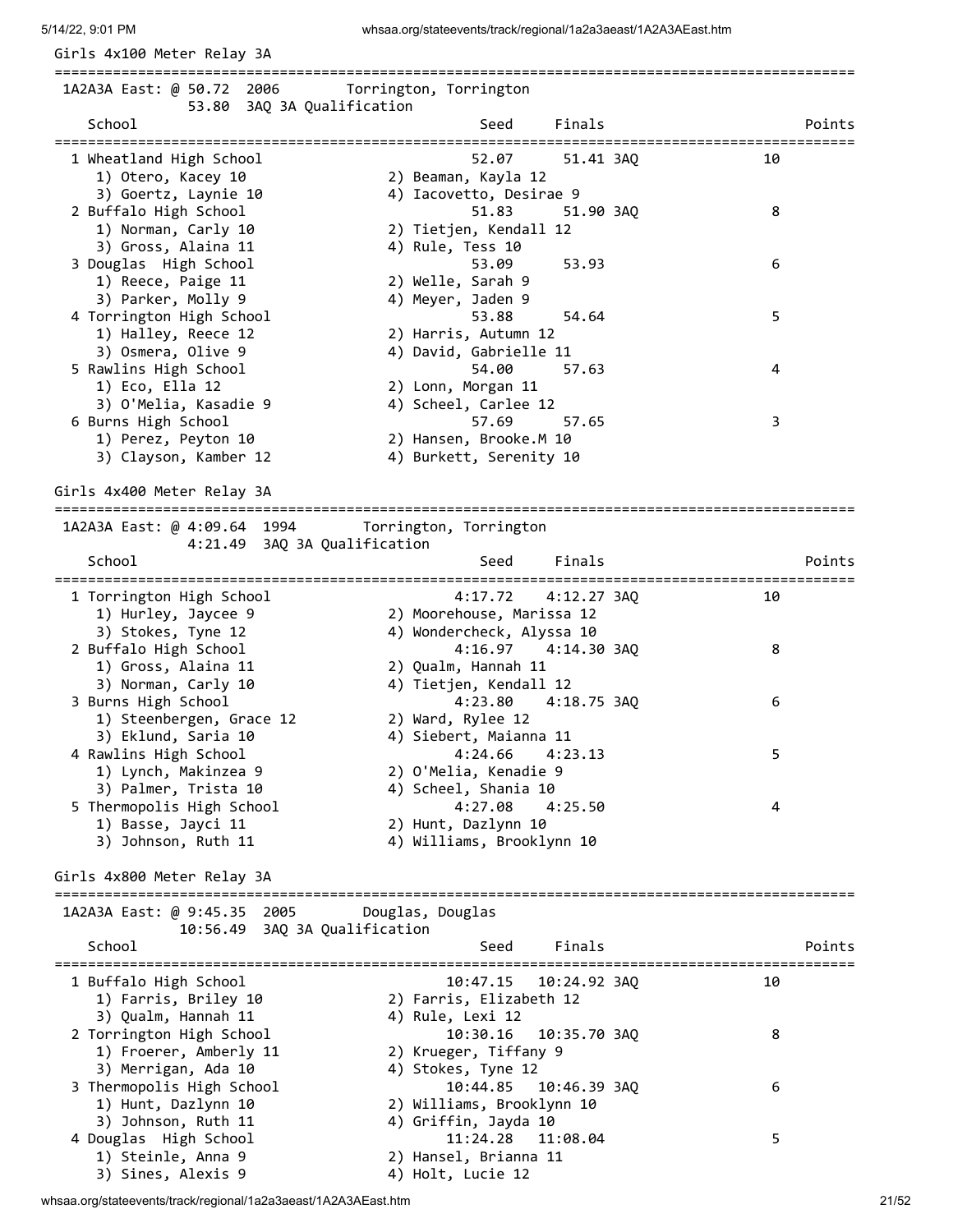Girls 4x100 Meter Relay 3A

================================================================================================ 1A2A3A East: @ 50.72 2006 Torrington, Torrington 53.80 3AQ 3A Qualification School School Seed Finals Points Points ================================================================================================ 1 Wheatland High School 52.07 51.41 3AQ 10 1) Otero, Kacey 10 2) Beaman, Kayla 12 3) Goertz, Laynie 10 4) Iacovetto, Desirae 9 2 Buffalo High School 51.83 51.90 3AQ 8 1) Norman, Carly 10 2) Tietjen, Kendall 12 3) Gross, Alaina 11 4) Rule, Tess 10 3 Douglas High School 53.09 53.93 6 1) Reece, Paige 11 2) Welle, Sarah 9 3) Parker, Molly 9 4) Meyer, Jaden 9 1) Recce, Paige 11<br>
3) Parker, Molly 9<br>
4) Meyer, Jaden 9<br>
53.88 54.64<br>
53.88 54.64<br>
52) Harris, Autumn 12<br>
11 1) Halley, Reece 12 2) Harris, Autumn 12 3) Osmera, Olive 9 4) David, Gabrielle 11 5 Rawlins High School 54.00 57.63 4 1) Eco, Ella 12 2) Lonn, Morgan 11 3) O'Melia, Kasadie 9 4) Scheel, Carlee 12 6 Burns High School 57.69 57.65 3 1) Perez, Peyton 10 2) Hansen, Brooke.M 10 3) Clayson, Kamber 12 4) Burkett, Serenity 10 Girls 4x400 Meter Relay 3A ================================================================================================ 1A2A3A East: @ 4:09.64 1994 Torrington, Torrington 4:21.49 3AQ 3A Qualification School School Seed Finals Points ================================================================================================ 1 Torrington High School 4:17.72 4:12.27 3AQ 10 1) Hurley, Jaycee 9 2) Moorehouse, Marissa 12 3) Stokes, Tyne 12 4) Wondercheck, Alyssa 10 2 Buffalo High School 4:16.97 4:14.30 3AQ 8 1) Gross, Alaina 11 2) Qualm, Hannah 11 3) Norman, Carly 10 4) Tietjen, Kendall 12 3 Burns High School 4:23.80 4:18.75 3AQ 6 1) Steenbergen, Grace 12 2) Ward, Rylee 12 3) Eklund, Saria 10 4) Siebert, Maianna 11 4 Rawlins High School 4:24.66 4:23.13 5 1) Lynch, Makinzea 9 2) O'Melia, Kenadie 9 3) Palmer, Trista 10 4) Scheel, Shania 10 5 Thermopolis High School 4:27.08 4:25.50 4 1) Basse, Jayci 11 2) Hunt, Dazlynn 10 3) Johnson, Ruth 11 4) Williams, Brooklynn 10 Girls 4x800 Meter Relay 3A ================================================================================================ 1A2A3A East: @ 9:45.35 2005 Douglas, Douglas 10:56.49 3AQ 3A Qualification School Seed Finals Points Points ================================================================================================ 1 Buffalo High School 10:47.15 10:24.92 3AQ 10 1) Farris, Briley 10 2) Farris, Elizabeth 12 3) Qualm, Hannah 11 4) Rule, Lexi 12 2 Torrington High School 10:30.16 10:35.70 3AQ 8 1) Froerer, Amberly 11 2) Krueger, Tiffany 9 3) Merrigan, Ada 10 4) Stokes, Tyne 12 3 Thermopolis High School 10:44.85 10:46.39 3AQ 6 1) Hunt, Dazlynn 10 2) Williams, Brooklynn 10 3) Johnson, Ruth 11 4) Griffin, Jayda 10 4 Douglas High School 11:24.28 11:08.04 5 1) Steinle, Anna 9 2) Hansel, Brianna 11 3) Sines, Alexis 9 4) Holt, Lucie 12

whsaa.org/stateevents/track/regional/1a2a3aeast/1A2A3AEast.htm 21/52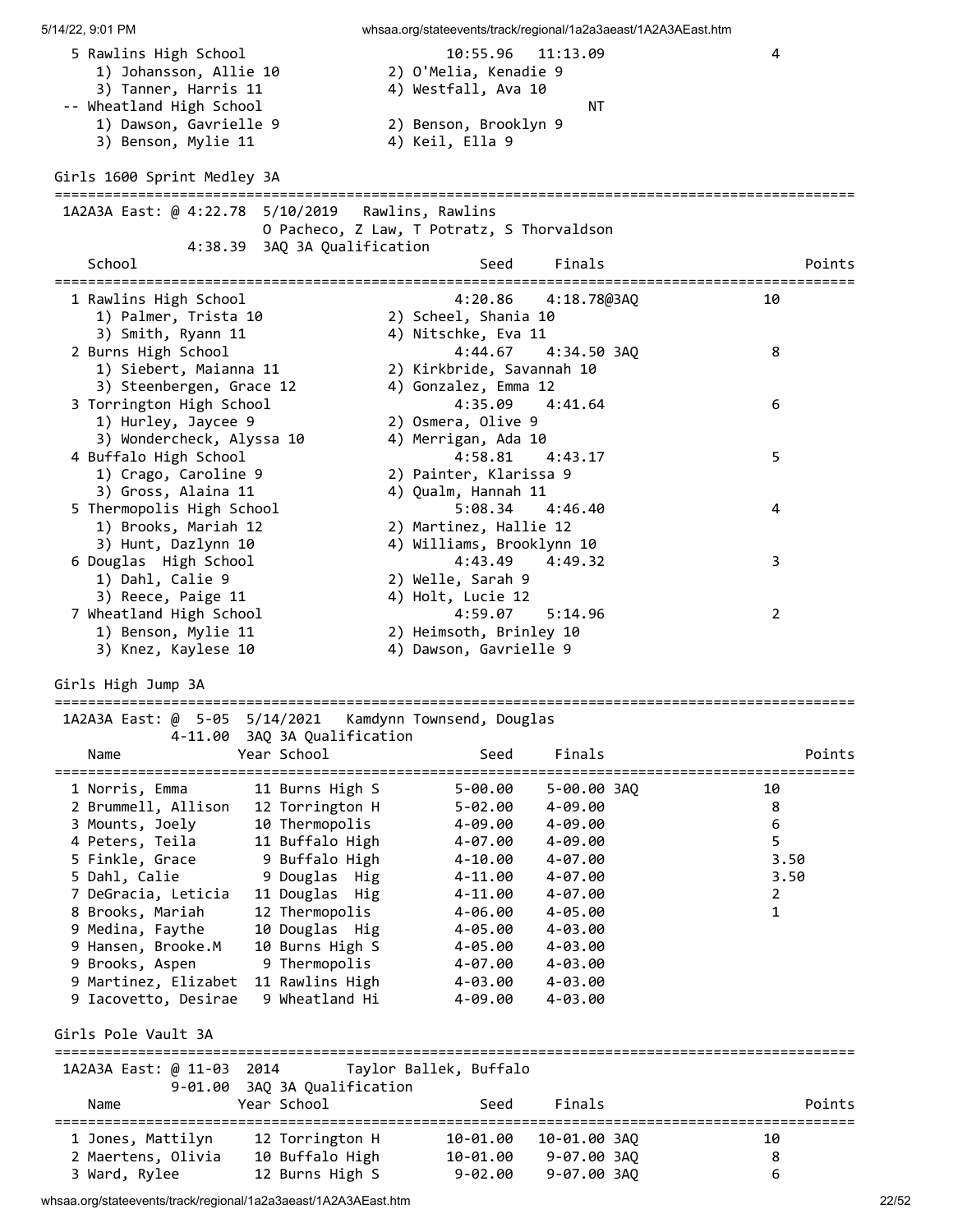| 5 Rawlins High School<br>1) Johansson, Allie 10<br>3) Tanner, Harris 11<br>-- Wheatland High School<br>1) Dawson, Gavrielle 9 |                                     | 10:55.96<br>2) O'Melia, Kenadie 9<br>4) Westfall, Ava 10<br>2) Benson, Brooklyn 9 | 11:13.09<br>NΤ              | 4                                 |        |
|-------------------------------------------------------------------------------------------------------------------------------|-------------------------------------|-----------------------------------------------------------------------------------|-----------------------------|-----------------------------------|--------|
| 3) Benson, Mylie 11<br>Girls 1600 Sprint Medley 3A                                                                            |                                     | 4) Keil, Ella 9                                                                   |                             |                                   |        |
|                                                                                                                               |                                     |                                                                                   |                             |                                   |        |
| 1A2A3A East: @ 4:22.78  5/10/2019  Rawlins, Rawlins                                                                           |                                     |                                                                                   |                             |                                   |        |
|                                                                                                                               | 4:38.39 3AQ 3A Qualification        | O Pacheco, Z Law, T Potratz, S Thorvaldson                                        |                             |                                   |        |
| School                                                                                                                        |                                     | Seed                                                                              | Finals                      |                                   | Points |
| 1 Rawlins High School                                                                                                         |                                     | 4:20.86                                                                           | 4:18.78@3AQ                 | 10                                |        |
| 1) Palmer, Trista 10                                                                                                          |                                     | 2) Scheel, Shania 10                                                              |                             |                                   |        |
| 3) Smith, Ryann 11                                                                                                            |                                     | 4) Nitschke, Eva 11                                                               |                             |                                   |        |
| 2 Burns High School                                                                                                           |                                     | 4:44.67                                                                           | 4:34.50 3AQ                 | 8                                 |        |
| 1) Siebert, Maianna 11                                                                                                        |                                     | 2) Kirkbride, Savannah 10                                                         |                             |                                   |        |
| 3) Steenbergen, Grace 12                                                                                                      |                                     | 4) Gonzalez, Emma 12                                                              |                             |                                   |        |
| 3 Torrington High School                                                                                                      |                                     | 4:35.09                                                                           | 4:41.64                     | 6                                 |        |
| 1) Hurley, Jaycee 9                                                                                                           |                                     | 2) Osmera, Olive 9                                                                |                             |                                   |        |
| 3) Wondercheck, Alyssa 10                                                                                                     |                                     | 4) Merrigan, Ada 10                                                               |                             |                                   |        |
| 4 Buffalo High School                                                                                                         |                                     | 4:58.81                                                                           | 4:43.17                     | 5                                 |        |
| 1) Crago, Caroline 9                                                                                                          |                                     | 2) Painter, Klarissa 9                                                            |                             |                                   |        |
| 3) Gross, Alaina 11<br>5 Thermopolis High School                                                                              |                                     | 4) Qualm, Hannah 11<br>5:08.34                                                    | 4:46.40                     | 4                                 |        |
| 1) Brooks, Mariah 12                                                                                                          |                                     | 2) Martinez, Hallie 12                                                            |                             |                                   |        |
| 3) Hunt, Dazlynn 10                                                                                                           |                                     | 4) Williams, Brooklynn 10                                                         |                             |                                   |        |
| 6 Douglas High School                                                                                                         |                                     | 4:43.49                                                                           | 4:49.32                     | 3                                 |        |
| 1) Dahl, Calie 9                                                                                                              |                                     | 2) Welle, Sarah 9                                                                 |                             |                                   |        |
| 3) Reece, Paige 11                                                                                                            |                                     | 4) Holt, Lucie 12                                                                 |                             |                                   |        |
| 7 Wheatland High School                                                                                                       |                                     | 4:59.07                                                                           | 5:14.96                     | 2                                 |        |
| 1) Benson, Mylie 11                                                                                                           |                                     | 2) Heimsoth, Brinley 10                                                           |                             |                                   |        |
| 3) Knez, Kaylese 10                                                                                                           |                                     | 4) Dawson, Gavrielle 9                                                            |                             |                                   |        |
| Girls High Jump 3A                                                                                                            |                                     |                                                                                   |                             |                                   |        |
|                                                                                                                               |                                     |                                                                                   |                             |                                   |        |
| 1A2A3A East: @ 5-05 5/14/2021                                                                                                 |                                     | Kamdynn Townsend, Douglas                                                         |                             |                                   |        |
| 4-11.00 3AQ 3A Qualification                                                                                                  |                                     |                                                                                   |                             |                                   |        |
| Name                                                                                                                          | Year School                         | Seed                                                                              | Finals                      | ================================= | Points |
| 1 Norris, Emma                                                                                                                | 11 Burns High S                     | $5 - 00.00$                                                                       | 5-00.00 3AQ                 | 10                                |        |
| 2 Brummell, Allison                                                                                                           | 12 Torrington H                     | $5 - 02.00$                                                                       | 4-09.00                     | 8                                 |        |
| 3 Mounts, Joely                                                                                                               | 10 Thermopolis                      | 4-09.00                                                                           | 4-09.00                     | $\boldsymbol{6}$                  |        |
| 4 Peters, Teila                                                                                                               | 11 Buffalo High                     | 4-07.00                                                                           | 4-09.00                     | 5                                 |        |
| 5 Finkle, Grace                                                                                                               | 9 Buffalo High                      | $4 - 10.00$                                                                       | 4-07.00                     |                                   | 3.50   |
| 5 Dahl, Calie                                                                                                                 | 9 Douglas Hig                       | $4 - 11.00$                                                                       | $4 - 07.00$                 |                                   | 3.50   |
| 7 DeGracia, Leticia                                                                                                           | 11 Douglas Hig                      | $4 - 11.00$                                                                       | 4-07.00                     | 2                                 |        |
| 8 Brooks, Mariah                                                                                                              | 12 Thermopolis                      | $4 - 06.00$                                                                       | $4 - 05.00$                 | $\mathbf{1}$                      |        |
| 9 Medina, Faythe                                                                                                              | 10 Douglas Hig                      | 4-05.00                                                                           | 4-03.00                     |                                   |        |
| 9 Hansen, Brooke.M                                                                                                            | 10 Burns High S                     | 4-05.00                                                                           | 4-03.00                     |                                   |        |
| 9 Brooks, Aspen<br>9 Martinez, Elizabet 11 Rawlins High                                                                       | 9 Thermopolis                       | 4-07.00<br>4-03.00                                                                | 4-03.00<br>4-03.00          |                                   |        |
| 9 Iacovetto, Desirae                                                                                                          | 9 Wheatland Hi                      | $4 - 09.00$                                                                       | $4 - 03.00$                 |                                   |        |
|                                                                                                                               |                                     |                                                                                   |                             |                                   |        |
| Girls Pole Vault 3A                                                                                                           |                                     |                                                                                   |                             |                                   |        |
| 1A2A3A East: @ 11-03 2014                                                                                                     |                                     | Taylor Ballek, Buffalo                                                            |                             |                                   |        |
| $9 - 01.00$<br>Name                                                                                                           | 3AQ 3A Qualification<br>Year School | Seed                                                                              | Finals                      |                                   | Points |
|                                                                                                                               |                                     |                                                                                   |                             | =============================     |        |
| 1 Jones, Mattilyn<br>2 Maertens, Olivia                                                                                       | 12 Torrington H<br>10 Buffalo High  | 10-01.00<br>10-01.00                                                              | 10-01.00 3AQ<br>9-07.00 3AQ | 10<br>8                           |        |
| 3 Ward, Rylee                                                                                                                 | 12 Burns High S                     | $9 - 02.00$                                                                       | 9-07.00 3AQ                 | 6                                 |        |
|                                                                                                                               |                                     |                                                                                   |                             |                                   |        |

whsaa.org/stateevents/track/regional/1a2a3aeast/1A2A3AEast.htm 2007 2008 2009 2009 2009 20152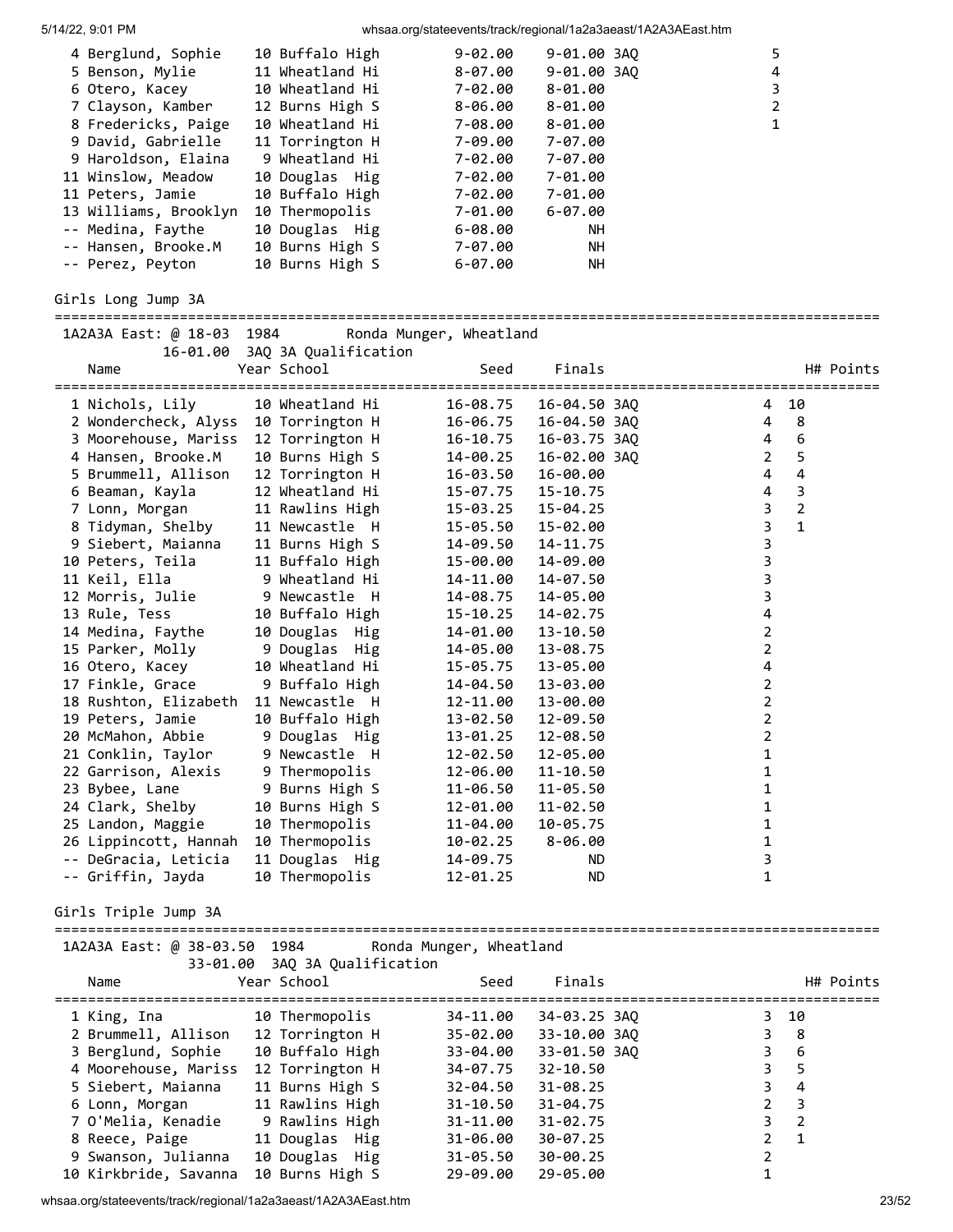| 4<br>3 |
|--------|
|        |
|        |
| 2      |
|        |
|        |
|        |
|        |
|        |
|        |
|        |
|        |
|        |
|        |

## Girls Long Jump 3A

# ===================================================================================================

| 1A2A3A East: @ 18-03 1984 |                               | Ronda Munger, Wheatland |              |                                       |                |           |
|---------------------------|-------------------------------|-------------------------|--------------|---------------------------------------|----------------|-----------|
|                           | 16-01.00 3AQ 3A Qualification |                         |              |                                       |                |           |
| Name                      | Year School                   | Seed                    | Finals       |                                       |                | H# Points |
|                           |                               |                         |              | ===================================== |                |           |
| 1 Nichols, Lily           | 10 Wheatland Hi               | 16-08.75                | 16-04.50 3AO | 4                                     | 10             |           |
| 2 Wondercheck, Alyss      | 10 Torrington H               | 16-06.75                | 16-04.50 3AQ | 4                                     | 8              |           |
| 3 Moorehouse, Mariss      | 12 Torrington H               | 16-10.75                | 16-03.75 3AO | 4                                     | 6              |           |
| 4 Hansen, Brooke.M        | 10 Burns High S               | 14-00.25                | 16-02.00 3AO | $\overline{2}$                        | 5              |           |
| 5 Brummell, Allison       | 12 Torrington H               | 16-03.50                | 16-00.00     | 4                                     | $\overline{4}$ |           |
| 6 Beaman, Kayla           | 12 Wheatland Hi               | 15-07.75                | 15-10.75     | $\overline{4}$                        | 3              |           |
| 7 Lonn, Morgan            | 11 Rawlins High               | 15-03.25                | 15-04.25     | 3                                     | $\overline{2}$ |           |
| 8 Tidyman, Shelby         | 11 Newcastle H                | 15-05.50                | 15-02.00     | 3                                     | $\mathbf{1}$   |           |
| 9 Siebert, Maianna        | 11 Burns High S               | 14-09.50                | 14-11.75     | 3                                     |                |           |
| 10 Peters, Teila          | 11 Buffalo High               | 15-00.00                | 14-09.00     | 3                                     |                |           |
| 11 Keil, Ella             | 9 Wheatland Hi                | 14-11.00                | 14-07.50     | 3                                     |                |           |
| 12 Morris, Julie          | 9 Newcastle H                 | 14-08.75                | 14-05.00     | 3                                     |                |           |
| 13 Rule, Tess             | 10 Buffalo High               | 15-10.25                | 14-02.75     | 4                                     |                |           |
| 14 Medina, Faythe         | 10 Douglas Hig                | 14-01.00                | 13-10.50     | $\overline{2}$                        |                |           |
| 15 Parker, Molly          | 9 Douglas Hig                 | 14-05.00                | 13-08.75     | $\overline{2}$                        |                |           |
| 16 Otero, Kacey           | 10 Wheatland Hi               | 15-05.75                | 13-05.00     | 4                                     |                |           |
| 17 Finkle, Grace          | 9 Buffalo High                | 14-04.50                | 13-03.00     | $\overline{2}$                        |                |           |
| 18 Rushton, Elizabeth     | 11 Newcastle H                | 12-11.00                | 13-00.00     | $\overline{2}$                        |                |           |
| 19 Peters, Jamie          | 10 Buffalo High               | 13-02.50                | 12-09.50     | 2                                     |                |           |
| 20 McMahon, Abbie         | 9 Douglas Hig                 | 13-01.25                | 12-08.50     | $\overline{2}$                        |                |           |
| 21 Conklin, Taylor        | 9 Newcastle H                 | 12-02.50                | 12-05.00     | 1                                     |                |           |
| 22 Garrison, Alexis       | 9 Thermopolis                 | 12-06.00                | $11 - 10.50$ | 1                                     |                |           |
| 23 Bybee, Lane            | 9 Burns High S                | 11-06.50                | 11-05.50     | 1                                     |                |           |
| 24 Clark, Shelby          | 10 Burns High S               | 12-01.00                | 11-02.50     | 1                                     |                |           |
| 25 Landon, Maggie         | 10 Thermopolis                | 11-04.00                | 10-05.75     | 1                                     |                |           |
| 26 Lippincott, Hannah     | 10 Thermopolis                | 10-02.25                | $8 - 06.00$  | 1                                     |                |           |
| -- DeGracia, Leticia      | 11 Douglas Hig                | 14-09.75                | ND.          | 3                                     |                |           |
| -- Griffin, Jayda         | 10 Thermopolis                | $12 - 01.25$            | <b>ND</b>    | 1                                     |                |           |

## Girls Triple Jump 3A

| 1A2A3A East: @ 38-03.50 1984 | Ronda Munger.<br>. Wheatland |
|------------------------------|------------------------------|

| Name                  | 33-01.00 3AQ 3A Qualification<br>Year School | Seed         | Finals       | H# Points           |
|-----------------------|----------------------------------------------|--------------|--------------|---------------------|
| 1 King, Ina           | 10 Thermopolis                               | 34-11.00     | 34-03.25 3AQ | 3 10                |
| 2 Brummell, Allison   | 12 Torrington H                              | 35-02.00     | 33-10.00 3AO | 3<br>- 8            |
| 3 Berglund, Sophie    | 10 Buffalo High                              | 33-04.00     | 33-01.50 3AO | 3<br>- 6            |
| 4 Moorehouse, Mariss  | 12 Torrington H                              | 34-07.75     | $32 - 10.50$ | 3.<br>5             |
| 5 Siebert, Maianna    | 11 Burns High S                              | 32-04.50     | $31 - 08.25$ | 3.<br>4             |
| 6 Lonn, Morgan        | 11 Rawlins High                              | $31 - 10.50$ | $31 - 04.75$ | $\overline{3}$<br>2 |
| 7 O'Melia, Kenadie    | 9 Rawlins High                               | $31 - 11.00$ | $31 - 02.75$ | 3<br>-2             |
| 8 Reece, Paige        | 11 Douglas Hig                               | 31-06.00     | $30 - 07.25$ | 2<br>$\mathbf{1}$   |
| 9 Swanson, Julianna   | 10 Douglas Hig                               | $31 - 05.50$ | $30 - 00.25$ |                     |
| 10 Kirkbride, Savanna | 10 Burns High S                              | $29 - 09.00$ | 29-05.00     |                     |

whsaa.org/stateevents/track/regional/1a2a3aeast/1A2A3AEast.htm 23/52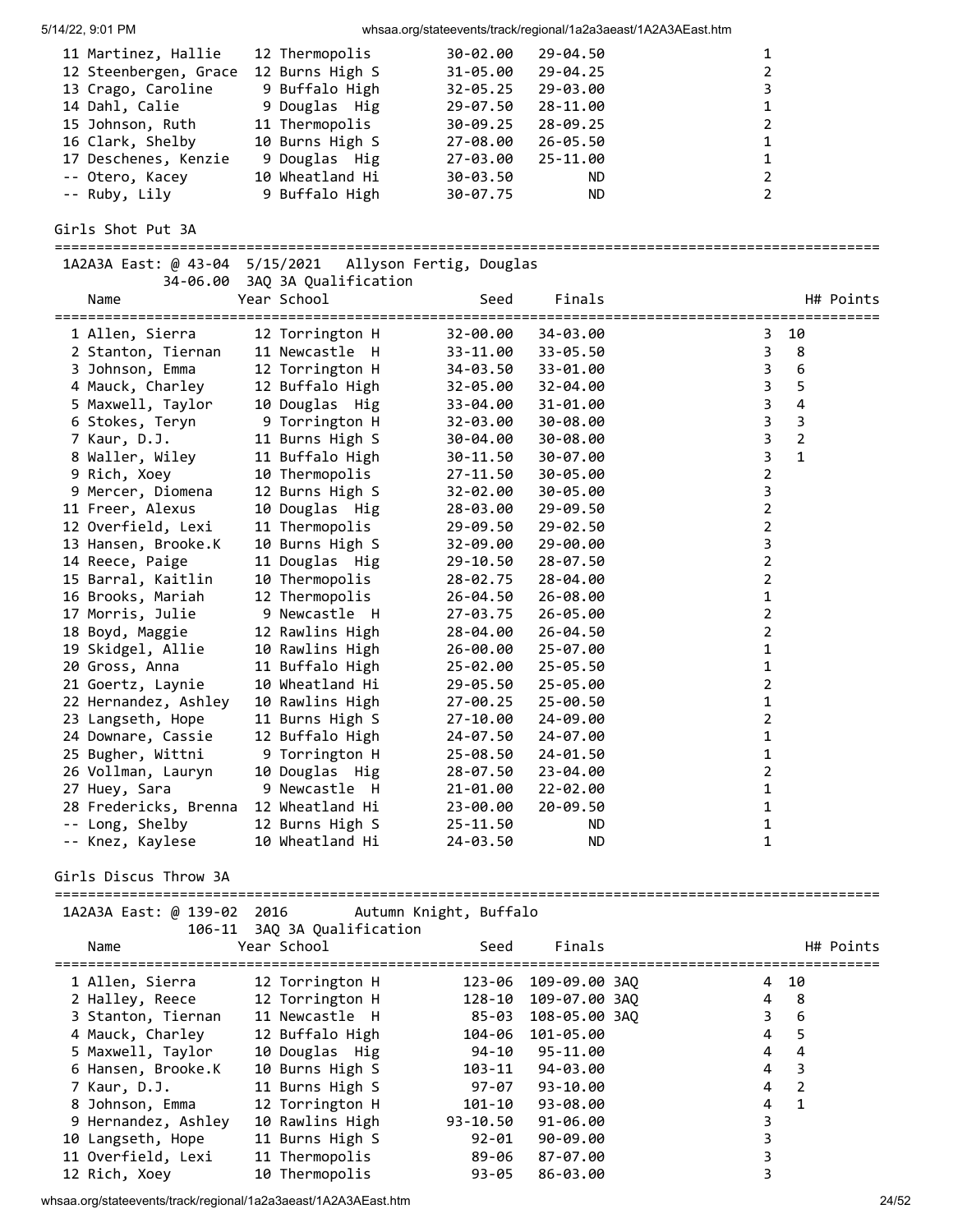| 5/14/22, 9:01 PM                       |                                    |                           | whsaa.org/stateevents/track/regional/1a2a3aeast/1A2A3AEast.htm |                                        |           |
|----------------------------------------|------------------------------------|---------------------------|----------------------------------------------------------------|----------------------------------------|-----------|
| 11 Martinez, Hallie                    | 12 Thermopolis                     | 30-02.00                  | 29-04.50                                                       | 1                                      |           |
| 12 Steenbergen, Grace 12 Burns High S  |                                    | 31-05.00                  | 29-04.25                                                       | $\overline{2}$                         |           |
| 13 Crago, Caroline                     | 9 Buffalo High                     | 32-05.25                  | 29-03.00                                                       | 3                                      |           |
| 14 Dahl, Calie                         | 9 Douglas Hig                      | 29-07.50                  | 28-11.00                                                       | 1                                      |           |
| 15 Johnson, Ruth                       | 11 Thermopolis                     | 30-09.25                  | 28-09.25                                                       | 2                                      |           |
| 16 Clark, Shelby                       | 10 Burns High S                    | 27-08.00                  | $26 - 05.50$                                                   | 1                                      |           |
| 17 Deschenes, Kenzie                   | 9 Douglas Hig                      | 27-03.00                  | 25-11.00                                                       | 1                                      |           |
| -- Otero, Kacey                        | 10 Wheatland Hi                    | 30-03.50                  | ND.                                                            | $\overline{2}$                         |           |
| -- Ruby, Lily                          | 9 Buffalo High                     | 30-07.75                  | <b>ND</b>                                                      | $\overline{2}$                         |           |
| Girls Shot Put 3A                      |                                    |                           |                                                                |                                        |           |
| 1A2A3A East: @ 43-04 5/15/2021         |                                    | Allyson Fertig, Douglas   |                                                                |                                        |           |
| 34-06.00                               | 3AQ 3A Qualification               |                           |                                                                |                                        |           |
| Name                                   | Year School                        | Seed<br>================= | Finals                                                         | ====================================== | H# Points |
| 1 Allen, Sierra                        | 12 Torrington H                    | 32-00.00                  | 34-03.00                                                       | 10<br>3                                |           |
| 2 Stanton, Tiernan                     | 11 Newcastle H                     | 33-11.00                  | 33-05.50                                                       | 3<br>8                                 |           |
| 3 Johnson, Emma                        | 12 Torrington H                    | 34-03.50                  | 33-01.00                                                       | 3<br>6                                 |           |
| 4 Mauck, Charley                       | 12 Buffalo High                    | 32-05.00                  | 32-04.00                                                       | 5<br>3                                 |           |
| 5 Maxwell, Taylor                      | 10 Douglas Hig                     | 33-04.00                  | 31-01.00                                                       | $\overline{\mathbf{4}}$<br>3           |           |
| 6 Stokes, Teryn                        | 9 Torrington H                     | 32-03.00                  | 30-08.00                                                       | $\mathbf{3}$<br>$\overline{3}$         |           |
| 7 Kaur, D.J.                           | 11 Burns High S                    | 30-04.00                  | 30-08.00                                                       | $\overline{2}$<br>$\mathbf{3}$         |           |
| 8 Waller, Wiley                        | 11 Buffalo High                    | 30-11.50                  | 30-07.00                                                       | $\mathbf{3}$<br>$\mathbf{1}$           |           |
| 9 Rich, Xoey                           | 10 Thermopolis                     | 27-11.50                  | 30-05.00                                                       | $\overline{2}$                         |           |
| 9 Mercer, Diomena                      | 12 Burns High S                    | 32-02.00                  | 30-05.00                                                       | 3                                      |           |
| 11 Freer, Alexus                       | 10 Douglas Hig                     | 28-03.00                  | 29-09.50                                                       | $\overline{2}$                         |           |
| 12 Overfield, Lexi                     | 11 Thermopolis                     | 29-09.50                  | 29-02.50                                                       | $\overline{2}$                         |           |
| 13 Hansen, Brooke.K                    | 10 Burns High S                    | 32-09.00                  | 29-00.00                                                       | 3                                      |           |
| 14 Reece, Paige                        | 11 Douglas Hig                     | 29-10.50                  | 28-07.50                                                       | $\overline{2}$                         |           |
| 15 Barral, Kaitlin                     | 10 Thermopolis                     | 28-02.75                  | 28-04.00                                                       | $\overline{2}$                         |           |
| 16 Brooks, Mariah                      | 12 Thermopolis                     | 26-04.50                  | 26-08.00                                                       | $\mathbf{1}$                           |           |
| 17 Morris, Julie                       | 9 Newcastle H                      | 27-03.75                  | 26-05.00                                                       | $\overline{2}$                         |           |
| 18 Boyd, Maggie<br>19 Skidgel, Allie   | 12 Rawlins High<br>10 Rawlins High | 28-04.00<br>26-00.00      | 26-04.50<br>25-07.00                                           | $\overline{2}$<br>1                    |           |
| 20 Gross, Anna                         | 11 Buffalo High                    | 25-02.00                  | $25 - 05.50$                                                   | 1                                      |           |
| 21 Goertz, Laynie                      | 10 Wheatland Hi                    | 29-05.50                  | 25-05.00                                                       | $\overline{2}$                         |           |
| 22 Hernandez, Ashley                   | 10 Rawlins High                    | 27-00.25                  | $25 - 00.50$                                                   | 1                                      |           |
| 23 Langseth, Hope                      | 11 Burns High S                    | 27-10.00                  | 24-09.00                                                       | 2                                      |           |
| 24 Downare, Cassie                     | 12 Buffalo High                    | 24-07.50                  | 24-07.00                                                       | 1                                      |           |
| 25 Bugher, Wittni                      | 9 Torrington H                     | $25 - 08.50$              | 24-01.50                                                       | 1                                      |           |
| 26 Vollman, Lauryn                     | 10 Douglas Hig                     | $28 - 07.50$              | 23-04.00                                                       | 2                                      |           |
| 27 Huey, Sara                          | 9 Newcastle H                      | 21-01.00                  | 22-02.00                                                       | 1                                      |           |
| 28 Fredericks, Brenna                  | 12 Wheatland Hi                    | 23-00.00                  | 20-09.50                                                       | 1                                      |           |
| -- Long, Shelby                        | 12 Burns High S                    | 25-11.50                  | ND.                                                            | 1                                      |           |
| -- Knez, Kaylese                       | 10 Wheatland Hi                    | 24-03.50                  | <b>ND</b>                                                      | 1                                      |           |
| Girls Discus Throw 3A                  |                                    |                           |                                                                |                                        |           |
| 1A2A3A East: @ 139-02 2016             |                                    | Autumn Knight, Buffalo    |                                                                |                                        |           |
|                                        | 106-11 3AQ 3A Qualification        |                           |                                                                |                                        |           |
| Name                                   | Year School                        | Seed                      | Finals                                                         |                                        | H# Points |
|                                        |                                    |                           |                                                                |                                        |           |
| 1 Allen, Sierra                        | 12 Torrington H                    |                           | 123-06 109-09.00 3AQ                                           | 10<br>4                                |           |
| 2 Halley, Reece                        | 12 Torrington H                    | 128-10                    | 109-07.00 3AQ                                                  | 8<br>4<br>$6\phantom{1}6$              |           |
| 3 Stanton, Tiernan<br>4 Mauck, Charley | 11 Newcastle H<br>12 Buffalo High  | 104-06                    | 85-03 108-05.00 3AQ                                            | 3<br>5<br>4                            |           |
| 5 Maxwell, Taylor                      | 10 Douglas Hig                     | 94-10                     | 101-05.00<br>95-11.00                                          | $\overline{\mathbf{4}}$<br>4           |           |
| 6 Hansen, Brooke.K                     | 10 Burns High S                    | 103-11                    | 94-03.00                                                       | $\overline{\mathbf{3}}$<br>4           |           |
| 7 Kaur, D.J.                           | 11 Burns High S                    | $97 - 07$                 | 93-10.00                                                       | $\overline{2}$<br>4                    |           |
| 8 Johnson, Emma                        | 12 Torrington H                    | 101-10                    | 93-08.00                                                       | $\mathbf{1}$<br>4                      |           |
| 9 Hernandez, Ashley                    | 10 Rawlins High                    | 93-10.50                  | 91-06.00                                                       | 3                                      |           |
| 10 Langseth, Hope                      | 11 Burns High S                    | 92-01                     | 90-09.00                                                       | 3                                      |           |
| 11 Overfield, Lexi                     | 11 Thermopolis                     | 89-06                     | 87-07.00                                                       | 3                                      |           |
| 12 Rich, Xoey                          | 10 Thermopolis                     | $93 - 05$                 | 86-03.00                                                       | 3                                      |           |

whsaa.org/stateevents/track/regional/1a2a3aeast/1A2A3AEast.htm 24/52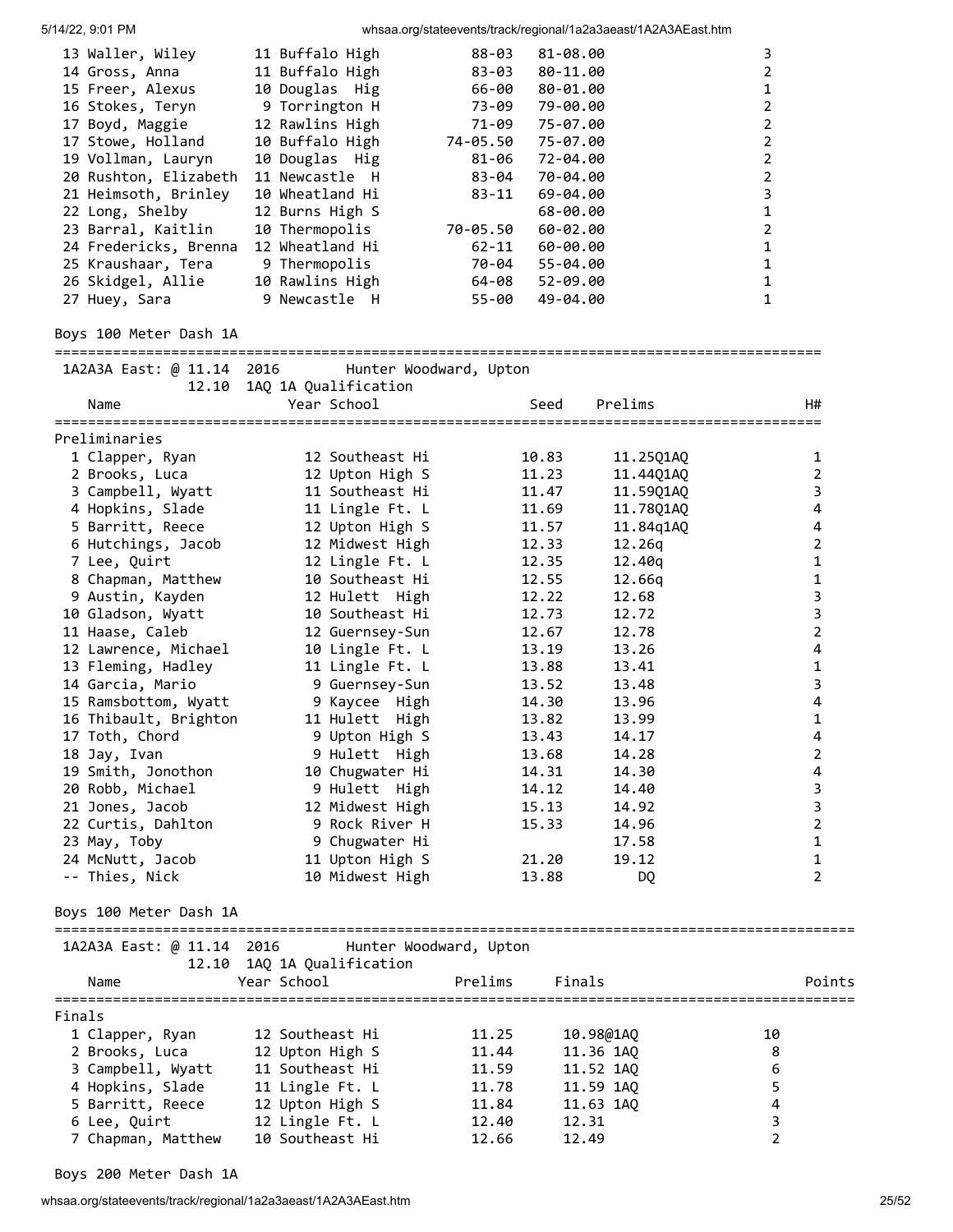| 13 Waller, Wiley<br>14 Gross, Anna<br>15 Freer, Alexus<br>16 Stokes, Teryn<br>17 Boyd, Maggie<br>17 Stowe, Holland<br>19 Vollman, Lauryn<br>20 Rushton, Elizabeth<br>21 Heimsoth, Brinley<br>22 Long, Shelby<br>23 Barral, Kaitlin<br>24 Fredericks, Brenna<br>25 Kraushaar, Tera<br>26 Skidgel, Allie<br>27 Huey, Sara | 11 Buffalo High<br>11 Buffalo High<br>10 Douglas Hig<br>9 Torrington H<br>12 Rawlins High<br>10 Buffalo High<br>10 Douglas Hig<br>11 Newcastle H<br>10 Wheatland Hi<br>12 Burns High S<br>10 Thermopolis<br>12 Wheatland Hi<br>9 Thermopolis<br>10 Rawlins High<br>9 Newcastle H | $88 - 03$<br>83-03<br>66-00<br>73-09<br>71-09<br>74-05.50<br>81-06<br>83-04<br>$83 - 11$<br>70-05.50<br>$62 - 11$<br>70-04<br>64-08<br>55-00 | 81-08.00<br>80-11.00<br>80-01.00<br>79-00.00<br>75-07.00<br>75-07.00<br>72-04.00<br>70-04.00<br>69-04.00<br>68-00.00<br>60-02.00<br>$60 - 00.00$<br>55-04.00<br>52-09.00<br>49-04.00 |                        | 3<br>2<br>1<br>2<br>2<br>2<br>2<br>2<br>3<br>1<br>2<br>$\mathbf 1$<br>$\mathbf 1$<br>$\mathbf{1}$<br>1 |                     |
|-------------------------------------------------------------------------------------------------------------------------------------------------------------------------------------------------------------------------------------------------------------------------------------------------------------------------|----------------------------------------------------------------------------------------------------------------------------------------------------------------------------------------------------------------------------------------------------------------------------------|----------------------------------------------------------------------------------------------------------------------------------------------|--------------------------------------------------------------------------------------------------------------------------------------------------------------------------------------|------------------------|--------------------------------------------------------------------------------------------------------|---------------------|
| Boys 100 Meter Dash 1A                                                                                                                                                                                                                                                                                                  |                                                                                                                                                                                                                                                                                  |                                                                                                                                              |                                                                                                                                                                                      |                        |                                                                                                        |                     |
| 1A2A3A East: @ 11.14 2016<br>Name                                                                                                                                                                                                                                                                                       | Hunter Woodward, Upton<br>12.10 1AQ 1A Qualification<br>Year School                                                                                                                                                                                                              |                                                                                                                                              | Seed                                                                                                                                                                                 | Prelims                |                                                                                                        | H#                  |
|                                                                                                                                                                                                                                                                                                                         |                                                                                                                                                                                                                                                                                  |                                                                                                                                              |                                                                                                                                                                                      |                        |                                                                                                        |                     |
| Preliminaries                                                                                                                                                                                                                                                                                                           |                                                                                                                                                                                                                                                                                  |                                                                                                                                              |                                                                                                                                                                                      |                        |                                                                                                        |                     |
| 1 Clapper, Ryan<br>2 Brooks, Luca                                                                                                                                                                                                                                                                                       | 12 Southeast Hi                                                                                                                                                                                                                                                                  |                                                                                                                                              | 10.83                                                                                                                                                                                | 11.25Q1AQ              |                                                                                                        | 1<br>$\overline{2}$ |
| 3 Campbell, Wyatt                                                                                                                                                                                                                                                                                                       | 12 Upton High S<br>11 Southeast Hi                                                                                                                                                                                                                                               |                                                                                                                                              | 11.23<br>11.47                                                                                                                                                                       | 11.44Q1AQ<br>11.59Q1AQ |                                                                                                        | 3                   |
| 4 Hopkins, Slade                                                                                                                                                                                                                                                                                                        | 11 Lingle Ft. L                                                                                                                                                                                                                                                                  |                                                                                                                                              | 11.69                                                                                                                                                                                | 11.78Q1AQ              |                                                                                                        | $\pmb{4}$           |
| 5 Barritt, Reece                                                                                                                                                                                                                                                                                                        | 12 Upton High S                                                                                                                                                                                                                                                                  |                                                                                                                                              | 11.57                                                                                                                                                                                | 11.84q1AQ              |                                                                                                        | 4                   |
| 6 Hutchings, Jacob                                                                                                                                                                                                                                                                                                      | 12 Midwest High                                                                                                                                                                                                                                                                  |                                                                                                                                              | 12.33                                                                                                                                                                                | 12.26q                 |                                                                                                        | $\overline{2}$      |
| 7 Lee, Quirt                                                                                                                                                                                                                                                                                                            | 12 Lingle Ft. L                                                                                                                                                                                                                                                                  |                                                                                                                                              | 12.35                                                                                                                                                                                | 12.40q                 |                                                                                                        | $\mathbf 1$         |
| 8 Chapman, Matthew                                                                                                                                                                                                                                                                                                      | 10 Southeast Hi                                                                                                                                                                                                                                                                  |                                                                                                                                              | 12.55                                                                                                                                                                                | 12.66q                 |                                                                                                        | $\mathbf 1$         |
| 9 Austin, Kayden                                                                                                                                                                                                                                                                                                        | 12 Hulett High                                                                                                                                                                                                                                                                   |                                                                                                                                              | 12.22                                                                                                                                                                                | 12.68                  |                                                                                                        | 3                   |
| 10 Gladson, Wyatt                                                                                                                                                                                                                                                                                                       | 10 Southeast Hi                                                                                                                                                                                                                                                                  |                                                                                                                                              | 12.73                                                                                                                                                                                | 12.72                  |                                                                                                        | $\mathsf 3$         |
| 11 Haase, Caleb                                                                                                                                                                                                                                                                                                         | 12 Guernsey-Sun                                                                                                                                                                                                                                                                  |                                                                                                                                              | 12.67                                                                                                                                                                                | 12.78                  |                                                                                                        | $\mathbf 2$         |
| 12 Lawrence, Michael                                                                                                                                                                                                                                                                                                    | 10 Lingle Ft. L                                                                                                                                                                                                                                                                  |                                                                                                                                              | 13.19                                                                                                                                                                                | 13.26                  |                                                                                                        | $\pmb{4}$           |
| 13 Fleming, Hadley                                                                                                                                                                                                                                                                                                      | 11 Lingle Ft. L                                                                                                                                                                                                                                                                  |                                                                                                                                              | 13.88                                                                                                                                                                                | 13.41                  |                                                                                                        | $\mathbf{1}$        |
| 14 Garcia, Mario                                                                                                                                                                                                                                                                                                        | 9 Guernsey-Sun                                                                                                                                                                                                                                                                   |                                                                                                                                              | 13.52                                                                                                                                                                                | 13.48                  |                                                                                                        | 3                   |
| 15 Ramsbottom, Wyatt                                                                                                                                                                                                                                                                                                    | 9 Kaycee High                                                                                                                                                                                                                                                                    |                                                                                                                                              | 14.30                                                                                                                                                                                | 13.96                  |                                                                                                        | 4                   |
| 16 Thibault, Brighton                                                                                                                                                                                                                                                                                                   | 11 Hulett High                                                                                                                                                                                                                                                                   |                                                                                                                                              | 13.82                                                                                                                                                                                | 13.99                  |                                                                                                        | 1                   |
|                                                                                                                                                                                                                                                                                                                         |                                                                                                                                                                                                                                                                                  |                                                                                                                                              | 13.43                                                                                                                                                                                |                        |                                                                                                        | 4                   |
| 17 Toth, Chord                                                                                                                                                                                                                                                                                                          | 9 Upton High S<br>9 Hulett High                                                                                                                                                                                                                                                  |                                                                                                                                              | 13.68                                                                                                                                                                                | 14.17                  |                                                                                                        | 2                   |
| 18 Jay, Ivan<br>19 Smith, Jonothon                                                                                                                                                                                                                                                                                      | 10 Chugwater Hi                                                                                                                                                                                                                                                                  |                                                                                                                                              | 14.31                                                                                                                                                                                | 14.28<br>14.30         |                                                                                                        | 4                   |
|                                                                                                                                                                                                                                                                                                                         | 9 Hulett High                                                                                                                                                                                                                                                                    |                                                                                                                                              | 14.12                                                                                                                                                                                | 14.40                  |                                                                                                        | 3                   |
| 20 Robb, Michael                                                                                                                                                                                                                                                                                                        | 12 Midwest High                                                                                                                                                                                                                                                                  |                                                                                                                                              |                                                                                                                                                                                      | 14.92                  |                                                                                                        | 3                   |
| 21 Jones, Jacob                                                                                                                                                                                                                                                                                                         | 9 Rock River H                                                                                                                                                                                                                                                                   |                                                                                                                                              | 15.13<br>15.33                                                                                                                                                                       | 14.96                  |                                                                                                        | $\overline{2}$      |
| 22 Curtis, Dahlton                                                                                                                                                                                                                                                                                                      |                                                                                                                                                                                                                                                                                  |                                                                                                                                              |                                                                                                                                                                                      |                        |                                                                                                        | $\mathbf{1}$        |
| 23 May, Toby<br>24 McNutt, Jacob                                                                                                                                                                                                                                                                                        | 9 Chugwater Hi<br>11 Upton High S                                                                                                                                                                                                                                                |                                                                                                                                              | 21.20                                                                                                                                                                                | 17.58<br>19.12         |                                                                                                        | 1                   |
| -- Thies, Nick                                                                                                                                                                                                                                                                                                          | 10 Midwest High                                                                                                                                                                                                                                                                  |                                                                                                                                              | 13.88                                                                                                                                                                                | DQ                     |                                                                                                        | 2                   |
| Boys 100 Meter Dash 1A                                                                                                                                                                                                                                                                                                  |                                                                                                                                                                                                                                                                                  |                                                                                                                                              |                                                                                                                                                                                      |                        |                                                                                                        |                     |
|                                                                                                                                                                                                                                                                                                                         | 1A2A3A East: @ 11.14 2016 Hunter Woodward, Upton                                                                                                                                                                                                                                 |                                                                                                                                              |                                                                                                                                                                                      |                        |                                                                                                        |                     |
| Name                                                                                                                                                                                                                                                                                                                    | 12.10 1AQ 1A Qualification<br>Year School                                                                                                                                                                                                                                        | Prelims                                                                                                                                      | Finals                                                                                                                                                                               |                        |                                                                                                        | Points              |
|                                                                                                                                                                                                                                                                                                                         |                                                                                                                                                                                                                                                                                  |                                                                                                                                              |                                                                                                                                                                                      |                        |                                                                                                        |                     |
| Finals                                                                                                                                                                                                                                                                                                                  |                                                                                                                                                                                                                                                                                  |                                                                                                                                              |                                                                                                                                                                                      |                        |                                                                                                        |                     |
| 1 Clapper, Ryan                                                                                                                                                                                                                                                                                                         | 12 Southeast Hi                                                                                                                                                                                                                                                                  | 11.25                                                                                                                                        | 10.98@1AQ                                                                                                                                                                            |                        | 10                                                                                                     |                     |
| 2 Brooks, Luca                                                                                                                                                                                                                                                                                                          | 12 Upton High S<br>11 Southeast Hi                                                                                                                                                                                                                                               | 11.44<br>11.59                                                                                                                               | 11.36 1AQ                                                                                                                                                                            |                        | 8<br>6                                                                                                 |                     |
| 3 Campbell, Wyatt                                                                                                                                                                                                                                                                                                       |                                                                                                                                                                                                                                                                                  | 11.78                                                                                                                                        | 11.52 1AQ                                                                                                                                                                            |                        | 5                                                                                                      |                     |
| 4 Hopkins, Slade                                                                                                                                                                                                                                                                                                        | 11 Lingle Ft. L                                                                                                                                                                                                                                                                  |                                                                                                                                              | 11.59 1AQ                                                                                                                                                                            |                        | 4                                                                                                      |                     |
| 5 Barritt, Reece<br>6 Lee, Quirt                                                                                                                                                                                                                                                                                        | 12 Upton High S                                                                                                                                                                                                                                                                  | 11.84<br>12.40                                                                                                                               | 11.63 1AQ<br>12.31                                                                                                                                                                   |                        |                                                                                                        |                     |
| 7 Chapman, Matthew                                                                                                                                                                                                                                                                                                      | 12 Lingle Ft. L<br>10 Southeast Hi                                                                                                                                                                                                                                               | 12.66                                                                                                                                        | 12.49                                                                                                                                                                                |                        | 3<br>$\overline{2}$                                                                                    |                     |
|                                                                                                                                                                                                                                                                                                                         |                                                                                                                                                                                                                                                                                  |                                                                                                                                              |                                                                                                                                                                                      |                        |                                                                                                        |                     |

Boys 200 Meter Dash 1A

whsaa.org/stateevents/track/regional/1a2a3aeast/1A2A3AEast.htm 25/52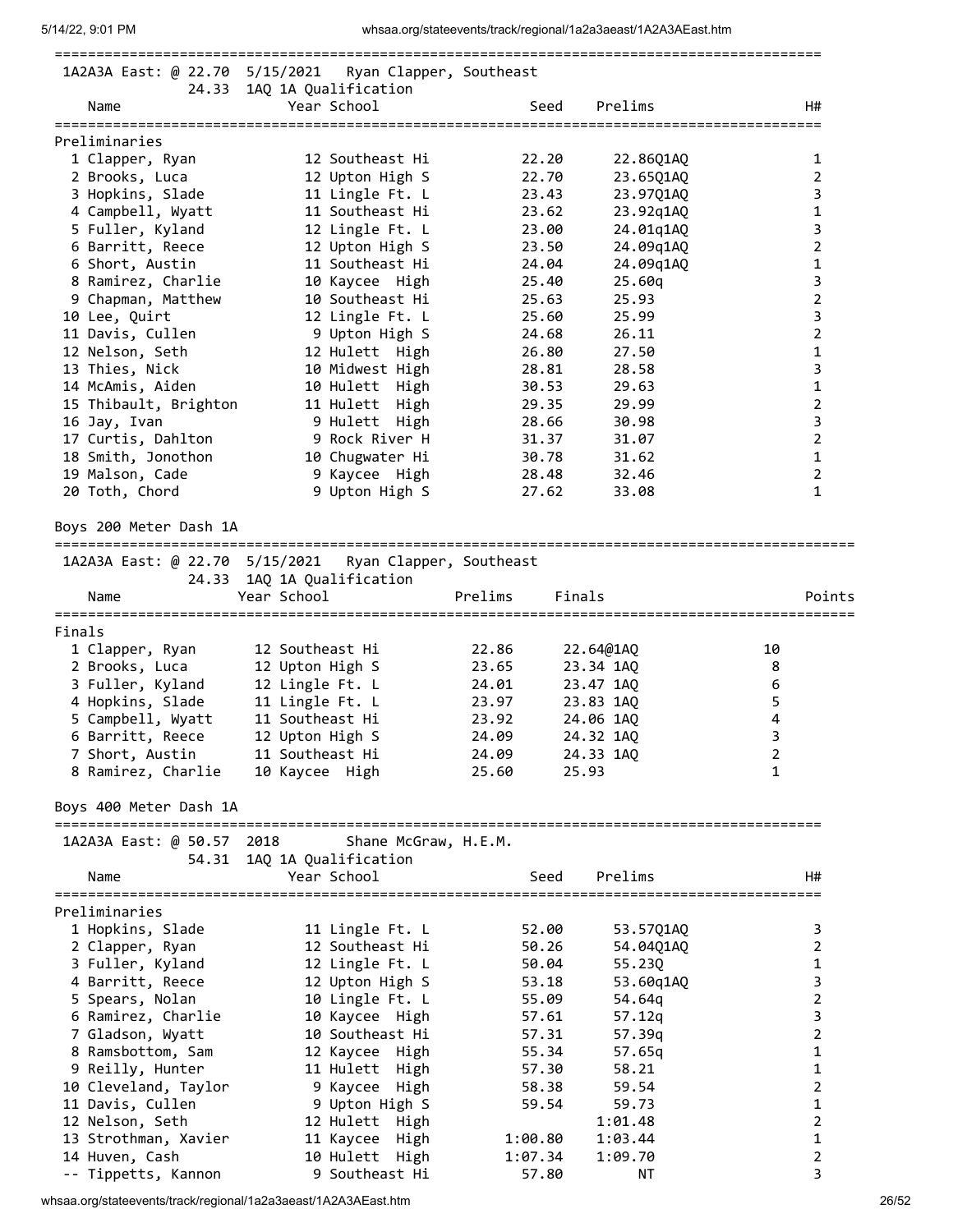| 5/14/22, 9:01 PM               |                                                        | whsaa.org/stateevents/track/regional/1a2a3aeast/1A2A3AEast.htm |                |
|--------------------------------|--------------------------------------------------------|----------------------------------------------------------------|----------------|
|                                | 1A2A3A East: @ 22.70 5/15/2021 Ryan Clapper, Southeast |                                                                |                |
|                                | 24.33 1AQ 1A Qualification                             |                                                                |                |
| Name                           | Year School                                            | Prelims<br>Seed                                                | H#             |
| Preliminaries                  |                                                        |                                                                |                |
| 1 Clapper, Ryan                | 12 Southeast Hi                                        | 22.20<br>22.86Q1AQ                                             | 1              |
| 2 Brooks, Luca                 | 12 Upton High S                                        | 22.70<br>23.65Q1AQ                                             | $\overline{2}$ |
| 3 Hopkins, Slade               | 11 Lingle Ft. L                                        | 23.43<br>23.97Q1AQ                                             | 3              |
| 4 Campbell, Wyatt              | 11 Southeast Hi                                        | 23.62<br>23.92q1AQ                                             | $\mathbf 1$    |
| 5 Fuller, Kyland               | 12 Lingle Ft. L                                        | 23.00<br>24.01q1AQ                                             | 3              |
| 6 Barritt, Reece               | 12 Upton High S                                        | 23.50<br>24.09q1AQ                                             | 2              |
| 6 Short, Austin                | 11 Southeast Hi                                        | 24.04<br>24.09q1AQ                                             | $\mathbf 1$    |
| 8 Ramirez, Charlie             | 10 Kaycee High                                         | 25.40<br>25.60g                                                | 3              |
| 9 Chapman, Matthew             | 10 Southeast Hi                                        | 25.63<br>25.93                                                 | $\mathbf 2$    |
| 10 Lee, Quirt                  | 12 Lingle Ft. L                                        | 25.60<br>25.99                                                 | 3              |
| 11 Davis, Cullen               | 9 Upton High S                                         | 24.68<br>26.11                                                 | $\overline{2}$ |
| 12 Nelson, Seth                | 12 Hulett High                                         | 26.80<br>27.50                                                 | $\mathbf{1}$   |
| 13 Thies, Nick                 | 10 Midwest High                                        | 28.58<br>28.81                                                 | 3              |
| 14 McAmis, Aiden               | 10 Hulett High                                         | 30.53<br>29.63                                                 | $\mathbf{1}$   |
| 15 Thibault, Brighton          | 11 Hulett High                                         | 29.35<br>29.99                                                 | $\overline{2}$ |
| 16 Jay, Ivan                   | 9 Hulett High                                          | 28.66<br>30.98                                                 | 3              |
| 17 Curtis, Dahlton             | 9 Rock River H                                         | 31.37<br>31.07                                                 | $\mathbf 2$    |
| 18 Smith, Jonothon             | 10 Chugwater Hi                                        | 30.78<br>31.62                                                 | $\mathbf{1}$   |
| 19 Malson, Cade                | 9 Kaycee High                                          | 28.48<br>32.46                                                 | $\overline{2}$ |
| 20 Toth, Chord                 | 9 Upton High S                                         | 27.62<br>33.08                                                 | 1              |
| Boys 200 Meter Dash 1A         |                                                        |                                                                |                |
| 1A2A3A East: @ 22.70 5/15/2021 | Ryan Clapper, Southeast                                |                                                                |                |
|                                | 24.33 1AQ 1A Qualification                             |                                                                |                |
| Name                           | Year School                                            | Prelims<br>Finals                                              | Points         |
| Finals                         |                                                        |                                                                |                |
| 1 Clapper, Ryan                | 12 Southeast Hi                                        | 22.86<br>22.64@1AQ                                             | 10             |
| 2 Brooks, Luca                 | 12 Upton High S                                        | 23.65<br>23.34 1AQ                                             | 8              |
| 3 Fuller, Kyland               | 12 Lingle Ft. L                                        | 24.01<br>23.47 1AQ                                             | 6              |
| 4 Hopkins, Slade               | 11 Lingle Ft. L                                        | 23.97<br>23.83 1AQ                                             | 5              |
| 5 Campbell, Wyatt              | 11 Southeast Hi                                        | 23.92<br>24.06 1AO                                             | 4              |
| 6 Barritt, Reece               | 12 Upton High S                                        | 24.09<br>24.32 1AQ                                             | 3              |
| 7 Short, Austin                | 11 Southeast Hi                                        | 24.09<br>24.33 1AQ                                             | $\overline{2}$ |
| 8 Ramirez, Charlie             | 10 Kaycee High                                         | 25.60<br>25.93                                                 | $\mathbf{1}$   |
| Boys 400 Meter Dash 1A         |                                                        |                                                                |                |
| 1A2A3A East: @ 50.57 2018      | Shane McGraw, H.E.M.                                   |                                                                |                |
| 54.31                          | 1AQ 1A Qualification                                   |                                                                |                |
| Name                           | Year School                                            | Seed<br>Prelims                                                | H#             |
| Preliminaries                  |                                                        |                                                                |                |
| 1 Hopkins, Slade               | 11 Lingle Ft. L                                        | 52.00<br>53.57Q1AQ                                             | 3              |
| 2 Clapper, Ryan                | 12 Southeast Hi                                        | 50.26<br>54.04Q1AQ                                             | 2              |
| 3 Fuller, Kyland               | 12 Lingle Ft. L                                        | 50.04<br>55.23Q                                                | 1              |
| 4 Barritt, Reece               | 12 Upton High S                                        | 53.18<br>53.60q1AQ                                             | 3              |
| 5 Spears, Nolan                | 10 Lingle Ft. L                                        | 55.09<br>54.64q                                                | $\overline{2}$ |
| 6 Ramirez, Charlie             | 10 Kaycee High                                         | 57.61<br>57.12q                                                | 3              |
| 7 Gladson, Wyatt               | 10 Southeast Hi                                        | 57.31<br>57.39q                                                | $\overline{2}$ |
| 8 Ramsbottom, Sam              | 12 Kaycee High                                         | 55.34<br>57.65q                                                | $\mathbf{1}$   |
| 9 Reilly, Hunter               | 11 Hulett High                                         | 57.30<br>58.21                                                 | $\mathbf{1}$   |
| 10 Cleveland, Taylor           | 9 Kaycee High                                          | 58.38<br>59.54                                                 | $\overline{2}$ |
| 11 Davis, Cullen               | 9 Upton High S                                         | 59.73<br>59.54                                                 | 1              |
| 12 Nelson, Seth                | 12 Hulett High                                         | 1:01.48                                                        | $\overline{2}$ |
| 13 Strothman, Xavier           | 11 Kaycee High                                         | 1:00.80<br>1:03.44                                             | 1              |
| 14 Huven, Cash                 | 10 Hulett High                                         | 1:07.34<br>1:09.70                                             | 2              |
| -- Tippetts, Kannon            | 9 Southeast Hi                                         | ΝT<br>57.80                                                    | 3              |
|                                |                                                        |                                                                |                |

whsaa.org/stateevents/track/regional/1a2a3aeast/1A2A3AEast.htm 26/52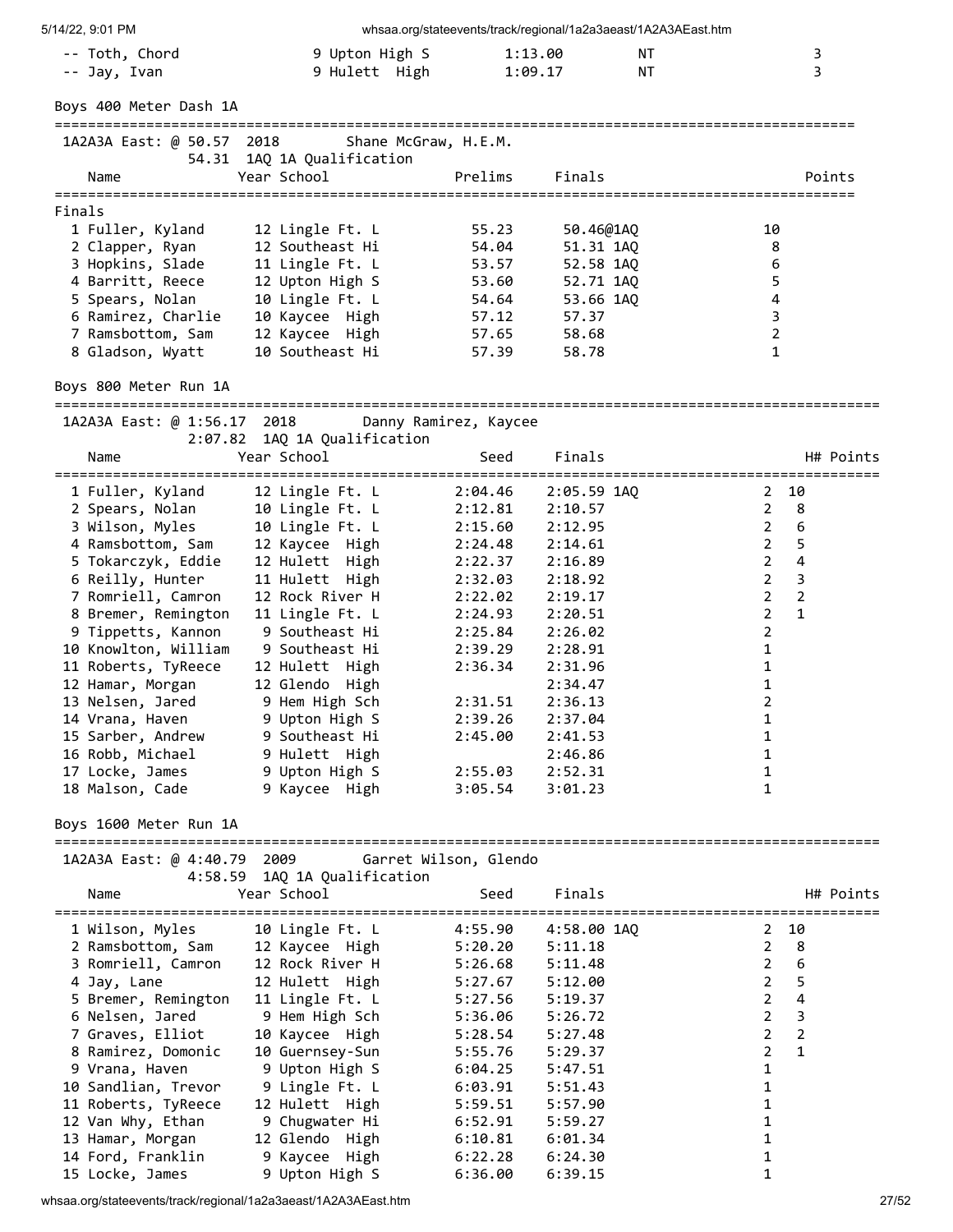| 5/14/22, 9:01 PM                         |                                          |                       | whsaa.org/stateevents/track/regional/1a2a3aeast/1A2A3AEast.htm |                                                                    |
|------------------------------------------|------------------------------------------|-----------------------|----------------------------------------------------------------|--------------------------------------------------------------------|
| -- Toth, Chord                           | 9 Upton High S                           |                       | ΝT<br>1:13.00                                                  | 3                                                                  |
| -- Jay, Ivan                             | 9 Hulett High                            |                       | 1:09.17<br>ΝT                                                  | 3                                                                  |
| Boys 400 Meter Dash 1A                   |                                          |                       |                                                                |                                                                    |
|                                          |                                          |                       |                                                                |                                                                    |
| 1A2A3A East: @ 50.57 2018                |                                          | Shane McGraw, H.E.M.  |                                                                |                                                                    |
|                                          | 54.31 1AQ 1A Qualification               |                       |                                                                |                                                                    |
| Name                                     | Year School                              | Prelims               | Finals                                                         | Points                                                             |
| Finals                                   |                                          |                       |                                                                |                                                                    |
| 1 Fuller, Kyland                         | 12 Lingle Ft. L                          | 55.23                 | 50.46@1AQ                                                      | 10                                                                 |
| 2 Clapper, Ryan                          | 12 Southeast Hi                          | 54.04                 | 51.31 1AQ                                                      | 8                                                                  |
| 3 Hopkins, Slade                         | 11 Lingle Ft. L                          | 53.57                 | 52.58 1AQ                                                      | 6                                                                  |
| 4 Barritt, Reece                         | 12 Upton High S                          | 53.60                 | 52.71 1AQ                                                      | 5                                                                  |
| 5 Spears, Nolan<br>6 Ramirez, Charlie    | 10 Lingle Ft. L<br>10 Kaycee High        | 54.64<br>57.12        | 53.66 1AQ<br>57.37                                             | 4<br>$\overline{3}$                                                |
| 7 Ramsbottom, Sam                        | 12 Kaycee High                           | 57.65                 | 58.68                                                          | $\overline{2}$                                                     |
| 8 Gladson, Wyatt                         | 10 Southeast Hi                          | 57.39                 | 58.78                                                          | $\mathbf{1}$                                                       |
|                                          |                                          |                       |                                                                |                                                                    |
| Boys 800 Meter Run 1A                    |                                          |                       |                                                                |                                                                    |
| 1A2A3A East: @ 1:56.17 2018              |                                          | Danny Ramirez, Kaycee |                                                                |                                                                    |
|                                          | 2:07.82 1AQ 1A Qualification             |                       |                                                                |                                                                    |
| Name                                     | Year School                              | Seed                  | Finals                                                         | H# Points                                                          |
| 1 Fuller, Kyland                         | 12 Lingle Ft. L                          | 2:04.46               | 2:05.59 1AQ                                                    | 2 10                                                               |
| 2 Spears, Nolan                          | 10 Lingle Ft. L                          | $2:12.81$ $2:10.57$   |                                                                | $2^{\circ}$<br>8                                                   |
| 3 Wilson, Myles                          | 10 Lingle Ft. L                          | 2:15.60               | 2:12.95                                                        | 6<br>$2^{\circ}$                                                   |
| 4 Ramsbottom, Sam                        | 12 Kaycee High                           | 2:24.48               | 2:14.61                                                        | $2^{\circ}$<br>5                                                   |
| 5 Tokarczyk, Eddie                       | 12 Hulett High                           | 2:22.37               | 2:16.89                                                        | $\overline{2}$<br>4                                                |
| 6 Reilly, Hunter<br>7 Romriell, Camron   | 11 Hulett High<br>12 Rock River H        | 2:32.03<br>2:22.02    | 2:18.92<br>2:19.17                                             | $2^{\circ}$<br>3<br>$\mathbf 2$<br>$\overline{2}$                  |
| 8 Bremer, Remington                      | 11 Lingle Ft. L                          | 2:24.93               | 2:20.51                                                        | $\overline{2}$<br>$\mathbf{1}$                                     |
| 9 Tippetts, Kannon                       | 9 Southeast Hi                           | 2:25.84               | 2:26.02                                                        | $\overline{2}$                                                     |
| 10 Knowlton, William                     | 9 Southeast Hi                           | 2:39.29               | 2:28.91                                                        | $\mathbf{1}$                                                       |
| 11 Roberts, TyReece                      | 12 Hulett High                           | 2:36.34               | 2:31.96                                                        | 1                                                                  |
| 12 Hamar, Morgan                         | 12 Glendo High                           |                       | 2:34.47                                                        | 1                                                                  |
| 13 Nelsen, Jared                         | 9 Hem High Sch                           | 2:31.51               | 2:36.13                                                        | $\overline{2}$                                                     |
| 14 Vrana, Haven                          | 9 Upton High S                           | 2:39.26               | 2:37.04                                                        | $\mathbf{1}$                                                       |
| 15 Sarber, Andrew<br>16 Robb, Michael    | 9 Southeast Hi<br>9 Hulett High          | 2:45.00               | 2:41.53<br>2:46.86                                             | 1<br>1                                                             |
| 17 Locke, James                          | 9 Upton High S                           | 2:55.03               | 2:52.31                                                        | 1                                                                  |
| 18 Malson, Cade                          | 9 Kaycee High                            | 3:05.54               | 3:01.23                                                        | 1                                                                  |
|                                          |                                          |                       |                                                                |                                                                    |
| Boys 1600 Meter Run 1A                   |                                          |                       |                                                                |                                                                    |
| 1A2A3A East: @ 4:40.79 2009              |                                          | Garret Wilson, Glendo |                                                                |                                                                    |
|                                          | 4:58.59 1AQ 1A Qualification             |                       |                                                                |                                                                    |
| Name                                     | Year School                              | Seed                  | Finals                                                         | H# Points                                                          |
| =====================<br>1 Wilson, Myles | =====================<br>10 Lingle Ft. L | 4:55.90               | 4:58.00 1AQ                                                    | ---------------------------------<br>10<br>$2 \overline{ }$        |
| 2 Ramsbottom, Sam                        | 12 Kaycee High                           | 5:20.20               | 5:11.18                                                        | 8<br>$\overline{2}$                                                |
| 3 Romriell, Camron                       | 12 Rock River H                          | 5:26.68               | 5:11.48                                                        | $\overline{2}$<br>6                                                |
| 4 Jay, Lane                              | 12 Hulett High                           | 5:27.67               | 5:12.00                                                        | $\overline{2}$<br>5                                                |
| 5 Bremer, Remington                      | 11 Lingle Ft. L                          | 5:27.56               | 5:19.37                                                        | 4<br>$\overline{2}$                                                |
| 6 Nelsen, Jared                          | 9 Hem High Sch                           | 5:36.06               | 5:26.72                                                        | 3<br>$\overline{2}$                                                |
| 7 Graves, Elliot                         | 10 Kaycee High                           | 5:28.54               | 5:27.48                                                        | $\overline{2}$<br>$\overline{2}$<br>$\mathbf{1}$<br>$\overline{2}$ |
| 8 Ramirez, Domonic<br>9 Vrana, Haven     | 10 Guernsey-Sun<br>9 Upton High S        | 5:55.76<br>6:04.25    | 5:29.37<br>5:47.51                                             | $\mathbf{1}$                                                       |
| 10 Sandlian, Trevor                      | 9 Lingle Ft. L                           | 6:03.91               | 5:51.43                                                        | 1                                                                  |
| 11 Roberts, TyReece                      | 12 Hulett High                           | 5:59.51               | 5:57.90                                                        | 1                                                                  |
| 12 Van Why, Ethan                        | 9 Chugwater Hi                           | 6:52.91               | 5:59.27                                                        | 1                                                                  |
| 13 Hamar, Morgan                         | 12 Glendo High                           | 6:10.81               | 6:01.34                                                        | 1                                                                  |
| 14 Ford, Franklin                        | 9 Kaycee High                            | 6:22.28               | 6:24.30                                                        | 1                                                                  |
| 15 Locke, James                          | 9 Upton High S                           | 6:36.00               | 6:39.15                                                        | 1                                                                  |

whsaa.org/stateevents/track/regional/1a2a3aeast/1A2A3AEast.htm 27/52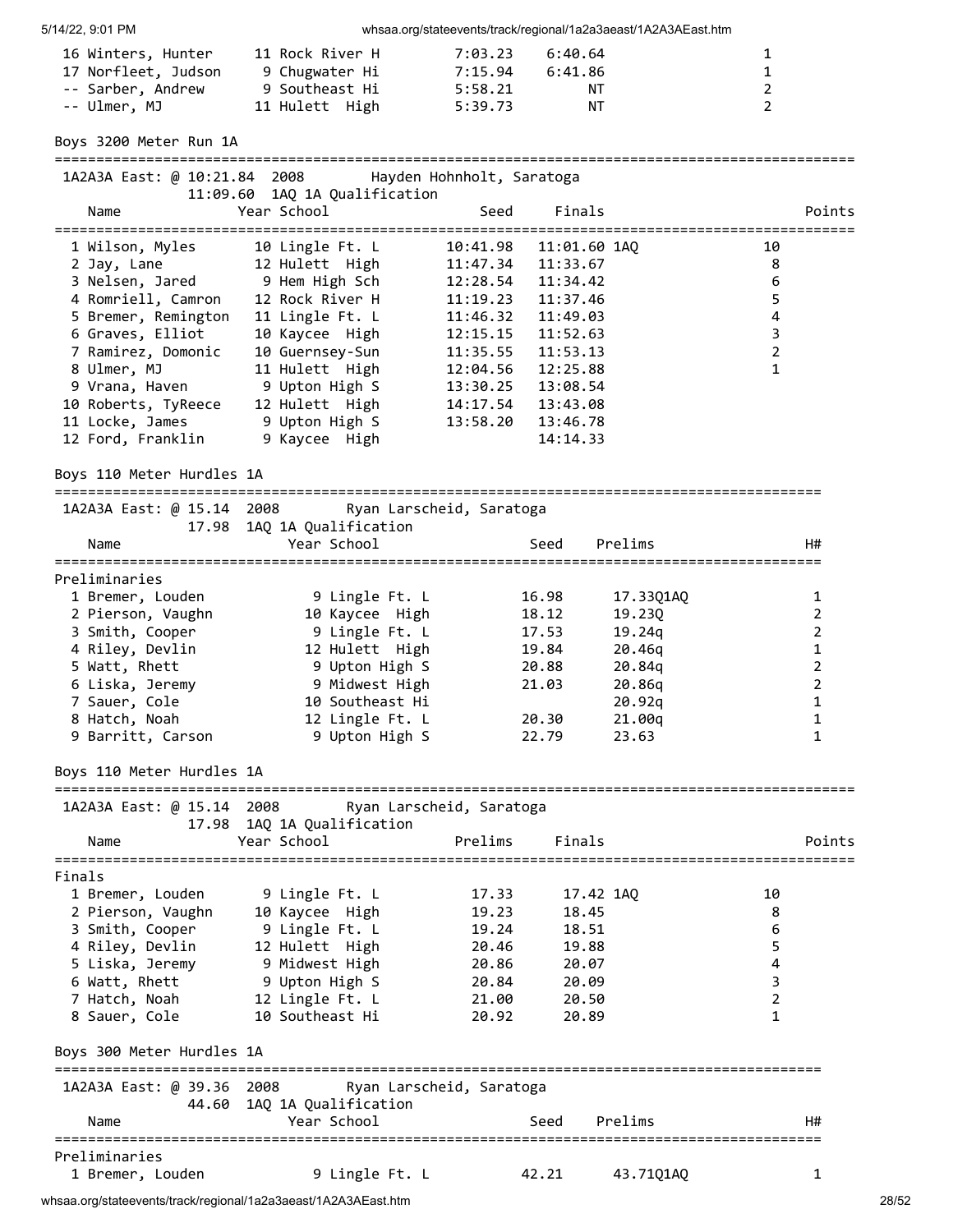| 16 Winters, Hunter  | 11 Rock River H | 7:03.23<br>6:40.64 | $\mathbf{1}$ |
|---------------------|-----------------|--------------------|--------------|
| 17 Norfleet, Judson | 9 Chugwater Hi  | 7:15.94<br>6:41.86 | $\mathbf{1}$ |
| -- Sarber, Andrew   | 9 Southeast Hi  | 5:58.21<br>NT.     | 2            |
| -- Ulmer, MJ        | 11 Hulett High  | 5:39.73<br>NT      | 2            |

Boys 3200 Meter Run 1A

| 1 Q<br>QЛ<br>m<br>. | ∙aas |  |
|---------------------|------|--|

| INZAJA LAST. W 10.21.04 ZOOO ATTANUSH HOHHHOIT, JAFATOKA |                                              |                |          |                           |                |        |
|----------------------------------------------------------|----------------------------------------------|----------------|----------|---------------------------|----------------|--------|
| Name                                                     | 11:09.60 1AO 1A Oualification<br>Year School |                | Seed     | Finals                    |                | Points |
|                                                          |                                              | ============== |          |                           |                |        |
| 1 Wilson, Myles                                          | 10 Lingle Ft. L                              |                |          | 10:41.98   11:01.60   1AO | 10             |        |
| 2 Jay, Lane                                              | 12 Hulett High                               |                | 11:47.34 | 11:33.67                  | 8              |        |
| 3 Nelsen, Jared                                          | 9 Hem High Sch                               |                | 12:28.54 | 11:34.42                  | 6              |        |
| 4 Romriell, Camron                                       | 12 Rock River H                              |                | 11:19.23 | 11:37.46                  | 5              |        |
| 5 Bremer, Remington                                      | 11 Lingle Ft. L                              |                | 11:46.32 | 11:49.03                  | 4              |        |
| 6 Graves, Elliot                                         | 10 Kaycee High                               |                | 12:15.15 | 11:52.63                  | 3              |        |
| 7 Ramirez, Domonic                                       | 10 Guernsey-Sun                              |                | 11:35.55 | 11:53.13                  | $\overline{2}$ |        |
| 8 Ulmer, MJ                                              | 11 Hulett High                               |                | 12:04.56 | 12:25.88                  |                |        |
| 9 Vrana, Haven                                           | 9 Upton High S                               |                | 13:30.25 | 13:08.54                  |                |        |
| 10 Roberts, TyReece                                      | 12 Hulett High                               |                | 14:17.54 | 13:43.08                  |                |        |
| 11 Locke, James                                          | 9 Upton High S                               |                | 13:58.20 | 13:46.78                  |                |        |
| 12 Ford, Franklin                                        | 9 Kaycee High                                |                |          | 14:14.33                  |                |        |
|                                                          |                                              |                |          |                           |                |        |

Boys 110 Meter Hurdles 1A

============================================================================================ 1A2A3A East: @ 15.14 2008 Ryan Larscheid, Saratoga

| IRZAJA LAST. W IJ.IT ZOOO | Kyan Larscheld, Saratoga   |       |           |    |
|---------------------------|----------------------------|-------|-----------|----|
|                           | 17.98 1AO 1A Oualification |       |           |    |
| Name                      | Year School                | Seed  | Prelims   | H# |
| Preliminaries             |                            |       |           |    |
| 1 Bremer, Louden          | 9 Lingle Ft. L             | 16.98 | 17.3301AO |    |
| 2 Pierson, Vaughn         | 10 Kaycee High             | 18.12 | 19,230    |    |
| 3 Smith, Cooper           | 9 Lingle Ft. L             | 17.53 | 19.24a    |    |
| 4 Riley, Devlin           | 12 Hulett High             | 19.84 | 20.46g    |    |
| 5 Watt, Rhett             | 9 Upton High S             | 20.88 | 20.84g    |    |
| 6 Liska, Jeremy           | 9 Midwest High             | 21.03 | 20.86g    |    |
| 7 Sauer, Cole             | 10 Southeast Hi            |       | 20.92g    |    |
| 8 Hatch, Noah             | 12 Lingle Ft. L            | 20.30 | 21.00g    |    |
| 9 Barritt, Carson         | 9 Upton High S             | 22.79 | 23.63     |    |
|                           |                            |       |           |    |

Boys 110 Meter Hurdles 1A

================================================================================================ 1A2A3A East: @ 15.14 2008 Ryan Larscheid, Saratoga 17.98 1AQ 1A Qualification Name Year School Prelims Finals Points ================================================================================================

| Finals                    |                                                    |       |           |    |
|---------------------------|----------------------------------------------------|-------|-----------|----|
| 1 Bremer, Louden          | 9 Lingle Ft. L                                     | 17.33 | 17.42 1AQ | 10 |
| 2 Pierson, Vaughn         | 10 Kaycee High                                     | 19.23 | 18.45     | 8  |
| 3 Smith, Cooper           | 9 Lingle Ft. L                                     | 19.24 | 18.51     | 6  |
| 4 Riley, Devlin           | 12 Hulett High                                     | 20.46 | 19.88     | 5  |
| 5 Liska, Jeremy           | 9 Midwest High                                     | 20.86 | 20.07     | 4  |
| 6 Watt, Rhett             | 9 Upton High S                                     | 20.84 | 20.09     | 3  |
| 7 Hatch, Noah             | 12 Lingle Ft. L                                    | 21.00 | 20.50     | 2  |
| 8 Sauer, Cole             | 10 Southeast Hi                                    | 20.92 | 20.89     | 1  |
| Boys 300 Meter Hurdles 1A |                                                    |       |           |    |
|                           | 1A2A3A East: @ 39.36 2008 Ryan Larscheid, Saratoga |       |           |    |
|                           | 44.60 1AQ 1A Qualification                         |       |           |    |
| Name                      | Year School                                        | Seed  | Prelims   | H# |
| Preliminaries             |                                                    |       |           |    |
| 1 Bremer, Louden          | 9 Lingle Ft. L                                     | 42.21 | 43.7101A0 |    |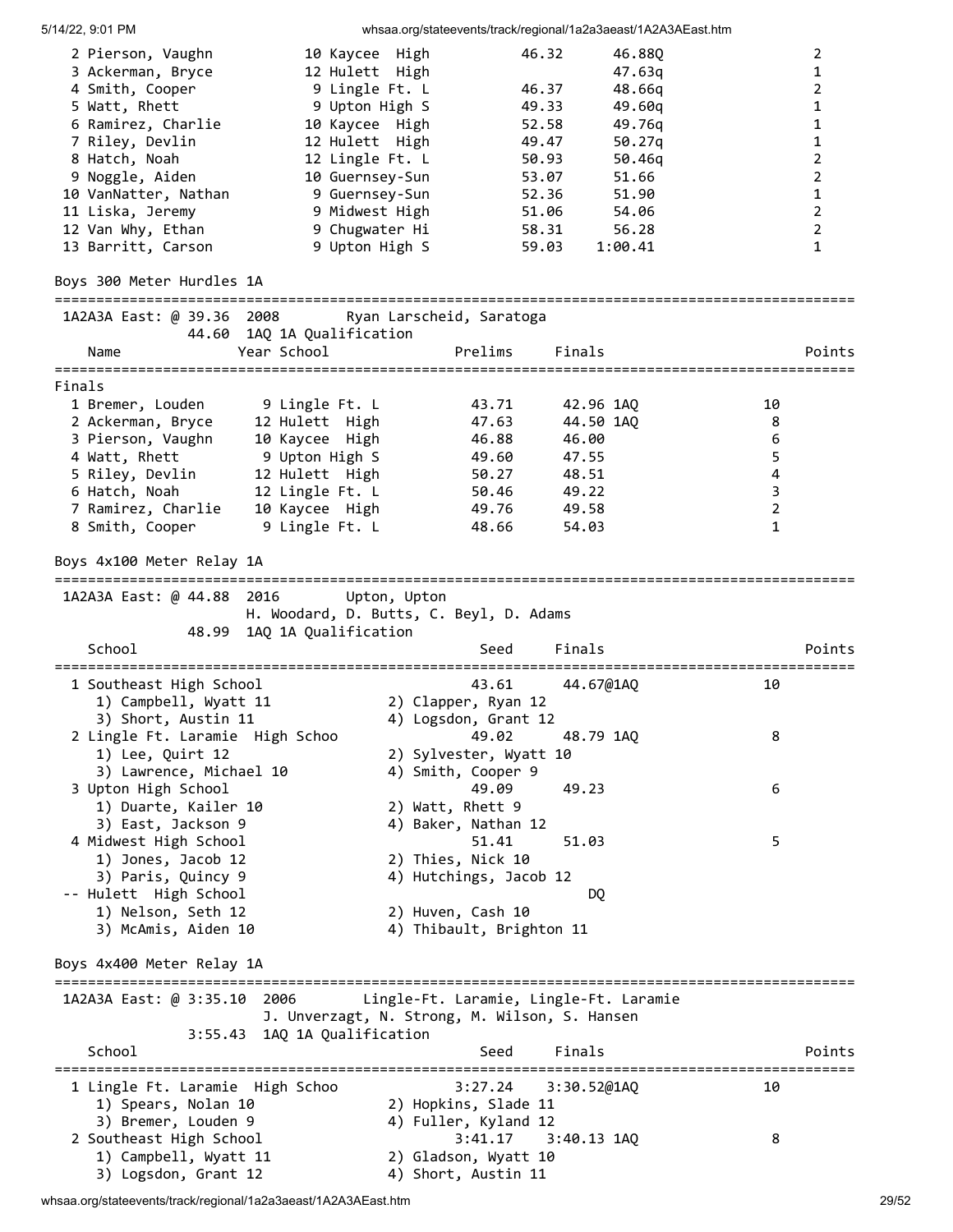5/14/22, 9:01 PM whsaa.org/stateevents/track/regional/1a2a3aeast/1A2A3AEast.htm 2 Pierson, Vaughn 10 Kaycee High 46.32 46.88Q 2 3 Ackerman, Bryce 12 Hulett High 47.63q 1 4 Smith, Cooper 9 Lingle Ft. L 46.37 48.66q 2 5 Watt, Rhett 9 Upton High S 49.33 49.60q 1 6 Ramirez, Charlie 10 Kaycee High 52.58 49.76q 1 7 Riley, Devlin 12 Hulett High 49.47 50.27q 1 8 Hatch, Noah 12 Lingle Ft. L 50.93 50.46q 2 9 Noggle, Aiden 10 Guernsey-Sun 53.07 51.66 2 10 VanNatter, Nathan 9 Guernsey-Sun 52.36 51.90 1 11 Liska, Jeremy 9 Midwest High 51.06 54.06 2 12 Van Why, Ethan 9 Chugwater Hi 58.31 56.28 2 13 Barritt, Carson 19 Upton High S 59.03 1:00.41 1 1 Boys 300 Meter Hurdles 1A ================================================================================================ 1A2A3A East: @ 39.36 2008 Ryan Larscheid, Saratoga 44.60 1AQ 1A Qualification Name Year School Prelims Finals Points ================================================================================================ Finals 1 Bremer, Louden 9 Lingle Ft. L 43.71 42.96 1AQ 10 2 Ackerman, Bryce 12 Hulett High 47.63 44.50 1AQ 8 3 Pierson, Vaughn 10 Kaycee High 46.88 46.00 6 4 Watt, Rhett 9 Upton High S 49.60 47.55 5 5 Riley, Devlin 12 Hulett High 50.27 48.51 4 6 Hatch, Noah 12 Lingle Ft. L 50.46 49.22 3 7 Ramirez, Charlie 10 Kaycee High 49.76 49.58 2 8 Smith, Cooper 9 Lingle Ft. L 48.66 54.03 1 1 Boys 4x100 Meter Relay 1A ================================================================================================ 1A2A3A East: @ 44.88 2016 Upton, Upton H. Woodard, D. Butts, C. Beyl, D. Adams 48.99 1AQ 1A Qualification School School Seed Finals Points ================================================================================================ 1 Southeast High School 43.61 44.67@1AQ 10 1) Campbell, Wyatt 11 2) Clapper, Ryan 12 3) Short, Austin 11  $\hskip1cm$  4) Logsdon, Grant 12 2 Lingle Ft. Laramie High Schoo 49.02 48.79 1AQ 8 1) Lee, Quirt 12 2) Sylvester, Wyatt 10 3) Lawrence, Michael 10 4) Smith, Cooper 9 3 Upton High School 49.09 49.23 6 1) Duarte, Kailer 10 2) Watt, Rhett 9 3) East, Jackson 9 4) Baker, Nathan 12 4 Midwest High School 51.41 51.03 5 1) Jones, Jacob 12 2) Thies, Nick 10 3) Paris, Quincy 9 4) Hutchings, Jacob 12 -- Hulett High School DQ 1) Nelson, Seth 12 2) Huven, Cash 10 3) McAmis, Aiden 10 4) Thibault, Brighton 11 Boys 4x400 Meter Relay 1A ================================================================================================ 1A2A3A East: @ 3:35.10 2006 Lingle-Ft. Laramie, Lingle-Ft. Laramie J. Unverzagt, N. Strong, M. Wilson, S. Hansen 3:55.43 1AQ 1A Qualification School School Seed Finals Points ================================================================================================ 1 Lingle Ft. Laramie High Schoo 3:27.24 3:30.52@1AQ 10 1) Spears, Nolan 10 2) Hopkins, Slade 11 3) Bremer, Louden 9 4) Fuller, Kyland 12 2 Southeast High School 3:41.17 3:40.13 1AQ 8 1) Campbell, Wyatt 11 2) Gladson, Wyatt 10 3) Logsdon, Grant 12 4) Short, Austin 11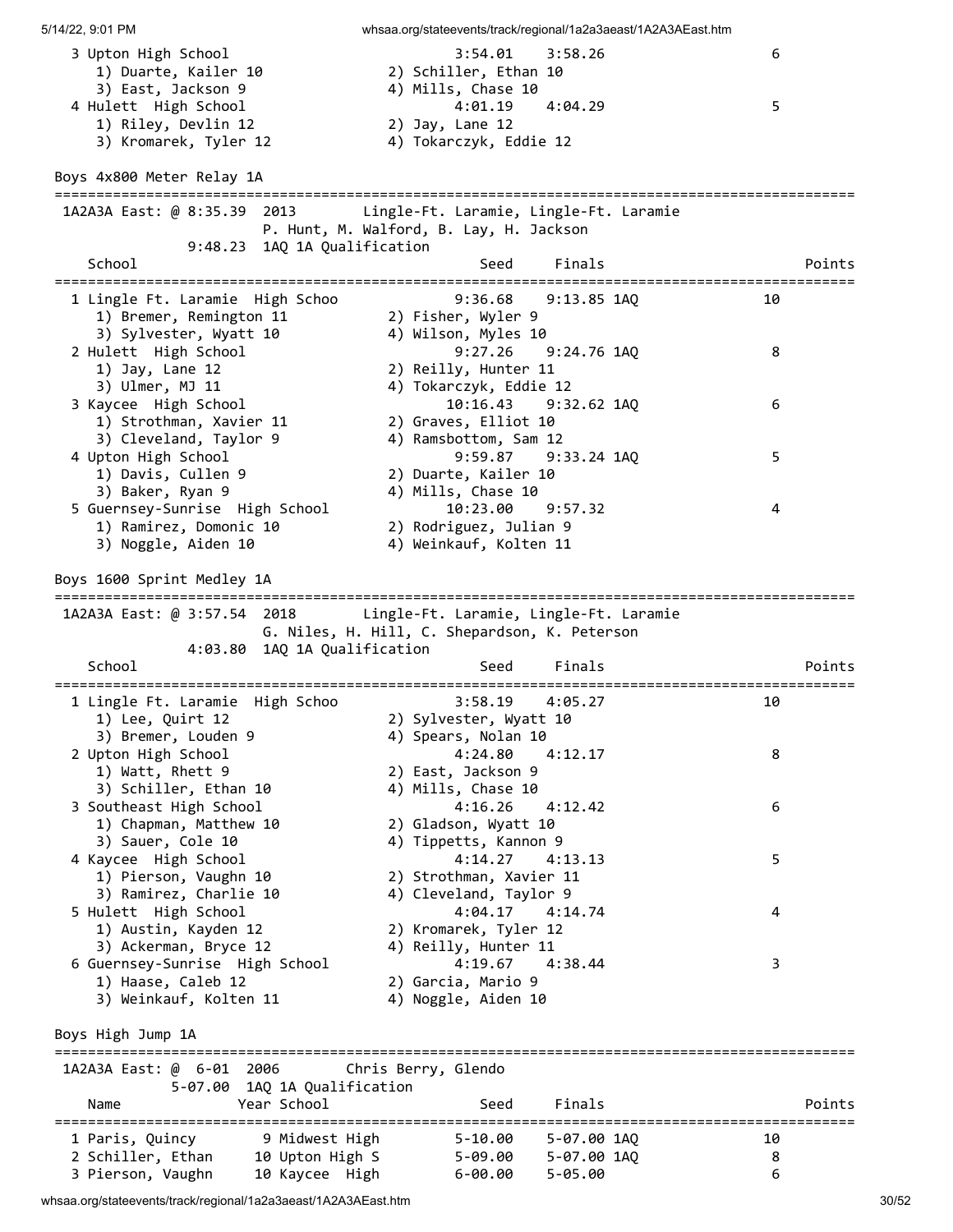3 Upton High School 3:54.01 3:58.26 6 2) Schiller, Ethan 10<br>4) Mills, Chase 10 3) East, Jackson 9 4) Mills, Chase 10 4 Hulett High School 4:01.19 4:04.29 5 1) Riley, Devlin 12 2) Jay, Lane 12 3) Kromarek, Tyler 12 4) Tokarczyk, Eddie 12 Boys 4x800 Meter Relay 1A ================================================================================================ 1A2A3A East: @ 8:35.39 2013 Lingle-Ft. Laramie, Lingle-Ft. Laramie P. Hunt, M. Walford, B. Lay, H. Jackson 9:48.23 1AQ 1A Qualification School Seed Finals Points Points ================================================================================================ 1 Lingle Ft. Laramie High Schoo 9:36.68 9:13.85 1AQ 10 1) Bremer, Remington 11 2) Fisher, Wyler 9 3) Sylvester, Wyatt 10 4) Wilson, Myles 10 2 Hulett High School 9:27.26 9:24.76 1AQ 8 1) Jay, Lane 12 2) Reilly, Hunter 11 3) Ulmer, MJ 11 4) Tokarczyk, Eddie 12 3 Kaycee High School 10:16.43 9:32.62 1AQ 6 1) Strothman, Xavier 11 2) Graves, Elliot 10 3) Cleveland, Taylor 9 4) Ramsbottom, Sam 12 4 Upton High School 9:59.87 9:33.24 1AQ 5 1) Davis, Cullen 9 2) Duarte, Kailer 10 3) Baker, Ryan 9 4) Mills, Chase 10 5 Guernsey-Sunrise High School 10:23.00 9:57.32 4 1) Ramirez, Domonic 10 2) Rodriguez, Julian 9 3) Noggle, Aiden 10 4) Weinkauf, Kolten 11 Boys 1600 Sprint Medley 1A ================================================================================================ 1A2A3A East: @ 3:57.54 2018 Lingle-Ft. Laramie, Lingle-Ft. Laramie G. Niles, H. Hill, C. Shepardson, K. Peterson 4:03.80 1AQ 1A Qualification School School Seed Finals Points ================================================================================================ 1 Lingle Ft. Laramie High Schoo 3:58.19 4:05.27 10 1) Lee, Quirt 12 2) Sylvester, Wyatt 10 3) Bremer, Louden 9 4) Spears, Nolan 10 2 Upton High School 4:24.80 4:12.17 8 1) Watt, Rhett 9 2) East, Jackson 9 3) Schiller, Ethan 10 4) Mills, Chase 10 3 Southeast High School 4:16.26 4:12.42 6 1) Chapman, Matthew 10 2) Gladson, Wyatt 10 3) Sauer, Cole 10 4) Tippetts, Kannon 9 4 Kaycee High School 4:14.27 4:13.13 5 1) Pierson, Vaughn 10 2) Strothman, Xavier 11 3) Ramirez, Charlie 10 4) Cleveland, Taylor 9 5 Hulett High School 4:04.17 4:14.74 4 1) Austin, Kayden 12 2) Kromarek, Tyler 12 3) Ackerman, Bryce 12 4) Reilly, Hunter 11 6 Guernsey-Sunrise High School 4:19.67 4:38.44 3 1) Haase, Caleb 12 2) Garcia, Mario 9 3) Weinkauf, Kolten 11  $\hskip1cm$  4) Noggle, Aiden 10 Boys High Jump 1A ================================================================================================ 1A2A3A East: @ 6-01 2006 Chris Berry, Glendo 5-07.00 1AQ 1A Qualification Name Year School Seed Finals Points ================================================================================================ 1 Paris, Quincy 9 Midwest High 5-10.00 5-07.00 1AQ 10 2 Schiller, Ethan 10 Upton High S 5-09.00 5-07.00 1AQ 8 3 Pierson, Vaughn 10 Kaycee High 6-00.00 5-05.00 6

5/14/22, 9:01 PM whsaa.org/stateevents/track/regional/1a2a3aeast/1A2A3AEast.htm

whsaa.org/stateevents/track/regional/1a2a3aeast/1A2A3AEast.htm 30/52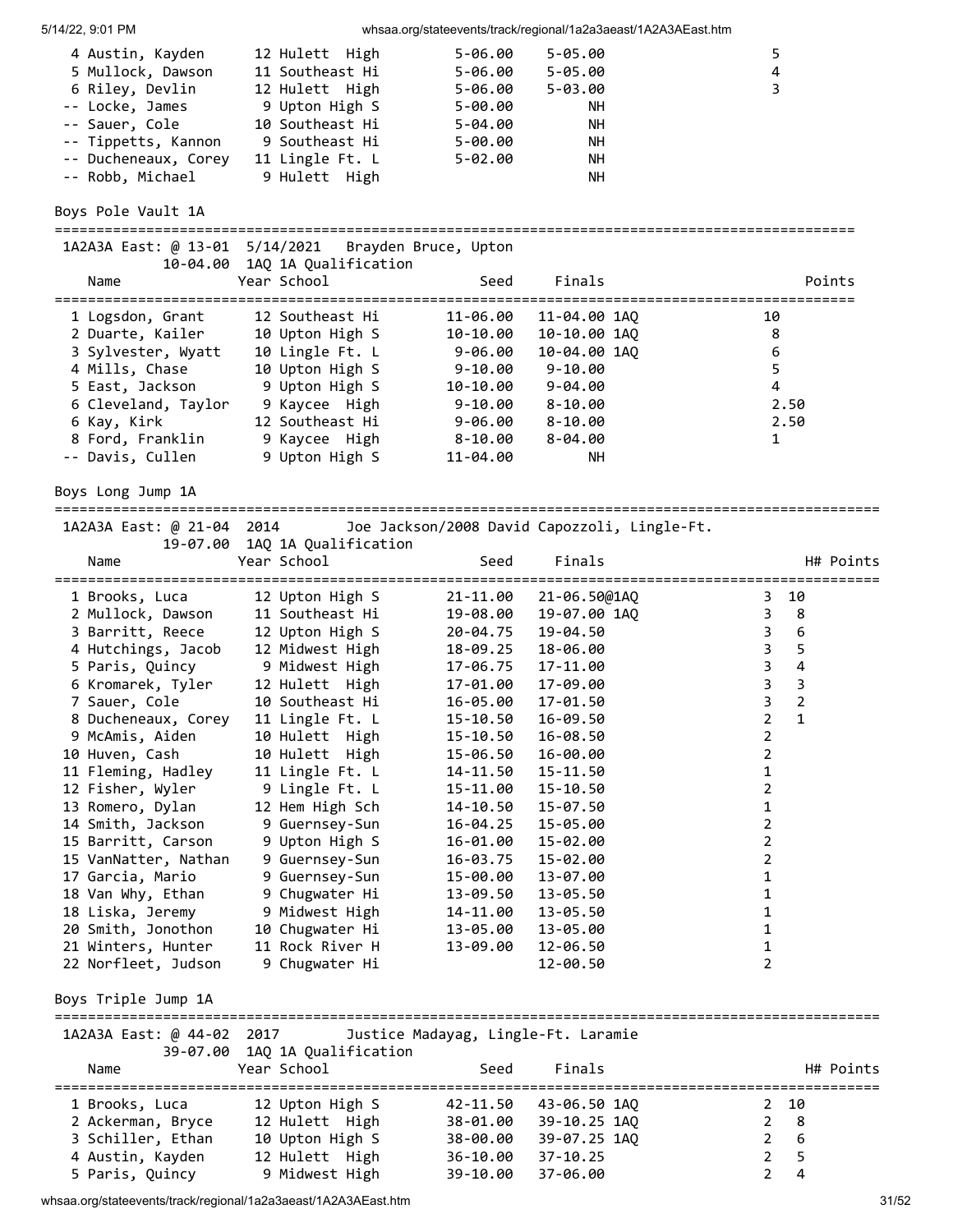| 4 Austin, Kayden<br>5 Mullock, Dawson<br>6 Riley, Devlin<br>-- Locke, James<br>-- Sauer, Cole<br>-- Tippetts, Kannon<br>-- Ducheneaux, Corey<br>-- Robb, Michael | 12 Hulett High<br>11 Southeast Hi<br>12 Hulett High<br>9 Upton High S<br>10 Southeast Hi<br>9 Southeast Hi<br>11 Lingle Ft. L<br>9 Hulett High | $5 - 06.00$<br>$5 - 06.00$<br>$5 - 06.00$<br>$5 - 00.00$<br>$5 - 04.00$<br>$5 - 00.00$<br>$5 - 02.00$ | $5 - 05.00$<br>$5 - 05.00$<br>$5 - 03.00$<br>NН<br><b>NH</b><br>NΗ<br>NΗ<br><b>NH</b> | 5<br>$\overline{4}$<br>3                      |
|------------------------------------------------------------------------------------------------------------------------------------------------------------------|------------------------------------------------------------------------------------------------------------------------------------------------|-------------------------------------------------------------------------------------------------------|---------------------------------------------------------------------------------------|-----------------------------------------------|
| Boys Pole Vault 1A                                                                                                                                               |                                                                                                                                                |                                                                                                       |                                                                                       |                                               |
| 1A2A3A East: @ 13-01 5/14/2021                                                                                                                                   |                                                                                                                                                | Brayden Bruce, Upton                                                                                  |                                                                                       | ==============================                |
| Name                                                                                                                                                             | 10-04.00 1AQ 1A Qualification<br>Year School                                                                                                   | Seed                                                                                                  | Finals                                                                                | Points                                        |
| 1 Logsdon, Grant                                                                                                                                                 | 12 Southeast Hi                                                                                                                                | ==========<br>11-06.00                                                                                | 11-04.00 1AQ                                                                          | ============<br>10                            |
| 2 Duarte, Kailer                                                                                                                                                 | 10 Upton High S                                                                                                                                | 10-10.00                                                                                              | 10-10.00 1AQ                                                                          | 8                                             |
| 3 Sylvester, Wyatt                                                                                                                                               | 10 Lingle Ft. L                                                                                                                                | $9 - 06.00$                                                                                           | 10-04.00 1AQ                                                                          | 6                                             |
| 4 Mills, Chase                                                                                                                                                   | 10 Upton High S                                                                                                                                | $9 - 10.00$                                                                                           | $9 - 10.00$                                                                           | 5                                             |
| 5 East, Jackson                                                                                                                                                  | 9 Upton High S                                                                                                                                 | 10-10.00                                                                                              | $9 - 04.00$                                                                           | 4                                             |
| 6 Cleveland, Taylor                                                                                                                                              | 9 Kaycee High                                                                                                                                  | $9 - 10.00$                                                                                           | $8 - 10.00$                                                                           | 2.50                                          |
| 6 Kay, Kirk                                                                                                                                                      | 12 Southeast Hi                                                                                                                                | $9 - 06.00$                                                                                           | $8 - 10.00$                                                                           | 2.50                                          |
| 8 Ford, Franklin                                                                                                                                                 | 9 Kaycee High                                                                                                                                  | $8 - 10.00$                                                                                           | $8 - 04.00$                                                                           | $\mathbf{1}$                                  |
| -- Davis, Cullen                                                                                                                                                 | 9 Upton High S                                                                                                                                 | 11-04.00                                                                                              | NH.                                                                                   |                                               |
| Boys Long Jump 1A                                                                                                                                                |                                                                                                                                                |                                                                                                       |                                                                                       |                                               |
| 1A2A3A East: @ 21-04 2014                                                                                                                                        |                                                                                                                                                |                                                                                                       | Joe Jackson/2008 David Capozzoli, Lingle-Ft.                                          |                                               |
| Name                                                                                                                                                             | 19-07.00 1AQ 1A Qualification<br>Year School                                                                                                   | Seed                                                                                                  | Finals                                                                                | H# Points                                     |
| 1 Brooks, Luca                                                                                                                                                   | 12 Upton High S                                                                                                                                | 21-11.00                                                                                              | 21-06.50@1AQ                                                                          | =====================<br>10<br>3.             |
| 2 Mullock, Dawson                                                                                                                                                | 11 Southeast Hi                                                                                                                                | 19-08.00                                                                                              | 19-07.00 1AQ                                                                          | 3<br>8                                        |
| 3 Barritt, Reece                                                                                                                                                 | 12 Upton High S                                                                                                                                | 20-04.75                                                                                              | 19-04.50                                                                              | $\boldsymbol{6}$<br>3                         |
| 4 Hutchings, Jacob                                                                                                                                               | 12 Midwest High                                                                                                                                | 18-09.25                                                                                              | 18-06.00                                                                              | 5<br>3                                        |
| 5 Paris, Quincy                                                                                                                                                  | 9 Midwest High                                                                                                                                 | 17-06.75                                                                                              | 17-11.00                                                                              | $\overline{\mathbf{4}}$<br>3                  |
| 6 Kromarek, Tyler                                                                                                                                                | 12 Hulett High                                                                                                                                 | 17-01.00                                                                                              | 17-09.00                                                                              | $\mathbf{3}$<br>$\overline{3}$                |
| 7 Sauer, Cole                                                                                                                                                    | 10 Southeast Hi                                                                                                                                | 16-05.00                                                                                              | 17-01.50                                                                              | 3<br>$\overline{2}$                           |
| 8 Ducheneaux, Corey                                                                                                                                              | 11 Lingle Ft. L                                                                                                                                | 15-10.50                                                                                              | 16-09.50                                                                              | $\overline{2}$<br>$\mathbf{1}$                |
| 9 McAmis, Aiden                                                                                                                                                  | 10 Hulett High                                                                                                                                 | 15-10.50                                                                                              | 16-08.50                                                                              | $\overline{2}$                                |
| 10 Huven, Cash                                                                                                                                                   | 10 Hulett High                                                                                                                                 | 15-06.50                                                                                              | 16-00.00                                                                              | 2                                             |
| 11 Fleming, Hadley                                                                                                                                               | 11 Lingle Ft. L                                                                                                                                | 14-11.50                                                                                              | 15-11.50                                                                              | 1                                             |
| 12 Fisher, Wyler                                                                                                                                                 | 9 Lingle Ft. L                                                                                                                                 | 15-11.00                                                                                              | 15-10.50                                                                              | $\overline{2}$                                |
| 13 Romero, Dylan                                                                                                                                                 | 12 Hem High Sch                                                                                                                                | 14-10.50                                                                                              | 15-07.50                                                                              | 1                                             |
| 14 Smith, Jackson                                                                                                                                                | 9 Guernsey-Sun                                                                                                                                 | 16-04.25                                                                                              | 15-05.00                                                                              | $\overline{2}$                                |
| 15 Barritt, Carson                                                                                                                                               | 9 Upton High S                                                                                                                                 | 16-01.00                                                                                              | 15-02.00                                                                              | $\overline{2}$                                |
| 15 VanNatter, Nathan                                                                                                                                             | 9 Guernsey-Sun                                                                                                                                 | 16-03.75                                                                                              | 15-02.00                                                                              | 2                                             |
| 17 Garcia, Mario<br>18 Van Why, Ethan                                                                                                                            | 9 Guernsey-Sun                                                                                                                                 | 15-00.00                                                                                              | 13-07.00                                                                              | 1<br>1                                        |
| 18 Liska, Jeremy                                                                                                                                                 | 9 Chugwater Hi<br>9 Midwest High                                                                                                               | 13-09.50                                                                                              | 13-05.50                                                                              | 1                                             |
| 20 Smith, Jonothon                                                                                                                                               | 10 Chugwater Hi                                                                                                                                | 14-11.00<br>13-05.00                                                                                  | 13-05.50<br>13-05.00                                                                  | 1                                             |
| 21 Winters, Hunter                                                                                                                                               | 11 Rock River H                                                                                                                                | 13-09.00                                                                                              | 12-06.50                                                                              | 1                                             |
| 22 Norfleet, Judson                                                                                                                                              | 9 Chugwater Hi                                                                                                                                 |                                                                                                       | 12-00.50                                                                              | $\overline{2}$                                |
| Boys Triple Jump 1A                                                                                                                                              |                                                                                                                                                |                                                                                                       |                                                                                       |                                               |
| 1A2A3A East: @ 44-02 2017                                                                                                                                        |                                                                                                                                                | Justice Madayag, Lingle-Ft. Laramie                                                                   |                                                                                       |                                               |
|                                                                                                                                                                  | 39-07.00 1AQ 1A Qualification                                                                                                                  |                                                                                                       |                                                                                       |                                               |
| Name                                                                                                                                                             | Year School                                                                                                                                    | Seed                                                                                                  | Finals                                                                                | H# Points                                     |
| 1 Brooks, Luca                                                                                                                                                   | 12 Upton High S                                                                                                                                | 42-11.50                                                                                              | 43-06.50 1AQ                                                                          | =====================================<br>2 10 |
| 2 Ackerman, Bryce                                                                                                                                                | 12 Hulett High                                                                                                                                 | 38-01.00                                                                                              | 39-10.25 1AQ                                                                          | $2^{\circ}$<br>$_{\rm 8}$                     |
| 3 Schiller, Ethan                                                                                                                                                | 10 Upton High S                                                                                                                                | 38-00.00                                                                                              | 39-07.25 1AQ                                                                          | $\overline{2}$<br>6                           |
| 4 Austin, Kayden                                                                                                                                                 | 12 Hulett High                                                                                                                                 | 36-10.00                                                                                              | $37 - 10.25$                                                                          | $\overline{2}$<br>5                           |
| 5 Paris, Quincy                                                                                                                                                  | 9 Midwest High                                                                                                                                 | 39-10.00                                                                                              | 37-06.00                                                                              | $\overline{2}$<br>4                           |

whsaa.org/stateevents/track/regional/1a2a3aeast/1A2A3AEast.htm 31/52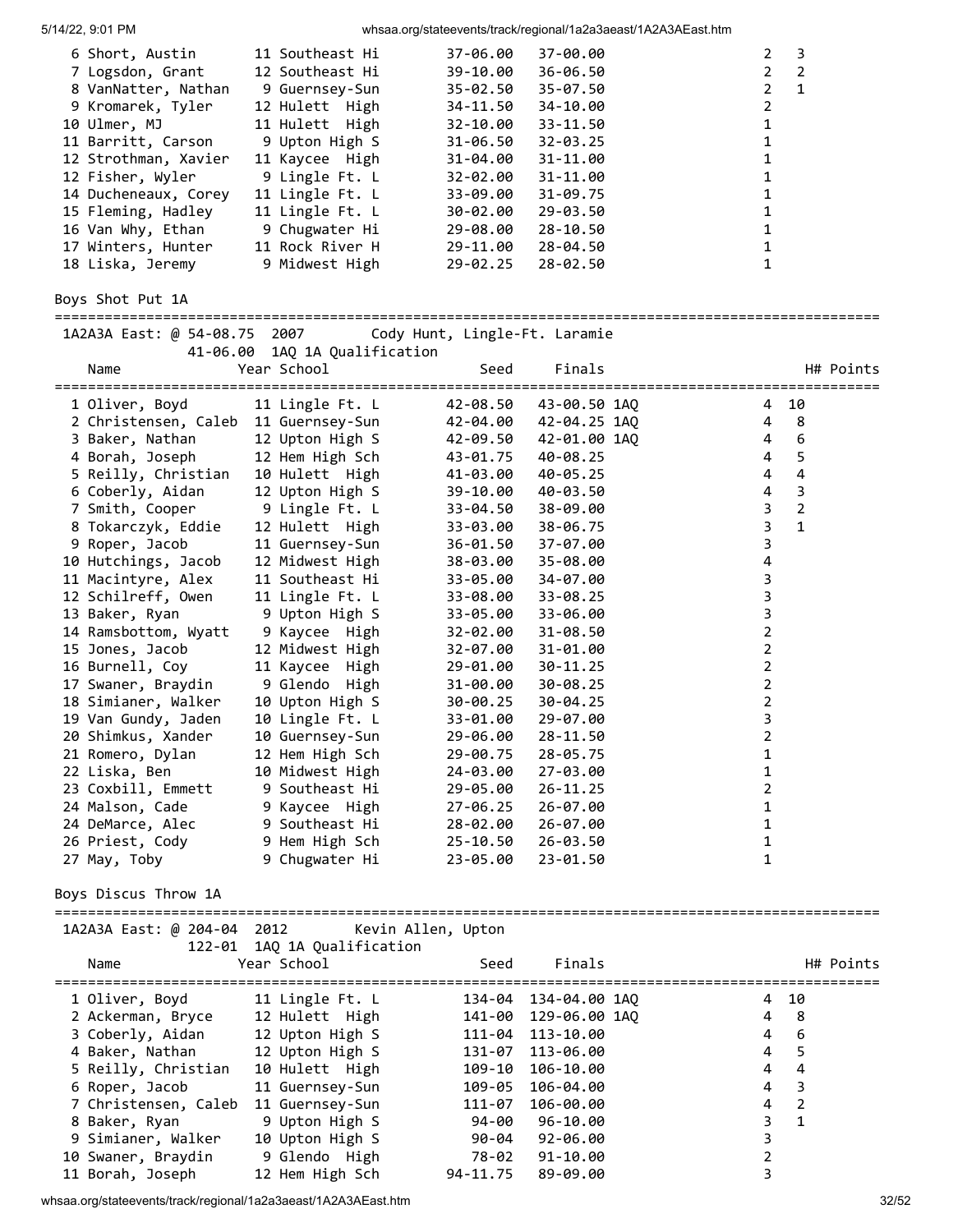| 6 Short, Austin      | 11 Southeast Hi | 37-06.00     | 37-00.00     | 2              | - 3            |
|----------------------|-----------------|--------------|--------------|----------------|----------------|
| 7 Logsdon, Grant     | 12 Southeast Hi | 39-10.00     | 36-06.50     |                | $2 \quad 2$    |
| 8 VanNatter, Nathan  | 9 Guernsey-Sun  | $35 - 02.50$ | 35-07.50     | $\overline{2}$ | $\overline{1}$ |
| 9 Kromarek, Tyler    | 12 Hulett High  | 34-11.50     | 34-10.00     | $\overline{2}$ |                |
| 10 Ulmer, MJ         | 11 Hulett High  | $32 - 10.00$ | $33 - 11.50$ | 1              |                |
| 11 Barritt, Carson   | 9 Upton High S  | $31 - 06.50$ | $32 - 03.25$ | 1              |                |
| 12 Strothman, Xavier | 11 Kaycee High  | 31-04.00     | 31-11.00     | 1              |                |
| 12 Fisher, Wyler     | 9 Lingle Ft. L  | $32 - 02.00$ | 31-11.00     | 1              |                |
| 14 Ducheneaux, Corey | 11 Lingle Ft. L | 33-09.00     | $31 - 09.75$ | 1              |                |
| 15 Fleming, Hadley   | 11 Lingle Ft. L | 30-02.00     | 29-03.50     | 1              |                |
| 16 Van Why, Ethan    | 9 Chugwater Hi  | 29-08.00     | $28 - 10.50$ | 1              |                |
| 17 Winters, Hunter   | 11 Rock River H | 29-11.00     | 28-04.50     | 1              |                |
| 18 Liska, Jeremy     | 9 Midwest High  | $29 - 02.25$ | 28-02.50     | 1              |                |

Boys Shot Put 1A

=================================================================================================== 1A2A3A East: @ 54-08.75 2007

|                                      |                                                   | --------------        |                       |                                  |                         |           |
|--------------------------------------|---------------------------------------------------|-----------------------|-----------------------|----------------------------------|-------------------------|-----------|
| Name                                 | 41-06.00 1AQ 1A Qualification<br>Year School      | Seed                  | Finals                |                                  |                         | H# Points |
| 1 Oliver, Boyd                       | 11 Lingle Ft. L                                   | :==================== | 42-08.50 43-00.50 1AQ | ===========================<br>4 | 10                      |           |
| 2 Christensen, Caleb 11 Guernsey-Sun |                                                   |                       |                       | 4                                | 8 <sup>8</sup>          |           |
| 3 Baker, Nathan                      | 12 Upton High S                                   | 42-09.50              | 42-01.00 1AQ          | 4                                | 6                       |           |
| 4 Borah, Joseph                      | 12 Hem High Sch                                   | 43-01.75              | 40-08.25              | 4                                | 5                       |           |
| 5 Reilly, Christian                  | 10 Hulett High                                    | 41-03.00              | 40-05.25              | 4                                | 4                       |           |
| 6 Coberly, Aidan                     | 12 Upton High S                                   | 39-10.00              | 40-03.50              | 4                                | $\overline{\mathbf{3}}$ |           |
| 7 Smith, Cooper                      | 9 Lingle Ft. L                                    | 33-04.50              | 38-09.00              | $\overline{\mathbf{3}}$          | $\overline{2}$          |           |
| 8 Tokarczyk, Eddie                   | 12 Hulett High                                    | 33-03.00              | 38-06.75              | $\overline{3}$                   | $\mathbf{1}$            |           |
| 9 Roper, Jacob                       | 11 Guernsey-Sun                                   | 36-01.50              | 37-07.00              | $\mathsf{3}$                     |                         |           |
| 10 Hutchings, Jacob                  | 12 Midwest High                                   | 38-03.00              | 35-08.00              | 4                                |                         |           |
| 11 Macintyre, Alex                   | 11 Southeast Hi                                   | 33-05.00              | 34-07.00              | 3                                |                         |           |
| 12 Schilreff, Owen                   | 11 Lingle Ft. L                                   | 33-08.00              | 33-08.25              | 3                                |                         |           |
| 13 Baker, Ryan                       | 9 Upton High S                                    | 33-05.00              | 33-06.00              | 3                                |                         |           |
| 14 Ramsbottom, Wyatt                 | 9 Kaycee High                                     | 32-02.00              | $31 - 08.50$          | $\overline{2}$                   |                         |           |
| 15 Jones, Jacob                      | 12 Midwest High                                   | 32-07.00              | 31-01.00              | $\overline{2}$                   |                         |           |
| 16 Burnell, Coy                      | 11 Kaycee High                                    | 29-01.00              | 30-11.25              | $\overline{2}$                   |                         |           |
| 17 Swaner, Braydin                   | 9 Glendo High                                     | 31-00.00              | 30-08.25              | $\overline{2}$                   |                         |           |
| 18 Simianer, Walker                  | 10 Upton High S                                   | 30-00.25              | 30-04.25              | $\overline{2}$                   |                         |           |
| 19 Van Gundy, Jaden                  | 10 Lingle Ft. L                                   | 33-01.00              | 29-07.00              | 3                                |                         |           |
| 20 Shimkus, Xander                   | 10 Guernsey-Sun                                   | 29-06.00              | 28-11.50              | $\overline{2}$                   |                         |           |
| 21 Romero, Dylan                     | 12 Hem High Sch                                   | 29-00.75              | 28-05.75              | $\mathbf 1$                      |                         |           |
| 22 Liska, Ben                        | 10 Midwest High                                   | 24-03.00              | 27-03.00              | 1                                |                         |           |
| 23 Coxbill, Emmett                   | 9 Southeast Hi                                    | 29-05.00              | 26-11.25              | $\overline{2}$                   |                         |           |
| 24 Malson, Cade                      | 9 Kaycee High                                     | 27-06.25              | 26-07.00              | $\mathbf 1$                      |                         |           |
| 24 DeMarce, Alec                     | 9 Southeast Hi                                    | 28-02.00              | 26-07.00              | $\mathbf{1}$                     |                         |           |
| 26 Priest, Cody                      | 9 Hem High Sch                                    | 25-10.50              | 26-03.50              | 1                                |                         |           |
| 27 May, Toby                         | 9 Chugwater Hi                                    | 23-05.00              | 23-01.50              | 1                                |                         |           |
| Boys Discus Throw 1A                 |                                                   |                       |                       |                                  |                         |           |
|                                      |                                                   |                       |                       |                                  |                         |           |
| 1A2A3A East: @ 204-04 2012           | 122-01 1AQ 1A Qualification                       | Kevin Allen, Upton    |                       |                                  |                         |           |
| Name                                 | Year School                                       | Seed                  | Finals                |                                  |                         | H# Points |
|                                      |                                                   |                       |                       |                                  |                         |           |
| 1 Oliver, Boyd                       | 11 Lingle Ft. L                                   |                       | 134-04 134-04.00 1AQ  |                                  | 4 10                    |           |
| 2 Ackerman, Bryce                    | 12 Hulett High                                    |                       | 141-00 129-06.00 1AQ  |                                  | 4 8                     |           |
|                                      | 3 Coberly, Aidan 12 Upton High S 111-04 113-10.00 |                       |                       |                                  | 46                      |           |
| 4 Baker, Nathan                      | 12 Upton High S                                   | 131-07                | 113-06.00             | 4                                | 5                       |           |
| 5 Reilly, Christian                  | 10 Hulett High                                    | 109-10                | 106-10.00             | 4                                | 4                       |           |
| 6 Roper, Jacob                       | 11 Guernsey-Sun                                   | 109-05                | 106-04.00             | 4                                | 3                       |           |
| 7 Christensen, Caleb                 | 11 Guernsey-Sun                                   | 111-07                | 106-00.00             | 4                                | $\overline{2}$          |           |
| 8 Baker, Ryan                        | 9 Upton High S                                    | 94-00                 | 96-10.00              | 3                                | $\mathbf{1}$            |           |
| 9 Simianer, Walker                   | 10 Upton High S                                   | 90-04                 | 92-06.00              | 3                                |                         |           |
| 10 Swaner, Braydin                   | 9 Glendo High                                     | 78-02                 | 91-10.00              | 2                                |                         |           |
| 11 Borah, Joseph                     | 12 Hem High Sch                                   | 94-11.75              | 89-09.00              | 3                                |                         |           |

whsaa.org/stateevents/track/regional/1a2a3aeast/1A2A3AEast.htm 32/52

11 Borah, Joseph 12 Hem High Sch 94-11.75 89-09.00 3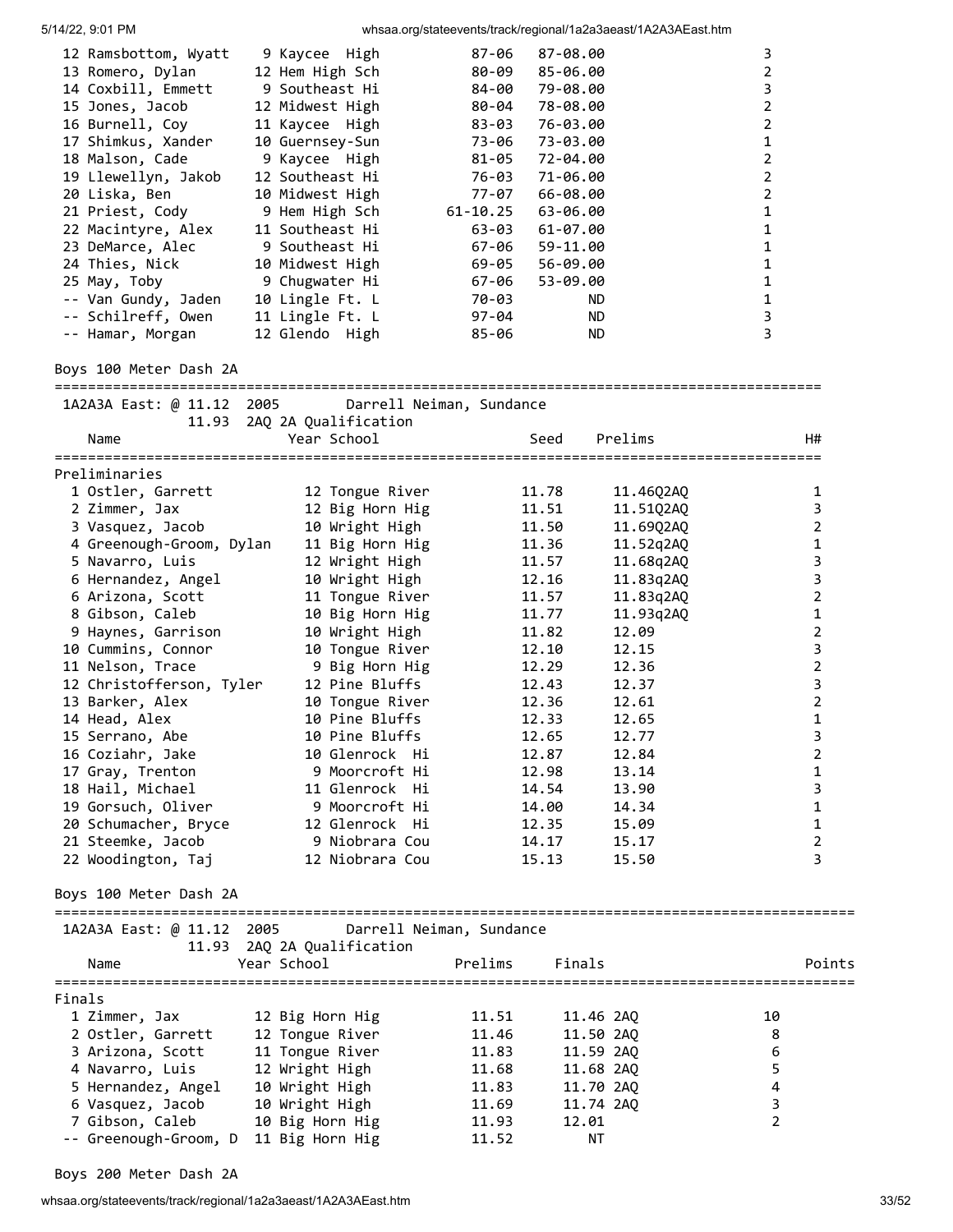| 12 Ramsbottom, Wyatt | 9 Kaycee High   | 87-06     | 87-08.00       | 3 |
|----------------------|-----------------|-----------|----------------|---|
| 13 Romero, Dylan     | 12 Hem High Sch | 80-09     | 85-06.00       |   |
| 14 Coxbill, Emmett   | 9 Southeast Hi  | 84-00     | 79-08.00       | 3 |
| 15 Jones, Jacob      | 12 Midwest High | 80-04     | 78-08.00       | 2 |
| 16 Burnell, Coy      | 11 Kaycee High  | 83-03     | 76-03.00       | 2 |
| 17 Shimkus, Xander   | 10 Guernsey-Sun |           | 73-06 73-03.00 |   |
| 18 Malson, Cade      | 9 Kaycee High   |           | 81-05 72-04.00 |   |
| 19 Llewellyn, Jakob  | 12 Southeast Hi | 76-03     | 71-06.00       | 2 |
| 20 Liska, Ben        | 10 Midwest High | 77-07     | 66-08.00       | 2 |
| 21 Priest, Cody      | 9 Hem High Sch  | 61-10.25  | 63-06.00       | 1 |
| 22 Macintyre, Alex   | 11 Southeast Hi | 63-03     | $61 - 07.00$   |   |
| 23 DeMarce, Alec     | 9 Southeast Hi  | 67-06     | 59-11.00       |   |
| 24 Thies, Nick       | 10 Midwest High | 69-05     | 56-09.00       |   |
| 25 May, Toby         | 9 Chugwater Hi  | 67-06     | 53-09.00       |   |
| -- Van Gundy, Jaden  | 10 Lingle Ft. L | 70-03     | ND.            |   |
| -- Schilreff, Owen   | 11 Lingle Ft. L | $97 - 04$ | ND.            | 3 |
| -- Hamar, Morgan     | 12 Glendo High  | 85-06     | ND.            | 3 |
|                      |                 |           |                |   |

### Boys 100 Meter Dash 2A

============================================================================================

| 1A2A3A East: @ 11.12 2005 |                                     | Darrell Neiman, Sundance |           |                |                         |
|---------------------------|-------------------------------------|--------------------------|-----------|----------------|-------------------------|
| 11.93<br>Name             | 2AQ 2A Qualification<br>Year School | Seed                     | Prelims   | H#             |                         |
| Preliminaries             |                                     |                          |           |                |                         |
| 1 Ostler, Garrett         | 12 Tongue River                     | 11.78                    | 11.46Q2AQ |                | 1                       |
| 2 Zimmer, Jax             | 12 Big Horn Hig                     | 11.51                    | 11.51Q2AQ |                | $\mathsf{3}$            |
| 3 Vasquez, Jacob          | 10 Wright High                      | 11.50                    | 11.69Q2AQ |                | 2                       |
| 4 Greenough-Groom, Dylan  | 11 Big Horn Hig                     | 11.36                    | 11.52q2AQ |                | $\mathbf{1}$            |
| 5 Navarro, Luis           | 12 Wright High                      | 11.57                    | 11.68q2AQ |                | 3                       |
| 6 Hernandez, Angel        | 10 Wright High                      | 12.16                    | 11.83q2AQ |                | $\overline{\mathbf{3}}$ |
| 6 Arizona, Scott          | 11 Tongue River                     | 11.57                    | 11.83q2AQ |                | $\overline{2}$          |
| 8 Gibson, Caleb           | 10 Big Horn Hig                     | 11.77                    | 11.93q2AQ |                | 1                       |
| 9 Haynes, Garrison        | 10 Wright High                      | 11.82                    | 12.09     |                | $\mathbf 2$             |
| 10 Cummins, Connor        | 10 Tongue River                     | 12.10                    | 12.15     |                | $\mathsf 3$             |
| 11 Nelson, Trace          | 9 Big Horn Hig                      | 12.29                    | 12.36     |                | $\mathbf 2$             |
| 12 Christofferson, Tyler  | 12 Pine Bluffs                      | 12.43                    | 12.37     |                | $\overline{\mathbf{3}}$ |
| 13 Barker, Alex           | 10 Tongue River                     | 12.36                    | 12.61     |                | $\overline{2}$          |
| 14 Head, Alex             | 10 Pine Bluffs                      | 12.33                    | 12.65     |                | $\mathbf 1$             |
| 15 Serrano, Abe           | 10 Pine Bluffs                      | 12.65                    | 12.77     |                | $\overline{3}$          |
| 16 Coziahr, Jake          | 10 Glenrock Hi                      | 12.87                    | 12.84     |                | $\mathbf 2$             |
| 17 Gray, Trenton          | 9 Moorcroft Hi                      | 12.98                    | 13.14     |                | $\mathbf{1}$            |
| 18 Hail, Michael          | 11 Glenrock Hi                      | 14.54                    | 13.90     |                | $\mathsf 3$             |
| 19 Gorsuch, Oliver        | 9 Moorcroft Hi                      | 14.00                    | 14.34     |                | $\mathbf{1}$            |
| 20 Schumacher, Bryce      | 12 Glenrock Hi                      | 12.35                    | 15.09     |                | $\mathbf 1$             |
| 21 Steemke, Jacob         | 9 Niobrara Cou                      | 14.17                    | 15.17     |                | $\overline{2}$          |
| 22 Woodington, Taj        | 12 Niobrara Cou                     | 15.13                    | 15.50     |                | $\overline{\mathbf{3}}$ |
| Boys 100 Meter Dash 2A    |                                     |                          |           |                |                         |
| 1A2A3A East: @ 11.12 2005 |                                     | Darrell Neiman, Sundance |           |                |                         |
|                           | 11.93 2AQ 2A Qualification          |                          |           |                |                         |
| Name                      | Year School                         | Finals<br>Prelims        |           |                | Points                  |
| Finals                    |                                     |                          |           |                |                         |
| 1 Zimmer, Jax             | 12 Big Horn Hig                     | 11.51                    | 11.46 2AQ | 10             |                         |
| 2 Ostler, Garrett         | 12 Tongue River                     | 11.46                    | 11.50 2AQ | 8              |                         |
| 3 Arizona, Scott          | 11 Tongue River                     | 11.83                    | 11.59 2AQ | 6              |                         |
| 4 Navarro, Luis           | 12 Wright High                      | 11.68                    | 11.68 2AQ | 5              |                         |
| 5 Hernandez, Angel        | 10 Wright High                      | 11.83                    | 11.70 2AQ | $\pmb{4}$      |                         |
| 6 Vasquez, Jacob          | 10 Wright High                      | 11.69                    | 11.74 2AQ | 3              |                         |
| 7 Gibson, Caleb           | 10 Big Horn Hig                     | 12.01<br>11.93           |           | $\overline{2}$ |                         |
| -- Greenough-Groom, D     | 11 Big Horn Hig                     | 11.52                    | ΝT        |                |                         |

Boys 200 Meter Dash 2A

whsaa.org/stateevents/track/regional/1a2a3aeast/1A2A3AEast.htm 33/52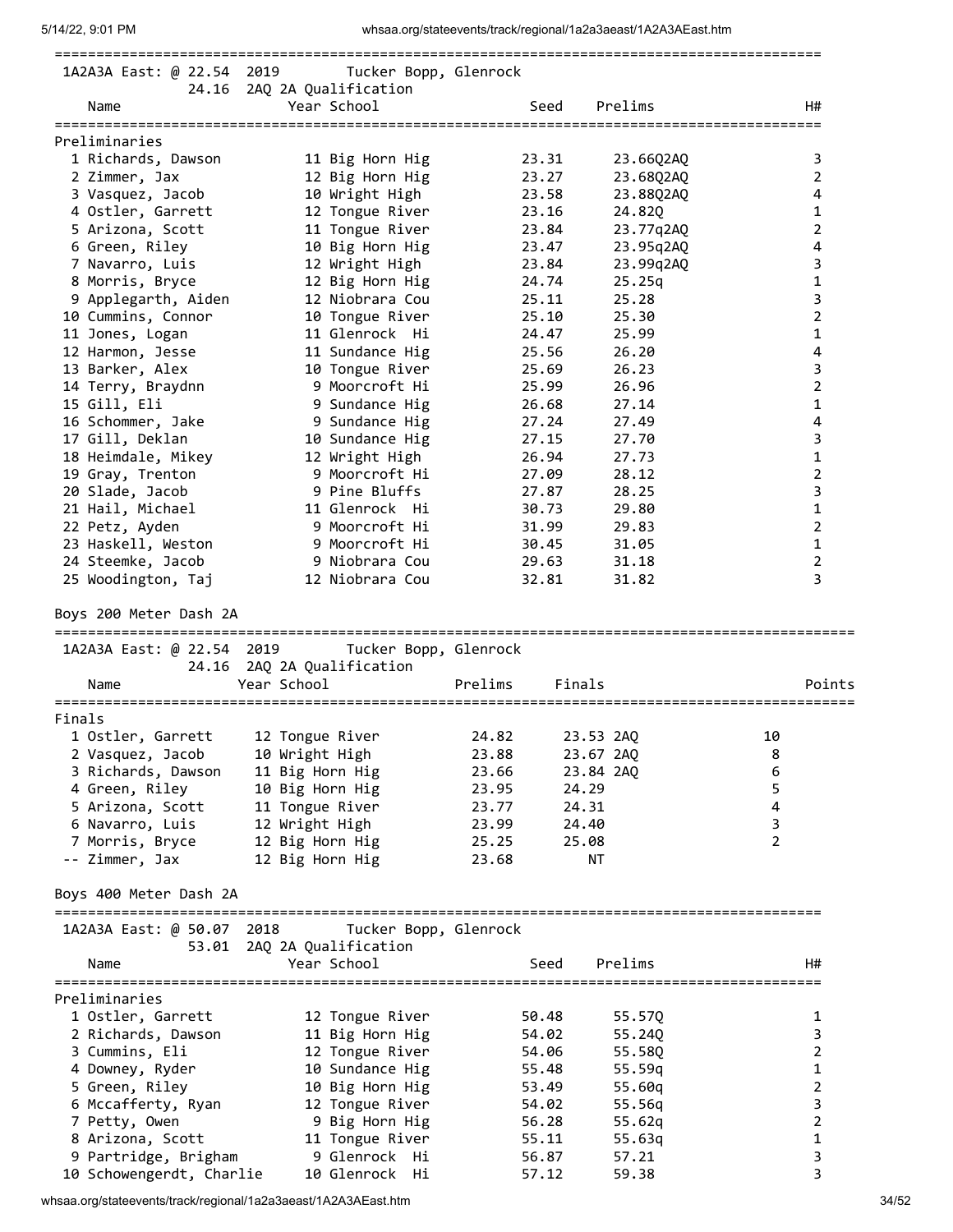|                           | 1A2A3A East: @ 22.54 2019 Tucker Bopp, Glenrock |         |              |           |                |                         |
|---------------------------|-------------------------------------------------|---------|--------------|-----------|----------------|-------------------------|
|                           | 24.16 2AQ 2A Qualification                      |         |              |           |                |                         |
| Name                      | Year School                                     |         | Seed Prelims |           |                | H#                      |
| Preliminaries             |                                                 |         |              |           |                |                         |
| 1 Richards, Dawson        | 11 Big Horn Hig                                 |         | 23.31        | 23.66Q2AQ |                | 3                       |
| 2 Zimmer, Jax             | 12 Big Horn Hig                                 |         | 23.27        | 23.68Q2AQ |                | $\overline{2}$          |
| 3 Vasquez, Jacob          | 10 Wright High                                  |         | 23.58        | 23.88Q2AQ |                | 4                       |
| 4 Ostler, Garrett         | 12 Tongue River                                 |         | 23.16        | 24.820    |                | $\mathbf{1}$            |
| 5 Arizona, Scott          | 11 Tongue River                                 |         | 23.84        | 23.77q2AQ |                | $\overline{2}$          |
| 6 Green, Riley            | 10 Big Horn Hig                                 |         | 23.47        | 23.95q2AQ |                | 4                       |
| 7 Navarro, Luis           | 12 Wright High                                  |         | 23.84        | 23.99q2AQ |                | 3                       |
| 8 Morris, Bryce           | 12 Big Horn Hig                                 |         | 24.74        | 25.25q    |                | 1                       |
| 9 Applegarth, Aiden       | 12 Niobrara Cou                                 | 25.11   |              | 25.28     |                | 3                       |
| 10 Cummins, Connor        | 10 Tongue River                                 |         | 25.10        | 25.30     |                | $\overline{2}$          |
| 11 Jones, Logan           | 11 Glenrock Hi                                  |         | 24.47        | 25.99     |                | 1                       |
| 12 Harmon, Jesse          | 11 Sundance Hig                                 |         | 25.56        | 26.20     |                | $\overline{\mathbf{4}}$ |
| 13 Barker, Alex           | 10 Tongue River                                 |         | 25.69        | 26.23     |                | 3                       |
| 14 Terry, Braydnn         | 9 Moorcroft Hi                                  |         | 25.99        | 26.96     |                | $\overline{2}$          |
| 15 Gill, Eli              | 9 Sundance Hig                                  |         | 26.68        | 27.14     |                | 1                       |
| 16 Schommer, Jake         | 9 Sundance Hig                                  |         | 27.24        | 27.49     |                | 4                       |
| 17 Gill, Deklan           | 10 Sundance Hig                                 |         | 27.15        | 27.70     |                | 3                       |
| 18 Heimdale, Mikey        | 12 Wright High                                  |         | 26.94        | 27.73     |                | $\mathbf{1}$            |
| 19 Gray, Trenton          | 9 Moorcroft Hi                                  |         | 27.09        | 28.12     |                | $\overline{2}$          |
| 20 Slade, Jacob           | 9 Pine Bluffs                                   |         | 27.87        | 28.25     |                | 3                       |
| 21 Hail, Michael          | 11 Glenrock Hi                                  |         | 30.73        | 29.80     |                | 1                       |
| 22 Petz, Ayden            | 9 Moorcroft Hi                                  |         | 31.99        | 29.83     |                | 2                       |
| 23 Haskell, Weston        | 9 Moorcroft Hi                                  |         | 30.45        | 31.05     |                | $\mathbf 1$             |
| 24 Steemke, Jacob         | 9 Niobrara Cou                                  |         | 29.63        | 31.18     |                | $\overline{2}$          |
| 25 Woodington, Taj        | 12 Niobrara Cou                                 |         | 32.81        | 31.82     |                | 3                       |
| Boys 200 Meter Dash 2A    | 1A2A3A East: @ 22.54 2019 Tucker Bopp, Glenrock |         |              |           |                |                         |
| Name                      | 24.16 2AQ 2A Qualification<br>Year School       | Prelims | Finals       |           |                | Points                  |
|                           |                                                 |         |              |           |                |                         |
| Finals                    |                                                 |         |              |           |                |                         |
| 1 Ostler, Garrett         | 12 Tongue River                                 | 24.82   | 23.53 2AQ    |           | 10             |                         |
| 2 Vasquez, Jacob          | 10 Wright High                                  | 23.88   | 23.67 2AQ    |           | 8              |                         |
| 3 Richards, Dawson        | 11 Big Horn Hig                                 | 23.66   | 23.84 2AQ    |           | 6              |                         |
| 4 Green, Riley            | 10 Big Horn Hig                                 | 23.95   | 24.29        |           | 5              |                         |
| 5 Arizona, Scott          | 11 Tongue River                                 | 23.77   | 24.31        |           | 4              |                         |
| 6 Navarro, Luis           | 12 Wright High                                  | 23.99   | 24.40        |           | 3              |                         |
| 7 Morris, Bryce           | 12 Big Horn Hig                                 | 25.25   | 25.08        |           | $\overline{2}$ |                         |
| -- Zimmer, Jax            | 12 Big Horn Hig                                 | 23.68   | ΝT           |           |                |                         |
| Boys 400 Meter Dash 2A    |                                                 |         |              |           |                |                         |
| 1A2A3A East: @ 50.07 2018 | Tucker Bopp, Glenrock                           |         |              |           |                |                         |
|                           | 53.01 2AQ 2A Qualification                      |         |              |           |                |                         |
| Name                      | Year School                                     |         | Seed         | Prelims   |                | H#                      |
|                           |                                                 |         |              |           |                |                         |
| Preliminaries             |                                                 |         |              |           |                |                         |
| 1 Ostler, Garrett         | 12 Tongue River                                 |         | 50.48        | 55.57Q    |                | 1                       |
| 2 Richards, Dawson        | 11 Big Horn Hig                                 |         | 54.02        | 55.24Q    |                | 3                       |
| 3 Cummins, Eli            | 12 Tongue River                                 |         | 54.06        | 55.58Q    |                | $\overline{2}$          |
| 4 Downey, Ryder           | 10 Sundance Hig                                 |         | 55.48        | 55.59q    |                | $\mathbf{1}$            |
| 5 Green, Riley            | 10 Big Horn Hig                                 |         | 53.49        | 55.60q    |                | $\overline{2}$          |
| 6 Mccafferty, Ryan        | 12 Tongue River                                 |         | 54.02        | 55.56q    |                | 3                       |
| 7 Petty, Owen             | 9 Big Horn Hig                                  |         | 56.28        | 55.62q    |                | 2                       |
| 8 Arizona, Scott          | 11 Tongue River                                 |         | 55.11        | 55.63q    |                | 1                       |
| 9 Partridge, Brigham      | 9 Glenrock Hi                                   |         | 56.87        | 57.21     |                | 3                       |
| 10 Schowengerdt, Charlie  | 10 Glenrock Hi                                  |         | 57.12        | 59.38     |                | 3                       |

whsaa.org/stateevents/track/regional/1a2a3aeast/1A2A3AEast.htm 34/52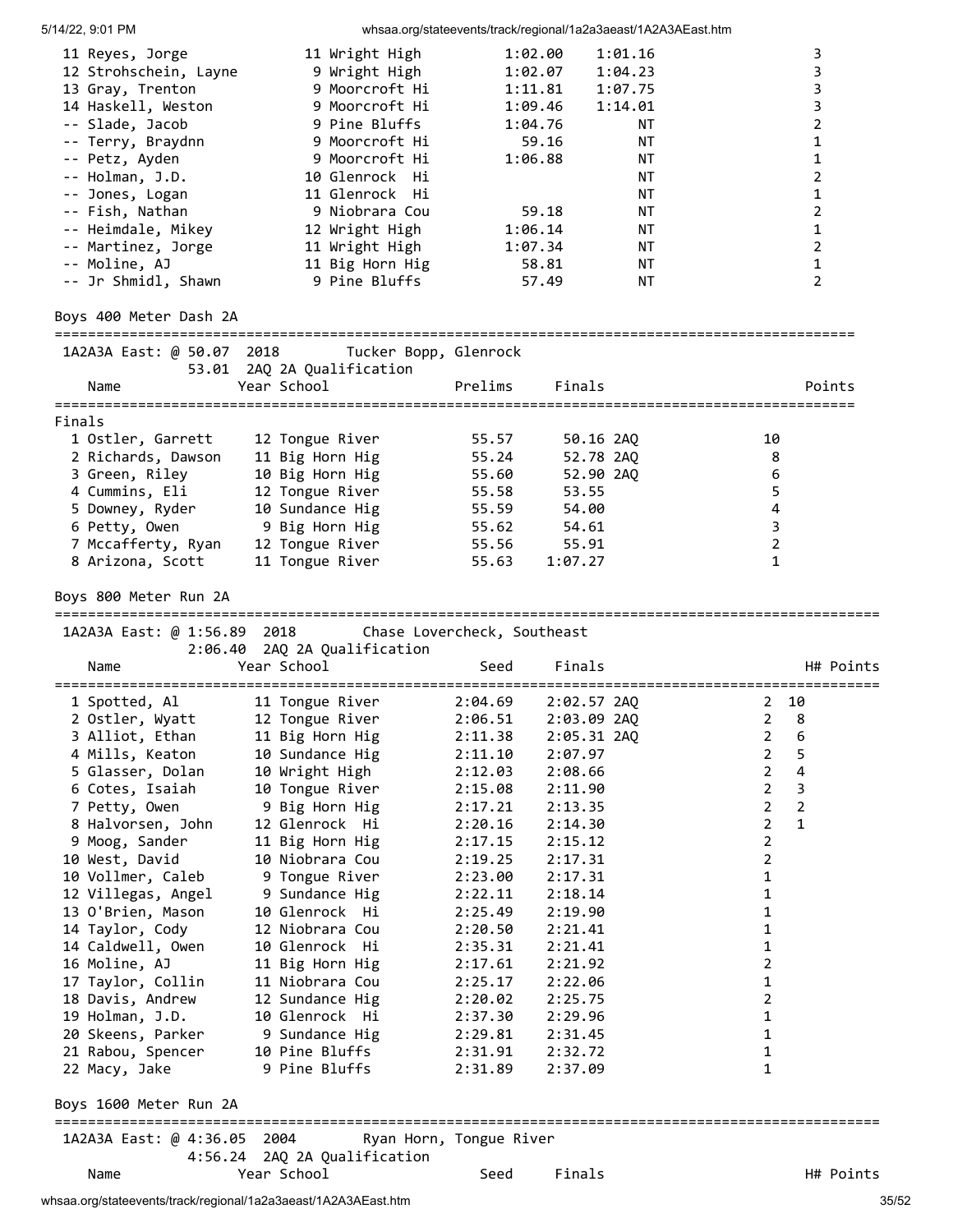5/14/22, 9:01 PM whsaa.org/stateevents/track/regional/1a2a3aeast/1A2A3AEast.htm 11 Reyes, Jorge 11 Wright High 1:02.00 1:01.16 3 12 Strohschein, Layne 9 Wright High 1:02.07 1:04.23 3 13 Gray, Trenton 9 Moorcroft Hi 1:11.81 1:07.75 3 14 Haskell, Weston 9 Moorcroft Hi 1:09.46 1:14.01 3 -- Slade, Jacob 9 Pine Bluffs 1:04.76 NT 2 -- Terry, Braydnn 9 Moorcroft Hi 59.16 NT 1 -- Petz, Ayden 9 Moorcroft Hi 1:06.88 NT 1 -- Holman, J.D. 10 Glenrock Hi NT 2 -- Jones, Logan 11 Glenrock Hi NT 1 -- Fish, Nathan 9 Niobrara Cou 59.18 NT 2 -- Heimdale, Mikey 12 Wright High 1:06.14 NT 1 -- Martinez, Jorge 11 Wright High 1:07.34 NT 2 -- Moline, AJ 11 Big Horn Hig 58.81 NT 1 -- Jr Shmidl, Shawn 9 Pine Bluffs 57.49 NT 2 Boys 400 Meter Dash 2A ================================================================================================ 1A2A3A East: @ 50.07 2018 Tucker Bopp, Glenrock outer burner burner burner burner<br>53.01 2AQ 2A Qualification Name Year School Prelims Finals Points ================================================================================================ Finals 1 Ostler, Garrett 12 Tongue River 55.57 50.16 2AQ 10 2 Richards, Dawson 11 Big Horn Hig 55.24 52.78 2AQ 8 3 Green, Riley 10 Big Horn Hig 55.60 52.90 2AQ 6 4 Cummins, Eli 12 Tongue River 55.58 53.55 5 5 Downey, Ryder 10 Sundance Hig 55.59 54.00 4 6 Petty, Owen 9 Big Horn Hig 55.62 54.61 3 7 Mccafferty, Ryan 12 Tongue River 55.56 55.91 2 8 Arizona, Scott 11 Tongue River 55.63 1:07.27 1 Boys 800 Meter Run 2A =================================================================================================== 1A2A3A East: @ 1:56.89 2018 Chase Lovercheck, Southeast 2:06.40 2AQ 2A Qualification<br>Pear School Name Year School Seed Finals H# Points =================================================================================================== 1 Spotted, Al 11 Tongue River 2:04.69 2:02.57 2AQ 2 10 2 Ostler, Wyatt 12 Tongue River 2:06.51 2:03.09 2AQ 2 8 3 Alliot, Ethan 11 Big Horn Hig 2:11.38 2:05.31 2AQ 2 6 4 Mills, Keaton 10 Sundance Hig 2:11.10 2:07.97 2 5 5 Glasser, Dolan 10 Wright High 2:12.03 2:08.66 2 4 6 Cotes, Isaiah 10 Tongue River 2:15.08 2:11.90 2 3 7 Petty, Owen 9 Big Horn Hig 2:17.21 2:13.35 2 2 8 Halvorsen, John 12 Glenrock Hi 2:20.16 2:14.30 2 1 9 Moog, Sander 11 Big Horn Hig 2:17.15 2:15.12 2 10 West, David 10 Niobrara Cou 2:19.25 2:17.31 2 10 Vollmer, Caleb 9 Tongue River 2:23.00 2:17.31 1 12 Villegas, Angel 9 Sundance Hig 2:22.11 2:18.14 1 13 O'Brien, Mason 10 Glenrock Hi 2:25.49 2:19.90 1 14 Taylor, Cody 12 Niobrara Cou 2:20.50 2:21.41 1 14 Caldwell, Owen 10 Glenrock Hi 2:35.31 2:21.41 1 16 Moline, AJ 11 Big Horn Hig 2:17.61 2:21.92 2 17 Taylor, Collin 11 Niobrara Cou 2:25.17 2:22.06 1 18 Davis, Andrew 12 Sundance Hig 2:20.02 2:25.75 2 19 Holman, J.D. 10 Glenrock Hi 2:37.30 2:29.96 1 20 Skeens, Parker 9 Sundance Hig 2:29.81 2:31.45 1 21 Rabou, Spencer 10 Pine Bluffs 2:31.91 2:32.72 1 22 Macy, Jake 9 Pine Bluffs 2:31.89 2:37.09 1 Boys 1600 Meter Run 2A =================================================================================================== 1A2A3A East: @ 4:36.05 2004 Ryan Horn, Tongue River 4:56.24 2AQ 2A Qualification Name The Year School Seed Finals H# Points

whsaa.org/stateevents/track/regional/1a2a3aeast/1A2A3AEast.htm 35/52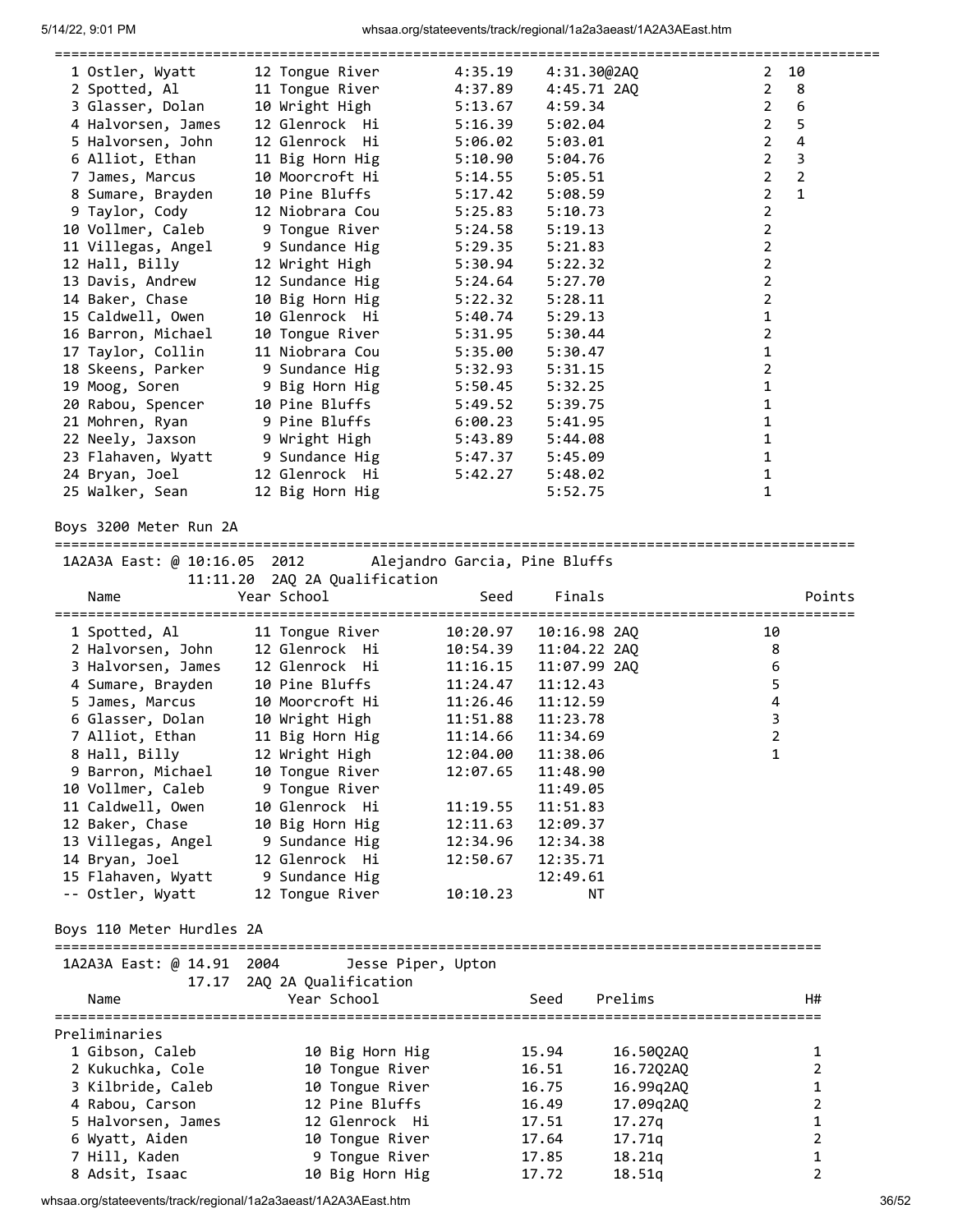| 1 Ostler, Wyatt    | 12 Tongue River       | 4:35.19 | 4:31.30@2AQ | 10<br>$\mathbf{2}$               |
|--------------------|-----------------------|---------|-------------|----------------------------------|
| 2 Spotted, Al      | 11 Tongue River       | 4:37.89 | 4:45.71 2AQ | $\overline{2}$<br>8              |
| 3 Glasser, Dolan   | 10 Wright High        | 5:13.67 | 4:59.34     | $\overline{2}$<br>6              |
| 4 Halvorsen, James | 12 Glenrock Hi        | 5:16.39 | 5:02.04     | $\overline{2}$<br>5              |
| 5 Halvorsen, John  | 12 Glenrock Hi        | 5:06.02 | 5:03.01     | $\overline{2}$<br>4              |
| 6 Alliot, Ethan    | 11 Big Horn Hig       | 5:10.90 | 5:04.76     | $\overline{2}$<br>3              |
| 7 James, Marcus    | 10 Moorcroft Hi       | 5:14.55 | 5:05.51     | $\overline{2}$<br>$\overline{2}$ |
| 8 Sumare, Brayden  | 10 Pine Bluffs        | 5:17.42 | 5:08.59     | $\overline{2}$<br>$\mathbf{1}$   |
| 9 Taylor, Cody     | 12 Niobrara Cou       | 5:25.83 | 5:10.73     | $\overline{2}$                   |
| 10 Vollmer, Caleb  | 9 Tongue River        | 5:24.58 | 5:19.13     | 2                                |
| 11 Villegas, Angel | 9 Sundance Hig        | 5:29.35 | 5:21.83     | $\overline{2}$                   |
| 12 Hall, Billy     | 12 Wright High        | 5:30.94 | 5:22.32     | $\overline{2}$                   |
| 13 Davis, Andrew   | 12 Sundance Hig       | 5:24.64 | 5:27.70     | 2                                |
| 14 Baker, Chase    | 10 Big Horn Hig       | 5:22.32 | 5:28.11     | $\overline{\mathbf{c}}$          |
| 15 Caldwell, Owen  | 10 Glenrock Hi        | 5:40.74 | 5:29.13     | $\mathbf{1}$                     |
| 16 Barron, Michael | 10 Tongue River       | 5:31.95 | 5:30.44     | $\overline{2}$                   |
| 17 Taylor, Collin  | 11 Niobrara Cou       | 5:35.00 | 5:30.47     | 1                                |
| 18 Skeens, Parker  | 9 Sundance Hig        | 5:32.93 | 5:31.15     | 2                                |
| 19 Moog, Soren     | 9 Big Horn Hig        | 5:50.45 | 5:32.25     | 1                                |
| 20 Rabou, Spencer  | 10 Pine Bluffs        | 5:49.52 | 5:39.75     | 1                                |
| 21 Mohren, Ryan    | 9 Pine Bluffs Parties | 6:00.23 | 5:41.95     | 1                                |
| 22 Neely, Jaxson   | 9 Wright High         | 5:43.89 | 5:44.08     | 1                                |
| 23 Flahaven, Wyatt | 9 Sundance Hig        | 5:47.37 | 5:45.09     | 1                                |
| 24 Bryan, Joel     | 12 Glenrock Hi        | 5:42.27 | 5:48.02     | 1                                |
| 25 Walker, Sean    | 12 Big Horn Hig       |         | 5:52.75     | 1                                |
|                    |                       |         |             |                                  |

## Boys 3200 Meter Run 2A

================================================================================================

|                           | 1A2A3A East: @ 10:16.05 2012 Alejandro Garcia, Pine Bluffs |                                    |                   |                              |                |
|---------------------------|------------------------------------------------------------|------------------------------------|-------------------|------------------------------|----------------|
|                           | 11:11.20 2AQ 2A Qualification                              |                                    |                   |                              |                |
| Name                      | Year School                                                | Seed                               | Finals            |                              | Points         |
| 1 Spotted, Al             | 11 Tongue River                                            | ----------------------<br>10:20.97 | 10:16.98 2AO      | ============================ | 10             |
| 2 Halvorsen, John         | 12 Glenrock Hi                                             | 10:54.39                           | 11:04.22 2AQ      |                              | 8              |
| 3 Halvorsen, James        | 12 Glenrock Hi                                             | 11:16.15                           | 11:07.99 2AQ      |                              | 6              |
| 4 Sumare, Brayden         | 10 Pine Bluffs                                             | 11:24.47                           | 11:12.43          |                              | 5              |
| 5 James, Marcus           | 10 Moorcroft Hi                                            | 11:26.46                           | 11:12.59          |                              | 4              |
| 6 Glasser, Dolan          | 10 Wright High                                             | 11:51.88                           | 11:23.78          |                              | 3              |
| 7 Alliot, Ethan           | 11 Big Horn Hig                                            |                                    | 11:14.66 11:34.69 |                              | $\overline{2}$ |
| 8 Hall, Billy             | 12 Wright High                                             | 12:04.00                           | 11:38.06          |                              | $\mathbf{1}$   |
| 9 Barron, Michael         | 10 Tongue River                                            | 12:07.65                           | 11:48.90          |                              |                |
| 10 Vollmer, Caleb         | 9 Tongue River                                             |                                    | 11:49.05          |                              |                |
| 11 Caldwell, Owen         | 10 Glenrock Hi                                             | 11:19.55                           | 11:51.83          |                              |                |
| 12 Baker, Chase           | 10 Big Horn Hig                                            | 12:11.63                           | 12:09.37          |                              |                |
| 13 Villegas, Angel        | 9 Sundance Hig                                             | 12:34.96                           | 12:34.38          |                              |                |
| 14 Bryan, Joel            | 12 Glenrock Hi                                             | 12:50.67                           | 12:35.71          |                              |                |
| 15 Flahaven, Wyatt        | 9 Sundance Hig                                             |                                    | 12:49.61          |                              |                |
| -- Ostler, Wyatt          | 12 Tongue River                                            | 10:10.23                           | NT                |                              |                |
| Boys 110 Meter Hurdles 2A |                                                            |                                    |                   |                              |                |
| 1A2A3A East: @ 14.91 2004 | Jesse Piper, Upton                                         |                                    |                   |                              |                |
|                           | 17.17 2AQ 2A Qualification                                 |                                    |                   |                              |                |
| Name                      | Year School                                                |                                    | Seed              | Prelims                      | H#             |
| Preliminaries             |                                                            |                                    |                   |                              |                |
| 1 Gibson, Caleb           | 10 Big Horn Hig                                            |                                    | 15.94             | 16.5002AQ                    | 1              |
| 2 Kukuchka, Cole          | 10 Tongue River                                            |                                    | 16.51             | 16.72Q2AQ                    | $\overline{2}$ |
| 3 Kilbride, Caleb         | 10 Tongue River                                            |                                    | 16.75             | 16.99q2AQ                    | 1              |
| 4 Rabou, Carson           | 12 Pine Bluffs                                             |                                    | 16.49             | 17.09q2AQ                    | $\overline{2}$ |
| 5 Halvorsen, James        | 12 Glenrock Hi                                             |                                    | 17.51             | 17.27q                       | $\mathbf 1$    |
| 6 Wyatt, Aiden            | 10 Tongue River                                            |                                    | 17.64             | 17.71q                       | $\overline{2}$ |
| 7 Hill, Kaden             | 9 Tongue River                                             |                                    | 17.85             | 18.21q                       | 1              |
| 8 Adsit, Isaac            | 10 Big Horn Hig                                            |                                    | 17.72             | 18.51q                       | $\overline{2}$ |

whsaa.org/stateevents/track/regional/1a2a3aeast/1A2A3AEast.htm 36/52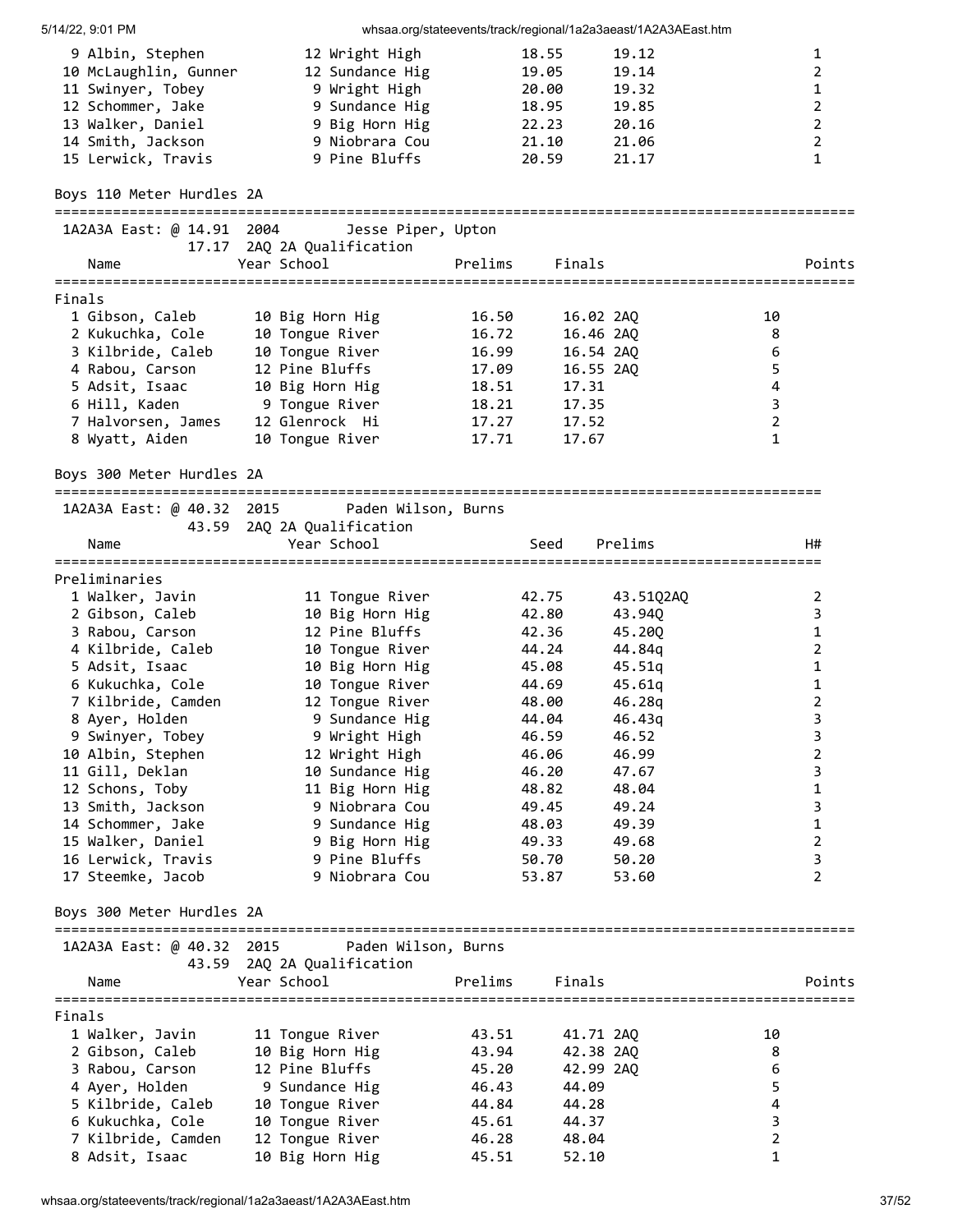| 5/14/22, 9:01 PM                                                 |                            |         |                | whsaa.org/stateevents/track/regional/1a2a3aeast/1A2A3AEast.htm |                                |
|------------------------------------------------------------------|----------------------------|---------|----------------|----------------------------------------------------------------|--------------------------------|
| 9 Albin, Stephen                                                 | 12 Wright High             |         | 18.55          | 19.12                                                          | 1                              |
| 10 McLaughlin, Gunner                                            | 12 Sundance Hig            |         | 19.05          | 19.14                                                          | $\overline{2}$                 |
| 11 Swinyer, Tobey                                                | 9 Wright High              |         | 20.00          | 19.32                                                          | $\mathbf{1}$                   |
| 12 Schommer, Jake                                                | 9 Sundance Hig             |         | 18.95          | 19.85                                                          | $\overline{2}$                 |
| 13 Walker, Daniel                                                | 9 Big Horn Hig             |         | 22.23          | 20.16                                                          | $\overline{2}$                 |
| 14 Smith, Jackson                                                | 9 Niobrara Cou             |         | 21.10          | 21.06                                                          | $\overline{2}$                 |
| 15 Lerwick, Travis                                               | 9 Pine Bluffs              |         | 20.59          | 21.17                                                          | $\mathbf{1}$                   |
| Boys 110 Meter Hurdles 2A                                        |                            |         |                |                                                                |                                |
|                                                                  |                            |         |                |                                                                |                                |
| 1A2A3A East: @ 14.91 2004                                        | Jesse Piper, Upton         |         |                |                                                                |                                |
|                                                                  | 17.17 2AQ 2A Qualification |         |                |                                                                |                                |
| Name                                                             | Year School                | Prelims | Finals         |                                                                | Points                         |
|                                                                  |                            |         |                |                                                                |                                |
| Finals                                                           |                            |         |                |                                                                |                                |
| 1 Gibson, Caleb                                                  | 10 Big Horn Hig            | 16.50   | 16.02 2AQ      |                                                                | 10                             |
| 2 Kukuchka, Cole                                                 | 10 Tongue River            | 16.72   | 16.46 2AQ      |                                                                | 8                              |
| 3 Kilbride, Caleb                                                | 10 Tongue River            | 16.99   | 16.54 2AQ      |                                                                | 6                              |
| 4 Rabou, Carson                                                  | 12 Pine Bluffs             | 17.09   | 16.55 2AQ      |                                                                | 5                              |
| 5 Adsit, Isaac                                                   | 10 Big Horn Hig            | 18.51   | 17.31          |                                                                | 4                              |
| 6 Hill, Kaden                                                    | 9 Tongue River             | 18.21   | 17.35          |                                                                | $\overline{3}$                 |
| 7 Halvorsen, James                                               | 12 Glenrock Hi             | 17.27   | 17.52          |                                                                | $\mathbf 2$                    |
| 8 Wyatt, Aiden                                                   | 10 Tongue River            | 17.71   | 17.67          |                                                                | 1                              |
| Boys 300 Meter Hurdles 2A                                        |                            |         |                |                                                                |                                |
|                                                                  |                            |         |                |                                                                |                                |
| 1A2A3A East: @ 40.32 2015                                        | Paden Wilson, Burns        |         |                |                                                                |                                |
|                                                                  | 43.59 2AQ 2A Qualification |         |                |                                                                |                                |
| Name                                                             | Year School                |         | Seed           | Prelims                                                        | H#                             |
|                                                                  |                            |         |                |                                                                |                                |
| Preliminaries                                                    |                            |         |                |                                                                |                                |
| 1 Walker, Javin                                                  | 11 Tongue River            |         | 42.75          | 43.51Q2AQ                                                      | $\overline{2}$                 |
| 2 Gibson, Caleb                                                  | 10 Big Horn Hig            |         | 42.80<br>42.36 | 43.940                                                         | 3                              |
| 3 Rabou, Carson                                                  | 12 Pine Bluffs             |         | 44.24          | 45.200                                                         | 1                              |
| 4 Kilbride, Caleb                                                | 10 Tongue River            |         |                | 44.84g                                                         | $\overline{2}$                 |
| 5 Adsit, Isaac                                                   | 10 Big Horn Hig            |         | 45.08          | 45.51q                                                         | $\mathbf{1}$                   |
| 6 Kukuchka, Cole                                                 | 10 Tongue River            |         | 44.69          | 45.61q                                                         | $\mathbf{1}$<br>$\overline{2}$ |
| 7 Kilbride, Camden                                               | 12 Tongue River            |         | 48.00          | 46.28q                                                         |                                |
| 8 Ayer, Holden                                                   | 9 Sundance Hig             |         | 44.04          | 46.43q                                                         | 3                              |
| 9 Swinyer, Tobey                                                 | 9 Wright High              |         | 46.59          | 46.52                                                          | 3                              |
| 10 Albin, Stephen                                                | 12 Wright High             |         | 46.06          | 46.99                                                          | 2                              |
| 11 Gill, Deklan                                                  | 10 Sundance Hig            |         | 46.20          | 47.67                                                          | 3                              |
| 12 Schons, Toby                                                  | 11 Big Horn Hig            |         | 48.82          | 48.04                                                          | 1                              |
| 13 Smith, Jackson                                                | 9 Niobrara Cou             |         | 49.45          | 49.24                                                          | 3                              |
| 14 Schommer, Jake                                                | 9 Sundance Hig             |         | 48.03          | 49.39                                                          | $\mathbf{1}$                   |
| 15 Walker, Daniel                                                | 9 Big Horn Hig             |         | 49.33          | 49.68                                                          | $\overline{2}$                 |
| 16 Lerwick, Travis                                               | 9 Pine Bluffs              |         | 50.70          | 50.20                                                          | 3                              |
| 17 Steemke, Jacob                                                | 9 Niobrara Cou             |         | 53.87          | 53.60                                                          | $\overline{2}$                 |
| Boys 300 Meter Hurdles 2A                                        |                            |         |                |                                                                |                                |
| ===================================<br>1A2A3A East: @ 40.32 2015 | Paden Wilson, Burns        |         |                |                                                                |                                |
|                                                                  | 43.59 2AQ 2A Qualification |         |                |                                                                |                                |
| Name                                                             | Year School                | Prelims | Finals         |                                                                | Points                         |
| Finals                                                           |                            |         |                |                                                                |                                |
| 1 Walker, Javin                                                  | 11 Tongue River            | 43.51   | 41.71 2AQ      |                                                                | 10                             |
| 2 Gibson, Caleb                                                  | 10 Big Horn Hig            | 43.94   | 42.38 2AQ      |                                                                | 8                              |
| 3 Rabou, Carson                                                  | 12 Pine Bluffs             | 45.20   | 42.99 2AQ      |                                                                | 6                              |
| 4 Ayer, Holden                                                   | 9 Sundance Hig             | 46.43   | 44.09          |                                                                | 5                              |
| 5 Kilbride, Caleb                                                | 10 Tongue River            | 44.84   | 44.28          |                                                                | 4                              |
| 6 Kukuchka, Cole                                                 | 10 Tongue River            | 45.61   | 44.37          |                                                                | $\mathsf{3}$                   |
| 7 Kilbride, Camden                                               | 12 Tongue River            | 46.28   | 48.04          |                                                                | $\overline{2}$                 |
| 8 Adsit, Isaac                                                   | 10 Big Horn Hig            | 45.51   | 52.10          |                                                                | 1                              |
|                                                                  |                            |         |                |                                                                |                                |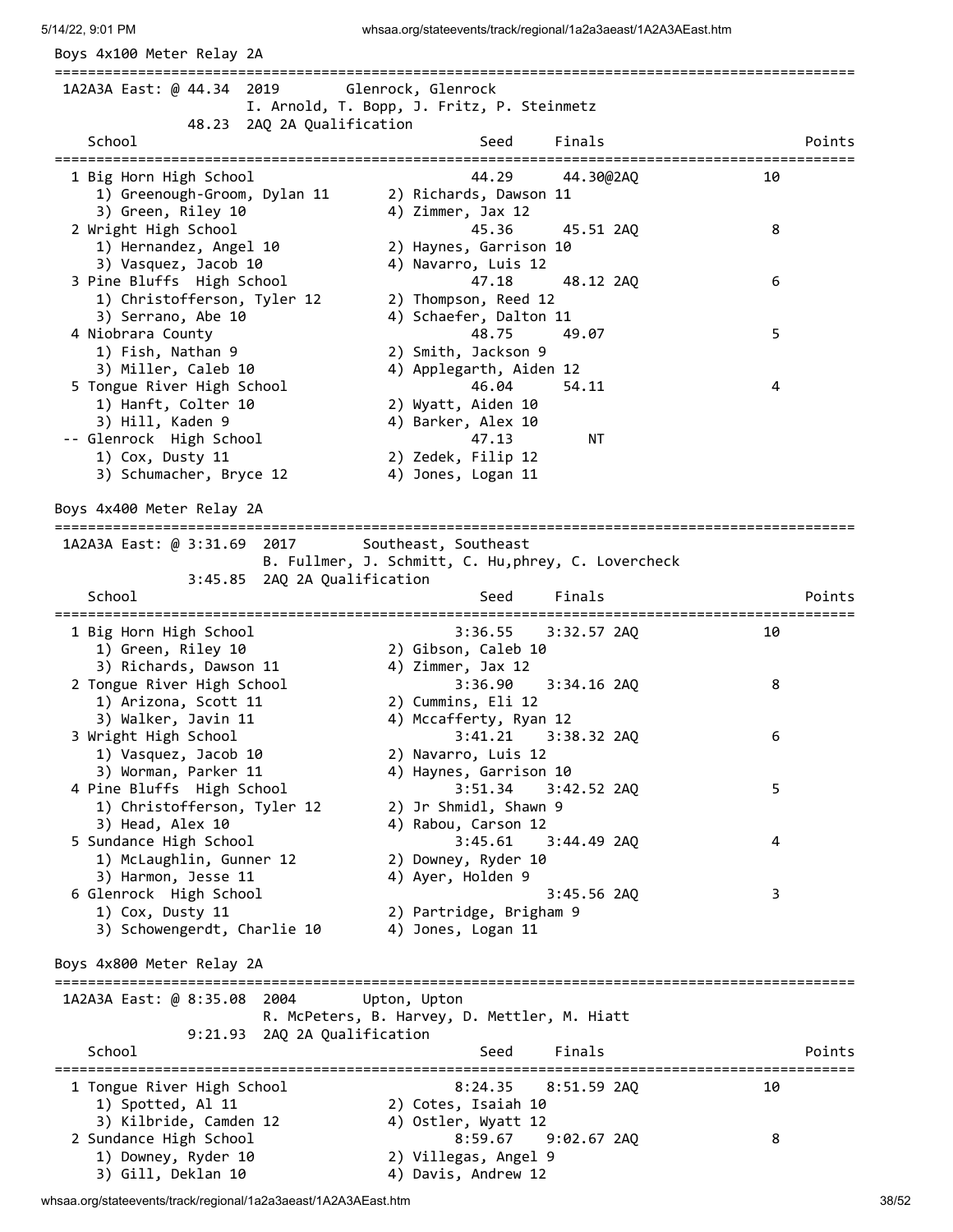| 1A2A3A East: @ 44.34 2019                                      | Glenrock, Glenrock<br>I. Arnold, T. Bopp, J. Fritz, P. Steinmetz |    |        |
|----------------------------------------------------------------|------------------------------------------------------------------|----|--------|
| 48.23 2AQ 2A Qualification<br>School                           | Finals<br>Seed                                                   |    | Points |
| ================================<br>1 Big Horn High School     | ===================================<br>44.29<br>44.30@2AQ        | 10 |        |
| 1) Greenough-Groom, Dylan 11                                   | 2) Richards, Dawson 11                                           |    |        |
| 3) Green, Riley 10                                             | 4) Zimmer, Jax 12                                                |    |        |
| 2 Wright High School                                           | 45.36<br>45.51 2AQ                                               | 8  |        |
| 1) Hernandez, Angel 10<br>3) Vasquez, Jacob 10                 | 2) Haynes, Garrison 10<br>4) Navarro, Luis 12                    |    |        |
| 3 Pine Bluffs High School                                      | 47.18<br>48.12 2AQ                                               | 6  |        |
| 1) Christofferson, Tyler 12                                    | 2) Thompson, Reed 12                                             |    |        |
| 3) Serrano, Abe 10                                             | 4) Schaefer, Dalton 11                                           |    |        |
| 4 Niobrara County                                              | 48.75<br>49.07                                                   | 5  |        |
| 1) Fish, Nathan 9                                              | 2) Smith, Jackson 9                                              |    |        |
| 3) Miller, Caleb 10                                            | 4) Applegarth, Aiden 12                                          |    |        |
| 5 Tongue River High School<br>1) Hanft, Colter 10              | 46.04<br>54.11<br>2) Wyatt, Aiden 10                             | 4  |        |
| 3) Hill, Kaden 9                                               | 4) Barker, Alex 10                                               |    |        |
| -- Glenrock High School                                        | 47.13<br>NΤ                                                      |    |        |
| 1) Cox, Dusty 11                                               | 2) Zedek, Filip 12                                               |    |        |
| 3) Schumacher, Bryce 12                                        | 4) Jones, Logan 11                                               |    |        |
| Boys 4x400 Meter Relay 2A                                      |                                                                  |    |        |
| 1A2A3A East: @ 3:31.69 2017                                    | Southeast, Southeast                                             |    |        |
|                                                                | B. Fullmer, J. Schmitt, C. Hu, phrey, C. Lovercheck              |    |        |
| 3:45.85 2AQ 2A Qualification                                   |                                                                  |    |        |
| School                                                         | Finals<br>Seed<br>,,,,,,,,,,,,,,,,,,,,,,,,,,                     |    | Points |
| 1 Big Horn High School                                         | 3:36.55<br>3:32.57 2AQ                                           | 10 |        |
| 1) Green, Riley 10                                             | 2) Gibson, Caleb 10                                              |    |        |
| 3) Richards, Dawson 11                                         | 4) Zimmer, Jax 12                                                |    |        |
| 2 Tongue River High School                                     | 3:34.16 2AQ<br>3:36.90                                           | 8  |        |
| 1) Arizona, Scott 11                                           | 2) Cummins, Eli 12                                               |    |        |
| 3) Walker, Javin 11<br>3 Wright High School                    | 4) Mccafferty, Ryan 12<br>3:41.21<br>3:38.32 2AQ                 | 6  |        |
| 1) Vasquez, Jacob 10                                           | 2) Navarro, Luis 12                                              |    |        |
| 3) Worman, Parker 11                                           | 4) Haynes, Garrison 10                                           |    |        |
| 4 Pine Bluffs High School                                      | 3:51.34<br>3:42.52 2AQ                                           | 5  |        |
| 1) Christofferson, Tyler 12                                    | 2) Jr Shmidl, Shawn 9                                            |    |        |
| 3) Head, Alex 10                                               | 4) Rabou, Carson 12                                              |    |        |
| 5 Sundance High School                                         | 3:45.61<br>$3:44.49$ 2AQ                                         | 4  |        |
| 1) McLaughlin, Gunner 12                                       | 2) Downey, Ryder 10                                              |    |        |
| 3) Harmon, Jesse 11<br>6 Glenrock High School                  | 4) Ayer, Holden 9<br>3:45.56 2AQ                                 | 3  |        |
|                                                                | 2) Partridge, Brigham 9                                          |    |        |
|                                                                |                                                                  |    |        |
| 1) Cox, Dusty 11<br>3) Schowengerdt, Charlie 10                | 4) Jones, Logan 11                                               |    |        |
| Boys 4x800 Meter Relay 2A                                      |                                                                  |    |        |
| 1A2A3A East: @ 8:35.08 2004                                    | Upton, Upton                                                     |    |        |
|                                                                | R. McPeters, B. Harvey, D. Mettler, M. Hiatt                     |    |        |
| 9:21.93 2AQ 2A Qualification                                   |                                                                  |    |        |
| School                                                         | Finals<br>Seed                                                   |    |        |
| ================================<br>1 Tongue River High School | 8:24.35<br>8:51.59 2AQ                                           | 10 | Points |
| 1) Spotted, Al 11                                              | 2) Cotes, Isaiah 10                                              |    |        |
| 3) Kilbride, Camden 12                                         | 4) Ostler, Wyatt 12                                              |    |        |
| 2 Sundance High School<br>1) Downey, Ryder 10                  | 8:59.67<br>$9:02.67$ 2AQ<br>2) Villegas, Angel 9                 | 8  |        |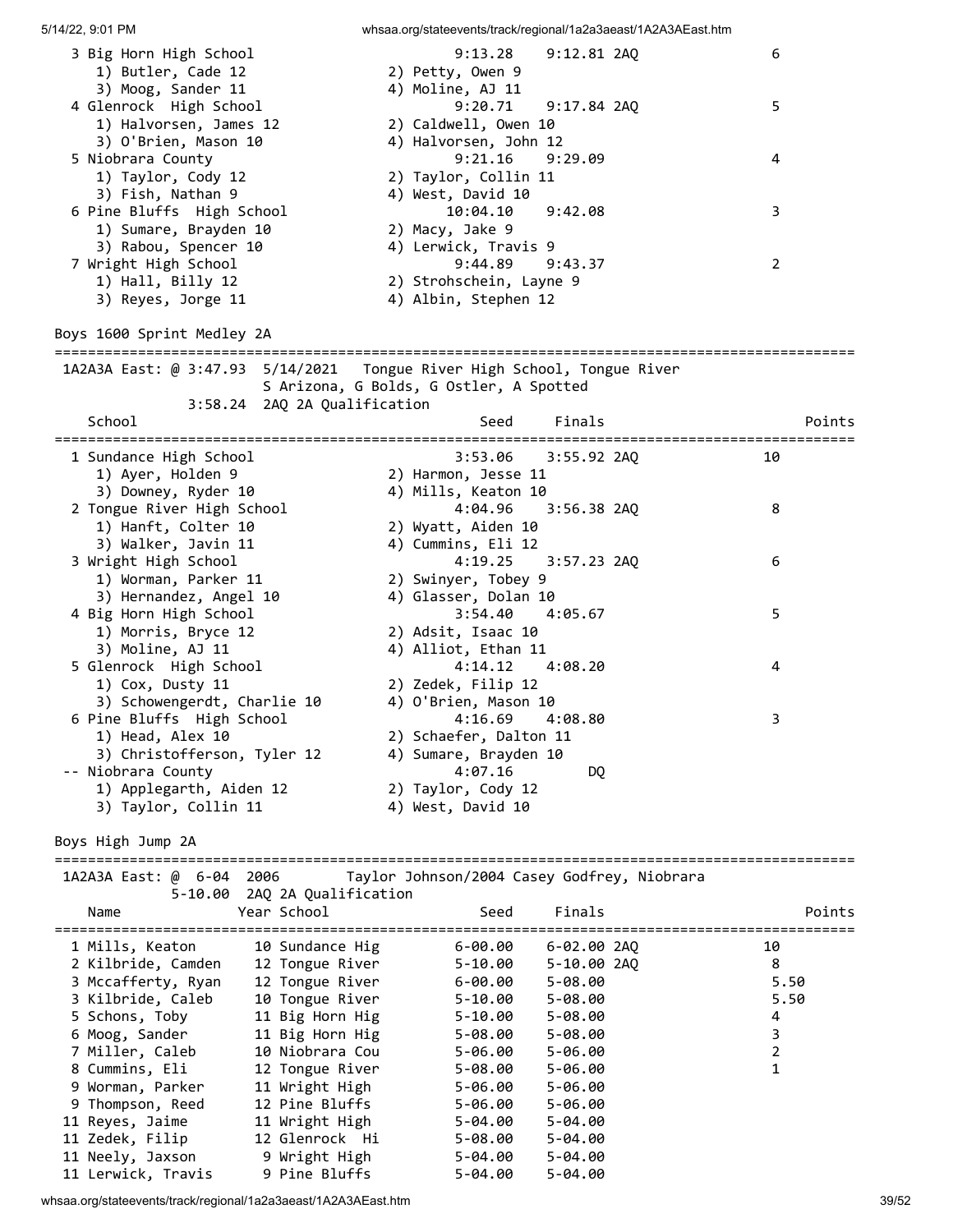| 3 Big Horn High School                                                   |                              | 9:13.28                                     | 9:12.81 2AQ   |                                   | 6              |        |
|--------------------------------------------------------------------------|------------------------------|---------------------------------------------|---------------|-----------------------------------|----------------|--------|
| 1) Butler, Cade 12                                                       |                              | 2) Petty, Owen 9                            |               |                                   |                |        |
| 3) Moog, Sander 11                                                       |                              | 4) Moline, AJ 11                            |               |                                   |                |        |
| 4 Glenrock High School                                                   |                              | 9:20.71                                     | 9:17.84 2AQ   |                                   | 5              |        |
| 1) Halvorsen, James 12                                                   |                              | 2) Caldwell, Owen 10                        |               |                                   |                |        |
| 3) O'Brien, Mason 10                                                     |                              | 4) Halvorsen, John 12                       |               |                                   |                |        |
| 5 Niobrara County                                                        |                              | 9:21.16                                     | 9:29.09       |                                   | 4              |        |
| 1) Taylor, Cody 12                                                       |                              | 2) Taylor, Collin 11                        |               |                                   |                |        |
|                                                                          |                              |                                             |               |                                   |                |        |
| 3) Fish, Nathan 9                                                        |                              | 4) West, David 10                           |               |                                   |                |        |
| 6 Pine Bluffs High School                                                |                              | 10:04.10                                    | 9:42.08       |                                   | 3              |        |
| 1) Sumare, Brayden 10                                                    |                              | 2) Macy, Jake 9                             |               |                                   |                |        |
| 3) Rabou, Spencer 10                                                     |                              | 4) Lerwick, Travis 9                        |               |                                   |                |        |
| 7 Wright High School                                                     |                              | 9:44.89                                     | 9:43.37       |                                   | 2              |        |
| 1) Hall, Billy 12                                                        |                              | 2) Strohschein, Layne 9                     |               |                                   |                |        |
| 3) Reyes, Jorge 11                                                       |                              | 4) Albin, Stephen 12                        |               |                                   |                |        |
|                                                                          |                              |                                             |               |                                   |                |        |
| Boys 1600 Sprint Medley 2A                                               |                              |                                             |               |                                   |                |        |
| 1A2A3A East: @ 3:47.93 5/14/2021  Tongue River High School, Tongue River |                              |                                             |               |                                   |                |        |
|                                                                          |                              | S Arizona, G Bolds, G Ostler, A Spotted     |               |                                   |                |        |
|                                                                          |                              |                                             |               |                                   |                |        |
|                                                                          | 3:58.24 2AQ 2A Qualification |                                             |               |                                   |                |        |
| School                                                                   |                              | Seed                                        | Finals        |                                   |                | Points |
|                                                                          |                              |                                             |               | ================================= |                |        |
| 1 Sundance High School                                                   |                              | 3:53.06                                     | 3:55.92 2AQ   |                                   | 10             |        |
| 1) Ayer, Holden 9                                                        |                              | 2) Harmon, Jesse 11                         |               |                                   |                |        |
| 3) Downey, Ryder 10                                                      |                              | 4) Mills, Keaton 10                         |               |                                   |                |        |
| 2 Tongue River High School                                               |                              | 4:04.96                                     | 3:56.38 2AQ   |                                   | 8              |        |
| 1) Hanft, Colter 10                                                      |                              | 2) Wyatt, Aiden 10                          |               |                                   |                |        |
| 3) Walker, Javin 11                                                      |                              | 4) Cummins, Eli 12                          |               |                                   |                |        |
| 3 Wright High School                                                     |                              | 4:19.25                                     | 3:57.23 2AQ   |                                   | 6              |        |
| 1) Worman, Parker 11                                                     |                              | 2) Swinyer, Tobey 9                         |               |                                   |                |        |
| 3) Hernandez, Angel 10                                                   |                              | 4) Glasser, Dolan 10                        |               |                                   |                |        |
| 4 Big Horn High School                                                   |                              | 3:54.40                                     | 4:05.67       |                                   | 5              |        |
| 1) Morris, Bryce 12                                                      |                              | 2) Adsit, Isaac 10                          |               |                                   |                |        |
| 3) Moline, AJ 11                                                         |                              | 4) Alliot, Ethan 11                         |               |                                   |                |        |
| 5 Glenrock High School                                                   |                              | 4:14.12                                     | 4:08.20       |                                   | 4              |        |
|                                                                          |                              |                                             |               |                                   |                |        |
| 1) Cox, Dusty 11                                                         |                              | 2) Zedek, Filip 12                          |               |                                   |                |        |
| 3) Schowengerdt, Charlie 10                                              |                              | 4) O'Brien, Mason 10                        |               |                                   |                |        |
| 6 Pine Bluffs High School                                                |                              | 4:16.69                                     | 4:08.80       |                                   | 3              |        |
| 1) Head, Alex 10                                                         |                              | 2) Schaefer, Dalton 11                      |               |                                   |                |        |
| 3) Christofferson, Tyler 12                                              |                              | 4) Sumare, Brayden 10                       |               |                                   |                |        |
| -- Niobrara County                                                       |                              | 4:07.16                                     | DQ            |                                   |                |        |
| 1) Applegarth, Aiden 12                                                  |                              | 2) Taylor, Cody 12                          |               |                                   |                |        |
| 3) Taylor, Collin 11                                                     |                              | 4) West, David 10                           |               |                                   |                |        |
|                                                                          |                              |                                             |               |                                   |                |        |
| Boys High Jump 2A<br>=============================                       |                              |                                             |               |                                   |                |        |
| 1A2A3A East: @ 6-04                                                      | 2006                         | Taylor Johnson/2004 Casey Godfrey, Niobrara |               |                                   |                |        |
|                                                                          | 5-10.00 2AQ 2A Qualification |                                             |               |                                   |                |        |
| Name                                                                     | Year School                  | Seed                                        | Finals        |                                   |                | Points |
|                                                                          |                              |                                             |               |                                   |                |        |
| 1 Mills, Keaton                                                          | 10 Sundance Hig              | $6 - 00.00$                                 | $6 - 02.0020$ |                                   | 10             |        |
| 2 Kilbride, Camden                                                       | 12 Tongue River              | $5 - 10.00$                                 | 5-10.00 2AQ   |                                   | 8              |        |
| 3 Mccafferty, Ryan                                                       | 12 Tongue River              | $6 - 00.00$                                 | $5 - 08.00$   |                                   | 5.50           |        |
| 3 Kilbride, Caleb                                                        | 10 Tongue River              | $5 - 10.00$                                 | $5 - 08.00$   |                                   | 5.50           |        |
| 5 Schons, Toby                                                           | 11 Big Horn Hig              | $5 - 10.00$                                 | $5 - 08.00$   |                                   | 4              |        |
|                                                                          |                              |                                             |               |                                   |                |        |
| 6 Moog, Sander                                                           | 11 Big Horn Hig              | $5 - 08.00$                                 | $5 - 08.00$   |                                   | 3              |        |
| 7 Miller, Caleb                                                          | 10 Niobrara Cou              | $5 - 06.00$                                 | $5 - 06.00$   |                                   | $\overline{2}$ |        |
| 8 Cummins, Eli                                                           | 12 Tongue River              | $5 - 08.00$                                 | $5 - 06.00$   |                                   | 1              |        |
| 9 Worman, Parker                                                         | 11 Wright High               | $5 - 06.00$                                 | $5 - 06.00$   |                                   |                |        |
| 9 Thompson, Reed                                                         | 12 Pine Bluffs               | $5 - 06.00$                                 | $5 - 06.00$   |                                   |                |        |
| 11 Reyes, Jaime                                                          | 11 Wright High               | $5 - 04.00$                                 | $5 - 04.00$   |                                   |                |        |
| 11 Zedek, Filip                                                          | 12 Glenrock Hi               | $5 - 08.00$                                 | $5 - 04.00$   |                                   |                |        |
| 11 Neely, Jaxson                                                         | 9 Wright High                | $5 - 04.00$                                 | $5 - 04.00$   |                                   |                |        |
| 11 Lerwick, Travis                                                       | 9 Pine Bluffs                | $5 - 04.00$                                 | $5 - 04.00$   |                                   |                |        |

whsaa.org/stateevents/track/regional/1a2a3aeast/1A2A3AEast.htm 39/52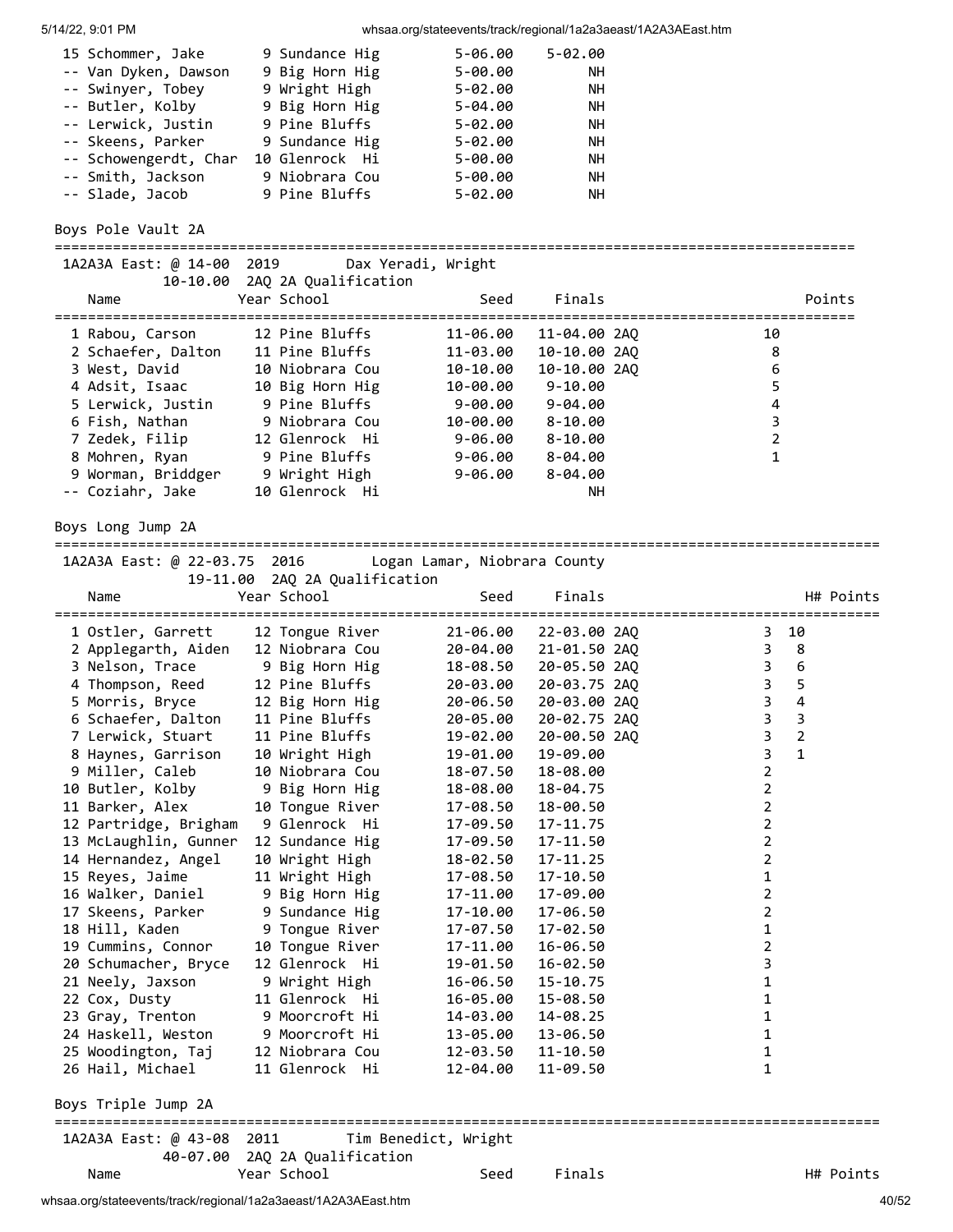| 15 Schommer, Jake     | 9 Sundance Hig | $5 - 06.00$ | $5 - 02.00$ |
|-----------------------|----------------|-------------|-------------|
| -- Van Dyken, Dawson  | 9 Big Horn Hig | $5 - 00.00$ | NН          |
| -- Swinyer, Tobey     | 9 Wright High  | $5 - 02.00$ | <b>NH</b>   |
| -- Butler, Kolby      | 9 Big Horn Hig | $5 - 04.00$ | <b>NH</b>   |
| -- Lerwick, Justin    | 9 Pine Bluffs  | $5 - 02.00$ | <b>NH</b>   |
| -- Skeens, Parker     | 9 Sundance Hig | $5 - 02.00$ | <b>NH</b>   |
| -- Schowengerdt, Char | 10 Glenrock Hi | $5 - 00.00$ | <b>NH</b>   |
| -- Smith, Jackson     | 9 Niobrara Cou | $5 - 00.00$ | <b>NH</b>   |
| -- Slade, Jacob       | 9 Pine Bluffs  | $5 - 02.00$ | NН          |

Boys Pole Vault 2A

================================================================================================ 1A2A3A East: @ 14-00 2019 Dax Yeradi, Wright 10-10.00 2AQ 2A Qualification Name Year School Seed Finals Points ================================================================================================ 1 Rabou, Carson 12 Pine Bluffs 11-06.00 11-04.00 2AQ 10 2 Schaefer, Dalton 11 Pine Bluffs 11-03.00 10-10.00 2AQ 8 3 West, David 10 Niobrara Cou 10-10.00 10-10.00 2AQ 6 4 Adsit, Isaac 10 Big Horn Hig 10-00.00 9-10.00 5 5 Lerwick, Justin 9 Pine Bluffs 9-00.00 9-04.00 4 6 Fish, Nathan 9 Niobrara Cou 10-00.00 8-10.00 3 7 Zedek, Filip 12 Glenrock Hi 9-06.00 8-10.00 2 8 Mohren, Ryan 9 Pine Bluffs 9-06.00 8-04.00 1 9 Worman, Briddger 9 Wright High 9-06.00 8-04.00 -- Coziahr, Jake 10 Glenrock Hi NH

Boys Long Jump 2A

=================================================================================================== 1A2A3A East: @ 22-03.75 2016 Logan Lamar, Niobrara County

| IAZA3A EdSt: @ ZZ-03.75   Z016           LOgan Lamar', N10Drara COunty<br>19-11.00 | 2AQ 2A Qualification             |                      |              |                                                    |
|------------------------------------------------------------------------------------|----------------------------------|----------------------|--------------|----------------------------------------------------|
| Name                                                                               | Year School                      | Seed                 | Finals       | H# Points                                          |
| 1 Ostler, Garrett                                                                  | =============<br>12 Tongue River | 21-06.00             | 22-03.00 2AQ | 10<br>3                                            |
| 2 Applegarth, Aiden                                                                | 12 Niobrara Cou                  | 20-04.00             | 21-01.50 2AO | 3<br>8                                             |
| 3 Nelson, Trace                                                                    | 9 Big Horn Hig                   | 18-08.50             | 20-05.50 2AO | 3<br>6                                             |
| 4 Thompson, Reed                                                                   | 12 Pine Bluffs                   | 20-03.00             | 20-03.75 2AQ | 3<br>5                                             |
| 5 Morris, Bryce                                                                    | 12 Big Horn Hig                  | 20-06.50             | 20-03.00 2AQ | $\mathsf{3}$<br>$\overline{4}$                     |
| 6 Schaefer, Dalton                                                                 | 11 Pine Bluffs                   | 20-05.00             | 20-02.75 2AQ | $\overline{\mathbf{3}}$<br>$\overline{\mathbf{3}}$ |
| 7 Lerwick, Stuart                                                                  | 11 Pine Bluffs                   | 19-02.00             | 20-00.50 2AQ | $\overline{3}$<br>$\overline{2}$                   |
| 8 Haynes, Garrison                                                                 | 10 Wright High                   | 19-01.00             | 19-09.00     | 3<br>$\mathbf{1}$                                  |
| 9 Miller, Caleb                                                                    | 10 Niobrara Cou                  | 18-07.50             | 18-08.00     | $\overline{2}$                                     |
| 10 Butler, Kolby                                                                   | 9 Big Horn Hig                   | 18-08.00             | 18-04.75     | $\overline{2}$                                     |
| 11 Barker, Alex                                                                    | 10 Tongue River                  | 17-08.50             | 18-00.50     | $\overline{2}$                                     |
| 12 Partridge, Brigham                                                              | 9 Glenrock Hi                    | 17-09.50             | 17-11.75     | $\overline{2}$                                     |
| 13 McLaughlin, Gunner                                                              | 12 Sundance Hig                  | 17-09.50             | 17-11.50     | $\overline{2}$                                     |
| 14 Hernandez, Angel                                                                | 10 Wright High                   | 18-02.50             | $17 - 11.25$ | $\overline{2}$                                     |
| 15 Reyes, Jaime                                                                    | 11 Wright High                   | 17-08.50             | 17-10.50     | $\mathbf{1}$                                       |
| 16 Walker, Daniel                                                                  | 9 Big Horn Hig                   | 17-11.00             | 17-09.00     | $\overline{2}$                                     |
| 17 Skeens, Parker                                                                  | 9 Sundance Hig                   | 17-10.00             | 17-06.50     | $\overline{2}$                                     |
| 18 Hill, Kaden                                                                     | 9 Tongue River                   | 17-07.50             | 17-02.50     | $\mathbf{1}$                                       |
| 19 Cummins, Connor                                                                 | 10 Tongue River                  | 17-11.00             | 16-06.50     | $\overline{2}$                                     |
| 20 Schumacher, Bryce                                                               | 12 Glenrock Hi                   | 19-01.50             | 16-02.50     | 3                                                  |
| 21 Neely, Jaxson                                                                   | 9 Wright High                    | 16-06.50             | $15 - 10.75$ | 1                                                  |
| 22 Cox, Dusty                                                                      | 11 Glenrock Hi                   | 16-05.00             | 15-08.50     | $\mathbf 1$                                        |
| 23 Gray, Trenton                                                                   | 9 Moorcroft Hi                   | 14-03.00             | 14-08.25     | $\mathbf 1$                                        |
| 24 Haskell, Weston                                                                 | 9 Moorcroft Hi                   | 13-05.00             | 13-06.50     | $\mathbf 1$                                        |
| 25 Woodington, Taj                                                                 | 12 Niobrara Cou                  | 12-03.50             | $11 - 10.50$ | 1                                                  |
| 26 Hail, Michael                                                                   | 11 Glenrock Hi                   | 12-04.00             | 11-09.50     | $\mathbf 1$                                        |
| Boys Triple Jump 2A<br>==============                                              |                                  |                      |              |                                                    |
| 1A2A3A East: @ 43-08 2011                                                          |                                  | Tim Benedict, Wright |              |                                                    |
| 40-07.00                                                                           | 2AQ 2A Qualification             |                      |              |                                                    |
| Name                                                                               | Year School                      | Seed                 | Finals       | H# Points                                          |

whsaa.org/stateevents/track/regional/1a2a3aeast/1A2A3AEast.htm 40/52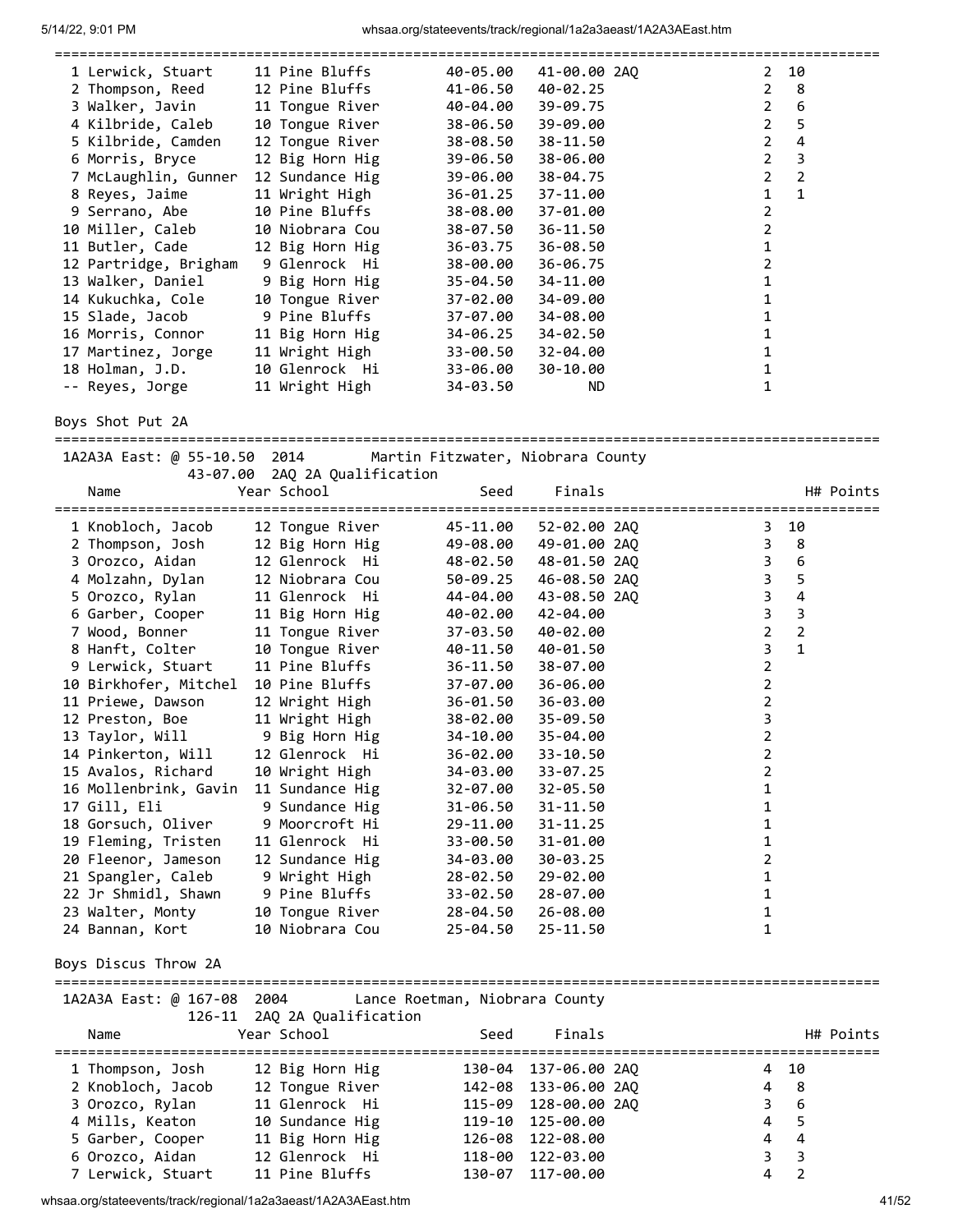| 1 Lerwick, Stuart     | 11 Pine Bluffs  | 40-05.00 | 41-00.00 2AO | $\mathbf{2}$<br>10  |
|-----------------------|-----------------|----------|--------------|---------------------|
| 2 Thompson, Reed      | 12 Pine Bluffs  | 41-06.50 | 40-02.25     | $\overline{2}$<br>8 |
| 3 Walker, Javin       | 11 Tongue River | 40-04.00 | 39-09.75     | $\overline{2}$<br>6 |
| 4 Kilbride, Caleb     | 10 Tongue River | 38-06.50 | 39-09.00     | 2<br>5              |
| 5 Kilbride, Camden    | 12 Tongue River | 38-08.50 | 38-11.50     | 2<br>4              |
| 6 Morris, Bryce       | 12 Big Horn Hig | 39-06.50 | 38-06.00     | $\overline{2}$<br>3 |
| 7 McLaughlin, Gunner  | 12 Sundance Hig | 39-06.00 | 38-04.75     | $\overline{2}$<br>2 |
| 8 Reyes, Jaime        | 11 Wright High  | 36-01.25 | 37-11.00     | $\mathbf{1}$        |
| 9 Serrano, Abe        | 10 Pine Bluffs  | 38-08.00 | 37-01.00     | 2                   |
| 10 Miller, Caleb      | 10 Niobrara Cou | 38-07.50 | $36 - 11.50$ |                     |
| 11 Butler, Cade       | 12 Big Horn Hig | 36-03.75 | 36-08.50     |                     |
| 12 Partridge, Brigham | 9 Glenrock Hi   | 38-00.00 | 36-06.75     |                     |
| 13 Walker, Daniel     | 9 Big Horn Hig  | 35-04.50 | 34-11.00     |                     |
| 14 Kukuchka, Cole     | 10 Tongue River | 37-02.00 | 34-09.00     |                     |
| 15 Slade, Jacob       | 9 Pine Bluffs   | 37-07.00 | 34-08.00     |                     |
| 16 Morris, Connor     | 11 Big Horn Hig | 34-06.25 | 34-02.50     |                     |
| 17 Martinez, Jorge    | 11 Wright High  | 33-00.50 | 32-04.00     |                     |
| 18 Holman, J.D.       | 10 Glenrock Hi  | 33-06.00 | 30-10.00     |                     |
| -- Reyes, Jorge       | 11 Wright High  | 34-03.50 | <b>ND</b>    |                     |

Boys Shot Put 2A

=================================================================================================== 1A2A3A East: @ 55-10.50 2014 Martin Fitzwater, Niobrara County

| 2014 - בוטג של היה באבאת LAZA | Martin Fitzwater, Niobrara County |  |
|-------------------------------|-----------------------------------|--|
|                               | 43-07.00 2AQ 2A Qualification     |  |

| Name                           | Year School     | Seed     | Finals       | H# Points                        |
|--------------------------------|-----------------|----------|--------------|----------------------------------|
| 1 Knobloch, Jacob              | 12 Tongue River | 45-11.00 | 52-02.00 2AQ | 3 10                             |
| 2 Thompson, Josh               | 12 Big Horn Hig | 49-08.00 | 49-01.00 2AO | 3<br>8                           |
| 3 Orozco, Aidan                | 12 Glenrock Hi  | 48-02.50 | 48-01.50 2AQ | 3<br>6                           |
| 4 Molzahn, Dylan               | 12 Niobrara Cou | 50-09.25 | 46-08.50 2AO | 3<br>5                           |
| 5 Orozco, Rylan                | 11 Glenrock Hi  | 44-04.00 | 43-08.50 2AQ | 3<br>4                           |
| 6 Garber, Cooper               | 11 Big Horn Hig | 40-02.00 | 42-04.00     | 3<br>3                           |
| 7 Wood, Bonner                 | 11 Tongue River | 37-03.50 | 40-02.00     | $\overline{2}$<br>$\overline{2}$ |
| 8 Hanft, Colter                | 10 Tongue River | 40-11.50 | 40-01.50     | $\mathbf{1}$<br>3                |
| 9 Lerwick, Stuart              | 11 Pine Bluffs  | 36-11.50 | 38-07.00     | 2                                |
| 10 Birkhofer, Mitchel          | 10 Pine Bluffs  | 37-07.00 | 36-06.00     | 2                                |
| 11 Priewe, Dawson              | 12 Wright High  | 36-01.50 | 36-03.00     | 2                                |
| 12 Preston, Boe                | 11 Wright High  | 38-02.00 | $35 - 09.50$ | 3                                |
| 13 Taylor, Will 9 Big Horn Hig |                 | 34-10.00 | 35-04.00     | 2                                |
| 14 Pinkerton, Will             | 12 Glenrock Hi  | 36-02.00 | $33 - 10.50$ | 2                                |
| 15 Avalos, Richard             | 10 Wright High  | 34-03.00 | $33 - 07.25$ | 2                                |
| 16 Mollenbrink, Gavin          | 11 Sundance Hig | 32-07.00 | $32 - 05.50$ | 1                                |
| 17 Gill, Eli                   | 9 Sundance Hig  | 31-06.50 | $31 - 11.50$ | 1                                |
| 18 Gorsuch, Oliver             | 9 Moorcroft Hi  | 29-11.00 | $31 - 11.25$ | 1                                |
| 19 Fleming, Tristen            | 11 Glenrock Hi  | 33-00.50 | 31-01.00     | 1                                |
| 20 Fleenor, Jameson            | 12 Sundance Hig | 34-03.00 | 30-03.25     | 2                                |
| 21 Spangler, Caleb             | 9 Wright High   | 28-02.50 | 29-02.00     | 1                                |
| 22 Jr Shmidl, Shawn            | 9 Pine Bluffs   | 33-02.50 | 28-07.00     | 1                                |
| 23 Walter, Monty               | 10 Tongue River | 28-04.50 | 26-08.00     | 1                                |
| 24 Bannan, Kort                | 10 Niobrara Cou | 25-04.50 | $25 - 11.50$ | 1                                |

#### Boys Discus Throw 2A

=================================================================================================== 1A2A3A East: @ 167-08 2004 Lance Roetman, Niobrara County

| 126-11 2AQ 2A Qualification |                 |      |                      |                     |
|-----------------------------|-----------------|------|----------------------|---------------------|
| Name                        | Year School     | Seed | Finals               | H# Points           |
| 1 Thompson, Josh            | 12 Big Horn Hig |      | 130-04 137-06.00 2AO | 4 10                |
| 2 Knobloch, Jacob           | 12 Tongue River |      | 142-08 133-06.00 2AO | 4 8                 |
| 3 Orozco, Rylan             | 11 Glenrock Hi  |      | 115-09 128-00.00 2AQ | 3 6                 |
| 4 Mills, Keaton             | 10 Sundance Hig |      | 119-10 125-00.00     | 4 5                 |
| 5 Garber, Cooper            | 11 Big Horn Hig |      | 126-08 122-08.00     | -4<br>4             |
| 6 Orozco, Aidan             | 12 Glenrock Hi  |      | 118-00 122-03.00     | $3 \overline{3}$    |
| 7 Lerwick, Stuart           | 11 Pine Bluffs  |      | 130-07 117-00.00     | $\overline{2}$<br>4 |

whsaa.org/stateevents/track/regional/1a2a3aeast/1A2A3AEast.htm 41/52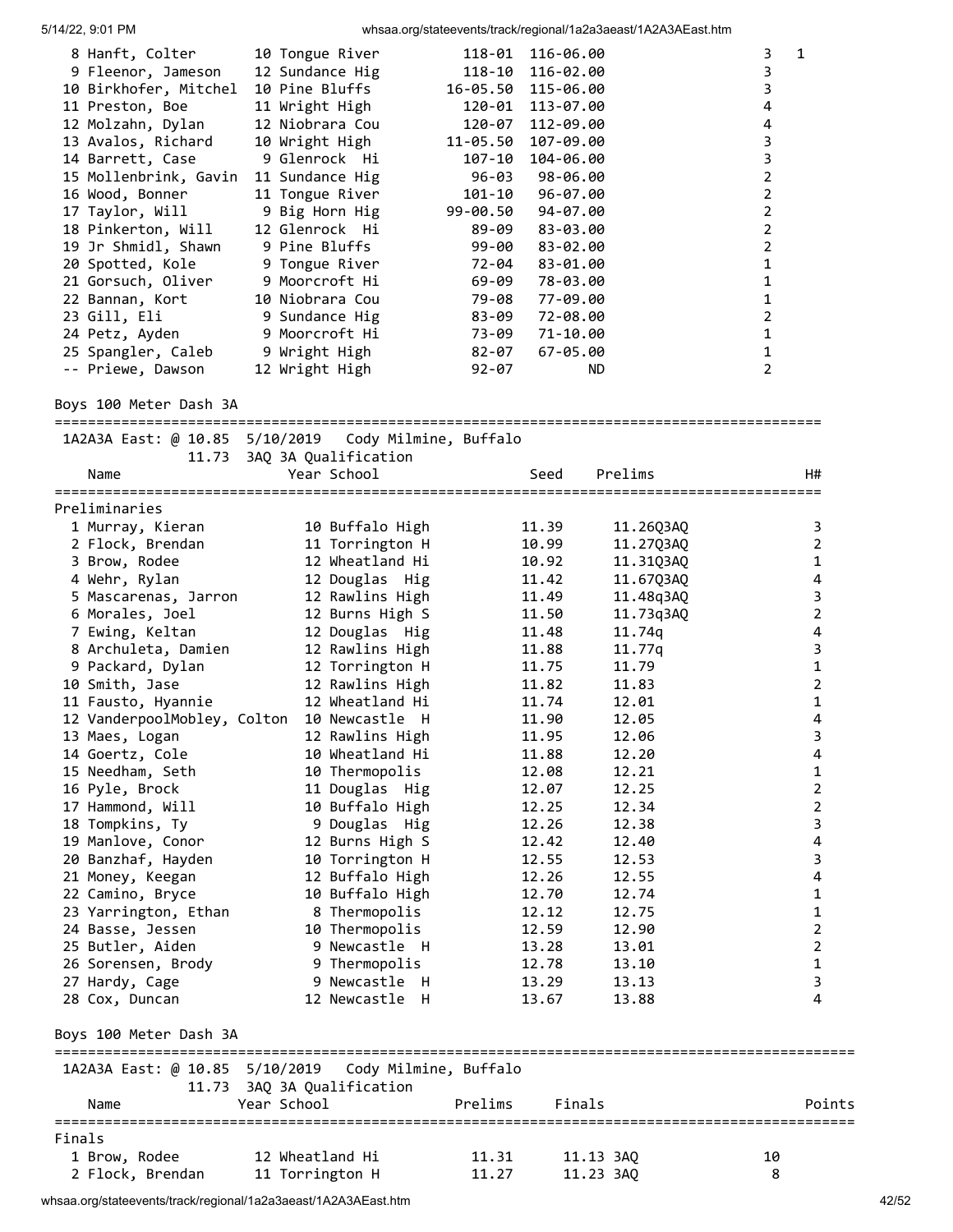| 8 Hanft, Colter<br>9 Fleenor, Jameson<br>10 Birkhofer, Mitchel<br>11 Preston, Boe<br>12 Molzahn, Dylan<br>13 Avalos, Richard<br>14 Barrett, Case<br>15 Mollenbrink, Gavin<br>16 Wood, Bonner<br>17 Taylor, Will<br>18 Pinkerton, Will<br>19 Jr Shmidl, Shawn<br>20 Spotted, Kole<br>21 Gorsuch, Oliver<br>22 Bannan, Kort<br>23 Gill, Eli<br>24 Petz, Ayden<br>25 Spangler, Caleb<br>-- Priewe, Dawson | 10 Tongue River<br>12 Sundance Hig<br>10 Pine Bluffs<br>11 Wright High<br>12 Niobrara Cou<br>10 Wright High<br>9 Glenrock Hi<br>11 Sundance Hig<br>11 Tongue River<br>9 Big Horn Hig<br>12 Glenrock Hi<br>9 Pine Bluffs<br>9 Tongue River<br>9 Moorcroft Hi<br>10 Niobrara Cou<br>9 Sundance Hig<br>9 Moorcroft Hi<br>9 Wright High<br>12 Wright High | 118-01<br>116-06.00<br>$118 - 10$<br>116-02.00<br>16-05.50<br>115-06.00<br>120-01<br>113-07.00<br>120-07<br>112-09.00<br>11-05.50<br>107-09.00<br>$107 - 10$<br>104-06.00<br>$96 - 03$<br>98-06.00<br>$101 - 10$<br>96-07.00<br>99-00.50<br>94-07.00<br>89-09<br>83-03.00<br>$99 - 00$<br>83-02.00<br>83-01.00<br>72-04<br>69-09<br>78-03.00<br>79-08<br>77-09.00<br>83-09<br>72-08.00<br>73-09<br>71-10.00<br>$82 - 07$<br>$67 - 05.00$<br>$92 - 07$<br>ND | 3<br>1<br>3<br>3<br>4<br>4<br>3<br>3<br>2<br>2<br>2<br>2<br>$\overline{2}$<br>1<br>1<br>1<br>2<br>1<br>1<br>2 |
|--------------------------------------------------------------------------------------------------------------------------------------------------------------------------------------------------------------------------------------------------------------------------------------------------------------------------------------------------------------------------------------------------------|-------------------------------------------------------------------------------------------------------------------------------------------------------------------------------------------------------------------------------------------------------------------------------------------------------------------------------------------------------|-------------------------------------------------------------------------------------------------------------------------------------------------------------------------------------------------------------------------------------------------------------------------------------------------------------------------------------------------------------------------------------------------------------------------------------------------------------|---------------------------------------------------------------------------------------------------------------|
| Boys 100 Meter Dash 3A                                                                                                                                                                                                                                                                                                                                                                                 |                                                                                                                                                                                                                                                                                                                                                       |                                                                                                                                                                                                                                                                                                                                                                                                                                                             |                                                                                                               |
| 1A2A3A East: @ 10.85 5/10/2019                                                                                                                                                                                                                                                                                                                                                                         |                                                                                                                                                                                                                                                                                                                                                       | Cody Milmine, Buffalo                                                                                                                                                                                                                                                                                                                                                                                                                                       |                                                                                                               |
| 11.73<br>Name                                                                                                                                                                                                                                                                                                                                                                                          | 3AQ 3A Qualification<br>Year School                                                                                                                                                                                                                                                                                                                   | Seed                                                                                                                                                                                                                                                                                                                                                                                                                                                        | Prelims<br>H#                                                                                                 |
|                                                                                                                                                                                                                                                                                                                                                                                                        |                                                                                                                                                                                                                                                                                                                                                       |                                                                                                                                                                                                                                                                                                                                                                                                                                                             |                                                                                                               |
| Preliminaries                                                                                                                                                                                                                                                                                                                                                                                          |                                                                                                                                                                                                                                                                                                                                                       |                                                                                                                                                                                                                                                                                                                                                                                                                                                             |                                                                                                               |
| 1 Murray, Kieran                                                                                                                                                                                                                                                                                                                                                                                       | 10 Buffalo High                                                                                                                                                                                                                                                                                                                                       | 11.39                                                                                                                                                                                                                                                                                                                                                                                                                                                       | 11.26Q3AQ<br>3                                                                                                |
| 2 Flock, Brendan                                                                                                                                                                                                                                                                                                                                                                                       | 11 Torrington H                                                                                                                                                                                                                                                                                                                                       | 10.99                                                                                                                                                                                                                                                                                                                                                                                                                                                       | $\overline{2}$<br>11.27Q3AQ                                                                                   |
| 3 Brow, Rodee                                                                                                                                                                                                                                                                                                                                                                                          | 12 Wheatland Hi                                                                                                                                                                                                                                                                                                                                       | 10.92                                                                                                                                                                                                                                                                                                                                                                                                                                                       | $\mathbf{1}$<br>11.31Q3AQ                                                                                     |
| 4 Wehr, Rylan                                                                                                                                                                                                                                                                                                                                                                                          | 12 Douglas Hig                                                                                                                                                                                                                                                                                                                                        | 11.42                                                                                                                                                                                                                                                                                                                                                                                                                                                       | 4<br>11.67Q3AQ                                                                                                |
| 5 Mascarenas, Jarron                                                                                                                                                                                                                                                                                                                                                                                   | 12 Rawlins High                                                                                                                                                                                                                                                                                                                                       | 11.49                                                                                                                                                                                                                                                                                                                                                                                                                                                       | 3<br>11.48q3AQ                                                                                                |
| 6 Morales, Joel                                                                                                                                                                                                                                                                                                                                                                                        | 12 Burns High S                                                                                                                                                                                                                                                                                                                                       | 11.50                                                                                                                                                                                                                                                                                                                                                                                                                                                       | $\overline{2}$<br>11.73q3AQ                                                                                   |
| 7 Ewing, Keltan                                                                                                                                                                                                                                                                                                                                                                                        | 12 Douglas Hig                                                                                                                                                                                                                                                                                                                                        | 11.48                                                                                                                                                                                                                                                                                                                                                                                                                                                       | 4<br>11.74q                                                                                                   |
| 8 Archuleta, Damien                                                                                                                                                                                                                                                                                                                                                                                    | 12 Rawlins High                                                                                                                                                                                                                                                                                                                                       | 11.88                                                                                                                                                                                                                                                                                                                                                                                                                                                       | 3<br>11.77q                                                                                                   |
| 9 Packard, Dylan                                                                                                                                                                                                                                                                                                                                                                                       | 12 Torrington H                                                                                                                                                                                                                                                                                                                                       | 11.75                                                                                                                                                                                                                                                                                                                                                                                                                                                       | $\mathbf 1$<br>11.79                                                                                          |
| 10 Smith, Jase                                                                                                                                                                                                                                                                                                                                                                                         | 12 Rawlins High                                                                                                                                                                                                                                                                                                                                       | 11.82                                                                                                                                                                                                                                                                                                                                                                                                                                                       | $\overline{2}$<br>11.83                                                                                       |
| 11 Fausto, Hyannie                                                                                                                                                                                                                                                                                                                                                                                     | 12 Wheatland Hi                                                                                                                                                                                                                                                                                                                                       | 11.74                                                                                                                                                                                                                                                                                                                                                                                                                                                       | $\mathbf{1}$<br>12.01                                                                                         |
| 12 VanderpoolMobley, Colton                                                                                                                                                                                                                                                                                                                                                                            | 10 Newcastle H                                                                                                                                                                                                                                                                                                                                        | 11.90                                                                                                                                                                                                                                                                                                                                                                                                                                                       | 4<br>12.05                                                                                                    |
| 13 Maes, Logan                                                                                                                                                                                                                                                                                                                                                                                         | 12 Rawlins High                                                                                                                                                                                                                                                                                                                                       | 11.95                                                                                                                                                                                                                                                                                                                                                                                                                                                       | 3<br>12.06                                                                                                    |
| 14 Goertz, Cole                                                                                                                                                                                                                                                                                                                                                                                        | 10 Wheatland Hi                                                                                                                                                                                                                                                                                                                                       | 11.88                                                                                                                                                                                                                                                                                                                                                                                                                                                       | 12.20<br>4                                                                                                    |
| 15 Needham, Seth                                                                                                                                                                                                                                                                                                                                                                                       | 10 Thermopolis                                                                                                                                                                                                                                                                                                                                        | 12.08                                                                                                                                                                                                                                                                                                                                                                                                                                                       | 12.21<br>1<br>$\overline{2}$                                                                                  |
| 16 Pyle, Brock<br>17 Hammond, Will                                                                                                                                                                                                                                                                                                                                                                     | 11 Douglas Hig<br>10 Buffalo High                                                                                                                                                                                                                                                                                                                     | 12.07                                                                                                                                                                                                                                                                                                                                                                                                                                                       | 12.25<br>$\overline{2}$<br>12.34                                                                              |
| 18 Tompkins, Ty                                                                                                                                                                                                                                                                                                                                                                                        | 9 Douglas Hig                                                                                                                                                                                                                                                                                                                                         | 12.25<br>12.26                                                                                                                                                                                                                                                                                                                                                                                                                                              | 3<br>12.38                                                                                                    |
| 19 Manlove, Conor                                                                                                                                                                                                                                                                                                                                                                                      | 12 Burns High S                                                                                                                                                                                                                                                                                                                                       | 12.42                                                                                                                                                                                                                                                                                                                                                                                                                                                       | 12.40<br>4                                                                                                    |
| 20 Banzhaf, Hayden                                                                                                                                                                                                                                                                                                                                                                                     | 10 Torrington H                                                                                                                                                                                                                                                                                                                                       | 12.55                                                                                                                                                                                                                                                                                                                                                                                                                                                       | 12.53<br>3                                                                                                    |
| 21 Money, Keegan                                                                                                                                                                                                                                                                                                                                                                                       | 12 Buffalo High                                                                                                                                                                                                                                                                                                                                       | 12.26                                                                                                                                                                                                                                                                                                                                                                                                                                                       | 12.55<br>4                                                                                                    |
| 22 Camino, Bryce                                                                                                                                                                                                                                                                                                                                                                                       | 10 Buffalo High                                                                                                                                                                                                                                                                                                                                       | 12.70                                                                                                                                                                                                                                                                                                                                                                                                                                                       | 12.74<br>1                                                                                                    |
| 23 Yarrington, Ethan                                                                                                                                                                                                                                                                                                                                                                                   | 8 Thermopolis                                                                                                                                                                                                                                                                                                                                         | 12.12                                                                                                                                                                                                                                                                                                                                                                                                                                                       | 12.75<br>1                                                                                                    |
| 24 Basse, Jessen                                                                                                                                                                                                                                                                                                                                                                                       | 10 Thermopolis                                                                                                                                                                                                                                                                                                                                        | 12.59                                                                                                                                                                                                                                                                                                                                                                                                                                                       | $\overline{2}$<br>12.90                                                                                       |
| 25 Butler, Aiden                                                                                                                                                                                                                                                                                                                                                                                       | 9 Newcastle H                                                                                                                                                                                                                                                                                                                                         | 13.28                                                                                                                                                                                                                                                                                                                                                                                                                                                       | $\overline{2}$<br>13.01                                                                                       |
| 26 Sorensen, Brody                                                                                                                                                                                                                                                                                                                                                                                     | 9 Thermopolis                                                                                                                                                                                                                                                                                                                                         | 12.78                                                                                                                                                                                                                                                                                                                                                                                                                                                       | $\mathbf{1}$<br>13.10                                                                                         |
| 27 Hardy, Cage                                                                                                                                                                                                                                                                                                                                                                                         | 9 Newcastle H                                                                                                                                                                                                                                                                                                                                         | 13.29                                                                                                                                                                                                                                                                                                                                                                                                                                                       | 3<br>13.13                                                                                                    |
| 28 Cox, Duncan                                                                                                                                                                                                                                                                                                                                                                                         | 12 Newcastle H                                                                                                                                                                                                                                                                                                                                        | 13.67                                                                                                                                                                                                                                                                                                                                                                                                                                                       | 4<br>13.88                                                                                                    |
| Boys 100 Meter Dash 3A                                                                                                                                                                                                                                                                                                                                                                                 |                                                                                                                                                                                                                                                                                                                                                       |                                                                                                                                                                                                                                                                                                                                                                                                                                                             |                                                                                                               |
|                                                                                                                                                                                                                                                                                                                                                                                                        |                                                                                                                                                                                                                                                                                                                                                       |                                                                                                                                                                                                                                                                                                                                                                                                                                                             |                                                                                                               |
| Name                                                                                                                                                                                                                                                                                                                                                                                                   | 11.73 3AQ 3A Qualification<br>Year School                                                                                                                                                                                                                                                                                                             | Prelims<br>Finals                                                                                                                                                                                                                                                                                                                                                                                                                                           | Points                                                                                                        |
| Finals                                                                                                                                                                                                                                                                                                                                                                                                 |                                                                                                                                                                                                                                                                                                                                                       |                                                                                                                                                                                                                                                                                                                                                                                                                                                             |                                                                                                               |
| 1 Brow, Rodee                                                                                                                                                                                                                                                                                                                                                                                          | 12 Wheatland Hi                                                                                                                                                                                                                                                                                                                                       | 11.31<br>11.13 3AQ                                                                                                                                                                                                                                                                                                                                                                                                                                          | 10                                                                                                            |
| 2 Flock, Brendan                                                                                                                                                                                                                                                                                                                                                                                       | 11 Torrington H                                                                                                                                                                                                                                                                                                                                       | 11.27<br>11.23 3AQ                                                                                                                                                                                                                                                                                                                                                                                                                                          | 8                                                                                                             |

whsaa.org/stateevents/track/regional/1a2a3aeast/1A2A3AEast.htm 42/52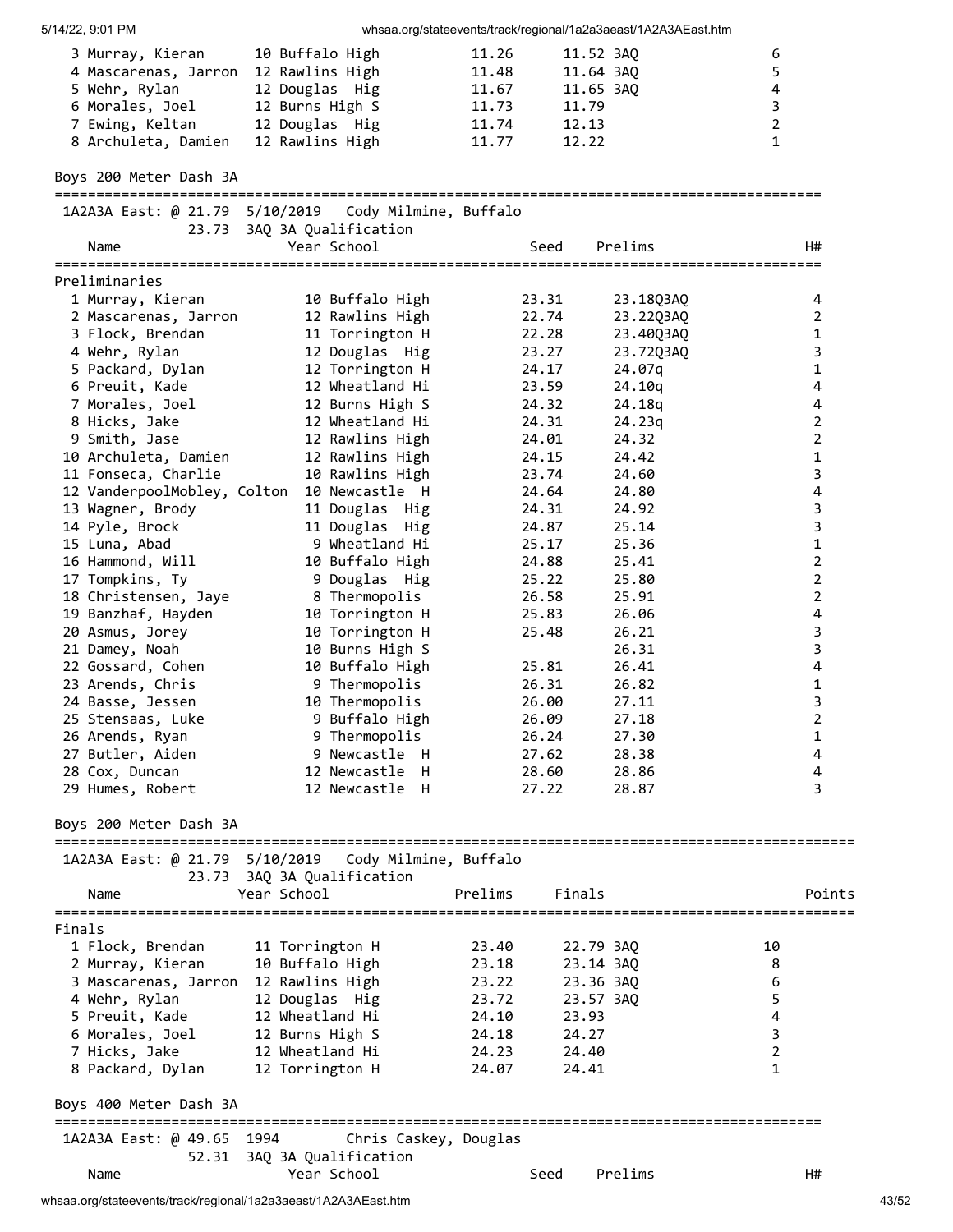| 5/14/22, 9:01 PM                                                                                                       |                                                                                                              |                                                    |                                                                | whsaa.org/stateevents/track/regional/1a2a3aeast/1A2A3AEast.htm |                                                           |                         |
|------------------------------------------------------------------------------------------------------------------------|--------------------------------------------------------------------------------------------------------------|----------------------------------------------------|----------------------------------------------------------------|----------------------------------------------------------------|-----------------------------------------------------------|-------------------------|
| 3 Murray, Kieran<br>4 Mascarenas, Jarron<br>5 Wehr, Rylan<br>6 Morales, Joel<br>7 Ewing, Keltan<br>8 Archuleta, Damien | 10 Buffalo High<br>12 Rawlins High<br>12 Douglas Hig<br>12 Burns High S<br>12 Douglas Hig<br>12 Rawlins High | 11.26<br>11.48<br>11.67<br>11.73<br>11.74<br>11.77 | 11.52 3AQ<br>11.64 3AQ<br>11.65 3AQ<br>11.79<br>12.13<br>12.22 |                                                                | 6<br>5<br>4<br>$\mathsf 3$<br>$\mathbf 2$<br>$\mathbf{1}$ |                         |
| Boys 200 Meter Dash 3A                                                                                                 |                                                                                                              |                                                    |                                                                |                                                                |                                                           |                         |
| 1A2A3A East: @ 21.79 5/10/2019                                                                                         | Cody Milmine, Buffalo                                                                                        |                                                    |                                                                |                                                                |                                                           |                         |
| Name                                                                                                                   | 23.73 3AQ 3A Qualification<br>Year School                                                                    |                                                    | Seed                                                           | Prelims                                                        |                                                           | H#                      |
| Preliminaries                                                                                                          |                                                                                                              |                                                    |                                                                |                                                                |                                                           |                         |
| 1 Murray, Kieran                                                                                                       | 10 Buffalo High                                                                                              |                                                    | 23.31                                                          | 23.18Q3AQ                                                      |                                                           | 4                       |
| 2 Mascarenas, Jarron                                                                                                   | 12 Rawlins High                                                                                              |                                                    | 22.74                                                          | 23.22Q3AQ                                                      |                                                           | 2                       |
| 3 Flock, Brendan                                                                                                       | 11 Torrington H                                                                                              |                                                    | 22.28                                                          | 23.40Q3AQ                                                      |                                                           | 1                       |
| 4 Wehr, Rylan                                                                                                          | 12 Douglas Hig                                                                                               |                                                    | 23.27                                                          | 23.72Q3AQ                                                      |                                                           | 3                       |
| 5 Packard, Dylan                                                                                                       | 12 Torrington H                                                                                              |                                                    | 24.17                                                          | 24.07q                                                         |                                                           | $\mathbf 1$             |
| 6 Preuit, Kade                                                                                                         | 12 Wheatland Hi                                                                                              |                                                    | 23.59                                                          | 24.10q                                                         |                                                           | 4                       |
| 7 Morales, Joel                                                                                                        | 12 Burns High S                                                                                              |                                                    | 24.32                                                          | 24.18q                                                         |                                                           | 4                       |
| 8 Hicks, Jake                                                                                                          | 12 Wheatland Hi                                                                                              |                                                    | 24.31                                                          | 24.23q                                                         |                                                           | $\overline{2}$          |
| 9 Smith, Jase                                                                                                          | 12 Rawlins High                                                                                              |                                                    | 24.01                                                          | 24.32                                                          |                                                           | $\overline{2}$          |
| 10 Archuleta, Damien                                                                                                   | 12 Rawlins High                                                                                              |                                                    | 24.15                                                          | 24.42                                                          |                                                           | 1                       |
| 11 Fonseca, Charlie                                                                                                    | 10 Rawlins High                                                                                              |                                                    | 23.74                                                          | 24.60                                                          |                                                           | 3                       |
|                                                                                                                        | 12 VanderpoolMobley, Colton 10 Newcastle H                                                                   |                                                    | 24.64                                                          | 24.80                                                          |                                                           | 4                       |
| 13 Wagner, Brody                                                                                                       | 11 Douglas Hig                                                                                               |                                                    | 24.31                                                          | 24.92                                                          |                                                           | 3<br>3                  |
| 14 Pyle, Brock<br>15 Luna, Abad                                                                                        | 11 Douglas Hig<br>9 Wheatland Hi                                                                             |                                                    | 24.87<br>25.17                                                 | 25.14<br>25.36                                                 |                                                           | 1                       |
| 16 Hammond, Will                                                                                                       | 10 Buffalo High                                                                                              |                                                    | 24.88                                                          | 25.41                                                          |                                                           | $\overline{2}$          |
| 17 Tompkins, Ty                                                                                                        | 9 Douglas Hig                                                                                                |                                                    | 25.22                                                          | 25.80                                                          |                                                           | $\overline{2}$          |
| 18 Christensen, Jaye                                                                                                   | 8 Thermopolis                                                                                                |                                                    | 26.58                                                          | 25.91                                                          |                                                           | $\overline{2}$          |
| 19 Banzhaf, Hayden                                                                                                     | 10 Torrington H                                                                                              |                                                    | 25.83                                                          | 26.06                                                          |                                                           | 4                       |
| 20 Asmus, Jorey                                                                                                        | 10 Torrington H                                                                                              |                                                    | 25.48                                                          | 26.21                                                          |                                                           | 3                       |
| 21 Damey, Noah                                                                                                         | 10 Burns High S                                                                                              |                                                    |                                                                | 26.31                                                          |                                                           | $\overline{\mathbf{3}}$ |
| 22 Gossard, Cohen                                                                                                      | 10 Buffalo High                                                                                              |                                                    | 25.81                                                          | 26.41                                                          |                                                           | $\overline{\mathbf{4}}$ |
| 23 Arends, Chris                                                                                                       | 9 Thermopolis                                                                                                |                                                    | 26.31                                                          | 26.82                                                          |                                                           | 1                       |
| 24 Basse, Jessen                                                                                                       | 10 Thermopolis                                                                                               |                                                    | 26.00                                                          | 27.11                                                          |                                                           | 3                       |
| 25 Stensaas, Luke                                                                                                      | 9 Buffalo High                                                                                               |                                                    | 26.09                                                          | 27.18                                                          |                                                           | 2                       |
| 26 Arends, Ryan                                                                                                        | 9 Thermopolis                                                                                                |                                                    | 26.24                                                          | 27.30                                                          |                                                           | 1                       |
| 27 Butler, Aiden                                                                                                       | 9 Newcastle H                                                                                                |                                                    | 27.62                                                          | 28.38                                                          |                                                           | 4                       |
| 28 Cox, Duncan                                                                                                         | 12 Newcastle H                                                                                               |                                                    | 28.60                                                          | 28.86                                                          |                                                           | 4                       |
| 29 Humes, Robert                                                                                                       | 12 Newcastle H                                                                                               |                                                    | 27.22                                                          | 28.87                                                          |                                                           | 3                       |
| Boys 200 Meter Dash 3A                                                                                                 |                                                                                                              |                                                    |                                                                |                                                                |                                                           |                         |
| 1A2A3A East: @ 21.79 5/10/2019                                                                                         | Cody Milmine, Buffalo                                                                                        |                                                    |                                                                |                                                                |                                                           |                         |
|                                                                                                                        | 23.73 3AQ 3A Qualification                                                                                   |                                                    |                                                                |                                                                |                                                           |                         |
| Name                                                                                                                   | Year School                                                                                                  | Prelims                                            | Finals                                                         |                                                                |                                                           | Points                  |
| Finals                                                                                                                 |                                                                                                              |                                                    |                                                                |                                                                |                                                           |                         |
| 1 Flock, Brendan                                                                                                       | 11 Torrington H                                                                                              | 23.40                                              | 22.79 3AQ                                                      |                                                                | 10                                                        |                         |
| 2 Murray, Kieran                                                                                                       | 10 Buffalo High                                                                                              | 23.18                                              | 23.14 3AQ                                                      |                                                                | 8                                                         |                         |
| 3 Mascarenas, Jarron                                                                                                   | 12 Rawlins High                                                                                              | 23.22                                              | 23.36 3AQ                                                      |                                                                | 6                                                         |                         |
| 4 Wehr, Rylan                                                                                                          | 12 Douglas Hig                                                                                               | 23.72                                              | 23.57 3AQ                                                      |                                                                | 5                                                         |                         |
| 5 Preuit, Kade                                                                                                         | 12 Wheatland Hi                                                                                              | 24.10                                              | 23.93                                                          |                                                                | 4                                                         |                         |
| 6 Morales, Joel                                                                                                        | 12 Burns High S                                                                                              | 24.18                                              | 24.27                                                          |                                                                | 3                                                         |                         |
| 7 Hicks, Jake                                                                                                          | 12 Wheatland Hi                                                                                              | 24.23                                              | 24.40                                                          |                                                                | $\overline{2}$                                            |                         |
| 8 Packard, Dylan                                                                                                       | 12 Torrington H                                                                                              | 24.07                                              | 24.41                                                          |                                                                | $\mathbf{1}$                                              |                         |
| Boys 400 Meter Dash 3A                                                                                                 |                                                                                                              |                                                    |                                                                |                                                                |                                                           |                         |
| 1A2A3A East: @ 49.65 1994                                                                                              | Chris Caskey, Douglas                                                                                        |                                                    |                                                                |                                                                |                                                           |                         |
|                                                                                                                        | 52.31 3AQ 3A Qualification                                                                                   |                                                    |                                                                |                                                                |                                                           |                         |
| Name                                                                                                                   | Year School                                                                                                  |                                                    | Seed                                                           | Prelims                                                        |                                                           | H#                      |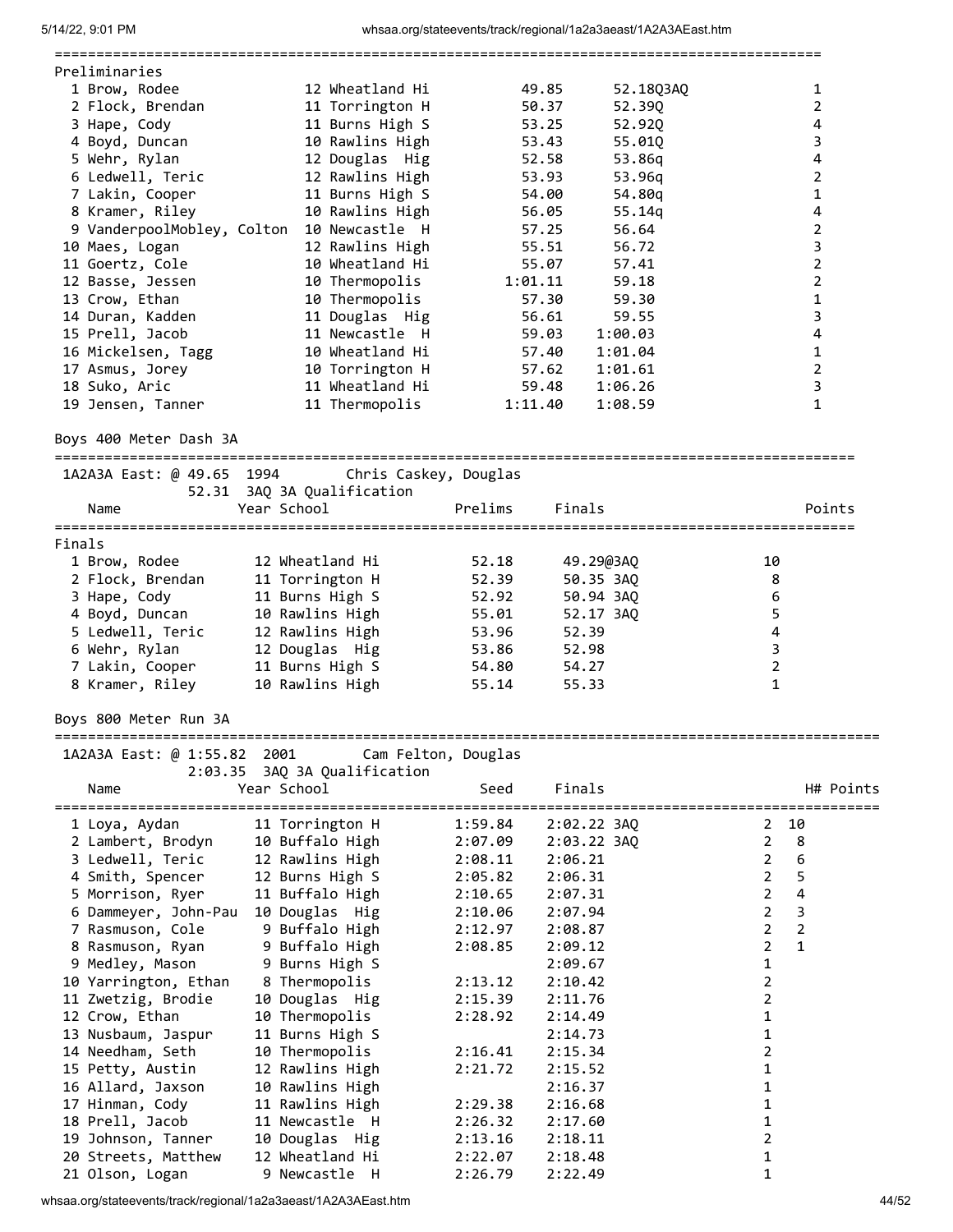| Preliminaries                                            |                                                 |                        |                                  |
|----------------------------------------------------------|-------------------------------------------------|------------------------|----------------------------------|
| 1 Brow, Rodee                                            | 12 Wheatland Hi                                 | 49.85<br>52.18Q3AQ     | $\mathbf{1}$                     |
| 2 Flock, Brendan                                         | 11 Torrington H                                 | 50.37<br>52.39Q        | 2                                |
| 3 Hape, Cody                                             | 11 Burns High S                                 | 53.25<br>52.92Q        | 4                                |
| 4 Boyd, Duncan                                           | 10 Rawlins High                                 | 53.43<br>55.01Q        | 3                                |
| 5 Wehr, Rylan                                            | 12 Douglas Hig                                  | 52.58<br>53.86q        | 4                                |
|                                                          |                                                 |                        | $\overline{2}$                   |
| 6 Ledwell, Teric                                         | 12 Rawlins High                                 | 53.93<br>53.96q        |                                  |
| 7 Lakin, Cooper                                          | 11 Burns High S                                 | 54.00<br>54.80q        | $\mathbf 1$                      |
| 8 Kramer, Riley                                          | 10 Rawlins High                                 | 56.05<br>55.14q        | $\overline{\mathbf{4}}$          |
|                                                          | 9 VanderpoolMobley, Colton 10 Newcastle H       | 57.25<br>56.64         | $\mathbf 2$                      |
| 10 Maes, Logan                                           | 12 Rawlins High                                 | 55.51<br>56.72         | 3                                |
| 11 Goertz, Cole                                          | 10 Wheatland Hi                                 | 55.07<br>57.41         | $\overline{2}$                   |
| 12 Basse, Jessen                                         | 10 Thermopolis                                  | 1:01.11<br>59.18       | $\mathbf 2$                      |
| 13 Crow, Ethan                                           | 10 Thermopolis                                  | 57.30<br>59.30         | $\mathbf 1$                      |
| 14 Duran, Kadden                                         | 11 Douglas Hig                                  | 56.61<br>59.55         | 3                                |
| 15 Prell, Jacob                                          | 11 Newcastle H                                  | 59.03<br>1:00.03       | $\overline{\mathbf{4}}$          |
| 16 Mickelsen, Tagg                                       | 10 Wheatland Hi                                 | 1:01.04<br>57.40       | $\mathbf{1}$                     |
| 17 Asmus, Jorey                                          | 10 Torrington H                                 | 57.62<br>1:01.61       | $\overline{2}$                   |
|                                                          |                                                 |                        |                                  |
| 18 Suko, Aric                                            | 11 Wheatland Hi                                 | 59.48<br>1:06.26       | 3                                |
| 19 Jensen, Tanner                                        | 11 Thermopolis                                  | 1:11.40<br>1:08.59     | 1                                |
|                                                          |                                                 |                        |                                  |
| Boys 400 Meter Dash 3A<br>============================== |                                                 |                        |                                  |
|                                                          | 1A2A3A East: @ 49.65 1994 Chris Caskey, Douglas |                        |                                  |
|                                                          | 52.31 3AQ 3A Qualification                      |                        |                                  |
|                                                          | Year School                                     | Finals<br>Prelims      | Points                           |
| Name                                                     |                                                 |                        |                                  |
| Finals                                                   |                                                 |                        |                                  |
|                                                          |                                                 |                        |                                  |
| 1 Brow, Rodee                                            | 12 Wheatland Hi                                 | 52.18<br>49.29@3AQ     | 10                               |
| 2 Flock, Brendan                                         | 11 Torrington H                                 | 52.39<br>50.35 3AQ     | 8                                |
| 3 Hape, Cody                                             | 11 Burns High S                                 | 52.92<br>50.94 3AQ     | 6                                |
| 4 Boyd, Duncan                                           | 10 Rawlins High                                 | 55.01<br>52.17 3AQ     | 5                                |
| 5 Ledwell, Teric                                         | 12 Rawlins High                                 | 53.96<br>52.39         | $\overline{\mathbf{4}}$          |
| 6 Wehr, Rylan                                            | 12 Douglas Hig                                  | 52.98<br>53.86         | 3                                |
| 7 Lakin, Cooper                                          | 11 Burns High S                                 | 54.27<br>54.80         | $\overline{2}$                   |
| 8 Kramer, Riley                                          | 10 Rawlins High                                 | 55.14<br>55.33         | 1                                |
|                                                          |                                                 |                        |                                  |
| Boys 800 Meter Run 3A                                    |                                                 |                        |                                  |
|                                                          |                                                 |                        |                                  |
| 1A2A3A East: @ 1:55.82 2001                              |                                                 | Cam Felton, Douglas    |                                  |
| 2:03.35                                                  | 3AQ 3A Qualification                            |                        |                                  |
| Name                                                     | Year School                                     | Seed<br>Finals         | H# Points                        |
|                                                          |                                                 |                        | ====                             |
| 1 Loya, Aydan                                            | 11 Torrington H                                 | 1:59.84<br>2:02.22 3AQ | 10<br>2                          |
| 2 Lambert, Brodyn                                        | 10 Buffalo High                                 | 2:07.09<br>2:03.22 3AQ | $\overline{2}$<br>8              |
| 3 Ledwell, Teric                                         | 12 Rawlins High                                 | 2:08.11<br>2:06.21     | 6<br>$\overline{2}$              |
| 4 Smith, Spencer                                         | 12 Burns High S                                 | 2:05.82<br>2:06.31     | 5<br>$\overline{2}$              |
|                                                          |                                                 |                        | 4<br>$\overline{2}$              |
| 5 Morrison, Ryer                                         | 11 Buffalo High                                 | 2:10.65<br>2:07.31     |                                  |
| 6 Dammeyer, John-Pau                                     | 10 Douglas Hig                                  | 2:07.94<br>2:10.06     | $\overline{2}$<br>3              |
| 7 Rasmuson, Cole                                         | 9 Buffalo High                                  | 2:12.97<br>2:08.87     | $\overline{2}$<br>$\overline{2}$ |
| 8 Rasmuson, Ryan                                         | 9 Buffalo High                                  | 2:08.85<br>2:09.12     | $\overline{2}$<br>1              |
| 9 Medley, Mason                                          | 9 Burns High S                                  | 2:09.67                | 1                                |
| 10 Yarrington, Ethan                                     | 8 Thermopolis                                   | 2:13.12<br>2:10.42     | 2                                |
| 11 Zwetzig, Brodie                                       | 10 Douglas Hig                                  | 2:15.39<br>2:11.76     | 2                                |
| 12 Crow, Ethan                                           | 10 Thermopolis                                  | 2:28.92<br>2:14.49     | 1                                |
| 13 Nusbaum, Jaspur                                       | 11 Burns High S                                 | 2:14.73                | 1                                |
| 14 Needham, Seth                                         | 10 Thermopolis                                  | 2:16.41<br>2:15.34     | $\overline{2}$                   |
| 15 Petty, Austin                                         | 12 Rawlins High                                 | 2:21.72<br>2:15.52     | 1                                |
|                                                          |                                                 |                        |                                  |
| 16 Allard, Jaxson                                        | 10 Rawlins High                                 | 2:16.37                | 1                                |
| 17 Hinman, Cody                                          | 11 Rawlins High                                 | 2:29.38<br>2:16.68     | 1                                |
| 18 Prell, Jacob                                          | 11 Newcastle H                                  | 2:26.32<br>2:17.60     | 1                                |
| 19 Johnson, Tanner                                       | 10 Douglas Hig                                  | 2:13.16<br>2:18.11     | 2                                |
| 20 Streets, Matthew                                      | 12 Wheatland Hi                                 | 2:22.07<br>2:18.48     | 1                                |
| 21 Olson, Logan                                          | 9 Newcastle H                                   | 2:26.79<br>2:22.49     | 1                                |

whsaa.org/stateevents/track/regional/1a2a3aeast/1A2A3AEast.htm 44/52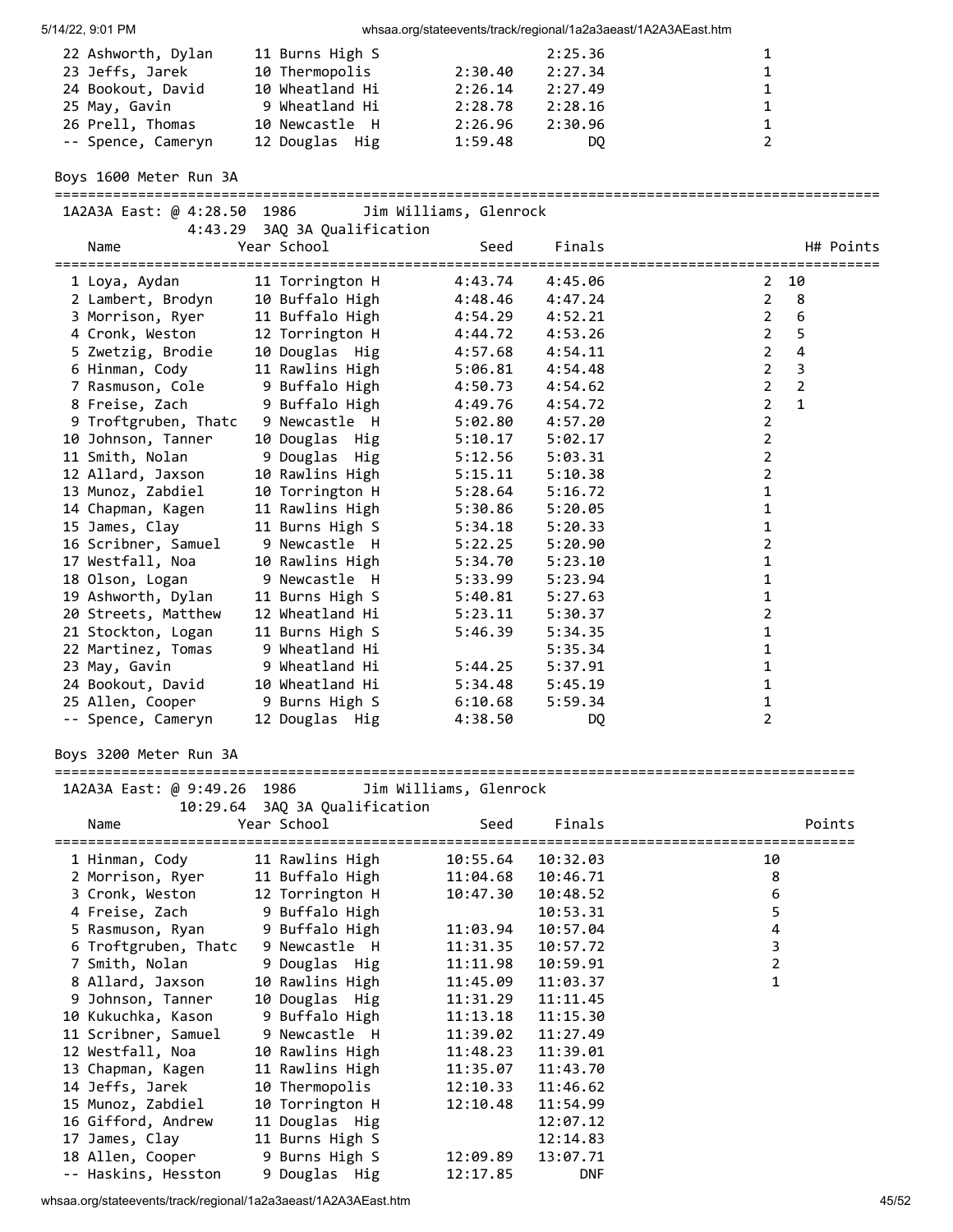| 5/14/22, 9:01 PM                           |                                   |                        | whsaa.org/stateevents/track/regional/1a2a3aeast/1A2A3AEast.htm |                                                                    |
|--------------------------------------------|-----------------------------------|------------------------|----------------------------------------------------------------|--------------------------------------------------------------------|
| 22 Ashworth, Dylan                         | 11 Burns High S                   |                        | 2:25.36                                                        | $\mathbf{1}$                                                       |
| 23 Jeffs, Jarek                            | 10 Thermopolis                    | 2:30.40                | 2:27.34                                                        | 1                                                                  |
| 24 Bookout, David                          | 10 Wheatland Hi                   | 2:26.14                | 2:27.49                                                        | 1                                                                  |
| 25 May, Gavin                              | 9 Wheatland Hi                    | 2:28.78                | 2:28.16                                                        | 1                                                                  |
| 26 Prell, Thomas                           | 10 Newcastle H                    | 2:26.96                | 2:30.96                                                        | 1                                                                  |
| -- Spence, Cameryn                         | 12 Douglas Hig                    | 1:59.48                | DQ                                                             | $\overline{2}$                                                     |
| Boys 1600 Meter Run 3A                     |                                   |                        |                                                                |                                                                    |
| 1A2A3A East: @ 4:28.50 1986                |                                   | Jim Williams, Glenrock |                                                                |                                                                    |
| 4:43.29                                    | 3AQ 3A Qualification              |                        |                                                                |                                                                    |
| Name                                       | Year School                       | Seed                   | Finals                                                         | H# Points                                                          |
|                                            |                                   |                        |                                                                |                                                                    |
| 1 Loya, Aydan                              | 11 Torrington H                   | 4:43.74                | 4:45.06                                                        | 10<br>2                                                            |
| 2 Lambert, Brodyn                          | 10 Buffalo High                   | 4:48.46                | 4:47.24                                                        | $\overline{2}$<br>8                                                |
| 3 Morrison, Ryer                           | 11 Buffalo High                   | 4:54.29                | 4:52.21                                                        | 6<br>$2^{\circ}$                                                   |
| 4 Cronk, Weston                            | 12 Torrington H                   | 4:44.72                | 4:53.26                                                        | 5<br>$2^{\circ}$                                                   |
| 5 Zwetzig, Brodie                          | 10 Douglas Hig                    | 4:57.68                | 4:54.11                                                        | $2^{\circ}$<br>$\overline{\mathbf{4}}$                             |
| 6 Hinman, Cody                             | 11 Rawlins High                   | 5:06.81                | 4:54.48                                                        | $2^{\circ}$<br>$\mathsf 3$                                         |
| 7 Rasmuson, Cole                           | 9 Buffalo High                    | 4:50.73                | 4:54.62                                                        | $\overline{2}$<br>$\overline{2}$<br>$\overline{2}$<br>$\mathbf{1}$ |
| 8 Freise, Zach                             | 9 Buffalo High<br>9 Newcastle H   | 4:49.76                | 4:54.72                                                        | $\overline{2}$                                                     |
| 9 Troftgruben, Thatc<br>10 Johnson, Tanner | 10 Douglas Hig                    | 5:02.80<br>5:10.17     | 4:57.20<br>5:02.17                                             | $\overline{2}$                                                     |
| 11 Smith, Nolan                            | 9 Douglas Hig                     | 5:12.56                | 5:03.31                                                        | $\overline{2}$                                                     |
| 12 Allard, Jaxson                          | 10 Rawlins High                   | 5:15.11                | 5:10.38                                                        | $\overline{2}$                                                     |
| 13 Munoz, Zabdiel                          | 10 Torrington H                   | 5:28.64                | 5:16.72                                                        | $\mathbf 1$                                                        |
| 14 Chapman, Kagen                          | 11 Rawlins High                   | 5:30.86                | 5:20.05                                                        | 1                                                                  |
| 15 James, Clay                             | 11 Burns High S                   | 5:34.18                | 5:20.33                                                        | 1                                                                  |
| 16 Scribner, Samuel                        | 9 Newcastle H                     | 5:22.25                | 5:20.90                                                        | $\overline{2}$                                                     |
| 17 Westfall, Noa                           | 10 Rawlins High                   | 5:34.70                | 5:23.10                                                        | 1                                                                  |
| 18 Olson, Logan                            | 9 Newcastle H                     | 5:33.99                | 5:23.94                                                        | 1                                                                  |
| 19 Ashworth, Dylan                         | 11 Burns High S                   | 5:40.81                | 5:27.63                                                        | $\mathbf 1$                                                        |
| 20 Streets, Matthew                        | 12 Wheatland Hi                   | 5:23.11                | 5:30.37                                                        | $\overline{2}$                                                     |
| 21 Stockton, Logan                         | 11 Burns High S                   | 5:46.39                | 5:34.35                                                        | $\mathbf 1$                                                        |
| 22 Martinez, Tomas                         | 9 Wheatland Hi                    |                        | 5:35.34                                                        | 1                                                                  |
| 23 May, Gavin                              | 9 Wheatland Hi                    | 5:44.25                | 5:37.91                                                        | $\mathbf{1}$                                                       |
| 24 Bookout, David                          | 10 Wheatland Hi                   | 5:34.48                | 5:45.19                                                        | 1                                                                  |
| 25 Allen, Cooper                           | 9 Burns High S                    | 6:10.68                | 5:59.34                                                        | 1                                                                  |
| -- Spence, Cameryn                         | 12 Douglas Hig                    | 4:38.50                | DQ                                                             | 2                                                                  |
| Boys 3200 Meter Run 3A                     |                                   |                        |                                                                |                                                                    |
| 1A2A3A East: @ 9:49.26 1986                |                                   | Jim Williams, Glenrock |                                                                |                                                                    |
|                                            | 10:29.64 3AQ 3A Qualification     |                        |                                                                |                                                                    |
| Name                                       | Year School                       | Seed                   | Finals                                                         | Points                                                             |
|                                            |                                   |                        |                                                                |                                                                    |
| 1 Hinman, Cody                             | 11 Rawlins High                   | 10:55.64               | 10:32.03                                                       | 10                                                                 |
| 2 Morrison, Ryer                           | 11 Buffalo High                   | 11:04.68               | 10:46.71                                                       | 8                                                                  |
| 3 Cronk, Weston                            | 12 Torrington H                   | 10:47.30               | 10:48.52                                                       | 6                                                                  |
| 4 Freise, Zach                             | 9 Buffalo High                    |                        | 10:53.31                                                       | 5                                                                  |
| 5 Rasmuson, Ryan                           | 9 Buffalo High                    | 11:03.94               | 10:57.04                                                       | 4                                                                  |
| 6 Troftgruben, Thatc                       | 9 Newcastle H                     | 11:31.35               | 10:57.72                                                       | 3                                                                  |
| 7 Smith, Nolan                             | 9 Douglas Hig                     | 11:11.98               | 10:59.91                                                       | $\overline{2}$                                                     |
| 8 Allard, Jaxson                           | 10 Rawlins High                   | 11:45.09               | 11:03.37                                                       | $\mathbf{1}$                                                       |
| 9 Johnson, Tanner                          | 10 Douglas Hig                    | 11:31.29               | 11:11.45                                                       |                                                                    |
| 10 Kukuchka, Kason                         | 9 Buffalo High                    | 11:13.18               | 11:15.30                                                       |                                                                    |
| 11 Scribner, Samuel                        | 9 Newcastle H                     | 11:39.02               | 11:27.49                                                       |                                                                    |
| 12 Westfall, Noa                           | 10 Rawlins High                   | 11:48.23               | 11:39.01                                                       |                                                                    |
| 13 Chapman, Kagen                          | 11 Rawlins High                   | 11:35.07               | 11:43.70                                                       |                                                                    |
| 14 Jeffs, Jarek                            | 10 Thermopolis                    | 12:10.33               | 11:46.62                                                       |                                                                    |
| 15 Munoz, Zabdiel<br>16 Gifford, Andrew    | 10 Torrington H<br>11 Douglas Hig | 12:10.48               | 11:54.99<br>12:07.12                                           |                                                                    |
| 17 James, Clay                             | 11 Burns High S                   |                        | 12:14.83                                                       |                                                                    |
| 18 Allen, Cooper                           | 9 Burns High S                    | 12:09.89               | 13:07.71                                                       |                                                                    |
| -- Haskins, Hesston                        | 9 Douglas Hig                     | 12:17.85               | <b>DNF</b>                                                     |                                                                    |
|                                            |                                   |                        |                                                                |                                                                    |

whsaa.org/stateevents/track/regional/1a2a3aeast/1A2A3AEast.htm 45/52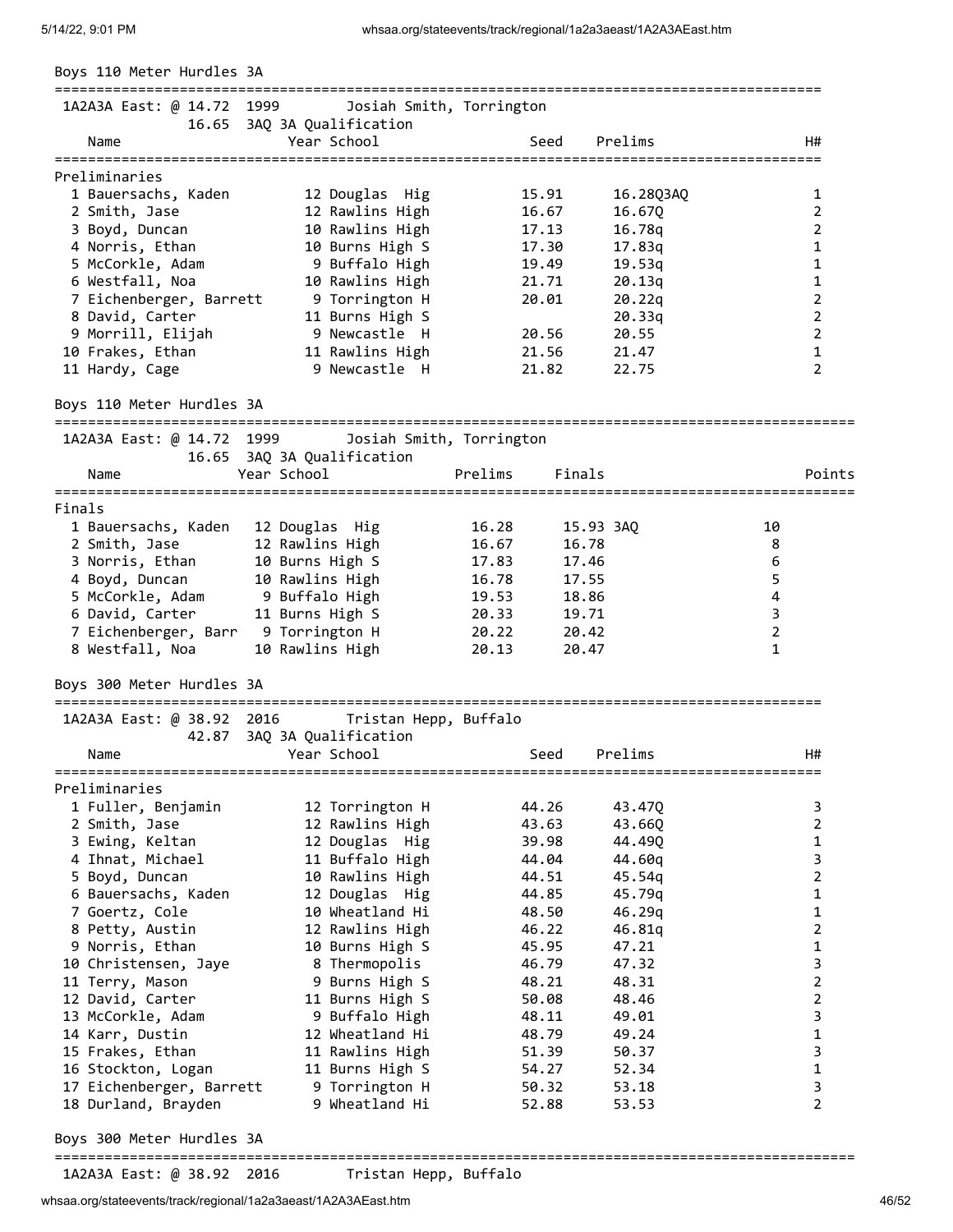| Boys 110 Meter Hurdles 3A           |                                           |                          |           |                     |
|-------------------------------------|-------------------------------------------|--------------------------|-----------|---------------------|
| 1A2A3A East: @ 14.72 1999           | 16.65 3AQ 3A Qualification                | Josiah Smith, Torrington |           |                     |
| Name                                | Year School                               | Seed                     | Prelims   | H#                  |
| Preliminaries                       |                                           |                          |           |                     |
| 1 Bauersachs, Kaden                 | 12 Douglas Hig                            | 15.91                    | 16.28Q3AQ | 1                   |
| 2 Smith, Jase                       | 12 Rawlins High                           | 16.67                    | 16.670    | 2                   |
| 3 Boyd, Duncan                      | 10 Rawlins High                           | 17.13                    | 16.78q    | 2                   |
| 4 Norris, Ethan                     | 10 Burns High S                           | 17.30                    | 17.83q    | 1                   |
| 5 McCorkle, Adam                    | 9 Buffalo High                            | 19.49                    | 19.53q    | $\mathbf{1}$        |
| 6 Westfall, Noa                     | 10 Rawlins High                           | 21.71                    | 20.13q    | $\mathbf{1}$        |
| 7 Eichenberger, Barrett             | 9 Torrington H                            | 20.01                    | 20.22q    | $\overline{2}$      |
| 8 David, Carter                     | 11 Burns High S                           |                          | 20.33q    | $\overline{2}$      |
| 9 Morrill, Elijah                   | 9 Newcastle H                             | 20.56                    | 20.55     | $\overline{2}$      |
| 10 Frakes, Ethan                    | 11 Rawlins High                           | 21.56                    | 21.47     | 1                   |
| 11 Hardy, Cage                      | 9 Newcastle H                             | 21.82                    | 22.75     | $\overline{2}$      |
| Boys 110 Meter Hurdles 3A           |                                           |                          |           |                     |
| 1A2A3A East: @ 14.72 1999           |                                           | Josiah Smith, Torrington |           |                     |
|                                     | 16.65 3AQ 3A Qualification                |                          |           |                     |
| Name                                | Year School                               | Prelims                  | Finals    | Points              |
| Finals                              |                                           |                          |           |                     |
| 1 Bauersachs, Kaden                 | 12 Douglas Hig                            | 16.28                    | 15.93 3AQ | 10                  |
| 2 Smith, Jase                       | 12 Rawlins High                           | 16.67                    | 16.78     | 8                   |
| 3 Norris, Ethan                     | 10 Burns High S                           | 17.83                    | 17.46     | 6                   |
| 4 Boyd, Duncan                      | 10 Rawlins High                           | 16.78                    | 17.55     | 5                   |
| 5 McCorkle, Adam                    | 9 Buffalo High                            | 19.53                    | 18.86     | 4                   |
| 6 David, Carter                     | 11 Burns High S                           | 20.33                    | 19.71     | 3                   |
| 7 Eichenberger, Barr 9 Torrington H |                                           | 20.22                    | 20.42     | $\overline{2}$      |
| 8 Westfall, Noa                     | 10 Rawlins High                           | 20.13                    | 20.47     | $\mathbf{1}$        |
| Boys 300 Meter Hurdles 3A           |                                           |                          |           |                     |
| 1A2A3A East: @ 38.92 2016           | Tristan Hepp, Buffalo                     |                          |           |                     |
| Name                                | 42.87 3AQ 3A Qualification<br>Year School | Seed                     | Prelims   | H#                  |
|                                     |                                           |                          |           |                     |
| Preliminaries                       |                                           |                          |           |                     |
| 1 Fuller, Benjamin                  | 12 Torrington H                           | 44.26                    | 43.47Q    | 3<br>$\overline{2}$ |
| 2 Smith, Jase                       | 12 Rawlins High                           | 43.63                    | 43.66Q    |                     |
| 3 Ewing, Keltan                     | 12 Douglas Hig                            | 39.98                    | 44.49Q    | $\mathbf{1}$        |
| 4 Ihnat, Michael                    | 11 Buffalo High                           | 44.04                    | 44.60q    | $\overline{3}$      |
| 5 Boyd, Duncan                      | 10 Rawlins High                           | 44.51                    | 45.54q    | $\overline{2}$      |
| 6 Bauersachs, Kaden                 | 12 Douglas Hig                            | 44.85                    | 45.79q    | $\mathbf{1}$        |
| 7 Goertz, Cole                      | 10 Wheatland Hi                           | 48.50                    | 46.29q    | $\mathbf{1}$        |
| 8 Petty, Austin                     | 12 Rawlins High                           | 46.22                    | 46.81q    | $\overline{2}$      |
| 9 Norris, Ethan                     | 10 Burns High S                           | 45.95                    | 47.21     | $\mathbf{1}$        |
| 10 Christensen, Jaye                | 8 Thermopolis                             | 46.79                    | 47.32     | $\overline{3}$      |
| 11 Terry, Mason                     | 9 Burns High S                            | 48.21                    | 48.31     | $\overline{2}$      |
| 12 David, Carter                    | 11 Burns High S                           | 50.08                    | 48.46     | $\overline{2}$      |
| 13 McCorkle, Adam                   | 9 Buffalo High                            | 48.11                    | 49.01     | 3                   |
| 14 Karr, Dustin                     | 12 Wheatland Hi                           | 48.79                    | 49.24     | $\mathbf{1}$        |
| 15 Frakes, Ethan                    | 11 Rawlins High                           | 51.39                    | 50.37     | 3                   |
| 16 Stockton, Logan                  | 11 Burns High S                           | 54.27                    | 52.34     | $\mathbf{1}$        |
| 17 Eichenberger, Barrett            | 9 Torrington H                            | 50.32                    | 53.18     | 3                   |
| 18 Durland, Brayden                 | 9 Wheatland Hi                            | 52.88                    | 53.53     | $\overline{2}$      |
| Boys 300 Meter Hurdles 3A           |                                           |                          |           |                     |

1A2A3A East: @ 38.92 2016 Tristan Hepp, Buffalo

================================================================================================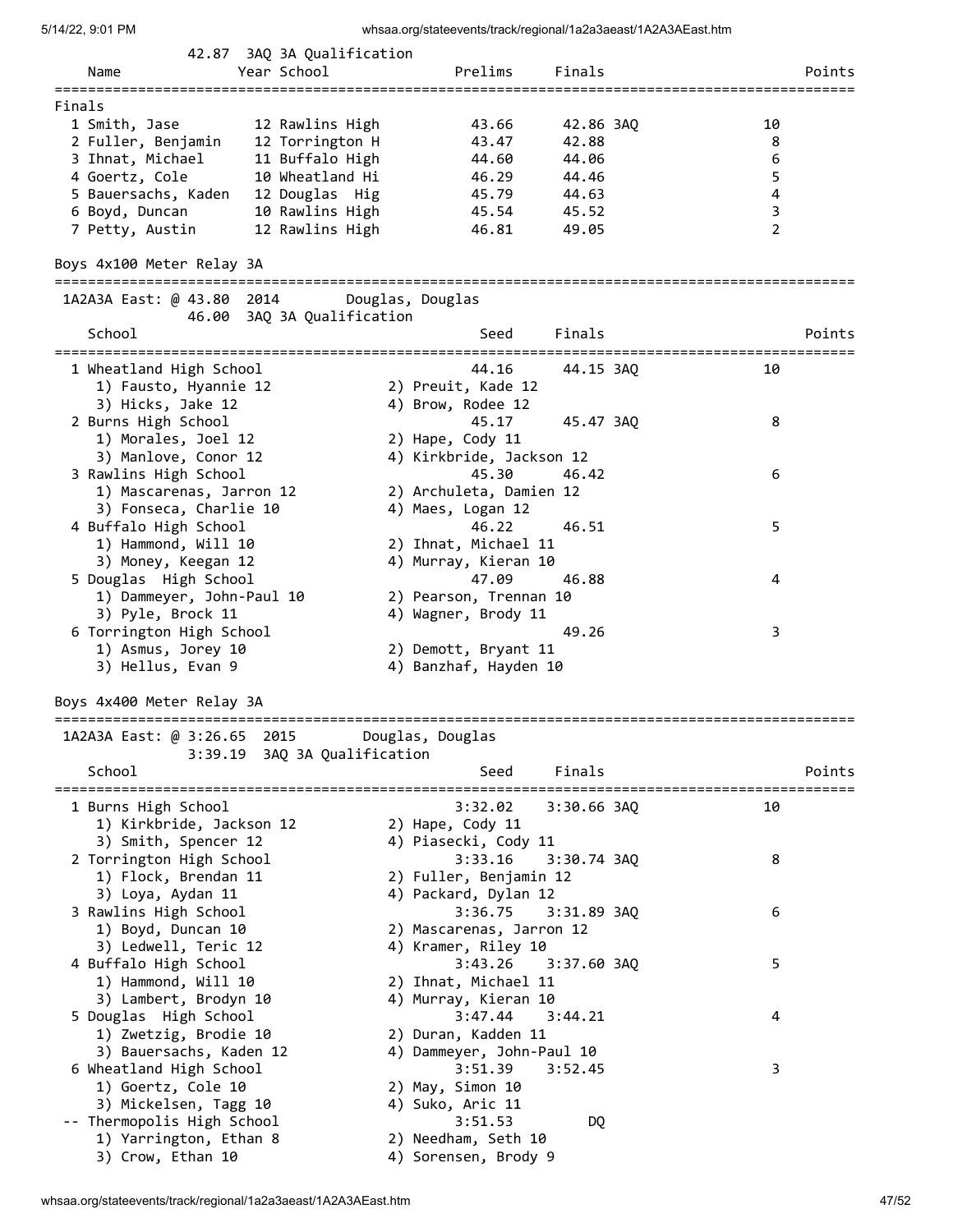| Name                                         | 42.87 3AQ 3A Qualification<br>Year School | Prelims                   | Finals      |                     | Points |
|----------------------------------------------|-------------------------------------------|---------------------------|-------------|---------------------|--------|
|                                              |                                           |                           |             |                     |        |
| Finals                                       |                                           |                           |             |                     |        |
| 1 Smith, Jase                                | 12 Rawlins High                           | 43.66                     | 42.86 3AQ   | 10                  |        |
| 2 Fuller, Benjamin                           | 12 Torrington H                           | 43.47                     | 42.88       | 8                   |        |
| 3 Ihnat, Michael                             | 11 Buffalo High                           | 44.60                     | 44.06       | 6                   |        |
| 4 Goertz, Cole                               | 10 Wheatland Hi                           | 46.29                     | 44.46       | 5                   |        |
| 5 Bauersachs, Kaden                          | 12 Douglas Hig                            | 45.79                     | 44.63       | 4                   |        |
| 6 Boyd, Duncan                               | 10 Rawlins High                           | 45.54                     | 45.52       | 3<br>$\overline{2}$ |        |
| 7 Petty, Austin                              | 12 Rawlins High                           | 46.81                     | 49.05       |                     |        |
| Boys 4x100 Meter Relay 3A                    |                                           |                           |             |                     |        |
| 1A2A3A East: @ 43.80 2014                    | 46.00 3AQ 3A Qualification                | Douglas, Douglas          |             |                     |        |
| School                                       |                                           | Seed                      | Finals      |                     | Points |
| 1 Wheatland High School                      |                                           | 44.16                     | 44.15 3AQ   | 10                  |        |
| 1) Fausto, Hyannie 12                        |                                           | 2) Preuit, Kade 12        |             |                     |        |
| 3) Hicks, Jake 12                            |                                           | 4) Brow, Rodee 12         |             |                     |        |
| 2 Burns High School                          |                                           | 45.17                     | 45.47 3AO   | 8                   |        |
| 1) Morales, Joel 12                          |                                           | 2) Hape, Cody 11          |             |                     |        |
| 3) Manlove, Conor 12                         |                                           | 4) Kirkbride, Jackson 12  |             |                     |        |
| 3 Rawlins High School                        |                                           | 45.30                     | 46.42       | 6                   |        |
| 1) Mascarenas, Jarron 12                     |                                           | 2) Archuleta, Damien 12   |             |                     |        |
| 3) Fonseca, Charlie 10                       |                                           | 4) Maes, Logan 12         |             |                     |        |
| 4 Buffalo High School                        |                                           | 46.22                     | 46.51       | 5                   |        |
| 1) Hammond, Will 10                          |                                           | 2) Ihnat, Michael 11      |             |                     |        |
| 3) Money, Keegan 12                          |                                           | 4) Murray, Kieran 10      |             |                     |        |
| 5 Douglas High School                        |                                           | 47.09                     | 46.88       | 4                   |        |
| 1) Dammeyer, John-Paul 10                    |                                           | 2) Pearson, Trennan 10    |             |                     |        |
| 3) Pyle, Brock 11                            |                                           | 4) Wagner, Brody 11       |             |                     |        |
| 6 Torrington High School                     |                                           |                           | 49.26       | 3                   |        |
| 1) Asmus, Jorey 10                           |                                           | 2) Demott, Bryant 11      |             |                     |        |
| 3) Hellus, Evan 9                            |                                           | 4) Banzhaf, Hayden 10     |             |                     |        |
| Boys 4x400 Meter Relay 3A                    |                                           |                           |             |                     |        |
| 1A2A3A East: @ 3:26.65 2015 Douglas, Douglas | 3:39.19 3AQ 3A Qualification              |                           |             |                     |        |
| School                                       |                                           | Seed                      | Finals      |                     | Points |
| 1 Burns High School                          |                                           | 3:32.02                   | 3:30.66 3AO | 10                  |        |
| 1) Kirkbride, Jackson 12                     |                                           | 2) Hape, Cody 11          |             |                     |        |
| 3) Smith, Spencer 12                         |                                           | 4) Piasecki, Cody 11      |             |                     |        |
| 2 Torrington High School                     |                                           | 3:33.16                   | 3:30.74 3AQ | 8                   |        |
| 1) Flock, Brendan 11                         |                                           | 2) Fuller, Benjamin 12    |             |                     |        |
| 3) Loya, Aydan 11                            |                                           | 4) Packard, Dylan 12      |             |                     |        |
| 3 Rawlins High School                        |                                           | 3:36.75                   | 3:31.89 3AQ | 6                   |        |
| 1) Boyd, Duncan 10                           |                                           | 2) Mascarenas, Jarron 12  |             |                     |        |
| 3) Ledwell, Teric 12                         |                                           | 4) Kramer, Riley 10       |             |                     |        |
| 4 Buffalo High School                        |                                           | 3:43.26                   | 3:37.60 3AQ | 5                   |        |
| 1) Hammond, Will 10                          |                                           | 2) Ihnat, Michael 11      |             |                     |        |
| 3) Lambert, Brodyn 10                        |                                           | 4) Murray, Kieran 10      |             |                     |        |
| 5 Douglas High School                        |                                           | 3:47.44                   | 3:44.21     | 4                   |        |
| 1) Zwetzig, Brodie 10                        |                                           | 2) Duran, Kadden 11       |             |                     |        |
| 3) Bauersachs, Kaden 12                      |                                           | 4) Dammeyer, John-Paul 10 |             |                     |        |
| 6 Wheatland High School                      |                                           | 3:51.39                   | 3:52.45     | 3                   |        |
| 1) Goertz, Cole 10                           |                                           | 2) May, Simon 10          |             |                     |        |
| 3) Mickelsen, Tagg 10                        |                                           | 4) Suko, Aric 11          |             |                     |        |
| -- Thermopolis High School                   |                                           | 3:51.53                   | DQ          |                     |        |
| 1) Yarrington, Ethan 8                       |                                           | 2) Needham, Seth 10       |             |                     |        |
| 3) Crow, Ethan 10                            |                                           | 4) Sorensen, Brody 9      |             |                     |        |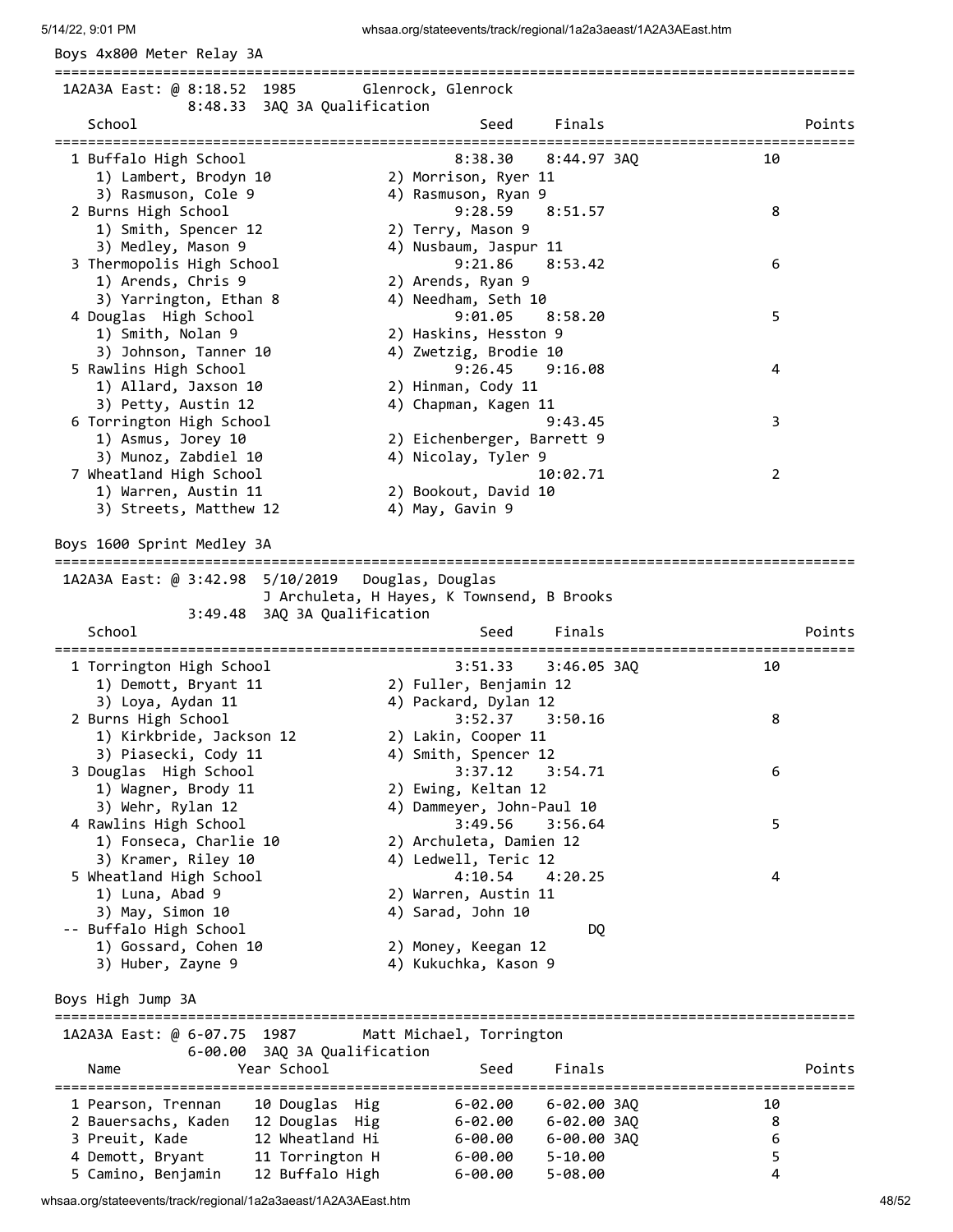Boys 4x800 Meter Relay 3A

================================================================================================ 1A2A3A East: @ 8:18.52 1985 Glenrock, Glenrock 8:48.33 3AQ 3A Qualification School School Seed Finals Points ================================================================================================ 1 Buffalo High School 8:38.30 8:44.97 3AQ 10 1) Lambert, Brodyn 10 2) Morrison, Ryer 11 3) Rasmuson, Cole 9 4) Rasmuson, Ryan 9 2 Burns High School 9:28.59 8:51.57 8 19:28 | Jurns High School<br>1) Smith, Spencer 12 2) Terry, Mason 9<br>2) Modley, Mason 0 3) Medley, Mason 9 4) Nusbaum, Jaspur 11 3 Thermopolis High School 9:21.86 8:53.42 6 1) Arends, Chris 9 2) Arends, Ryan 9 3) Yarrington, Ethan 8 4) Needham, Seth 10 4 Douglas High School 9:01.05 8:58.20 5 1) Smith, Nolan 9 2) Haskins, Hesston 9 3) Johnson, Tanner 10 4) Zwetzig, Brodie 10 5 Rawlins High School 9:26.45 9:16.08 4 1) Allard, Jaxson 10 2) Hinman, Cody 11 3) Petty, Austin 12 4) Chapman, Kagen 11 6 Torrington High School 9:43.45 3 1) Asmus, Jorey 10 2) Eichenberger, Barrett 9 3) Munoz, Zabdiel 10 4) Nicolay, Tyler 9 7 Wheatland High School 10:02.71 2 1) Warren, Austin 11 2) Bookout, David 10 3) Streets, Matthew 12 4) May, Gavin 9 Boys 1600 Sprint Medley 3A ================================================================================================ 1A2A3A East: @ 3:42.98 5/10/2019 Douglas, Douglas J Archuleta, H Hayes, K Townsend, B Brooks 3:49.48 3AQ 3A Qualification School School Seed Finals Points ================================================================================================ 1 Torrington High School 3:51.33 3:46.05 3AQ 10 1) Demott, Bryant 11 2) Fuller, Benjamin 12 3) Loya, Aydan 11 4) Packard, Dylan 12 2 Burns High School 3:52.37 3:50.16 8 1) Kirkbride, Jackson 12 2) Lakin, Cooper 11 3) Piasecki, Cody 11 4) Smith, Spencer 12 3 Douglas High School 3:37.12 3:54.71 6 1) Wagner, Brody 11 2) Ewing, Keltan 12 3) Plasecki, Couy ii<br>
3) Douglas High School<br>
3) Wagner, Brody 11<br>
3) Wehr, Rylan 12<br>
3) Wehr, Rylan 12<br>
4) Dammeyer, John-Paul 10 4 Rawlins High School 3:49.56 3:56.64 5 1) Fonseca, Charlie 10 2) Archuleta, Damien 12 3) Kramer, Riley 10 4) Ledwell, Teric 12 5 Wheatland High School 4:10.54 4:20.25 4 1) Luna, Abad 9 2) Warren, Austin 11 3) May, Simon 10 4) Sarad, John 10 -- Buffalo High School DQ 1) Gossard, Cohen 10 2) Money, Keegan 12 3) Huber, Zayne 9 4) Kukuchka, Kason 9 Boys High Jump 3A ================================================================================================ 1A2A3A East: @ 6-07.75 1987 Matt Michael, Torrington 6-00.00 3AQ 3A Qualification Name Year School Seed Finals Points ================================================================================================ 1 Pearson, Trennan 10 Douglas Hig 6-02.00 6-02.00 3AQ 10 2 Bauersachs, Kaden 12 Douglas Hig 6-02.00 6-02.00 3AQ 8 3 Preuit, Kade 12 Wheatland Hi 6-00.00 6-00.00 3AQ 6 4 Demott, Bryant 11 Torrington H 6-00.00 5-10.00 5 5 Camino, Benjamin 12 Buffalo High 6-00.00 5-08.00 4

whsaa.org/stateevents/track/regional/1a2a3aeast/1A2A3AEast.htm 48/52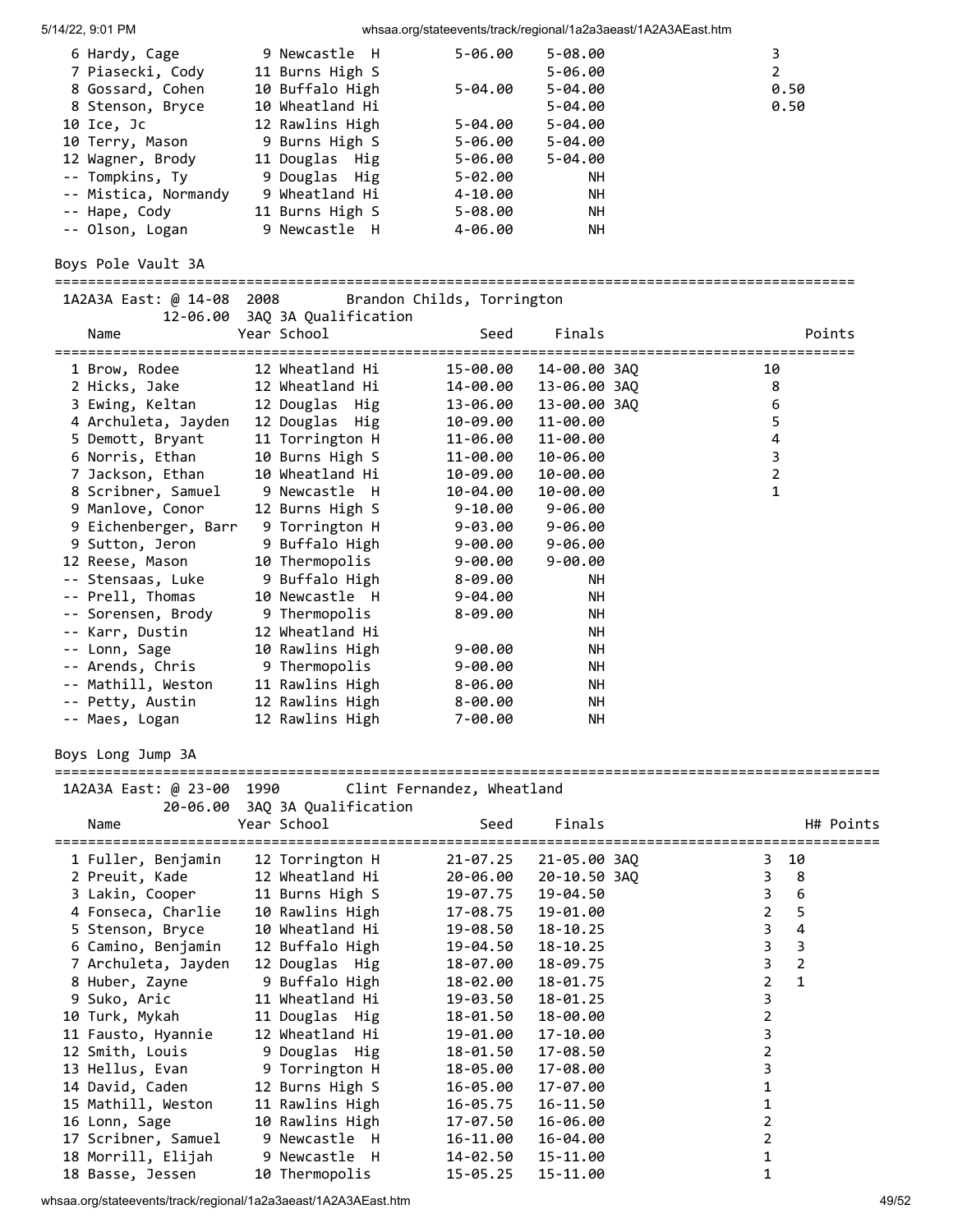| 9 Newcastle H   | $5 - 06.00$ | $5 - 08.00$ |      |
|-----------------|-------------|-------------|------|
| 11 Burns High S |             | 5-06.00     | 2    |
| 10 Buffalo High | $5 - 04.00$ | $5 - 04.00$ | 0.50 |
| 10 Wheatland Hi |             | $5 - 04.00$ | 0.50 |
| 12 Rawlins High | $5 - 04.00$ | $5 - 04.00$ |      |
| 9 Burns High S  | 5-06.00     | $5 - 04.00$ |      |
| 11 Douglas Hig  | 5-06.00     | $5 - 04.00$ |      |
| 9 Douglas Hig   | $5 - 02.00$ | <b>NH</b>   |      |
| 9 Wheatland Hi  | 4-10.00     | NH.         |      |
| 11 Burns High S | $5 - 08.00$ | <b>NH</b>   |      |
| 9 Newcastle H   | 4-06.00     | <b>NH</b>   |      |
|                 |             |             |      |

Boys Pole Vault 3A

================================================================================================ 1A2A3A East: @ 14-08 2008 Brandon Childs, Torrington 12-06.00 3AQ 3A Qualification Name Year School Seed Finals Points ================================================================================================ 1 Brow, Rodee 12 Wheatland Hi 15-00.00 14-00.00 3AQ 10 2 Hicks, Jake 12 Wheatland Hi 14-00.00 13-06.00 3AQ 8 3 Ewing, Keltan 12 Douglas Hig 13-06.00 13-00.00 3AQ 6 4 Archuleta, Jayden 12 Douglas Hig 10-09.00 11-00.00 5 5 Demott, Bryant 11 Torrington H 11-06.00 11-00.00 4 6 Norris, Ethan 10 Burns High S 11-00.00 10-06.00 3 7 Jackson, Ethan 10 Wheatland Hi 10-09.00 10-00.00 2 8 Scribner, Samuel 9 Newcastle H 10-04.00 10-00.00 1 9 Manlove, Conor 12 Burns High S 9-10.00 9-06.00 9 Eichenberger, Barr 9 Torrington H 9-03.00 9-06.00 9 Sutton, Jeron 9 Buffalo High 9-00.00 9-06.00 12 Reese, Mason 10 Thermopolis 9-00.00 9-00.00 -- Stensaas, Luke 9 Buffalo High 8-09.00 NH -- Prell, Thomas 10 Newcastle H 9-04.00 NH -- Sorensen, Brody 9 Thermopolis 8-09.00 NH -- Karr, Dustin 12 Wheatland Hi NH -- Lonn, Sage 10 Rawlins High 9-00.00 NH -- Arends, Chris 9 Thermopolis 9-00.00 NH -- Mathill, Weston 11 Rawlins High 8-06.00 NH -- Petty, Austin 12 Rawlins High 8-00.00 NH -- Maes, Logan 12 Rawlins High 7-00.00 NH

Boys Long Jump 3A

=================================================================================================== 1A2A3A East: @ 23-00 1990 Clint Fernandez, Wheatland

|                                  | THE EUSE. WE SUIT TOO TO SEE THE FOLLOW WHEN EXTREME<br>20-06.00 3AQ 3A Qualification |          |              |                     |
|----------------------------------|---------------------------------------------------------------------------------------|----------|--------------|---------------------|
| Name                             | Year School                                                                           | Seed     | Finals       | H# Points           |
| 1 Fuller, Benjamin               | 12 Torrington H                                                                       | 21-07.25 | 21-05.00 3AQ | 10<br>3             |
|                                  | 2 Preuit, Kade 12 Wheatland Hi                                                        | 20-06.00 | 20-10.50 3AO | $3^{\circ}$<br>8    |
| 3 Lakin, Cooper                  | 11 Burns High S                                                                       | 19-07.75 | 19-04.50     | 3<br>6              |
| 4 Fonseca, Charlie               | 10 Rawlins High                                                                       | 17-08.75 | 19-01.00     | $\overline{2}$<br>5 |
| 5 Stenson, Bryce                 | 10 Wheatland Hi                                                                       | 19-08.50 | 18-10.25     | 3<br>4              |
| 6 Camino, Benjamin               | 12 Buffalo High                                                                       | 19-04.50 | 18-10.25     | 3<br>3              |
| 7 Archuleta, Jayden              | 12 Douglas Hig                                                                        | 18-07.00 | 18-09.75     | 3<br>$\overline{2}$ |
| 8 Huber, Zayne                   | 9 Buffalo High                                                                        | 18-02.00 | 18-01.75     | $\mathbf{1}$<br>2   |
| 9 Suko, Aric                     | 11 Wheatland Hi                                                                       | 19-03.50 | 18-01.25     | 3                   |
| 10 Turk, Mykah                   | 11 Douglas Hig                                                                        | 18-01.50 | 18-00.00     |                     |
| 11 Fausto, Hyannie               | 12 Wheatland Hi                                                                       | 19-01.00 | 17-10.00     |                     |
|                                  | 12 Smith, Louis 9 Douglas Hig                                                         | 18-01.50 | 17-08.50     |                     |
|                                  | 13 Hellus, Evan 9 Torrington H                                                        | 18-05.00 | 17-08.00     |                     |
| 14 David, Caden                  | 12 Burns High S                                                                       | 16-05.00 | 17-07.00     |                     |
| 15 Mathill, Weston               | 11 Rawlins High                                                                       | 16-05.75 | 16-11.50     |                     |
| 16 Lonn, Sage                    | 10 Rawlins High                                                                       | 17-07.50 | 16-06.00     |                     |
|                                  | 17 Scribner, Samuel 9 Newcastle H                                                     | 16-11.00 | 16-04.00     |                     |
| 18 Morrill, Elijah 9 Newcastle H |                                                                                       | 14-02.50 | 15-11.00     |                     |
| 18 Basse, Jessen                 | 10 Thermopolis                                                                        | 15-05.25 | 15-11.00     |                     |

whsaa.org/stateevents/track/regional/1a2a3aeast/1A2A3AEast.htm 49/52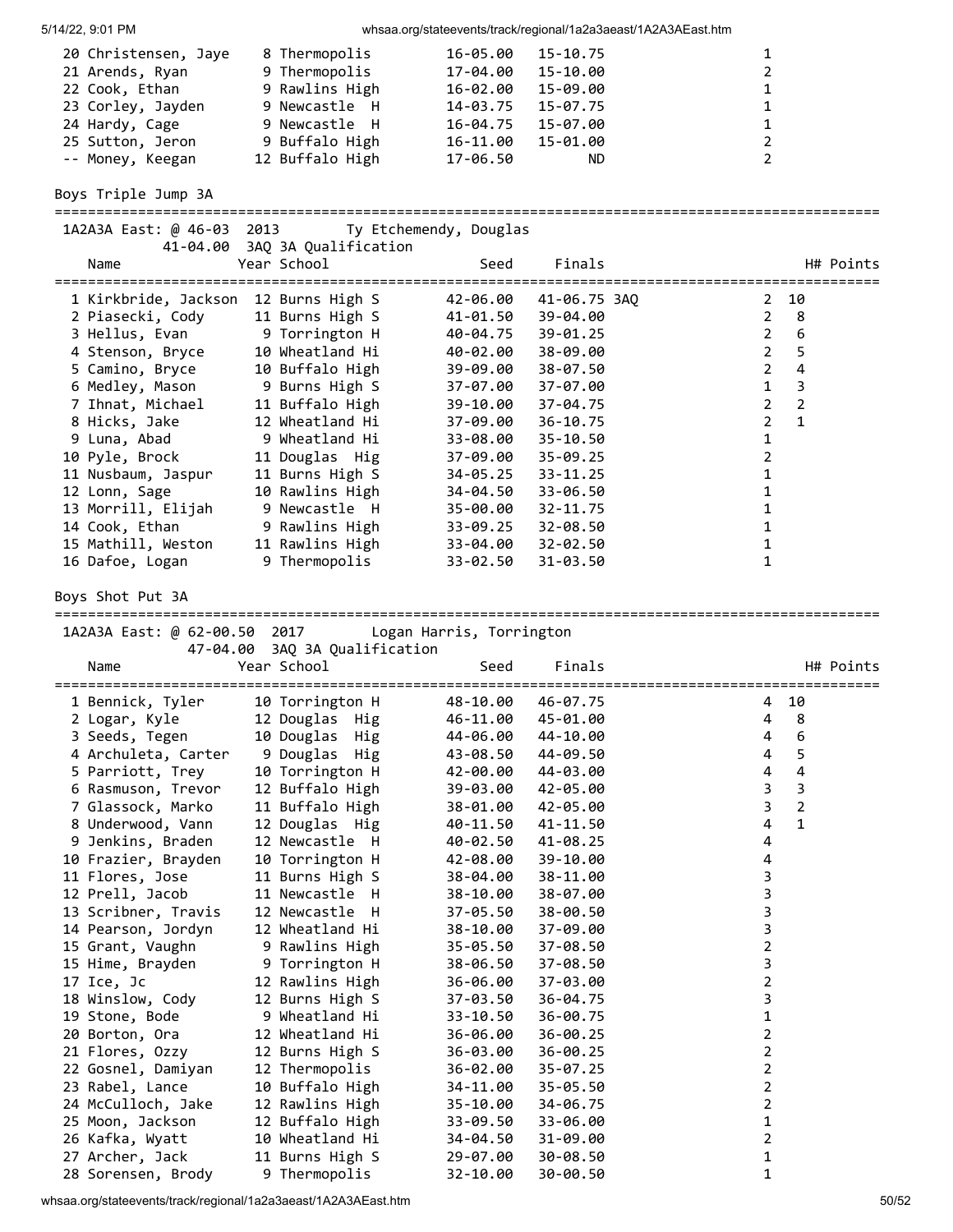| 5/14/22, 9:01 PM |  |
|------------------|--|

whsaa.org/stateevents/track/regional/1a2a3aeast/1A2A3AEast.htm

| 20 Christensen, Jaye | 8 Thermopolis   | 15-10.75<br>16-05.00 | 1 |
|----------------------|-----------------|----------------------|---|
| 21 Arends, Ryan      | 9 Thermopolis   | 15-10.00<br>17-04.00 | 2 |
| 22 Cook, Ethan       | 9 Rawlins High  | 15-09.00<br>16-02.00 |   |
| 23 Corley, Jayden    | 9 Newcastle H   | 15-07.75<br>14-03.75 | 1 |
| 24 Hardy, Cage       | 9 Newcastle H   | 16-04.75<br>15-07.00 | 1 |
| 25 Sutton, Jeron     | 9 Buffalo High  | 15-01.00<br>16-11.00 | 2 |
| -- Money, Keegan     | 12 Buffalo High | 17-06.50<br>ND.      |   |

Boys Triple Jump 3A

===================================================================================================

| 1A2A3A East: @ 46-03 2013 Ty Etchemendy, Douglas |                               |          |                |                |                |           |
|--------------------------------------------------|-------------------------------|----------|----------------|----------------|----------------|-----------|
|                                                  | 41-04.00 3AQ 3A Qualification |          |                |                |                |           |
| Name                                             | Year School                   |          | Finals<br>Seed |                |                | H# Points |
| 1 Kirkbride, Jackson                             | 12 Burns High S               | 42-06.00 | 41-06.75 3AO   | 2              | 10             |           |
| 2 Piasecki, Cody                                 | 11 Burns High S               | 41-01.50 | 39-04.00       | $\overline{2}$ | -8             |           |
| 3 Hellus, Evan 9 Torrington H                    |                               | 40-04.75 | 39-01.25       | 2              | 6              |           |
| 4 Stenson, Bryce                                 | 10 Wheatland Hi               | 40-02.00 | 38-09.00       | $\overline{2}$ | 5              |           |
| 5 Camino, Bryce                                  | 10 Buffalo High               | 39-09.00 | 38-07.50       | $\mathcal{L}$  | 4              |           |
| 6 Medley, Mason 9 Burns High S                   |                               | 37-07.00 | 37-07.00       | $\mathbf{1}$   | 3              |           |
| 7 Ihnat, Michael                                 | 11 Buffalo High               | 39-10.00 | 37-04.75       | $\mathfrak{p}$ | $\overline{2}$ |           |
| 8 Hicks, Jake                                    | 12 Wheatland Hi               | 37-09.00 | $36 - 10.75$   | $\overline{2}$ | $\mathbf{1}$   |           |
| 9 Luna, Abad                                     | 9 Wheatland Hi                | 33-08.00 | $35 - 10.50$   |                |                |           |
| 10 Pyle, Brock                                   | 11 Douglas Hig                | 37-09.00 | $35 - 09.25$   |                |                |           |
| 11 Nusbaum, Jaspur                               | 11 Burns High S               | 34-05.25 | $33 - 11.25$   |                |                |           |
| 12 Lonn, Sage                                    | 10 Rawlins High               | 34-04.50 | 33-06.50       |                |                |           |
| 13 Morrill, Elijah                               | 9 Newcastle H                 | 35-00.00 | $32 - 11.75$   |                |                |           |
| 14 Cook, Ethan                                   | 9 Rawlins High                | 33-09.25 | 32-08.50       |                |                |           |
| 15 Mathill, Weston                               | 11 Rawlins High               | 33-04.00 | $32 - 02.50$   |                |                |           |
| 16 Dafoe, Logan                                  | 9 Thermopolis                 | 33-02.50 | $31 - 03.50$   |                |                |           |

Boys Shot Put 3A

| 1A2A3A East: @ 62-00.50 2017 | 47-04.00 3AQ 3A Qualification | Logan Harris, Torrington |              |                         |                |
|------------------------------|-------------------------------|--------------------------|--------------|-------------------------|----------------|
| Name                         | Year School                   | Seed                     | Finals       |                         | H# Points      |
| 1 Bennick, Tyler             | 10 Torrington H               | 48-10.00                 | 46-07.75     | 4                       | 10             |
| 2 Logar, Kyle                | 12 Douglas Hig                | 46-11.00                 | 45-01.00     | 4                       | 8              |
| 3 Seeds, Tegen               | 10 Douglas Hig                | 44-06.00                 | 44-10.00     | 4                       | 6              |
| 4 Archuleta, Carter          | 9 Douglas Hig                 | 43-08.50                 | 44-09.50     | 4                       | 5              |
| 5 Parriott, Trey             | 10 Torrington H               | 42-00.00                 | 44-03.00     | 4                       | 4              |
| 6 Rasmuson, Trevor           | 12 Buffalo High               | 39-03.00                 | 42-05.00     | 3                       | 3              |
| 7 Glassock, Marko            | 11 Buffalo High               | 38-01.00                 | 42-05.00     | $\mathbf{3}$            | $\overline{2}$ |
| 8 Underwood, Vann            | 12 Douglas Hig                | 40-11.50                 | 41-11.50     | $\overline{4}$          | $\mathbf{1}$   |
| 9 Jenkins, Braden            | 12 Newcastle H                | 40-02.50                 | $41 - 08.25$ | 4                       |                |
| 10 Frazier, Brayden          | 10 Torrington H               | 42-08.00                 | 39-10.00     | 4                       |                |
| 11 Flores, Jose              | 11 Burns High S               | 38-04.00                 | 38-11.00     | 3                       |                |
| 12 Prell, Jacob              | 11 Newcastle H                | 38-10.00                 | 38-07.00     | 3                       |                |
| 13 Scribner, Travis          | 12 Newcastle H                | 37-05.50                 | 38-00.50     | 3                       |                |
| 14 Pearson, Jordyn           | 12 Wheatland Hi               | 38-10.00                 | 37-09.00     | 3                       |                |
| 15 Grant, Vaughn             | 9 Rawlins High                | 35-05.50                 | 37-08.50     | $\overline{\mathbf{c}}$ |                |
| 15 Hime, Brayden             | 9 Torrington H                | 38-06.50                 | 37-08.50     | 3                       |                |
| 17 Ice, Jc                   | 12 Rawlins High               | 36-06.00                 | 37-03.00     | $\overline{2}$          |                |
| 18 Winslow, Cody             | 12 Burns High S               | 37-03.50                 | 36-04.75     | 3                       |                |
| 19 Stone, Bode               | 9 Wheatland Hi                | 33-10.50                 | 36-00.75     | 1                       |                |
| 20 Borton, Ora               | 12 Wheatland Hi               | 36-06.00                 | $36 - 00.25$ | $\overline{2}$          |                |
| 21 Flores, Ozzy              | 12 Burns High S               | 36-03.00                 | $36 - 00.25$ | 2                       |                |
| 22 Gosnel, Damiyan           | 12 Thermopolis                | 36-02.00                 | $35 - 07.25$ | $\overline{2}$          |                |
| 23 Rabel, Lance              | 10 Buffalo High               | 34-11.00                 | 35-05.50     | $\overline{2}$          |                |
| 24 McCulloch, Jake           | 12 Rawlins High               | 35-10.00                 | 34-06.75     | 2                       |                |
| 25 Moon, Jackson             | 12 Buffalo High               | 33-09.50                 | 33-06.00     | 1                       |                |
| 26 Kafka, Wyatt              | 10 Wheatland Hi               | 34-04.50                 | 31-09.00     | $\overline{2}$          |                |
| 27 Archer, Jack              | 11 Burns High S               | 29-07.00                 | 30-08.50     | 1                       |                |
| 28 Sorensen, Brody           | 9 Thermopolis                 | 32-10.00                 | 30-00.50     | 1                       |                |

whsaa.org/stateevents/track/regional/1a2a3aeast/1A2A3AEast.htm 50/52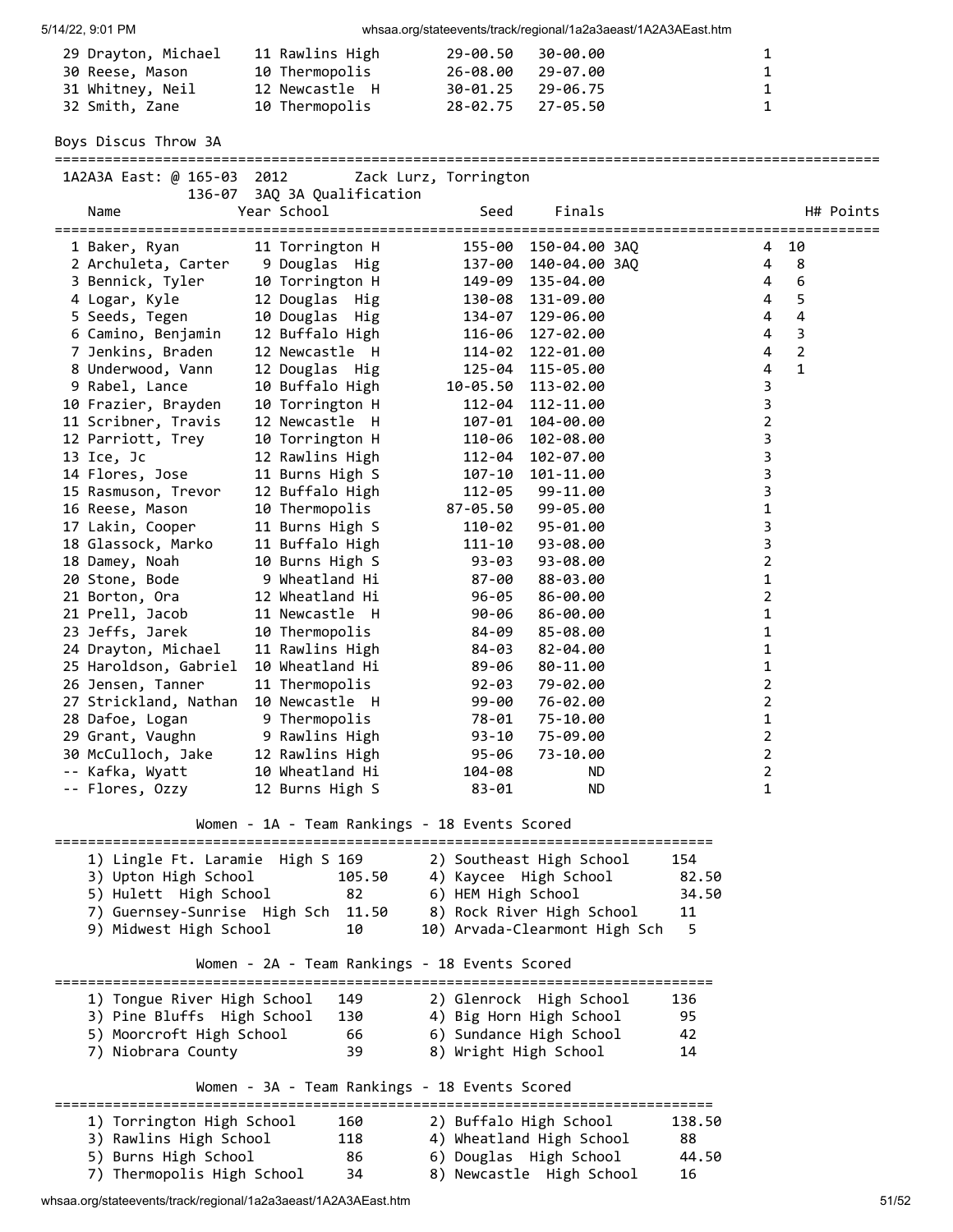| 29 Drayton, Michael | 11 Rawlins High | 29-00.50          | 30-00.00 | $\mathbf{1}$ |
|---------------------|-----------------|-------------------|----------|--------------|
| 30 Reese, Mason     | 10 Thermopolis  | 26-08.00          | 29-07.00 | $\mathbf{1}$ |
| 31 Whitney, Neil    | 12 Newcastle H  | 30-01.25 29-06.75 |          | $\mathbf{1}$ |
| 32 Smith, Zane      | 10 Thermopolis  | 28-02.75 27-05.50 |          | $\mathbf{1}$ |

Boys Discus Throw 3A

===================================================================================================

| 1A2A3A East: @ 165-03 2012                                |                                                                                    | Zack Lurz, Torrington |                                                    |          |                |                  |
|-----------------------------------------------------------|------------------------------------------------------------------------------------|-----------------------|----------------------------------------------------|----------|----------------|------------------|
| 136-07                                                    | 3AQ 3A Qualification                                                               |                       |                                                    |          |                |                  |
| Name                                                      | Year School                                                                        | Seed                  | Finals                                             |          |                | H# Points        |
| 1 Baker, Ryan                                             | 11 Torrington H                                                                    | =====                 | 155-00 150-04.00 3AQ                               |          | 4              | 10               |
| 2 Archuleta, Carter                                       | 9 Douglas Hig                                                                      |                       | 137-00 140-04.00 3AQ                               |          | 4              | 8                |
| 3 Bennick, Tyler                                          | 10 Torrington H                                                                    |                       | 149-09 135-04.00                                   |          | 4              | $\boldsymbol{6}$ |
| 4 Logar, Kyle                                             | 12 Douglas Hig                                                                     |                       | 130-08 131-09.00                                   |          | 4              | 5                |
| 5 Seeds, Tegen                                            | 10 Douglas Hig                                                                     |                       | 134-07 129-06.00                                   |          | 4              | 4                |
| 6 Camino, Benjamin                                        | 12 Buffalo High                                                                    |                       | 116-06 127-02.00                                   |          | 4              | 3                |
| 7 Jenkins, Braden                                         | 12 Newcastle H                                                                     | 114-02                | 122-01.00                                          |          | 4              | $\overline{2}$   |
| 8 Underwood, Vann                                         | 12 Douglas Hig                                                                     | 125-04                | 115-05.00                                          |          | 4              | $\mathbf{1}$     |
| 9 Rabel, Lance                                            | 10 Buffalo High                                                                    |                       | 10-05.50 113-02.00                                 |          | 3              |                  |
| 10 Frazier, Brayden                                       | 10 Torrington H                                                                    |                       | 112-04 112-11.00                                   |          | 3              |                  |
| 11 Scribner, Travis                                       | 12 Newcastle H                                                                     |                       | 107-01 104-00.00                                   |          | 2              |                  |
| 12 Parriott, Trey                                         | 10 Torrington H                                                                    | 110-06                | 102-08.00                                          |          | 3              |                  |
| 13 Ice, Jc                                                | 12 Rawlins High                                                                    | 112-04                | 102-07.00                                          |          | 3              |                  |
| 14 Flores, Jose                                           | 11 Burns High S                                                                    | 107-10                | 101-11.00                                          |          | 3              |                  |
| 15 Rasmuson, Trevor                                       | 12 Buffalo High                                                                    | 112-05                | 99-11.00                                           |          | 3              |                  |
| 16 Reese, Mason                                           | 10 Thermopolis                                                                     | 87-05.50              | 99-05.00                                           |          | 1              |                  |
| 17 Lakin, Cooper                                          | 11 Burns High S                                                                    | 110-02                | 95-01.00                                           |          | 3              |                  |
| 18 Glassock, Marko                                        | 11 Buffalo High                                                                    | 111-10                | 93-08.00                                           |          | 3              |                  |
| 18 Damey, Noah                                            | 10 Burns High S                                                                    | 93-03                 | 93-08.00                                           |          | $\overline{2}$ |                  |
| 20 Stone, Bode                                            | 9 Wheatland Hi                                                                     | 87-00                 | 88-03.00                                           |          | 1              |                  |
| 21 Borton, Ora                                            | 12 Wheatland Hi                                                                    | 96-05                 | 86-00.00                                           |          | 2              |                  |
| 21 Prell, Jacob                                           | 11 Newcastle H                                                                     | 90-06                 | 86-00.00                                           |          | 1              |                  |
| 23 Jeffs, Jarek                                           | 10 Thermopolis                                                                     | 84-09                 | 85-08.00                                           |          | 1              |                  |
| 24 Drayton, Michael                                       | 11 Rawlins High                                                                    | 84-03                 | 82-04.00                                           |          | 1              |                  |
| 25 Haroldson, Gabriel                                     | 10 Wheatland Hi                                                                    | 89-06                 | 80-11.00                                           |          | 1              |                  |
| 26 Jensen, Tanner                                         | 11 Thermopolis                                                                     | 92-03                 | 79-02.00                                           |          | 2              |                  |
| 27 Strickland, Nathan                                     | 10 Newcastle H                                                                     | 99-00                 | 76-02.00                                           |          | 2              |                  |
| 28 Dafoe, Logan                                           | 9 Thermopolis                                                                      | 78-01                 | 75-10.00                                           |          | 1              |                  |
| 29 Grant, Vaughn                                          | 9 Rawlins High                                                                     | 93-10                 | 75-09.00                                           |          | 2              |                  |
| 30 McCulloch, Jake                                        | 12 Rawlins High                                                                    | 95-06                 | 73-10.00                                           |          | 2              |                  |
| -- Kafka, Wyatt                                           | 10 Wheatland Hi                                                                    | 104-08                | ND.                                                |          | 2              |                  |
| -- Flores, Ozzy                                           | 12 Burns High S                                                                    | 83-01                 | ND.                                                |          | 1              |                  |
|                                                           | Women - 1A - Team Rankings - 18 Events Scored                                      |                       |                                                    |          |                |                  |
|                                                           |                                                                                    |                       |                                                    |          |                |                  |
| 1) Lingle Ft. Laramie High S 169                          |                                                                                    |                       | 2) Southeast High School                           | 154      |                |                  |
| 3) Upton High School                                      | 105.50                                                                             |                       | 4) Kaycee High School                              | 82.50    |                |                  |
| 5) Hulett High School                                     | 82                                                                                 | 6) HEM High School    |                                                    | 34.50    |                |                  |
| 7) Guernsey-Sunrise High Sch                              | 11.50                                                                              |                       | 8) Rock River High School                          | 11       |                |                  |
| 9) Midwest High School                                    | 10                                                                                 |                       | 10) Arvada-Clearmont High Sch                      | 5        |                |                  |
|                                                           | Women - 2A - Team Rankings - 18 Events Scored                                      |                       |                                                    |          |                |                  |
|                                                           |                                                                                    |                       |                                                    |          |                |                  |
| 1) Tongue River High School<br>3) Pine Bluffs High School | 149                                                                                |                       | 2) Glenrock High School                            | 136      |                |                  |
| 5) Moorcroft High School                                  | 130<br>66                                                                          |                       | 4) Big Horn High School<br>6) Sundance High School | 95<br>42 |                |                  |
| 7) Niobrara County                                        | 39                                                                                 | 8) Wright High School |                                                    | 14       |                |                  |
|                                                           |                                                                                    |                       |                                                    |          |                |                  |
| ======                                                    | Women - 3A - Team Rankings - 18 Events Scored<br>================================= |                       |                                                    |          |                |                  |
| 1) Torrington High School                                 | 160                                                                                |                       | 2) Buffalo High School                             | 138.50   |                |                  |
| 3) Rawlins High School                                    | 118                                                                                |                       | 4) Wheatland High School                           | 88       |                |                  |
| 5) Burns High School                                      | 86                                                                                 |                       | 6) Douglas High School                             | 44.50    |                |                  |

7) Thermopolis High School 34 8) Newcastle High School 16